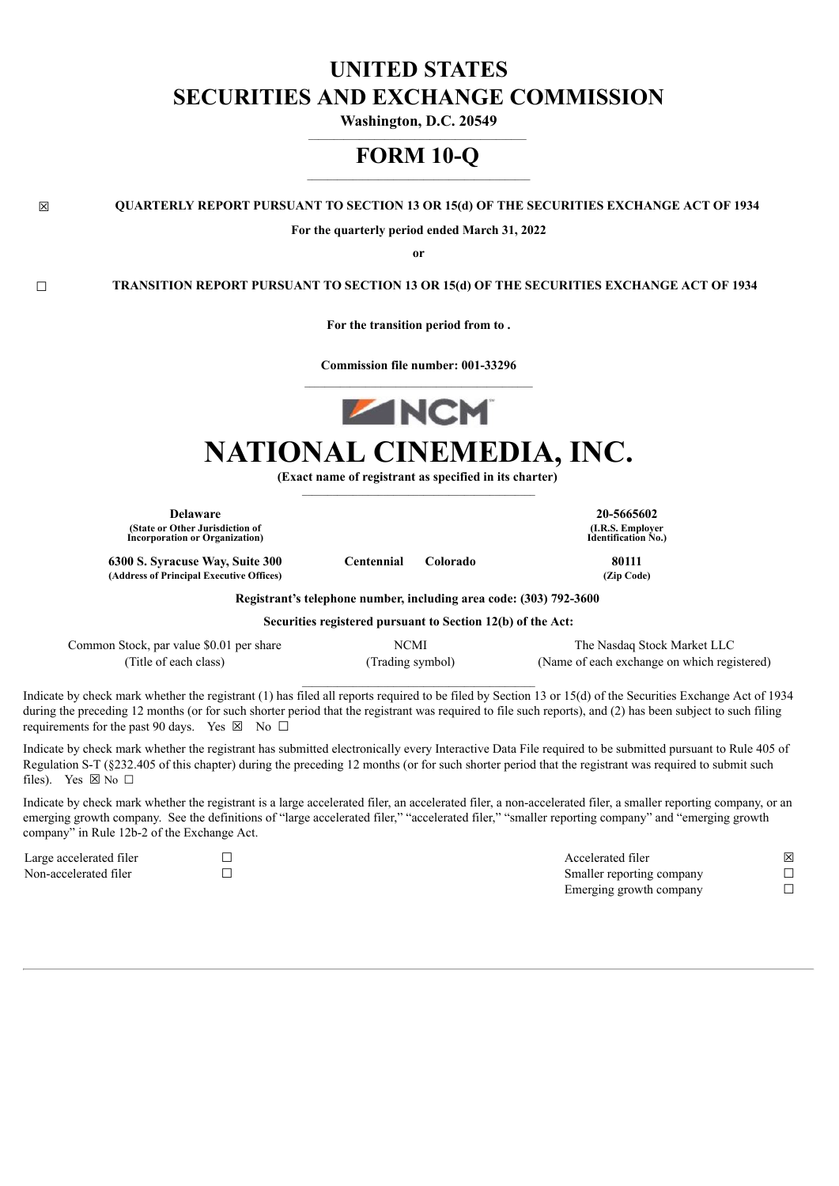# **UNITED STATES SECURITIES AND EXCHANGE COMMISSION**

**Washington, D.C. 20549**  $\mathcal{L}_\text{max}$  and the contract of the contract of the contract of the contract of the contract of the contract of the contract of the contract of the contract of the contract of the contract of the contract of the contrac

# **FORM 10-Q** \_\_\_\_\_\_\_\_\_\_\_\_\_\_\_\_\_\_\_\_\_\_\_\_\_\_\_\_\_\_\_\_\_\_\_\_\_\_\_\_\_\_\_\_

☒ **QUARTERLY REPORT PURSUANT TO SECTION 13 OR 15(d) OF THE SECURITIES EXCHANGE ACT OF 1934**

**For the quarterly period ended March 31, 2022**

**or**

☐ **TRANSITION REPORT PURSUANT TO SECTION 13 OR 15(d) OF THE SECURITIES EXCHANGE ACT OF 1934**

**For the transition period from to .**

**Commission file number: 001-33296**  $\mathcal{L}_\text{max}$  and the contract of the contract of the contract of the contract of the contract of the contract of the contract of the contract of the contract of the contract of the contract of the contract of the contrac



# **NATIONAL CINEMEDIA, INC.**

**(Exact name of registrant as specified in its charter)** \_\_\_\_\_\_\_\_\_\_\_\_\_\_\_\_\_\_\_\_\_\_\_\_\_\_\_\_\_\_\_\_\_\_\_\_\_\_\_\_\_\_\_\_\_\_

| Delaware<br>(State or Other Jurisdiction of<br><b>Incorporation or Organization</b> )                                                                                                                                                                                                                                                                                                    |                  | 20-5665602<br>(I.R.S. Employer<br>Identification No.) |                                                                    |  |  |  |  |  |
|------------------------------------------------------------------------------------------------------------------------------------------------------------------------------------------------------------------------------------------------------------------------------------------------------------------------------------------------------------------------------------------|------------------|-------------------------------------------------------|--------------------------------------------------------------------|--|--|--|--|--|
| 6300 S. Syracuse Way, Suite 300<br>(Address of Principal Executive Offices)                                                                                                                                                                                                                                                                                                              | Centennial       | <b>Colorado</b>                                       | 80111<br>(Zip Code)                                                |  |  |  |  |  |
|                                                                                                                                                                                                                                                                                                                                                                                          |                  |                                                       | Registrant's telephone number, including area code: (303) 792-3600 |  |  |  |  |  |
| Securities registered pursuant to Section 12(b) of the Act:                                                                                                                                                                                                                                                                                                                              |                  |                                                       |                                                                    |  |  |  |  |  |
| Common Stock, par value \$0.01 per share                                                                                                                                                                                                                                                                                                                                                 | <b>NCMI</b>      | The Nasdaq Stock Market LLC                           |                                                                    |  |  |  |  |  |
| (Title of each class)                                                                                                                                                                                                                                                                                                                                                                    | (Trading symbol) |                                                       | (Name of each exchange on which registered)                        |  |  |  |  |  |
| Indicate by check mark whether the registrant (1) has filed all reports required to be filed by Section 13 or 15(d) of the Securities Exchange Act of 1934<br>during the preceding 12 months (or for such shorter period that the registrant was required to file such reports), and (2) has been subject to such filing<br>requirements for the past 90 days. Yes $\boxtimes$ No $\Box$ |                  |                                                       |                                                                    |  |  |  |  |  |
| Indicate by check mark whether the registrant has submitted electronically every Interactive Data File required to be submitted pursuant to Rule 405 of<br>Regulation S-T (§232.405 of this chapter) during the preceding 12 months (or for such shorter period that the registrant was required to submit such<br>files). Yes $\boxtimes$ No $\square$                                  |                  |                                                       |                                                                    |  |  |  |  |  |

Indicate by check mark whether the registrant is a large accelerated filer, an accelerated filer, a non-accelerated filer, a smaller reporting company, or an emerging growth company. See the definitions of "large accelerated filer," "accelerated filer," "smaller reporting company" and "emerging growth company" in Rule 12b-2 of the Exchange Act.

Large accelerated filer ☐ Accelerated filer ☒ Non-accelerated filer ☐ Smaller reporting company ☐ Emerging growth company  $\Box$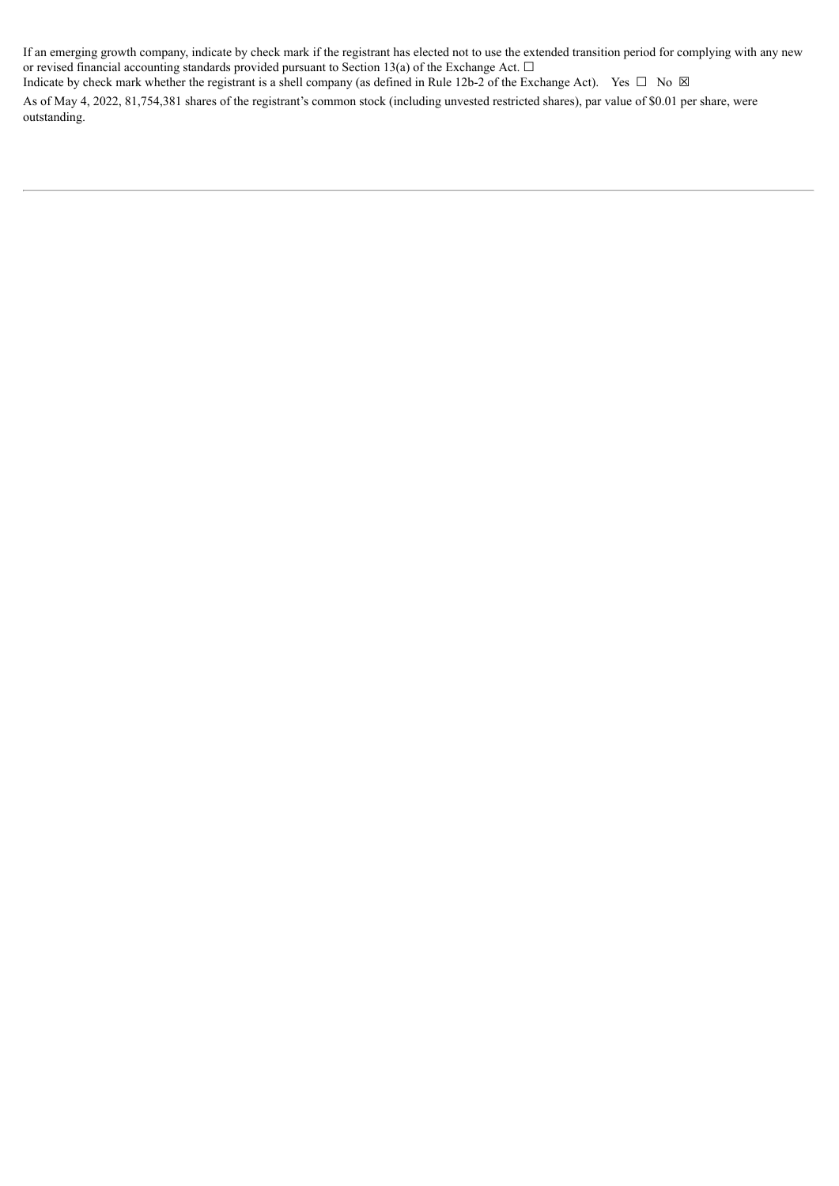If an emerging growth company, indicate by check mark if the registrant has elected not to use the extended transition period for complying with any new or revised financial accounting standards provided pursuant to Section 13(a) of the Exchange Act.  $\Box$ Indicate by check mark whether the registrant is a shell company (as defined in Rule 12b-2 of the Exchange Act). Yes  $\Box$  No  $\boxtimes$ 

As of May 4, 2022, 81,754,381 shares of the registrant's common stock (including unvested restricted shares), par value of \$0.01 per share, were outstanding.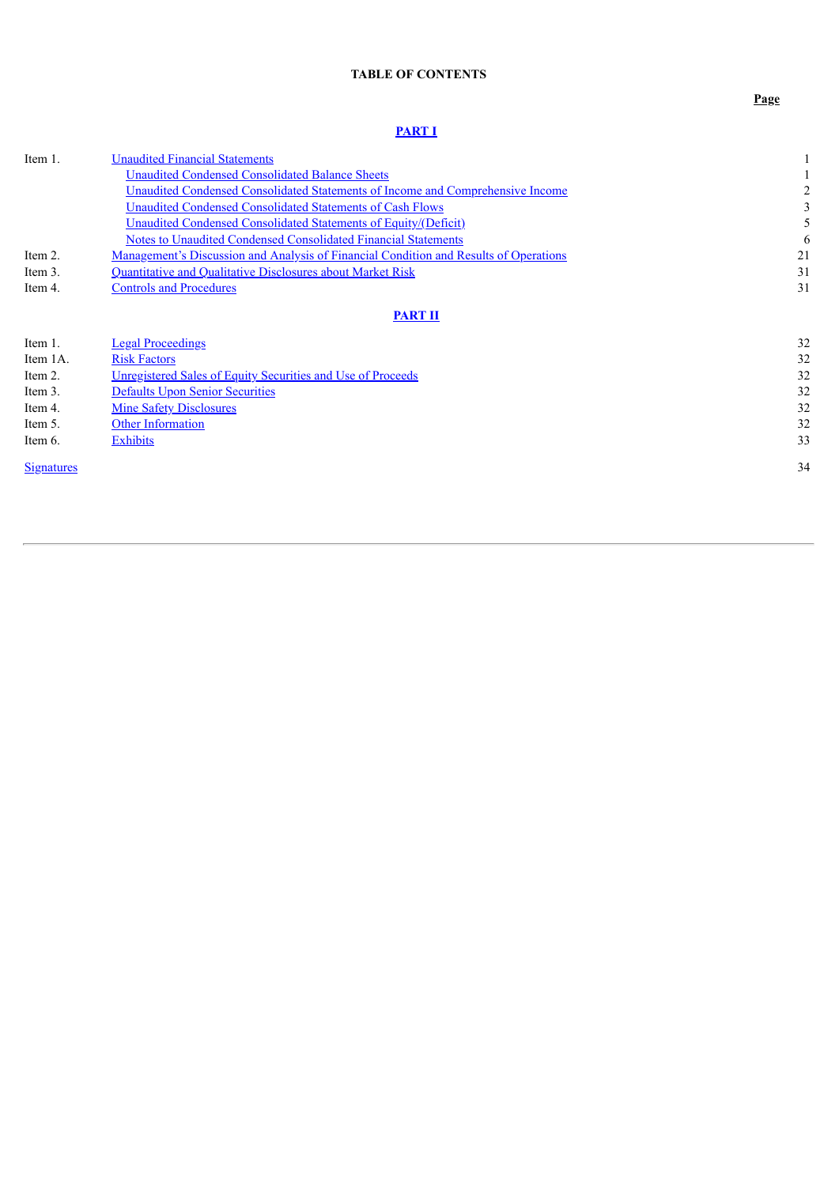# **TABLE OF CONTENTS**

# **Page**

# **[PART](#page-2-0) I**

<span id="page-2-0"></span>

| Item 1.           | <b>Unaudited Financial Statements</b>                                                        |    |
|-------------------|----------------------------------------------------------------------------------------------|----|
|                   | <b>Unaudited Condensed Consolidated Balance Sheets</b>                                       |    |
|                   | Unaudited Condensed Consolidated Statements of Income and Comprehensive Income               |    |
|                   | Unaudited Condensed Consolidated Statements of Cash Flows                                    |    |
|                   | Unaudited Condensed Consolidated Statements of Equity/(Deficit)                              |    |
|                   | Notes to Unaudited Condensed Consolidated Financial Statements                               | 6  |
| Item 2.           | <u>Management's Discussion and Analysis of Financial Condition and Results of Operations</u> | 21 |
| Item 3.           | Quantitative and Qualitative Disclosures about Market Risk                                   | 31 |
| Item 4.           | <b>Controls and Procedures</b>                                                               | 31 |
|                   | <b>PART II</b>                                                                               |    |
| Item 1.           | <b>Legal Proceedings</b>                                                                     | 32 |
| Item 1A.          | <b>Risk Factors</b>                                                                          | 32 |
| Item 2.           | Unregistered Sales of Equity Securities and Use of Proceeds                                  | 32 |
| Item 3.           | <b>Defaults Upon Senior Securities</b>                                                       | 32 |
| Item 4.           | <b>Mine Safety Disclosures</b>                                                               | 32 |
| Item 5.           | <b>Other Information</b>                                                                     | 32 |
| Item 6.           | <b>Exhibits</b>                                                                              | 33 |
| <b>Signatures</b> |                                                                                              | 34 |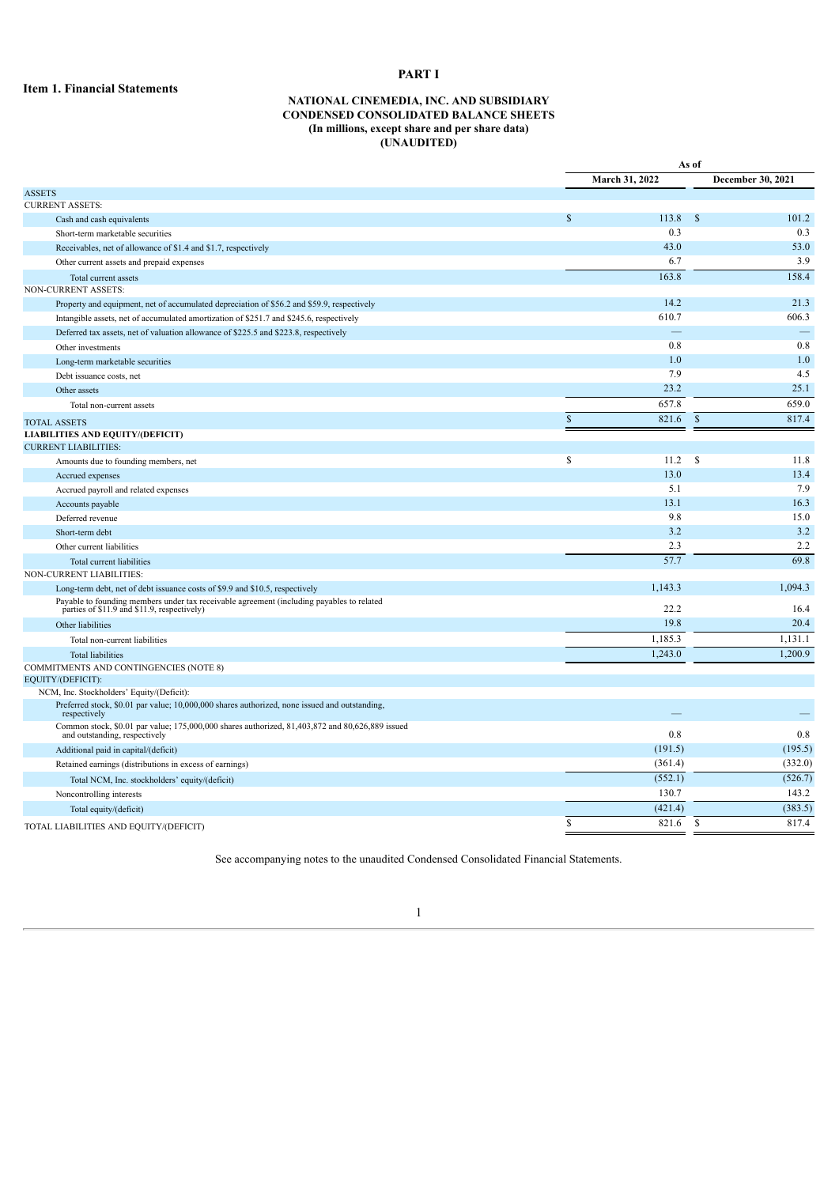# **PART I**

# <span id="page-3-1"></span><span id="page-3-0"></span>**Item 1. Financial Statements**

# **NATIONAL CINEMEDIA, INC. AND SUBSIDIARY CONDENSED CONSOLIDATED BALANCE SHEETS (In millions, except share and per share data) (UNAUDITED)**

|                                                                                                                               | As of                 |                          |  |  |
|-------------------------------------------------------------------------------------------------------------------------------|-----------------------|--------------------------|--|--|
|                                                                                                                               | March 31, 2022        | <b>December 30, 2021</b> |  |  |
| <b>ASSETS</b>                                                                                                                 |                       |                          |  |  |
| <b>CURRENT ASSETS:</b>                                                                                                        |                       |                          |  |  |
| Cash and cash equivalents                                                                                                     | \$<br>113.8           | <sup>\$</sup><br>101.2   |  |  |
| Short-term marketable securities                                                                                              | 0.3                   | 0.3                      |  |  |
| Receivables, net of allowance of \$1.4 and \$1.7, respectively                                                                | 43.0                  | 53.0                     |  |  |
| Other current assets and prepaid expenses                                                                                     | 6.7                   | 3.9                      |  |  |
| Total current assets                                                                                                          | 163.8                 | 158.4                    |  |  |
| <b>NON-CURRENT ASSETS:</b>                                                                                                    |                       |                          |  |  |
| Property and equipment, net of accumulated depreciation of \$56.2 and \$59.9, respectively                                    | 14.2                  | 21.3                     |  |  |
| Intangible assets, net of accumulated amortization of \$251.7 and \$245.6, respectively                                       | 610.7                 | 606.3                    |  |  |
| Deferred tax assets, net of valuation allowance of \$225.5 and \$223.8, respectively                                          |                       | $\equiv$                 |  |  |
| Other investments                                                                                                             | 0.8                   | 0.8                      |  |  |
| Long-term marketable securities                                                                                               | 1.0                   | 1.0                      |  |  |
| Debt issuance costs, net                                                                                                      | 7.9                   | 4.5                      |  |  |
| Other assets                                                                                                                  | 23.2                  | 25.1                     |  |  |
| Total non-current assets                                                                                                      | 657.8                 | 659.0                    |  |  |
| <b>TOTAL ASSETS</b>                                                                                                           | $\mathbf S$<br>821.6  | $\mathbf S$<br>817.4     |  |  |
| <b>LIABILITIES AND EQUITY/(DEFICIT)</b>                                                                                       |                       |                          |  |  |
| <b>CURRENT LIABILITIES:</b>                                                                                                   |                       |                          |  |  |
| Amounts due to founding members, net                                                                                          | \$<br>11.2            | S<br>11.8                |  |  |
| Accrued expenses                                                                                                              | 13.0                  | 13.4                     |  |  |
| Accrued payroll and related expenses                                                                                          | 5.1                   | 7.9                      |  |  |
| Accounts payable                                                                                                              | 13.1                  | 16.3                     |  |  |
| Deferred revenue                                                                                                              | 9.8                   | 15.0                     |  |  |
| Short-term debt                                                                                                               | 3.2                   | 3.2                      |  |  |
| Other current liabilities                                                                                                     | 2.3                   | 2.2                      |  |  |
| Total current liabilities                                                                                                     | 57.7                  | 69.8                     |  |  |
| NON-CURRENT LIABILITIES:                                                                                                      |                       |                          |  |  |
| Long-term debt, net of debt issuance costs of \$9.9 and \$10.5, respectively                                                  | 1,143.3               | 1,094.3                  |  |  |
| Payable to founding members under tax receivable agreement (including payables to related                                     | 22.2                  | 16.4                     |  |  |
| parties of \$11.9 and \$11.9, respectively)                                                                                   |                       |                          |  |  |
| Other liabilities                                                                                                             | 19.8                  | 20.4                     |  |  |
| Total non-current liabilities                                                                                                 | 1,185.3               | 1,131.1                  |  |  |
| <b>Total liabilities</b>                                                                                                      | 1,243.0               | 1,200.9                  |  |  |
| COMMITMENTS AND CONTINGENCIES (NOTE 8)                                                                                        |                       |                          |  |  |
| EQUITY/(DEFICIT):<br>NCM, Inc. Stockholders' Equity/(Deficit):                                                                |                       |                          |  |  |
| Preferred stock, \$0.01 par value; 10,000,000 shares authorized, none issued and outstanding,                                 |                       |                          |  |  |
| respectively                                                                                                                  |                       |                          |  |  |
| Common stock, \$0.01 par value; 175,000,000 shares authorized, 81,403,872 and 80,626,889 issued and outstanding, respectively | 0.8                   | 0.8                      |  |  |
| Additional paid in capital/(deficit)                                                                                          | (191.5)               | (195.5)                  |  |  |
| Retained earnings (distributions in excess of earnings)                                                                       | (361.4)               | (332.0)                  |  |  |
| Total NCM, Inc. stockholders' equity/(deficit)                                                                                | (552.1)               | (526.7)                  |  |  |
| Noncontrolling interests                                                                                                      | 130.7                 | 143.2                    |  |  |
| Total equity/(deficit)                                                                                                        | (421.4)               | (383.5)                  |  |  |
| TOTAL LIABILITIES AND EQUITY/(DEFICIT)                                                                                        | $\mathbb{S}$<br>821.6 | $\mathbb{S}$<br>817.4    |  |  |

<span id="page-3-2"></span>See accompanying notes to the unaudited Condensed Consolidated Financial Statements.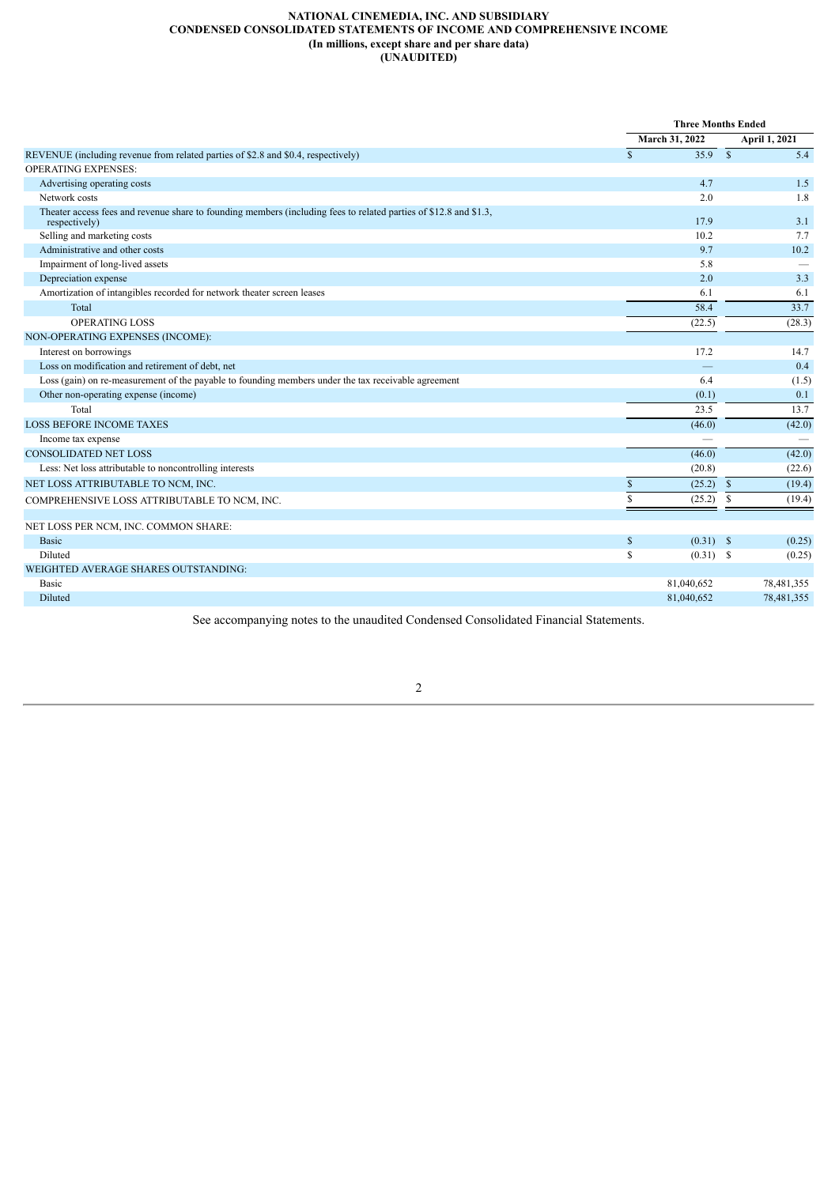#### **NATIONAL CINEMEDIA, INC. AND SUBSIDIARY CONDENSED CONSOLIDATED STATEMENTS OF INCOME AND COMPREHENSIVE INCOME (In millions, except share and per share data) (UNAUDITED)**

|                                                                                                                                    | <b>Three Months Ended</b> |                      |    |               |  |
|------------------------------------------------------------------------------------------------------------------------------------|---------------------------|----------------------|----|---------------|--|
|                                                                                                                                    |                           | March 31, 2022       |    | April 1, 2021 |  |
| REVENUE (including revenue from related parties of \$2.8 and \$0.4, respectively)                                                  | $\mathbf{s}$              | $\overline{35.9}$ \$ |    | 5.4           |  |
| <b>OPERATING EXPENSES:</b>                                                                                                         |                           |                      |    |               |  |
| Advertising operating costs                                                                                                        |                           | 4.7                  |    | 1.5           |  |
| Network costs                                                                                                                      |                           | 2.0                  |    | 1.8           |  |
| Theater access fees and revenue share to founding members (including fees to related parties of \$12.8 and \$1.3,<br>respectively) |                           | 17.9                 |    | 3.1           |  |
| Selling and marketing costs                                                                                                        |                           | 10.2                 |    | 7.7           |  |
| Administrative and other costs                                                                                                     |                           | 9.7                  |    | 10.2          |  |
| Impairment of long-lived assets                                                                                                    |                           | 5.8                  |    |               |  |
| Depreciation expense                                                                                                               |                           | 2.0                  |    | 3.3           |  |
| Amortization of intangibles recorded for network theater screen leases                                                             |                           | 6.1                  |    | 6.1           |  |
| Total                                                                                                                              |                           | 58.4                 |    | 33.7          |  |
| <b>OPERATING LOSS</b>                                                                                                              |                           | (22.5)               |    | (28.3)        |  |
| NON-OPERATING EXPENSES (INCOME):                                                                                                   |                           |                      |    |               |  |
| Interest on borrowings                                                                                                             |                           | 17.2                 |    | 14.7          |  |
| Loss on modification and retirement of debt, net                                                                                   |                           |                      |    | 0.4           |  |
| Loss (gain) on re-measurement of the payable to founding members under the tax receivable agreement                                |                           | 6.4                  |    | (1.5)         |  |
| Other non-operating expense (income)                                                                                               |                           | (0.1)                |    | 0.1           |  |
| Total                                                                                                                              |                           | 23.5                 |    | 13.7          |  |
| <b>LOSS BEFORE INCOME TAXES</b>                                                                                                    |                           | (46.0)               |    | (42.0)        |  |
| Income tax expense                                                                                                                 |                           |                      |    |               |  |
| <b>CONSOLIDATED NET LOSS</b>                                                                                                       |                           | (46.0)               |    | (42.0)        |  |
| Less: Net loss attributable to noncontrolling interests                                                                            |                           | (20.8)               |    | (22.6)        |  |
| NET LOSS ATTRIBUTABLE TO NCM, INC.                                                                                                 | $\mathbb{S}$              | $(25.2)$ \$          |    | (19.4)        |  |
| COMPREHENSIVE LOSS ATTRIBUTABLE TO NCM, INC.                                                                                       | s                         | (25.2)               | \$ | (19.4)        |  |
| NET LOSS PER NCM, INC. COMMON SHARE:                                                                                               |                           |                      |    |               |  |
| Basic                                                                                                                              | \$                        | $(0.31)$ \$          |    | (0.25)        |  |
| Diluted                                                                                                                            | \$                        | $(0.31)$ \$          |    | (0.25)        |  |
| WEIGHTED AVERAGE SHARES OUTSTANDING:                                                                                               |                           |                      |    |               |  |
| Basic                                                                                                                              |                           | 81,040,652           |    | 78,481,355    |  |
| Diluted                                                                                                                            |                           | 81,040,652           |    | 78,481,355    |  |
|                                                                                                                                    |                           |                      |    |               |  |

<span id="page-4-0"></span>See accompanying notes to the unaudited Condensed Consolidated Financial Statements.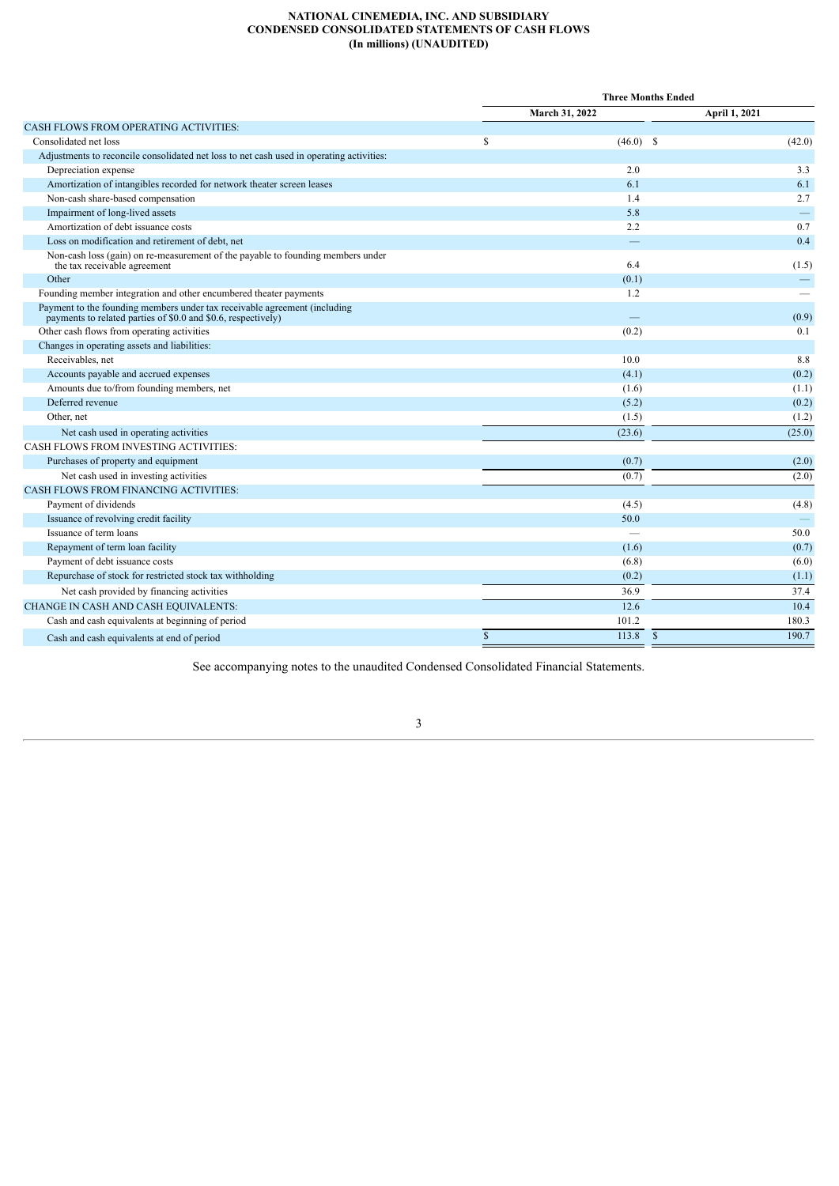## **NATIONAL CINEMEDIA, INC. AND SUBSIDIARY CONDENSED CONSOLIDATED STATEMENTS OF CASH FLOWS (In millions) (UNAUDITED)**

|                                                                                                                                            | <b>Three Months Ended</b> |                |               |  |  |
|--------------------------------------------------------------------------------------------------------------------------------------------|---------------------------|----------------|---------------|--|--|
|                                                                                                                                            |                           | March 31, 2022 | April 1, 2021 |  |  |
| <b>CASH FLOWS FROM OPERATING ACTIVITIES:</b>                                                                                               |                           |                |               |  |  |
| Consolidated net loss                                                                                                                      | S                         | $(46.0)$ \$    | (42.0)        |  |  |
| Adjustments to reconcile consolidated net loss to net cash used in operating activities:                                                   |                           |                |               |  |  |
| Depreciation expense                                                                                                                       |                           | 2.0            | 3.3           |  |  |
| Amortization of intangibles recorded for network theater screen leases                                                                     |                           | 6.1            | 6.1           |  |  |
| Non-cash share-based compensation                                                                                                          |                           | 1.4            | 2.7           |  |  |
| Impairment of long-lived assets                                                                                                            |                           | 5.8            |               |  |  |
| Amortization of debt issuance costs                                                                                                        |                           | 2.2            | 0.7           |  |  |
| Loss on modification and retirement of debt, net                                                                                           |                           |                | 0.4           |  |  |
| Non-cash loss (gain) on re-measurement of the payable to founding members under<br>the tax receivable agreement                            |                           | 6.4            | (1.5)         |  |  |
| Other                                                                                                                                      |                           | (0.1)          |               |  |  |
| Founding member integration and other encumbered theater payments                                                                          |                           | 1.2            |               |  |  |
| Payment to the founding members under tax receivable agreement (including<br>payments to related parties of \$0.0 and \$0.6, respectively) |                           |                | (0.9)         |  |  |
| Other cash flows from operating activities                                                                                                 |                           | (0.2)          | 0.1           |  |  |
| Changes in operating assets and liabilities:                                                                                               |                           |                |               |  |  |
| Receivables, net                                                                                                                           |                           | 10.0           | 8.8           |  |  |
| Accounts payable and accrued expenses                                                                                                      |                           | (4.1)          | (0.2)         |  |  |
| Amounts due to/from founding members, net                                                                                                  |                           | (1.6)          | (1.1)         |  |  |
| Deferred revenue                                                                                                                           |                           | (5.2)          | (0.2)         |  |  |
| Other, net                                                                                                                                 |                           | (1.5)          | (1.2)         |  |  |
| Net cash used in operating activities                                                                                                      |                           | (23.6)         | (25.0)        |  |  |
| <b>CASH FLOWS FROM INVESTING ACTIVITIES:</b>                                                                                               |                           |                |               |  |  |
| Purchases of property and equipment                                                                                                        |                           | (0.7)          | (2.0)         |  |  |
| Net cash used in investing activities                                                                                                      |                           | (0.7)          | (2.0)         |  |  |
| <b>CASH FLOWS FROM FINANCING ACTIVITIES:</b>                                                                                               |                           |                |               |  |  |
| Payment of dividends                                                                                                                       |                           | (4.5)          | (4.8)         |  |  |
| Issuance of revolving credit facility                                                                                                      |                           | 50.0           |               |  |  |
| Issuance of term loans                                                                                                                     |                           |                | 50.0          |  |  |
| Repayment of term loan facility                                                                                                            |                           | (1.6)          | (0.7)         |  |  |
| Payment of debt issuance costs                                                                                                             |                           | (6.8)          | (6.0)         |  |  |
| Repurchase of stock for restricted stock tax withholding                                                                                   |                           | (0.2)          | (1.1)         |  |  |
| Net cash provided by financing activities                                                                                                  |                           | 36.9           | 37.4          |  |  |
| CHANGE IN CASH AND CASH EQUIVALENTS:                                                                                                       |                           | 12.6           | 10.4          |  |  |
| Cash and cash equivalents at beginning of period                                                                                           |                           | 101.2          | 180.3         |  |  |
| Cash and cash equivalents at end of period                                                                                                 | $\mathbf S$               | $113.8$ \$     | 190.7         |  |  |

See accompanying notes to the unaudited Condensed Consolidated Financial Statements.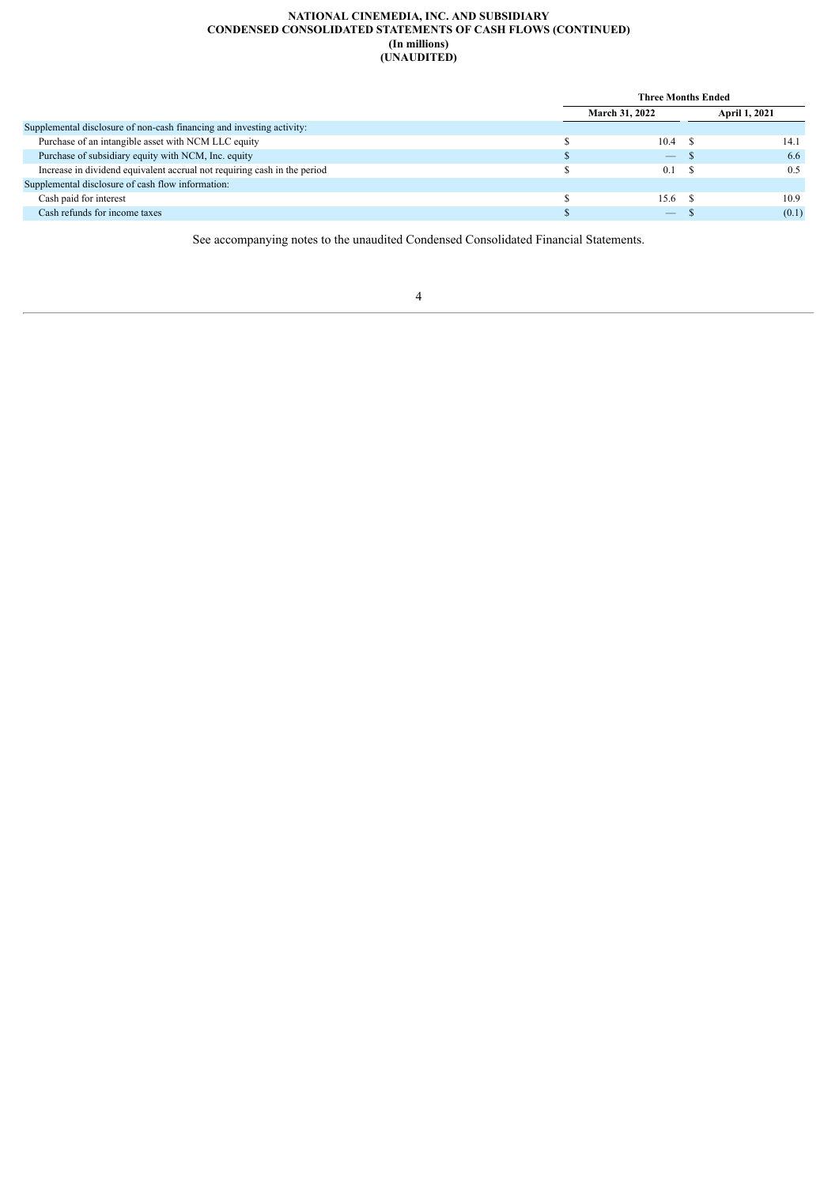#### **NATIONAL CINEMEDIA, INC. AND SUBSIDIARY CONDENSED CONSOLIDATED STATEMENTS OF CASH FLOWS (CONTINUED) (In millions) (UNAUDITED)**

|                                                                          | <b>Three Months Ended</b> |                       |  |                      |  |  |
|--------------------------------------------------------------------------|---------------------------|-----------------------|--|----------------------|--|--|
|                                                                          |                           | <b>March 31, 2022</b> |  | <b>April 1, 2021</b> |  |  |
| Supplemental disclosure of non-cash financing and investing activity:    |                           |                       |  |                      |  |  |
| Purchase of an intangible asset with NCM LLC equity                      |                           |                       |  | 14.1                 |  |  |
| Purchase of subsidiary equity with NCM, Inc. equity                      |                           | $\frac{1}{2}$         |  | 6.6                  |  |  |
| Increase in dividend equivalent accrual not requiring cash in the period |                           | 0.1                   |  | 0.5                  |  |  |
| Supplemental disclosure of cash flow information:                        |                           |                       |  |                      |  |  |
| Cash paid for interest                                                   |                           | 15.6 \$               |  | 10.9                 |  |  |
| Cash refunds for income taxes                                            |                           | $\frac{1}{2}$         |  | (0.1)                |  |  |
|                                                                          |                           |                       |  |                      |  |  |

<span id="page-6-0"></span>See accompanying notes to the unaudited Condensed Consolidated Financial Statements.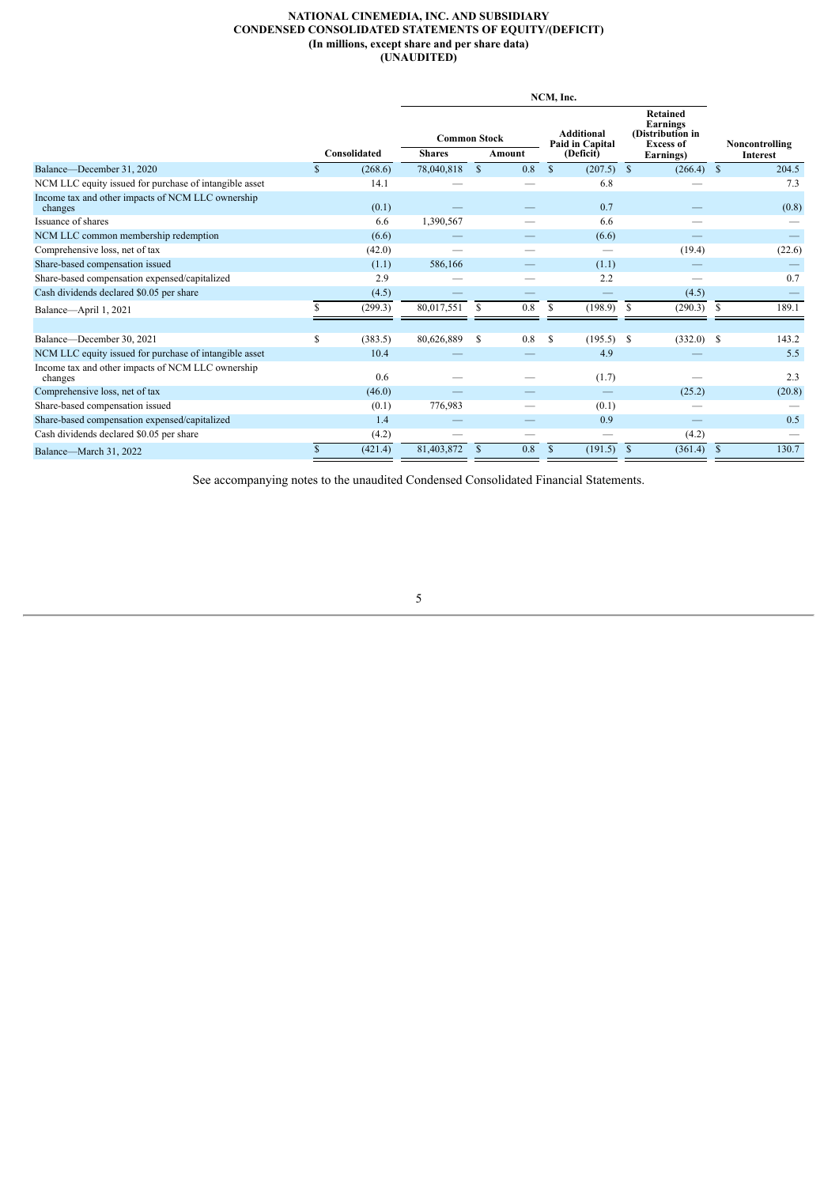#### **NATIONAL CINEMEDIA, INC. AND SUBSIDIARY CONDENSED CONSOLIDATED STATEMENTS OF EQUITY/(DEFICIT) (In millions, except share and per share data) (UNAUDITED)**

|                                                              |               |              |                                      |              |        | NCM. Inc.     |                                                   |              |                                                                                  |               |                            |
|--------------------------------------------------------------|---------------|--------------|--------------------------------------|--------------|--------|---------------|---------------------------------------------------|--------------|----------------------------------------------------------------------------------|---------------|----------------------------|
|                                                              |               | Consolidated | <b>Common Stock</b><br><b>Shares</b> |              | Amount |               | <b>Additional</b><br>Paid in Capital<br>(Deficit) |              | <b>Retained</b><br>Earnings<br>(Distribution in<br><b>Excess of</b><br>Earnings) |               | Noncontrolling<br>Interest |
| Balance-December 31, 2020                                    | \$            | (268.6)      | 78,040,818                           | <sup>S</sup> | 0.8    | <sup>\$</sup> | $(207.5)$ \$                                      |              | $(266.4)$ \$                                                                     |               | 204.5                      |
| NCM LLC equity issued for purchase of intangible asset       |               | 14.1         |                                      |              |        |               | 6.8                                               |              |                                                                                  |               | 7.3                        |
| Income tax and other impacts of NCM LLC ownership<br>changes |               | (0.1)        |                                      |              |        |               | 0.7                                               |              |                                                                                  |               | (0.8)                      |
| Issuance of shares                                           |               | 6.6          | 1,390,567                            |              |        |               | 6.6                                               |              |                                                                                  |               |                            |
| NCM LLC common membership redemption                         |               | (6.6)        |                                      |              |        |               | (6.6)                                             |              |                                                                                  |               |                            |
| Comprehensive loss, net of tax                               |               | (42.0)       |                                      |              |        |               |                                                   |              | (19.4)                                                                           |               | (22.6)                     |
| Share-based compensation issued                              |               | (1.1)        | 586,166                              |              |        |               | (1.1)                                             |              |                                                                                  |               |                            |
| Share-based compensation expensed/capitalized                |               | 2.9          |                                      |              |        |               | 2.2                                               |              |                                                                                  |               | 0.7                        |
| Cash dividends declared \$0.05 per share                     |               | (4.5)        |                                      |              |        |               |                                                   |              | (4.5)                                                                            |               |                            |
| Balance-April 1, 2021                                        |               | (299.3)      | 80.017.551                           | S            | 0.8    | S             | (198.9)                                           | -S           | (290.3)                                                                          | \$            | 189.1                      |
| Balance-December 30, 2021                                    | <sup>\$</sup> | (383.5)      | 80,626,889                           | S            | 0.8    | <sup>\$</sup> | $(195.5)$ \$                                      |              | $(332.0)$ \$                                                                     |               | 143.2                      |
| NCM LLC equity issued for purchase of intangible asset       |               | 10.4         |                                      |              |        |               | 4.9                                               |              |                                                                                  |               | 5.5                        |
| Income tax and other impacts of NCM LLC ownership<br>changes |               | 0.6          |                                      |              |        |               | (1.7)                                             |              |                                                                                  |               | 2.3                        |
| Comprehensive loss, net of tax                               |               | (46.0)       |                                      |              |        |               |                                                   |              | (25.2)                                                                           |               | (20.8)                     |
| Share-based compensation issued                              |               | (0.1)        | 776,983                              |              |        |               | (0.1)                                             |              |                                                                                  |               |                            |
| Share-based compensation expensed/capitalized                |               | 1.4          |                                      |              |        |               | 0.9                                               |              |                                                                                  |               | 0.5                        |
| Cash dividends declared \$0.05 per share                     |               | (4.2)        |                                      |              |        |               |                                                   |              | (4.2)                                                                            |               |                            |
| Balance-March 31, 2022                                       |               | (421.4)      | 81,403,872                           | $\mathbf{s}$ | 0.8    | <sup>\$</sup> | (191.5)                                           | $\mathbb{S}$ | (361.4)                                                                          | <sup>\$</sup> | 130.7                      |

<span id="page-7-0"></span>See accompanying notes to the unaudited Condensed Consolidated Financial Statements.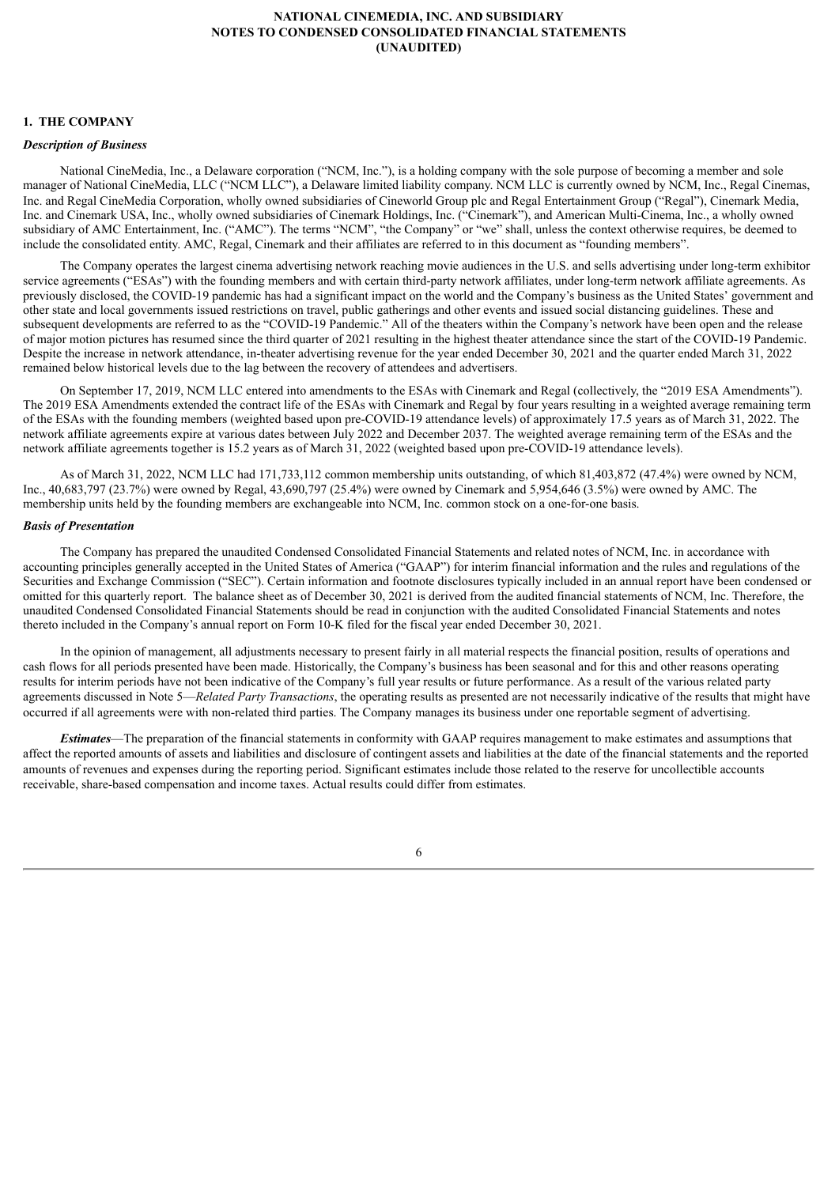#### **1. THE COMPANY**

#### *Description of Business*

National CineMedia, Inc., a Delaware corporation ("NCM, Inc."), is a holding company with the sole purpose of becoming a member and sole manager of National CineMedia, LLC ("NCM LLC"), a Delaware limited liability company. NCM LLC is currently owned by NCM, Inc., Regal Cinemas, Inc. and Regal CineMedia Corporation, wholly owned subsidiaries of Cineworld Group plc and Regal Entertainment Group ("Regal"), Cinemark Media, Inc. and Cinemark USA, Inc., wholly owned subsidiaries of Cinemark Holdings, Inc. ("Cinemark"), and American Multi-Cinema, Inc., a wholly owned subsidiary of AMC Entertainment, Inc. ("AMC"). The terms "NCM", "the Company" or "we" shall, unless the context otherwise requires, be deemed to include the consolidated entity. AMC, Regal, Cinemark and their affiliates are referred to in this document as "founding members".

The Company operates the largest cinema advertising network reaching movie audiences in the U.S. and sells advertising under long-term exhibitor service agreements ("ESAs") with the founding members and with certain third-party network affiliates, under long-term network affiliate agreements. As previously disclosed, the COVID-19 pandemic has had a significant impact on the world and the Company's business as the United States' government and other state and local governments issued restrictions on travel, public gatherings and other events and issued social distancing guidelines. These and subsequent developments are referred to as the "COVID-19 Pandemic." All of the theaters within the Company's network have been open and the release of major motion pictures has resumed since the third quarter of 2021 resulting in the highest theater attendance since the start of the COVID-19 Pandemic. Despite the increase in network attendance, in-theater advertising revenue for the year ended December 30, 2021 and the quarter ended March 31, 2022 remained below historical levels due to the lag between the recovery of attendees and advertisers.

On September 17, 2019, NCM LLC entered into amendments to the ESAs with Cinemark and Regal (collectively, the "2019 ESA Amendments"). The 2019 ESA Amendments extended the contract life of the ESAs with Cinemark and Regal by four years resulting in a weighted average remaining term of the ESAs with the founding members (weighted based upon pre-COVID-19 attendance levels) of approximately 17.5 years as of March 31, 2022. The network affiliate agreements expire at various dates between July 2022 and December 2037. The weighted average remaining term of the ESAs and the network affiliate agreements together is 15.2 years as of March 31, 2022 (weighted based upon pre-COVID-19 attendance levels).

As of March 31, 2022, NCM LLC had 171,733,112 common membership units outstanding, of which 81,403,872 (47.4%) were owned by NCM, Inc., 40,683,797 (23.7%) were owned by Regal, 43,690,797 (25.4%) were owned by Cinemark and 5,954,646 (3.5%) were owned by AMC. The membership units held by the founding members are exchangeable into NCM, Inc. common stock on a one-for-one basis.

# *Basis of Presentation*

The Company has prepared the unaudited Condensed Consolidated Financial Statements and related notes of NCM, Inc. in accordance with accounting principles generally accepted in the United States of America ("GAAP") for interim financial information and the rules and regulations of the Securities and Exchange Commission ("SEC"). Certain information and footnote disclosures typically included in an annual report have been condensed or omitted for this quarterly report. The balance sheet as of December 30, 2021 is derived from the audited financial statements of NCM, Inc. Therefore, the unaudited Condensed Consolidated Financial Statements should be read in conjunction with the audited Consolidated Financial Statements and notes thereto included in the Company's annual report on Form 10-K filed for the fiscal year ended December 30, 2021.

In the opinion of management, all adjustments necessary to present fairly in all material respects the financial position, results of operations and cash flows for all periods presented have been made. Historically, the Company's business has been seasonal and for this and other reasons operating results for interim periods have not been indicative of the Company's full year results or future performance. As a result of the various related party agreements discussed in Note 5—*Related Party Transactions*, the operating results as presented are not necessarily indicative of the results that might have occurred if all agreements were with non-related third parties. The Company manages its business under one reportable segment of advertising.

*Estimates*—The preparation of the financial statements in conformity with GAAP requires management to make estimates and assumptions that affect the reported amounts of assets and liabilities and disclosure of contingent assets and liabilities at the date of the financial statements and the reported amounts of revenues and expenses during the reporting period. Significant estimates include those related to the reserve for uncollectible accounts receivable, share-based compensation and income taxes. Actual results could differ from estimates.

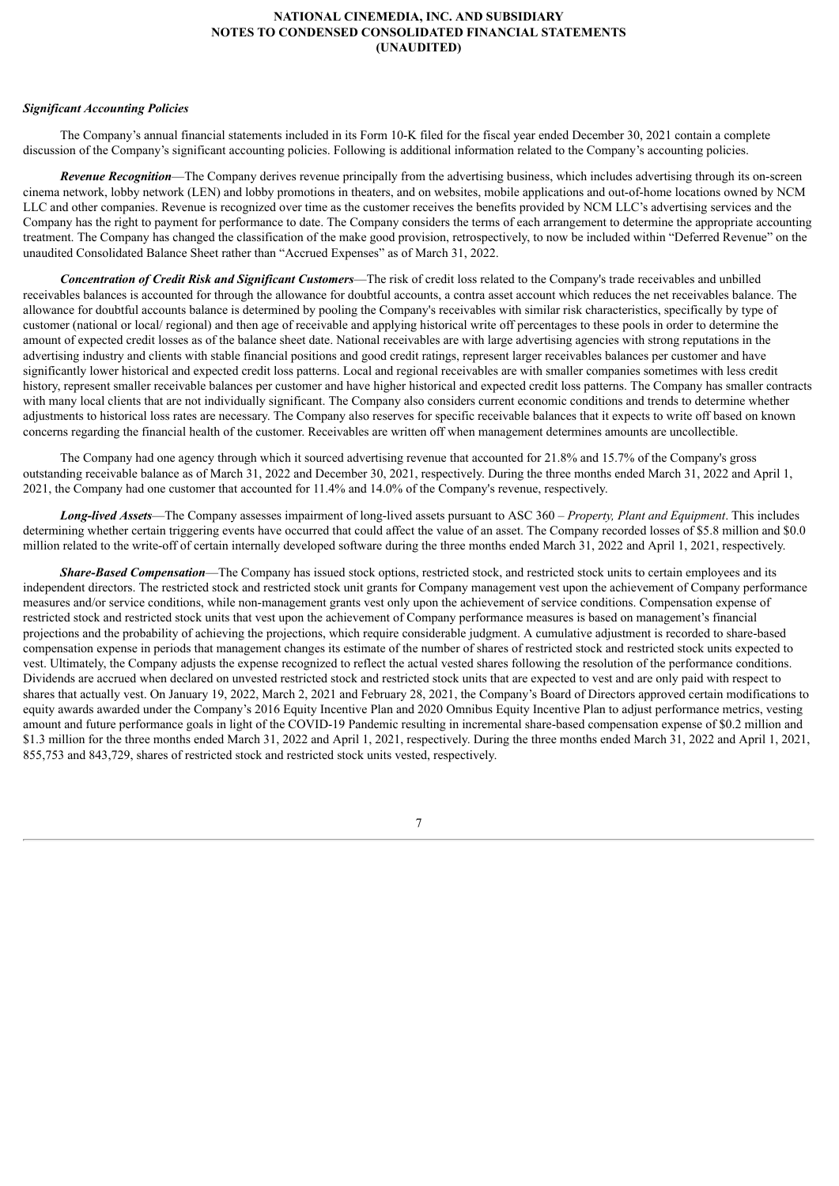#### *Significant Accounting Policies*

The Company's annual financial statements included in its Form 10-K filed for the fiscal year ended December 30, 2021 contain a complete discussion of the Company's significant accounting policies. Following is additional information related to the Company's accounting policies.

*Revenue Recognition*—The Company derives revenue principally from the advertising business, which includes advertising through its on-screen cinema network, lobby network (LEN) and lobby promotions in theaters, and on websites, mobile applications and out-of-home locations owned by NCM LLC and other companies. Revenue is recognized over time as the customer receives the benefits provided by NCM LLC's advertising services and the Company has the right to payment for performance to date. The Company considers the terms of each arrangement to determine the appropriate accounting treatment. The Company has changed the classification of the make good provision, retrospectively, to now be included within "Deferred Revenue" on the unaudited Consolidated Balance Sheet rather than "Accrued Expenses" as of March 31, 2022.

*Concentration of Credit Risk and Significant Customers*—The risk of credit loss related to the Company's trade receivables and unbilled receivables balances is accounted for through the allowance for doubtful accounts, a contra asset account which reduces the net receivables balance. The allowance for doubtful accounts balance is determined by pooling the Company's receivables with similar risk characteristics, specifically by type of customer (national or local/ regional) and then age of receivable and applying historical write off percentages to these pools in order to determine the amount of expected credit losses as of the balance sheet date. National receivables are with large advertising agencies with strong reputations in the advertising industry and clients with stable financial positions and good credit ratings, represent larger receivables balances per customer and have significantly lower historical and expected credit loss patterns. Local and regional receivables are with smaller companies sometimes with less credit history, represent smaller receivable balances per customer and have higher historical and expected credit loss patterns. The Company has smaller contracts with many local clients that are not individually significant. The Company also considers current economic conditions and trends to determine whether adjustments to historical loss rates are necessary. The Company also reserves for specific receivable balances that it expects to write off based on known concerns regarding the financial health of the customer. Receivables are written off when management determines amounts are uncollectible.

The Company had one agency through which it sourced advertising revenue that accounted for 21.8% and 15.7% of the Company's gross outstanding receivable balance as of March 31, 2022 and December 30, 2021, respectively. During the three months ended March 31, 2022 and April 1, 2021, the Company had one customer that accounted for 11.4% and 14.0% of the Company's revenue, respectively.

*Long-lived Assets*—The Company assesses impairment of long-lived assets pursuant to ASC 360 – *Property, Plant and Equipment*. This includes determining whether certain triggering events have occurred that could affect the value of an asset. The Company recorded losses of \$5.8 million and \$0.0 million related to the write-off of certain internally developed software during the three months ended March 31, 2022 and April 1, 2021, respectively.

*Share-Based Compensation***—The Company has issued stock options, restricted stock, and restricted stock units to certain employees and its** independent directors. The restricted stock and restricted stock unit grants for Company management vest upon the achievement of Company performance measures and/or service conditions, while non-management grants vest only upon the achievement of service conditions. Compensation expense of restricted stock and restricted stock units that vest upon the achievement of Company performance measures is based on management's financial projections and the probability of achieving the projections, which require considerable judgment. A cumulative adjustment is recorded to share-based compensation expense in periods that management changes its estimate of the number of shares of restricted stock and restricted stock units expected to vest. Ultimately, the Company adjusts the expense recognized to reflect the actual vested shares following the resolution of the performance conditions. Dividends are accrued when declared on unvested restricted stock and restricted stock units that are expected to vest and are only paid with respect to shares that actually vest. On January 19, 2022, March 2, 2021 and February 28, 2021, the Company's Board of Directors approved certain modifications to equity awards awarded under the Company's 2016 Equity Incentive Plan and 2020 Omnibus Equity Incentive Plan to adjust performance metrics, vesting amount and future performance goals in light of the COVID-19 Pandemic resulting in incremental share-based compensation expense of \$0.2 million and \$1.3 million for the three months ended March 31, 2022 and April 1, 2021, respectively. During the three months ended March 31, 2022 and April 1, 2021, 855,753 and 843,729, shares of restricted stock and restricted stock units vested, respectively.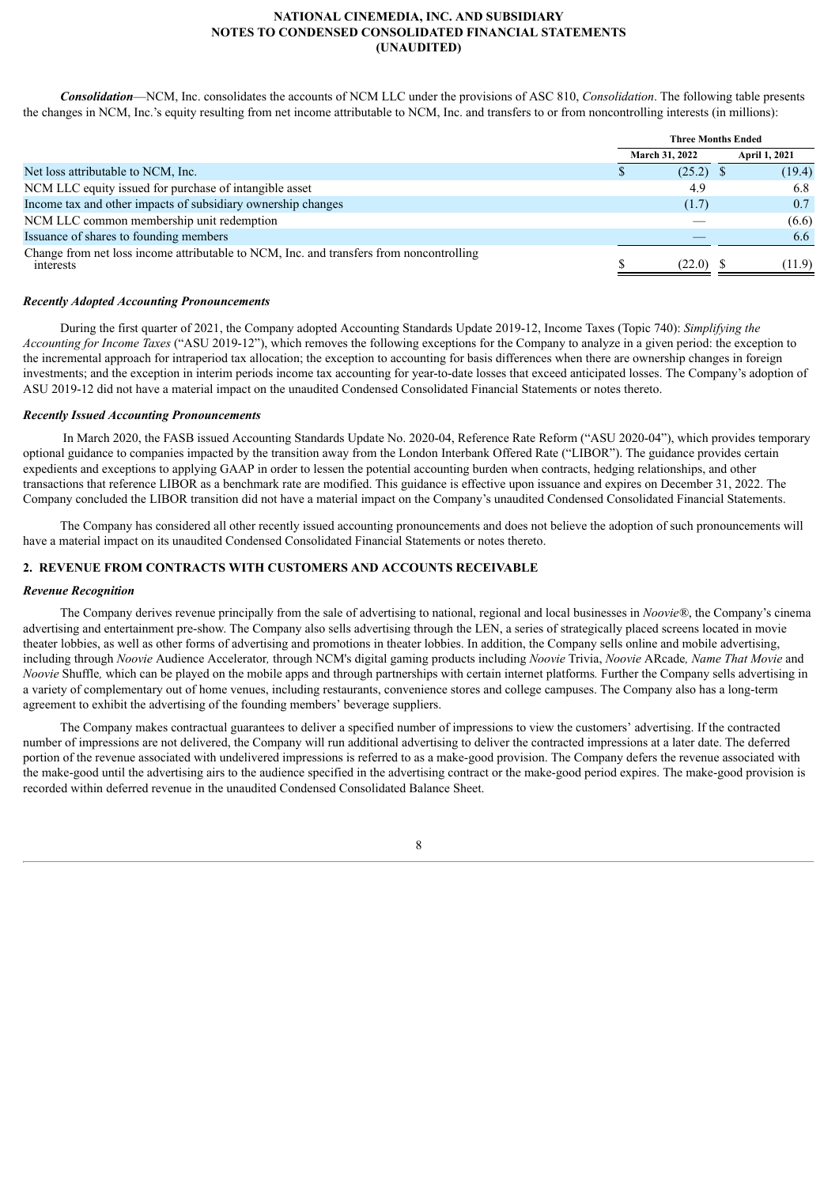*Consolidation*—NCM, Inc. consolidates the accounts of NCM LLC under the provisions of ASC 810, *Consolidation*. The following table presents the changes in NCM, Inc.'s equity resulting from net income attributable to NCM, Inc. and transfers to or from noncontrolling interests (in millions):

|                                                                                                      | <b>Three Months Ended</b> |  |                      |  |  |  |
|------------------------------------------------------------------------------------------------------|---------------------------|--|----------------------|--|--|--|
|                                                                                                      | March 31, 2022            |  | <b>April 1, 2021</b> |  |  |  |
| Net loss attributable to NCM, Inc.                                                                   | $(25.2)$ \$               |  | (19.4)               |  |  |  |
| NCM LLC equity issued for purchase of intangible asset                                               | 4.9                       |  | 6.8                  |  |  |  |
| Income tax and other impacts of subsidiary ownership changes                                         | (1.7)                     |  | 0.7                  |  |  |  |
| NCM LLC common membership unit redemption                                                            |                           |  | (6.6)                |  |  |  |
| Issuance of shares to founding members                                                               |                           |  | 6.6                  |  |  |  |
| Change from net loss income attributable to NCM, Inc. and transfers from noncontrolling<br>interests | (22.0)                    |  | (11.9)               |  |  |  |

# *Recently Adopted Accounting Pronouncements*

During the first quarter of 2021, the Company adopted Accounting Standards Update 2019-12, Income Taxes (Topic 740): *Simplifying the Accounting for Income Taxes* ("ASU 2019-12"), which removes the following exceptions for the Company to analyze in a given period: the exception to the incremental approach for intraperiod tax allocation; the exception to accounting for basis differences when there are ownership changes in foreign investments; and the exception in interim periods income tax accounting for year-to-date losses that exceed anticipated losses. The Company's adoption of ASU 2019-12 did not have a material impact on the unaudited Condensed Consolidated Financial Statements or notes thereto.

# *Recently Issued Accounting Pronouncements*

In March 2020, the FASB issued Accounting Standards Update No. 2020-04, Reference Rate Reform ("ASU 2020-04"), which provides temporary optional guidance to companies impacted by the transition away from the London Interbank Offered Rate ("LIBOR"). The guidance provides certain expedients and exceptions to applying GAAP in order to lessen the potential accounting burden when contracts, hedging relationships, and other transactions that reference LIBOR as a benchmark rate are modified. This guidance is effective upon issuance and expires on December 31, 2022. The Company concluded the LIBOR transition did not have a material impact on the Company's unaudited Condensed Consolidated Financial Statements.

The Company has considered all other recently issued accounting pronouncements and does not believe the adoption of such pronouncements will have a material impact on its unaudited Condensed Consolidated Financial Statements or notes thereto.

# **2. REVENUE FROM CONTRACTS WITH CUSTOMERS AND ACCOUNTS RECEIVABLE**

#### *Revenue Recognition*

The Company derives revenue principally from the sale of advertising to national, regional and local businesses in *Noovie®*, the Company's cinema advertising and entertainment pre-show. The Company also sells advertising through the LEN, a series of strategically placed screens located in movie theater lobbies, as well as other forms of advertising and promotions in theater lobbies. In addition, the Company sells online and mobile advertising, including through *Noovie* Audience Accelerator*,* through NCM's digital gaming products including *Noovie* Trivia, *Noovie* ARcade*, Name That Movie* and *Noovie* Shuffle*,* which can be played on the mobile apps and through partnerships with certain internet platforms*.* Further the Company sells advertising in a variety of complementary out of home venues, including restaurants, convenience stores and college campuses. The Company also has a long-term agreement to exhibit the advertising of the founding members' beverage suppliers.

The Company makes contractual guarantees to deliver a specified number of impressions to view the customers' advertising. If the contracted number of impressions are not delivered, the Company will run additional advertising to deliver the contracted impressions at a later date. The deferred portion of the revenue associated with undelivered impressions is referred to as a make-good provision. The Company defers the revenue associated with the make-good until the advertising airs to the audience specified in the advertising contract or the make-good period expires. The make-good provision is recorded within deferred revenue in the unaudited Condensed Consolidated Balance Sheet.

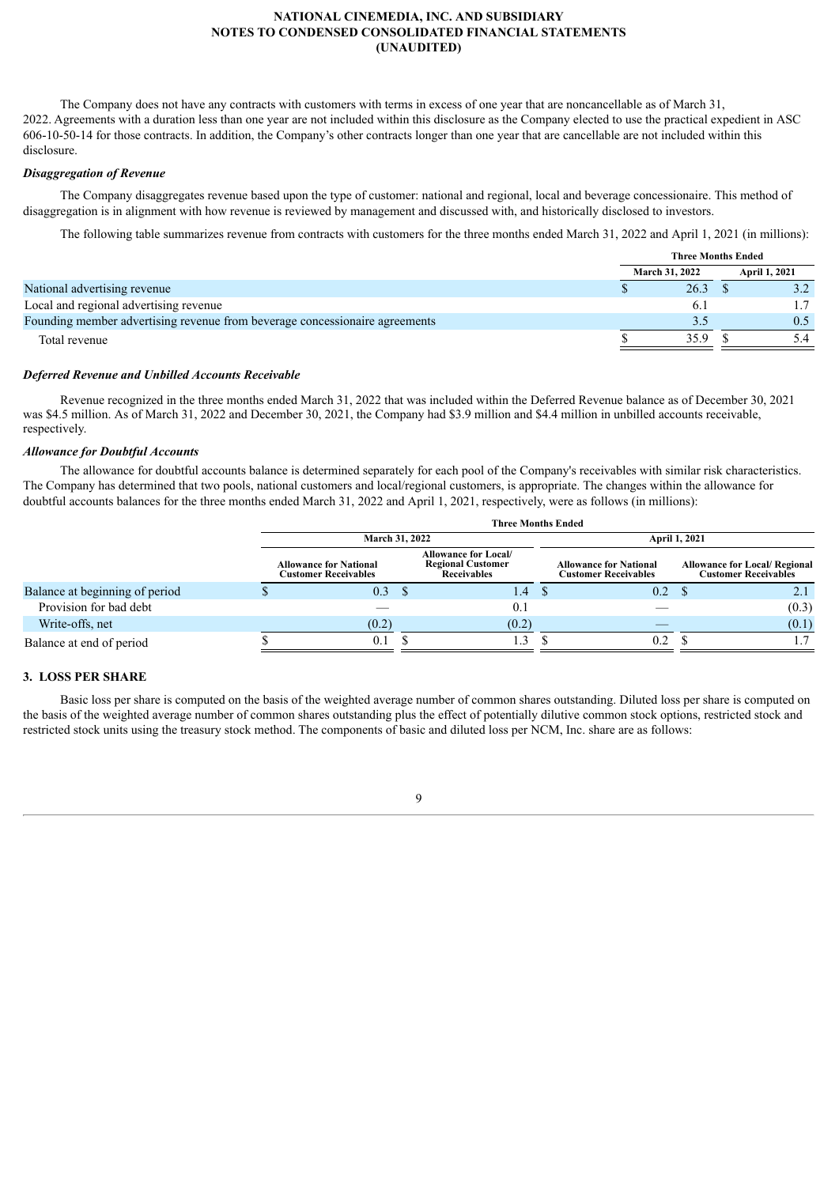The Company does not have any contracts with customers with terms in excess of one year that are noncancellable as of March 31, 2022. Agreements with a duration less than one year are not included within this disclosure as the Company elected to use the practical expedient in ASC 606-10-50-14 for those contracts. In addition, the Company's other contracts longer than one year that are cancellable are not included within this disclosure.

#### *Disaggregation of Revenue*

The Company disaggregates revenue based upon the type of customer: national and regional, local and beverage concessionaire. This method of disaggregation is in alignment with how revenue is reviewed by management and discussed with, and historically disclosed to investors.

The following table summarizes revenue from contracts with customers for the three months ended March 31, 2022 and April 1, 2021 (in millions):

|                                                                             |                       | <b>Three Months Ended</b> |
|-----------------------------------------------------------------------------|-----------------------|---------------------------|
|                                                                             | <b>March 31, 2022</b> | <b>April 1, 2021</b>      |
| National advertising revenue                                                | 26.3                  | 3.2                       |
| Local and regional advertising revenue                                      | 6. I                  |                           |
| Founding member advertising revenue from beverage concessionaire agreements | 3.5                   | 0.5                       |
| Total revenue                                                               | 35.9                  | 5.4                       |

## *Deferred Revenue and Unbilled Accounts Receivable*

Revenue recognized in the three months ended March 31, 2022 that was included within the Deferred Revenue balance as of December 30, 2021 was \$4.5 million. As of March 31, 2022 and December 30, 2021, the Company had \$3.9 million and \$4.4 million in unbilled accounts receivable, respectively.

# *Allowance for Doubtful Accounts*

The allowance for doubtful accounts balance is determined separately for each pool of the Company's receivables with similar risk characteristics. The Company has determined that two pools, national customers and local/regional customers, is appropriate. The changes within the allowance for doubtful accounts balances for the three months ended March 31, 2022 and April 1, 2021, respectively, were as follows (in millions):

|                                | <b>Three Months Ended</b>                                    |                                                                               |                      |  |                                                       |                                                                     |       |  |  |  |  |
|--------------------------------|--------------------------------------------------------------|-------------------------------------------------------------------------------|----------------------|--|-------------------------------------------------------|---------------------------------------------------------------------|-------|--|--|--|--|
|                                | <b>March 31, 2022</b>                                        |                                                                               | <b>April 1, 2021</b> |  |                                                       |                                                                     |       |  |  |  |  |
|                                | <b>Allowance for National</b><br><b>Customer Receivables</b> | <b>Allowance for Local/</b><br><b>Regional Customer</b><br><b>Receivables</b> |                      |  | <b>Allowance for National</b><br>Customer Receivables | <b>Allowance for Local/ Regional</b><br><b>Customer Receivables</b> |       |  |  |  |  |
| Balance at beginning of period | 0.3                                                          |                                                                               | l .4                 |  | 0.2                                                   |                                                                     |       |  |  |  |  |
| Provision for bad debt         |                                                              |                                                                               | 0.1                  |  |                                                       |                                                                     | (0.3) |  |  |  |  |
| Write-offs, net                | (0.2)                                                        |                                                                               | (0.2)                |  |                                                       |                                                                     | (0.1) |  |  |  |  |
| Balance at end of period       | 0.1                                                          |                                                                               |                      |  | 0.2                                                   |                                                                     | 1.7   |  |  |  |  |

# **3. LOSS PER SHARE**

Basic loss per share is computed on the basis of the weighted average number of common shares outstanding. Diluted loss per share is computed on the basis of the weighted average number of common shares outstanding plus the effect of potentially dilutive common stock options, restricted stock and restricted stock units using the treasury stock method. The components of basic and diluted loss per NCM, Inc. share are as follows:

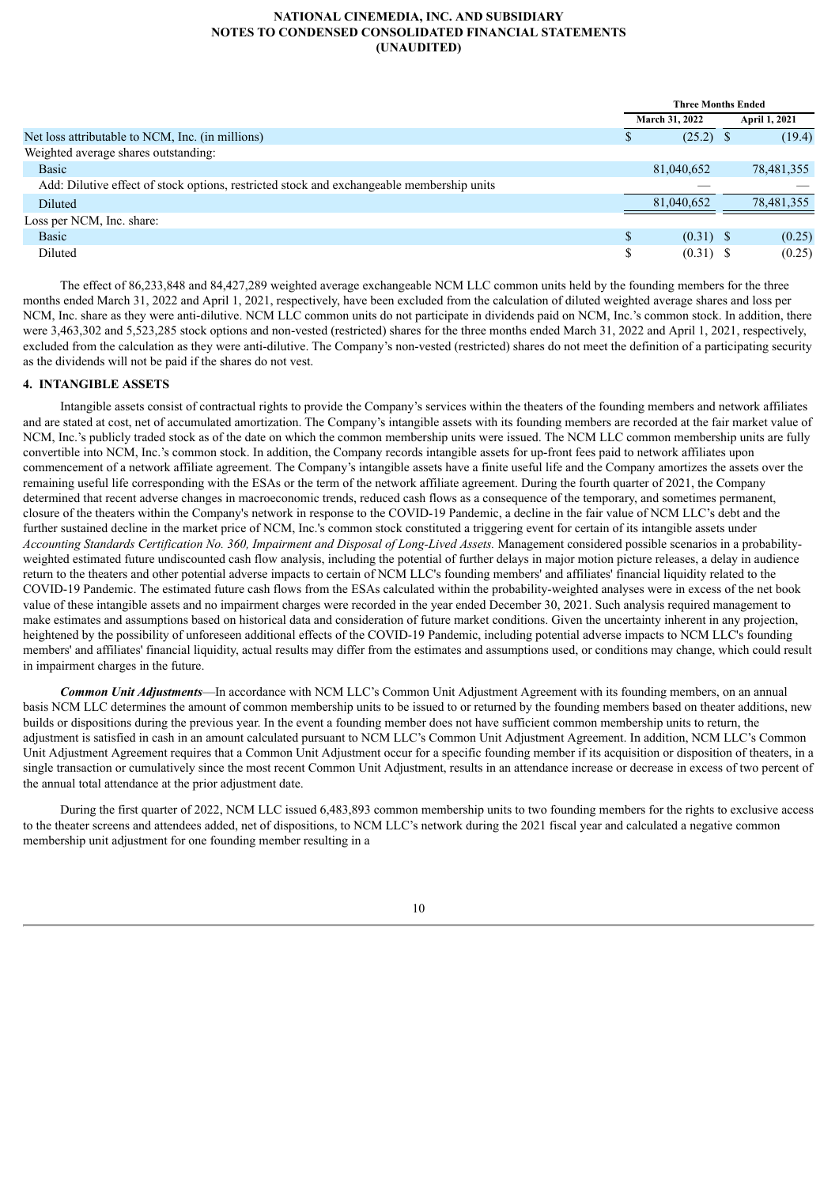|                                                                                           | <b>Three Months Ended</b> |  |               |  |  |
|-------------------------------------------------------------------------------------------|---------------------------|--|---------------|--|--|
|                                                                                           | March 31, 2022            |  | April 1, 2021 |  |  |
| Net loss attributable to NCM, Inc. (in millions)                                          | $(25.2)$ \$               |  | (19.4)        |  |  |
| Weighted average shares outstanding:                                                      |                           |  |               |  |  |
| <b>Basic</b>                                                                              | 81,040,652                |  | 78,481,355    |  |  |
| Add: Dilutive effect of stock options, restricted stock and exchangeable membership units |                           |  |               |  |  |
| Diluted                                                                                   | 81,040,652                |  | 78,481,355    |  |  |
| Loss per NCM, Inc. share:                                                                 |                           |  |               |  |  |
| Basic                                                                                     | $(0.31)$ \$               |  | (0.25)        |  |  |
| Diluted                                                                                   | (0.31)                    |  | (0.25)        |  |  |

The effect of 86,233,848 and 84,427,289 weighted average exchangeable NCM LLC common units held by the founding members for the three months ended March 31, 2022 and April 1, 2021, respectively, have been excluded from the calculation of diluted weighted average shares and loss per NCM, Inc. share as they were anti-dilutive. NCM LLC common units do not participate in dividends paid on NCM, Inc.'s common stock. In addition, there were 3,463,302 and 5,523,285 stock options and non-vested (restricted) shares for the three months ended March 31, 2022 and April 1, 2021, respectively, excluded from the calculation as they were anti-dilutive. The Company's non-vested (restricted) shares do not meet the definition of a participating security as the dividends will not be paid if the shares do not vest.

# **4. INTANGIBLE ASSETS**

Intangible assets consist of contractual rights to provide the Company's services within the theaters of the founding members and network affiliates and are stated at cost, net of accumulated amortization. The Company's intangible assets with its founding members are recorded at the fair market value of NCM, Inc.'s publicly traded stock as of the date on which the common membership units were issued. The NCM LLC common membership units are fully convertible into NCM, Inc.'s common stock. In addition, the Company records intangible assets for up-front fees paid to network affiliates upon commencement of a network affiliate agreement. The Company's intangible assets have a finite useful life and the Company amortizes the assets over the remaining useful life corresponding with the ESAs or the term of the network affiliate agreement. During the fourth quarter of 2021, the Company determined that recent adverse changes in macroeconomic trends, reduced cash flows as a consequence of the temporary, and sometimes permanent, closure of the theaters within the Company's network in response to the COVID-19 Pandemic, a decline in the fair value of NCM LLC's debt and the further sustained decline in the market price of NCM, Inc.'s common stock constituted a triggering event for certain of its intangible assets under Accounting Standards Certification No. 360, Impairment and Disposal of Long-Lived Assets. Management considered possible scenarios in a probabilityweighted estimated future undiscounted cash flow analysis, including the potential of further delays in major motion picture releases, a delay in audience return to the theaters and other potential adverse impacts to certain of NCM LLC's founding members' and affiliates' financial liquidity related to the COVID-19 Pandemic. The estimated future cash flows from the ESAs calculated within the probability-weighted analyses were in excess of the net book value of these intangible assets and no impairment charges were recorded in the year ended December 30, 2021. Such analysis required management to make estimates and assumptions based on historical data and consideration of future market conditions. Given the uncertainty inherent in any projection, heightened by the possibility of unforeseen additional effects of the COVID-19 Pandemic, including potential adverse impacts to NCM LLC's founding members' and affiliates' financial liquidity, actual results may differ from the estimates and assumptions used, or conditions may change, which could result in impairment charges in the future.

*Common Unit Adjustments*—In accordance with NCM LLC's Common Unit Adjustment Agreement with its founding members, on an annual basis NCM LLC determines the amount of common membership units to be issued to or returned by the founding members based on theater additions, new builds or dispositions during the previous year. In the event a founding member does not have sufficient common membership units to return, the adjustment is satisfied in cash in an amount calculated pursuant to NCM LLC's Common Unit Adjustment Agreement. In addition, NCM LLC's Common Unit Adjustment Agreement requires that a Common Unit Adjustment occur for a specific founding member if its acquisition or disposition of theaters, in a single transaction or cumulatively since the most recent Common Unit Adjustment, results in an attendance increase or decrease in excess of two percent of the annual total attendance at the prior adjustment date.

During the first quarter of 2022, NCM LLC issued 6,483,893 common membership units to two founding members for the rights to exclusive access to the theater screens and attendees added, net of dispositions, to NCM LLC's network during the 2021 fiscal year and calculated a negative common membership unit adjustment for one founding member resulting in a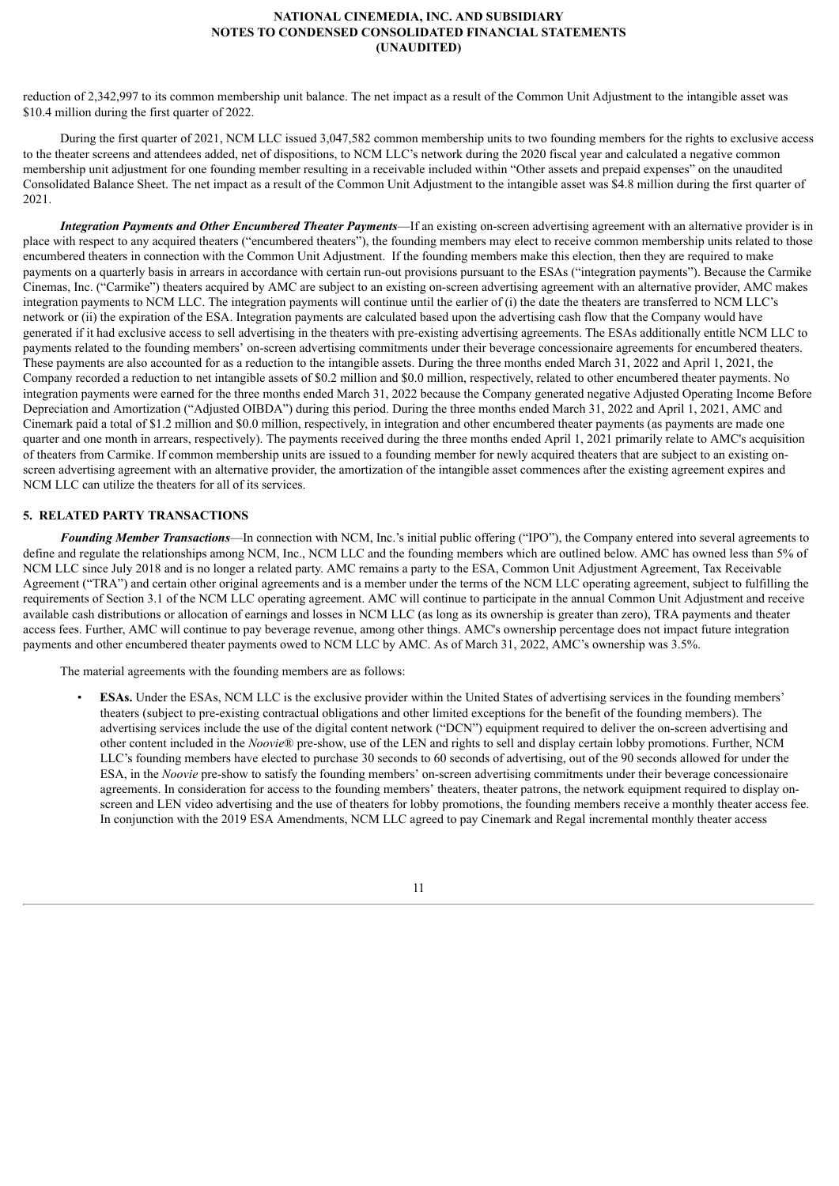reduction of 2,342,997 to its common membership unit balance. The net impact as a result of the Common Unit Adjustment to the intangible asset was \$10.4 million during the first quarter of 2022.

During the first quarter of 2021, NCM LLC issued 3,047,582 common membership units to two founding members for the rights to exclusive access to the theater screens and attendees added, net of dispositions, to NCM LLC's network during the 2020 fiscal year and calculated a negative common membership unit adjustment for one founding member resulting in a receivable included within "Other assets and prepaid expenses" on the unaudited Consolidated Balance Sheet. The net impact as a result of the Common Unit Adjustment to the intangible asset was \$4.8 million during the first quarter of 2021

*Integration Payments and Other Encumbered Theater Payments*—If an existing on-screen advertising agreement with an alternative provider is in place with respect to any acquired theaters ("encumbered theaters"), the founding members may elect to receive common membership units related to those encumbered theaters in connection with the Common Unit Adjustment. If the founding members make this election, then they are required to make payments on a quarterly basis in arrears in accordance with certain run-out provisions pursuant to the ESAs ("integration payments"). Because the Carmike Cinemas, Inc. ("Carmike") theaters acquired by AMC are subject to an existing on-screen advertising agreement with an alternative provider, AMC makes integration payments to NCM LLC. The integration payments will continue until the earlier of (i) the date the theaters are transferred to NCM LLC's network or (ii) the expiration of the ESA. Integration payments are calculated based upon the advertising cash flow that the Company would have generated if it had exclusive access to sell advertising in the theaters with pre-existing advertising agreements. The ESAs additionally entitle NCM LLC to payments related to the founding members' on-screen advertising commitments under their beverage concessionaire agreements for encumbered theaters. These payments are also accounted for as a reduction to the intangible assets. During the three months ended March 31, 2022 and April 1, 2021, the Company recorded a reduction to net intangible assets of \$0.2 million and \$0.0 million, respectively, related to other encumbered theater payments. No integration payments were earned for the three months ended March 31, 2022 because the Company generated negative Adjusted Operating Income Before Depreciation and Amortization ("Adjusted OIBDA") during this period. During the three months ended March 31, 2022 and April 1, 2021, AMC and Cinemark paid a total of \$1.2 million and \$0.0 million, respectively, in integration and other encumbered theater payments (as payments are made one quarter and one month in arrears, respectively). The payments received during the three months ended April 1, 2021 primarily relate to AMC's acquisition of theaters from Carmike. If common membership units are issued to a founding member for newly acquired theaters that are subject to an existing onscreen advertising agreement with an alternative provider, the amortization of the intangible asset commences after the existing agreement expires and NCM LLC can utilize the theaters for all of its services.

# **5. RELATED PARTY TRANSACTIONS**

*Founding Member Transactions*—In connection with NCM, Inc.'s initial public offering ("IPO"), the Company entered into several agreements to define and regulate the relationships among NCM, Inc., NCM LLC and the founding members which are outlined below. AMC has owned less than 5% of NCM LLC since July 2018 and is no longer a related party. AMC remains a party to the ESA, Common Unit Adjustment Agreement, Tax Receivable Agreement ("TRA") and certain other original agreements and is a member under the terms of the NCM LLC operating agreement, subject to fulfilling the requirements of Section 3.1 of the NCM LLC operating agreement. AMC will continue to participate in the annual Common Unit Adjustment and receive available cash distributions or allocation of earnings and losses in NCM LLC (as long as its ownership is greater than zero), TRA payments and theater access fees. Further, AMC will continue to pay beverage revenue, among other things. AMC's ownership percentage does not impact future integration payments and other encumbered theater payments owed to NCM LLC by AMC. As of March 31, 2022, AMC's ownership was 3.5%.

The material agreements with the founding members are as follows:

• **ESAs.** Under the ESAs, NCM LLC is the exclusive provider within the United States of advertising services in the founding members' theaters (subject to pre-existing contractual obligations and other limited exceptions for the benefit of the founding members). The advertising services include the use of the digital content network ("DCN") equipment required to deliver the on-screen advertising and other content included in the *Noovie*® pre-show, use of the LEN and rights to sell and display certain lobby promotions. Further, NCM LLC's founding members have elected to purchase 30 seconds to 60 seconds of advertising, out of the 90 seconds allowed for under the ESA, in the *Noovie* pre-show to satisfy the founding members' on-screen advertising commitments under their beverage concessionaire agreements. In consideration for access to the founding members' theaters, theater patrons, the network equipment required to display onscreen and LEN video advertising and the use of theaters for lobby promotions, the founding members receive a monthly theater access fee. In conjunction with the 2019 ESA Amendments, NCM LLC agreed to pay Cinemark and Regal incremental monthly theater access

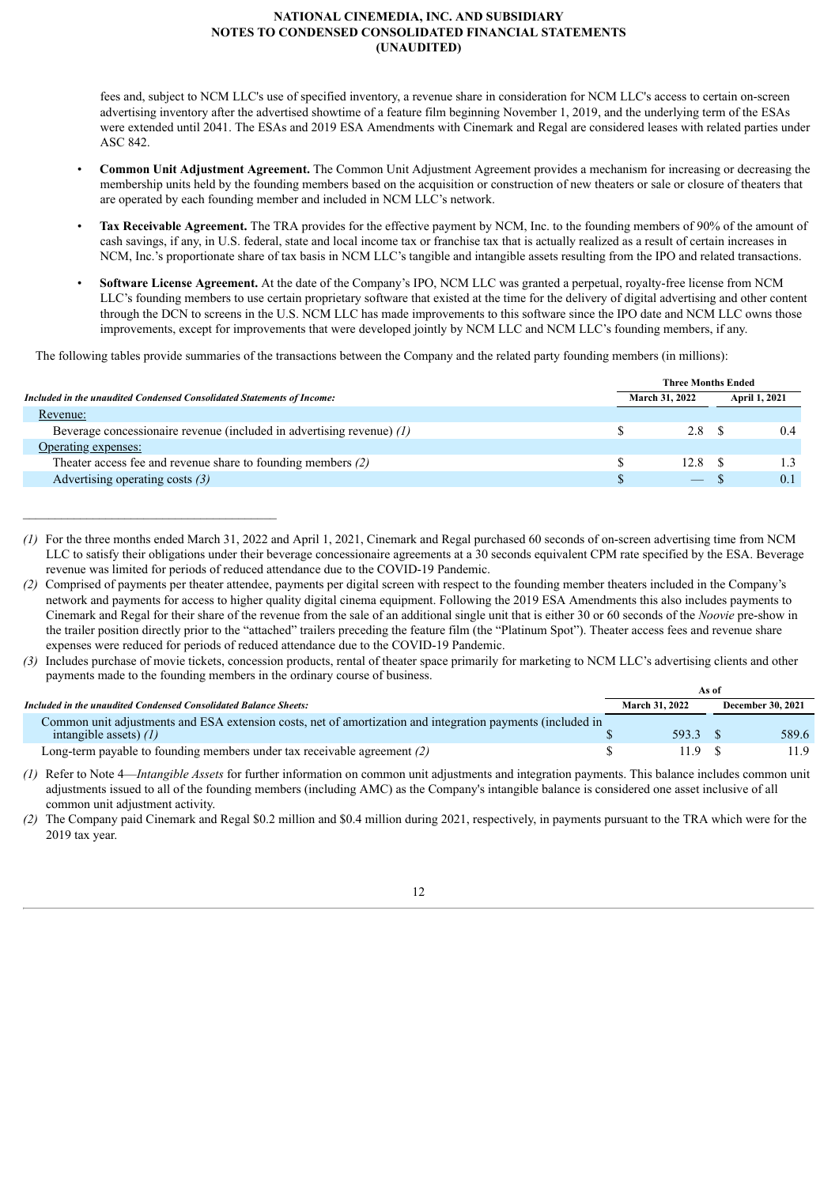fees and, subject to NCM LLC's use of specified inventory, a revenue share in consideration for NCM LLC's access to certain on-screen advertising inventory after the advertised showtime of a feature film beginning November 1, 2019, and the underlying term of the ESAs were extended until 2041. The ESAs and 2019 ESA Amendments with Cinemark and Regal are considered leases with related parties under ASC 842.

- **Common Unit Adjustment Agreement.** The Common Unit Adjustment Agreement provides a mechanism for increasing or decreasing the membership units held by the founding members based on the acquisition or construction of new theaters or sale or closure of theaters that are operated by each founding member and included in NCM LLC's network.
- **Tax Receivable Agreement.** The TRA provides for the effective payment by NCM, Inc. to the founding members of 90% of the amount of cash savings, if any, in U.S. federal, state and local income tax or franchise tax that is actually realized as a result of certain increases in NCM, Inc.'s proportionate share of tax basis in NCM LLC's tangible and intangible assets resulting from the IPO and related transactions.
- **Software License Agreement.** At the date of the Company's IPO, NCM LLC was granted a perpetual, royalty-free license from NCM LLC's founding members to use certain proprietary software that existed at the time for the delivery of digital advertising and other content through the DCN to screens in the U.S. NCM LLC has made improvements to this software since the IPO date and NCM LLC owns those improvements, except for improvements that were developed jointly by NCM LLC and NCM LLC's founding members, if any.

The following tables provide summaries of the transactions between the Company and the related party founding members (in millions):

\_\_\_\_\_\_\_\_\_\_\_\_\_\_\_\_\_\_\_\_\_\_\_\_\_\_\_\_\_\_\_\_\_\_\_\_\_\_\_\_

| <b>Three Months Ended</b> |                          |                       |        |  |
|---------------------------|--------------------------|-----------------------|--------|--|
|                           |                          | <b>April 1, 2021</b>  |        |  |
|                           |                          |                       |        |  |
|                           | 2.8                      |                       | 0.4    |  |
|                           |                          |                       |        |  |
|                           |                          |                       |        |  |
|                           | $\overline{\phantom{0}}$ |                       |        |  |
|                           |                          | <b>March 31, 2022</b> | 12.8 S |  |

*(1)* For the three months ended March 31, 2022 and April 1, 2021, Cinemark and Regal purchased 60 seconds of on-screen advertising time from NCM LLC to satisfy their obligations under their beverage concessionaire agreements at a 30 seconds equivalent CPM rate specified by the ESA. Beverage revenue was limited for periods of reduced attendance due to the COVID-19 Pandemic.

*(2)* Comprised of payments per theater attendee, payments per digital screen with respect to the founding member theaters included in the Company's network and payments for access to higher quality digital cinema equipment. Following the 2019 ESA Amendments this also includes payments to Cinemark and Regal for their share of the revenue from the sale of an additional single unit that is either 30 or 60 seconds of the *Noovie* pre-show in the trailer position directly prior to the "attached" trailers preceding the feature film (the "Platinum Spot"). Theater access fees and revenue share expenses were reduced for periods of reduced attendance due to the COVID-19 Pandemic.

*(3)* Includes purchase of movie tickets, concession products, rental of theater space primarily for marketing to NCM LLC's advertising clients and other payments made to the founding members in the ordinary course of business.

|                                                                                                                                        |                       | As of |                          |
|----------------------------------------------------------------------------------------------------------------------------------------|-----------------------|-------|--------------------------|
| Included in the unaudited Condensed Consolidated Balance Sheets:                                                                       | <b>March 31, 2022</b> |       | <b>December 30, 2021</b> |
| Common unit adjustments and ESA extension costs, net of amortization and integration payments (included in<br>intangible assets) $(1)$ | 593.3 \$              |       | 589.6                    |
| Long-term payable to founding members under tax receivable agreement $(2)$                                                             | 119 S                 |       | 11.9                     |

*(1)* Refer to Note 4—*Intangible Assets* for further information on common unit adjustments and integration payments. This balance includes common unit adjustments issued to all of the founding members (including AMC) as the Company's intangible balance is considered one asset inclusive of all common unit adjustment activity.

*(2)* The Company paid Cinemark and Regal \$0.2 million and \$0.4 million during 2021, respectively, in payments pursuant to the TRA which were for the 2019 tax year.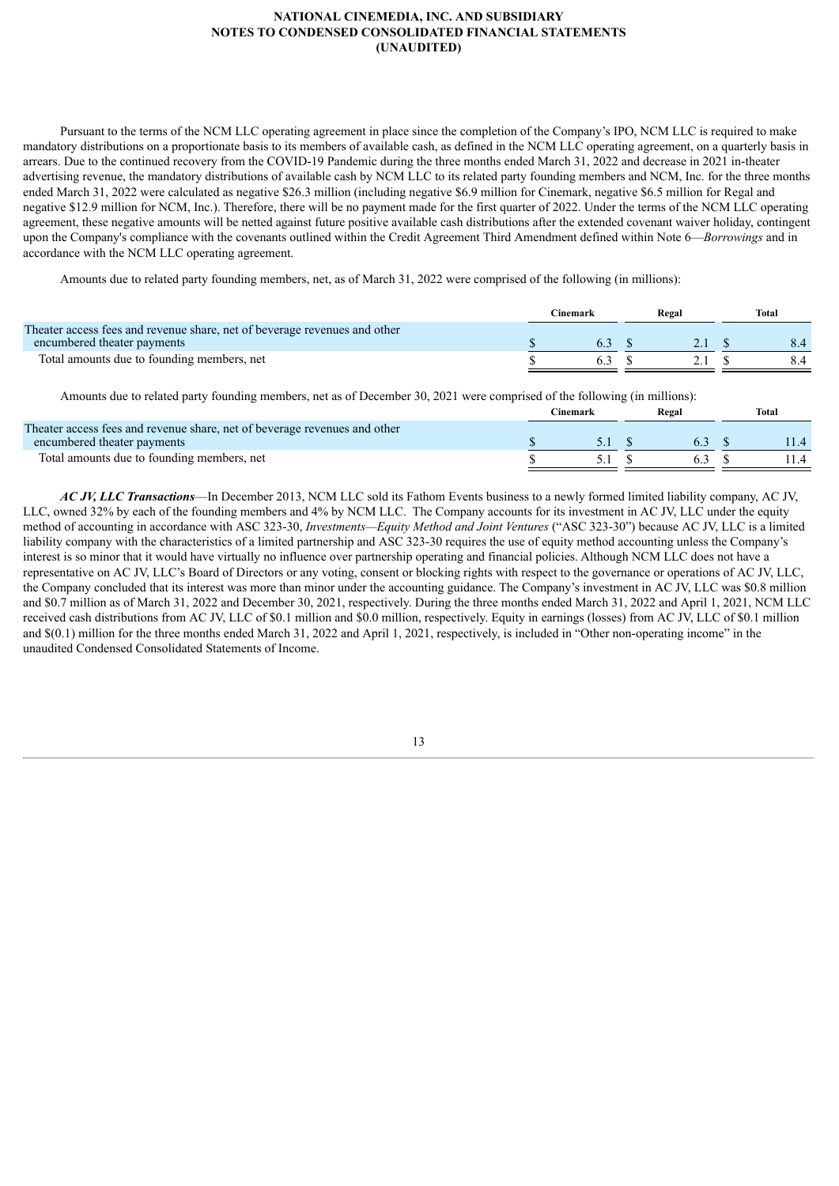Pursuant to the terms of the NCM LLC operating agreement in place since the completion of the Company's IPO, NCM LLC is required to make mandatory distributions on a proportionate basis to its members of available cash, as defined in the NCM LLC operating agreement, on a quarterly basis in arrears. Due to the continued recovery from the COVID-19 Pandemic during the three months ended March 31, 2022 and decrease in 2021 in-theater advertising revenue, the mandatory distributions of available cash by NCM LLC to its related party founding members and NCM, Inc. for the three months ended March 31, 2022 were calculated as negative \$26.3 million (including negative \$6.9 million for Cinemark, negative \$6.5 million for Regal and negative \$12.9 million for NCM, Inc.). Therefore, there will be no payment made for the first quarter of 2022. Under the terms of the NCM LLC operating agreement, these negative amounts will be netted against future positive available cash distributions after the extended covenant waiver holiday, contingent upon the Company's compliance with the covenants outlined within the Credit Agreement Third Amendment defined within Note 6—*Borrowings* and in accordance with the NCM LLC operating agreement.

Amounts due to related party founding members, net, as of March 31, 2022 were comprised of the following (in millions):

|                                                                                                          | <b>Tinemark</b> | Regal | Total |
|----------------------------------------------------------------------------------------------------------|-----------------|-------|-------|
| Theater access fees and revenue share, net of beverage revenues and other<br>encumbered theater payments |                 |       |       |
| Total amounts due to founding members, net                                                               |                 |       |       |

Amounts due to related party founding members, net as of December 30, 2021 were comprised of the following (in millions):

|                                                                                                          | Cinemark | Regal | <b>Total</b> |
|----------------------------------------------------------------------------------------------------------|----------|-------|--------------|
| Theater access fees and revenue share, net of beverage revenues and other<br>encumbered theater payments |          |       |              |
| Total amounts due to founding members, net                                                               |          |       |              |
|                                                                                                          |          |       |              |

*AC JV, LLC Transactions*—In December 2013, NCM LLC sold its Fathom Events business to a newly formed limited liability company, AC JV, LLC, owned 32% by each of the founding members and 4% by NCM LLC. The Company accounts for its investment in AC JV, LLC under the equity method of accounting in accordance with ASC 323-30, *Investments—Equity Method and Joint Ventures* ("ASC 323-30") because AC JV, LLC is a limited liability company with the characteristics of a limited partnership and ASC 323-30 requires the use of equity method accounting unless the Company's interest is so minor that it would have virtually no influence over partnership operating and financial policies. Although NCM LLC does not have a representative on AC JV, LLC's Board of Directors or any voting, consent or blocking rights with respect to the governance or operations of AC JV, LLC, the Company concluded that its interest was more than minor under the accounting guidance. The Company's investment in AC JV, LLC was \$0.8 million and \$0.7 million as of March 31, 2022 and December 30, 2021, respectively. During the three months ended March 31, 2022 and April 1, 2021, NCM LLC received cash distributions from AC JV, LLC of \$0.1 million and \$0.0 million, respectively. Equity in earnings (losses) from AC JV, LLC of \$0.1 million and \$(0.1) million for the three months ended March 31, 2022 and April 1, 2021, respectively, is included in "Other non-operating income" in the unaudited Condensed Consolidated Statements of Income.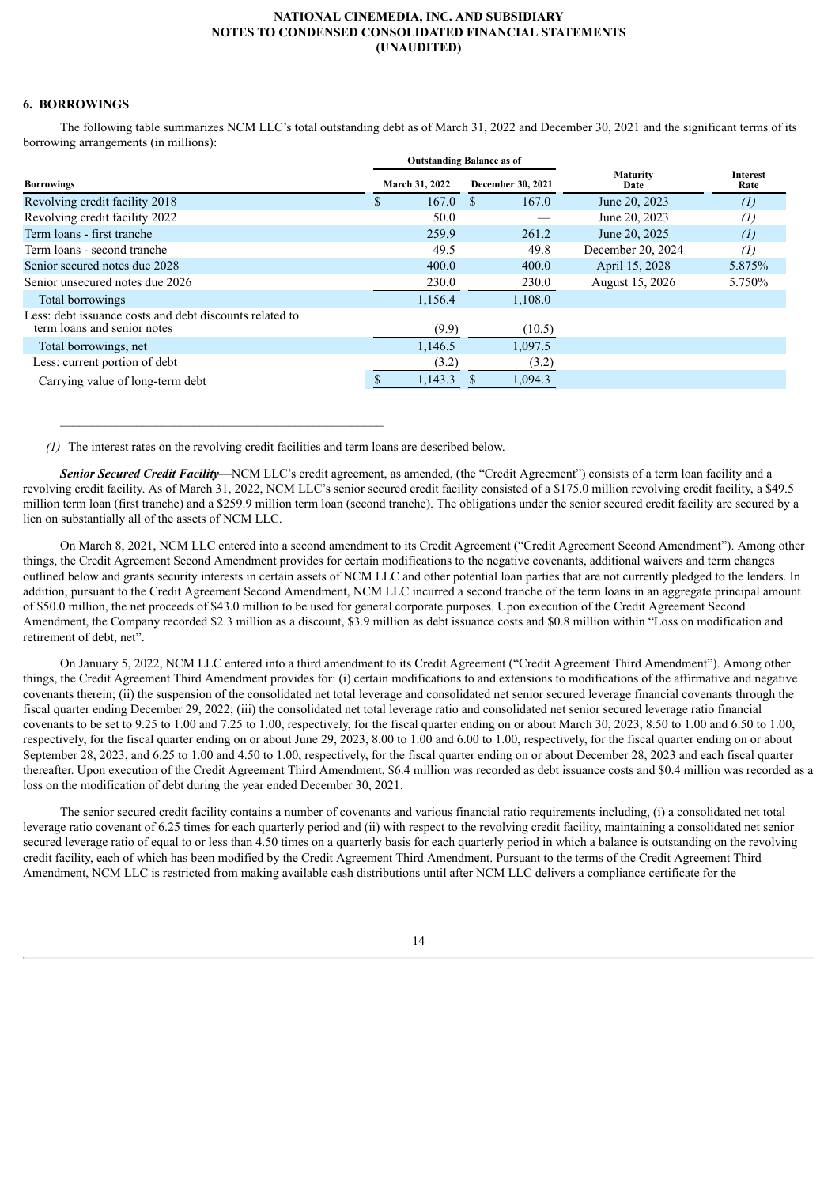# **6. BORROWINGS**

The following table summarizes NCM LLC's total outstanding debt as of March 31, 2022 and December 30, 2021 and the significant terms of its borrowing arrangements (in millions):

|                                                                                        |                | <b>Outstanding Balance as of</b> |   |         |                          |        |  |  |  |  |  |  |  |  |  |  |  |  |  |  |  |  |                  |                         |
|----------------------------------------------------------------------------------------|----------------|----------------------------------|---|---------|--------------------------|--------|--|--|--|--|--|--|--|--|--|--|--|--|--|--|--|--|------------------|-------------------------|
| <b>Borrowings</b>                                                                      | March 31, 2022 |                                  |   |         | <b>December 30, 2021</b> |        |  |  |  |  |  |  |  |  |  |  |  |  |  |  |  |  | Maturity<br>Date | <b>Interest</b><br>Rate |
| Revolving credit facility 2018                                                         | \$             | 167.0                            | S | 167.0   | June 20, 2023            | (1)    |  |  |  |  |  |  |  |  |  |  |  |  |  |  |  |  |                  |                         |
| Revolving credit facility 2022                                                         |                | 50.0                             |   |         | June 20, 2023            | (1)    |  |  |  |  |  |  |  |  |  |  |  |  |  |  |  |  |                  |                         |
| Term loans - first tranche                                                             |                | 259.9                            |   | 261.2   | June 20, 2025            | (1)    |  |  |  |  |  |  |  |  |  |  |  |  |  |  |  |  |                  |                         |
| Term loans - second tranche                                                            |                | 49.5                             |   | 49.8    | December 20, 2024        | (1)    |  |  |  |  |  |  |  |  |  |  |  |  |  |  |  |  |                  |                         |
| Senior secured notes due 2028                                                          |                | 400.0                            |   | 400.0   | April 15, 2028           | 5.875% |  |  |  |  |  |  |  |  |  |  |  |  |  |  |  |  |                  |                         |
| Senior unsecured notes due 2026                                                        |                | 230.0                            |   | 230.0   | August 15, 2026          | 5.750% |  |  |  |  |  |  |  |  |  |  |  |  |  |  |  |  |                  |                         |
| Total borrowings                                                                       |                | 1,156.4                          |   | 1,108.0 |                          |        |  |  |  |  |  |  |  |  |  |  |  |  |  |  |  |  |                  |                         |
| Less: debt issuance costs and debt discounts related to<br>term loans and senior notes |                | (9.9)                            |   | (10.5)  |                          |        |  |  |  |  |  |  |  |  |  |  |  |  |  |  |  |  |                  |                         |
| Total borrowings, net                                                                  |                | 1,146.5                          |   | 1,097.5 |                          |        |  |  |  |  |  |  |  |  |  |  |  |  |  |  |  |  |                  |                         |
| Less: current portion of debt                                                          |                | (3.2)                            |   | (3.2)   |                          |        |  |  |  |  |  |  |  |  |  |  |  |  |  |  |  |  |                  |                         |
| Carrying value of long-term debt                                                       |                | 1,143.3                          |   | 1,094.3 |                          |        |  |  |  |  |  |  |  |  |  |  |  |  |  |  |  |  |                  |                         |

*(1)* The interest rates on the revolving credit facilities and term loans are described below.

*Senior Secured Credit Facility*—NCM LLC's credit agreement, as amended, (the "Credit Agreement") consists of a term loan facility and a revolving credit facility. As of March 31, 2022, NCM LLC's senior secured credit facility consisted of a \$175.0 million revolving credit facility, a \$49.5 million term loan (first tranche) and a \$259.9 million term loan (second tranche). The obligations under the senior secured credit facility are secured by a lien on substantially all of the assets of NCM LLC.

On March 8, 2021, NCM LLC entered into a second amendment to its Credit Agreement ("Credit Agreement Second Amendment"). Among other things, the Credit Agreement Second Amendment provides for certain modifications to the negative covenants, additional waivers and term changes outlined below and grants security interests in certain assets of NCM LLC and other potential loan parties that are not currently pledged to the lenders. In addition, pursuant to the Credit Agreement Second Amendment, NCM LLC incurred a second tranche of the term loans in an aggregate principal amount of \$50.0 million, the net proceeds of \$43.0 million to be used for general corporate purposes. Upon execution of the Credit Agreement Second Amendment, the Company recorded \$2.3 million as a discount, \$3.9 million as debt issuance costs and \$0.8 million within "Loss on modification and retirement of debt, net".

On January 5, 2022, NCM LLC entered into a third amendment to its Credit Agreement ("Credit Agreement Third Amendment"). Among other things, the Credit Agreement Third Amendment provides for: (i) certain modifications to and extensions to modifications of the affirmative and negative covenants therein; (ii) the suspension of the consolidated net total leverage and consolidated net senior secured leverage financial covenants through the fiscal quarter ending December 29, 2022; (iii) the consolidated net total leverage ratio and consolidated net senior secured leverage ratio financial covenants to be set to 9.25 to 1.00 and 7.25 to 1.00, respectively, for the fiscal quarter ending on or about March 30, 2023, 8.50 to 1.00 and 6.50 to 1.00, respectively, for the fiscal quarter ending on or about June 29, 2023, 8.00 to 1.00 and 6.00 to 1.00, respectively, for the fiscal quarter ending on or about September 28, 2023, and 6.25 to 1.00 and 4.50 to 1.00, respectively, for the fiscal quarter ending on or about December 28, 2023 and each fiscal quarter thereafter. Upon execution of the Credit Agreement Third Amendment, \$6.4 million was recorded as debt issuance costs and \$0.4 million was recorded as a loss on the modification of debt during the year ended December 30, 2021.

The senior secured credit facility contains a number of covenants and various financial ratio requirements including, (i) a consolidated net total leverage ratio covenant of 6.25 times for each quarterly period and (ii) with respect to the revolving credit facility, maintaining a consolidated net senior secured leverage ratio of equal to or less than 4.50 times on a quarterly basis for each quarterly period in which a balance is outstanding on the revolving credit facility, each of which has been modified by the Credit Agreement Third Amendment. Pursuant to the terms of the Credit Agreement Third Amendment, NCM LLC is restricted from making available cash distributions until after NCM LLC delivers a compliance certificate for the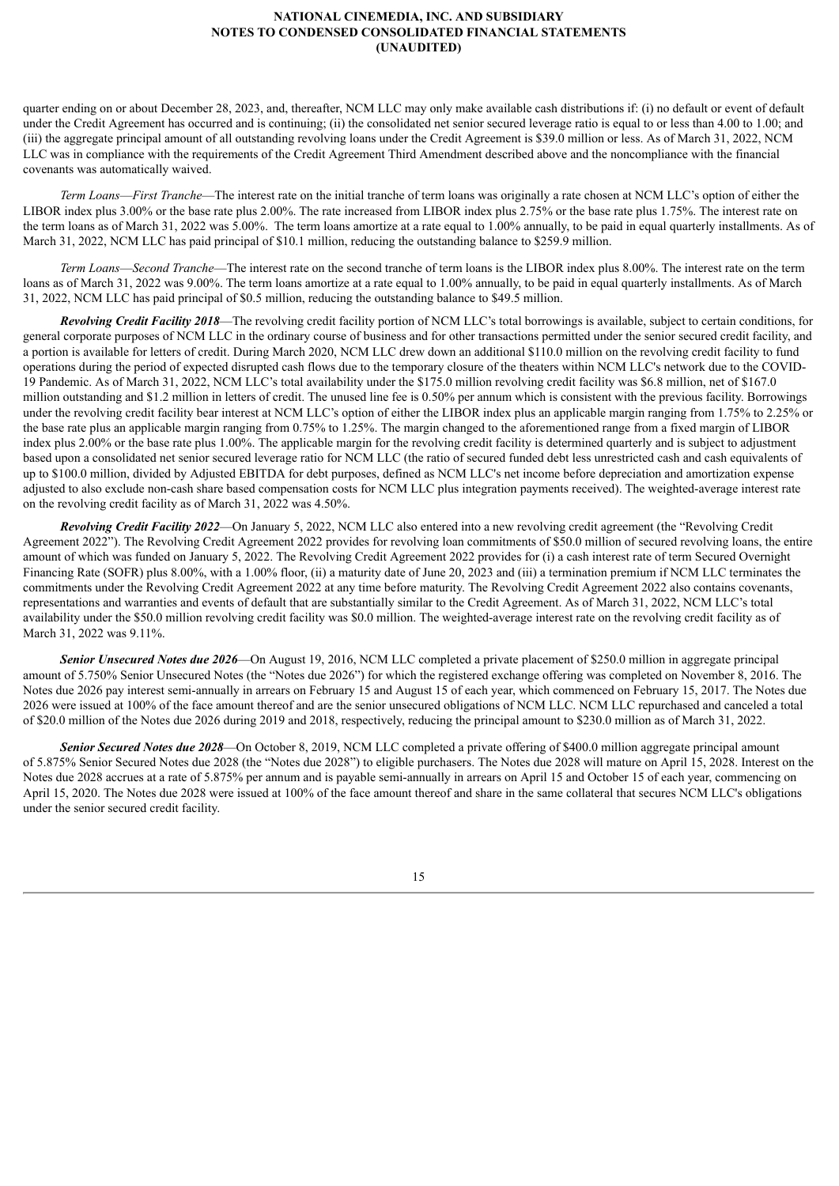quarter ending on or about December 28, 2023, and, thereafter, NCM LLC may only make available cash distributions if: (i) no default or event of default under the Credit Agreement has occurred and is continuing; (ii) the consolidated net senior secured leverage ratio is equal to or less than 4.00 to 1.00; and (iii) the aggregate principal amount of all outstanding revolving loans under the Credit Agreement is \$39.0 million or less. As of March 31, 2022, NCM LLC was in compliance with the requirements of the Credit Agreement Third Amendment described above and the noncompliance with the financial covenants was automatically waived.

*Term Loans*—*First Tranche*—The interest rate on the initial tranche of term loans was originally a rate chosen at NCM LLC's option of either the LIBOR index plus 3.00% or the base rate plus 2.00%. The rate increased from LIBOR index plus 2.75% or the base rate plus 1.75%. The interest rate on the term loans as of March 31, 2022 was  $\frac{1}{2}$ .00%. The term loans amortize at a rate equal to 1.00% annually, to be paid in equal quarterly installments. As of March 31, 2022, NCM LLC has paid principal of \$10.1 million, reducing the outstanding balance to \$259.9 million.

*Term Loans*—*Second Tranche*—The interest rate on the second tranche of term loans is the LIBOR index plus 8.00%. The interest rate on the term loans as of March 31, 2022 was 9.00%. The term loans amortize at a rate equal to 1.00% annually, to be paid in equal quarterly installments. As of March 31, 2022, NCM LLC has paid principal of \$0.5 million, reducing the outstanding balance to \$49.5 million.

*Revolving Credit Facility 2018*—The revolving credit facility portion of NCM LLC's total borrowings is available, subject to certain conditions, for general corporate purposes of NCM LLC in the ordinary course of business and for other transactions permitted under the senior secured credit facility, and a portion is available for letters of credit. During March 2020, NCM LLC drew down an additional \$110.0 million on the revolving credit facility to fund operations during the period of expected disrupted cash flows due to the temporary closure of the theaters within NCM LLC's network due to the COVID-19 Pandemic. As of March 31, 2022, NCM LLC's total availability under the \$175.0 million revolving credit facility was \$6.8 million, net of \$167.0 million outstanding and \$1.2 million in letters of credit. The unused line fee is 0.50% per annum which is consistent with the previous facility. Borrowings under the revolving credit facility bear interest at NCM LLC's option of either the LIBOR index plus an applicable margin ranging from 1.75% to 2.25% or the base rate plus an applicable margin ranging from 0.75% to 1.25%. The margin changed to the aforementioned range from a fixed margin of LIBOR index plus 2.00% or the base rate plus 1.00%. The applicable margin for the revolving credit facility is determined quarterly and is subject to adjustment based upon a consolidated net senior secured leverage ratio for NCM LLC (the ratio of secured funded debt less unrestricted cash and cash equivalents of up to \$100.0 million, divided by Adjusted EBITDA for debt purposes, defined as NCM LLC's net income before depreciation and amortization expense adjusted to also exclude non-cash share based compensation costs for NCM LLC plus integration payments received). The weighted-average interest rate on the revolving credit facility as of March 31, 2022 was 4.50%.

*Revolving Credit Facility 2022*—On January 5, 2022, NCM LLC also entered into a new revolving credit agreement (the "Revolving Credit Agreement 2022"). The Revolving Credit Agreement 2022 provides for revolving loan commitments of \$50.0 million of secured revolving loans, the entire amount of which was funded on January 5, 2022. The Revolving Credit Agreement 2022 provides for (i) a cash interest rate of term Secured Overnight Financing Rate (SOFR) plus 8.00%, with a 1.00% floor, (ii) a maturity date of June 20, 2023 and (iii) a termination premium if NCM LLC terminates the commitments under the Revolving Credit Agreement 2022 at any time before maturity. The Revolving Credit Agreement 2022 also contains covenants, representations and warranties and events of default that are substantially similar to the Credit Agreement. As of March 31, 2022, NCM LLC's total availability under the \$50.0 million revolving credit facility was \$0.0 million. The weighted-average interest rate on the revolving credit facility as of March 31, 2022 was 9.11%.

*Senior Unsecured Notes due 2026*—On August 19, 2016, NCM LLC completed a private placement of \$250.0 million in aggregate principal amount of 5.750% Senior Unsecured Notes (the "Notes due 2026") for which the registered exchange offering was completed on November 8, 2016. The Notes due 2026 pay interest semi-annually in arrears on February 15 and August 15 of each year, which commenced on February 15, 2017. The Notes due 2026 were issued at 100% of the face amount thereof and are the senior unsecured obligations of NCM LLC. NCM LLC repurchased and canceled a total of \$20.0 million of the Notes due 2026 during 2019 and 2018, respectively, reducing the principal amount to \$230.0 million as of March 31, 2022.

*Senior Secured Notes due 2028*—On October 8, 2019, NCM LLC completed a private offering of \$400.0 million aggregate principal amount of 5.875% Senior Secured Notes due 2028 (the "Notes due 2028") to eligible purchasers. The Notes due 2028 will mature on April 15, 2028. Interest on the Notes due 2028 accrues at a rate of 5.875% per annum and is payable semi-annually in arrears on April 15 and October 15 of each year, commencing on April 15, 2020. The Notes due 2028 were issued at 100% of the face amount thereof and share in the same collateral that secures NCM LLC's obligations under the senior secured credit facility.

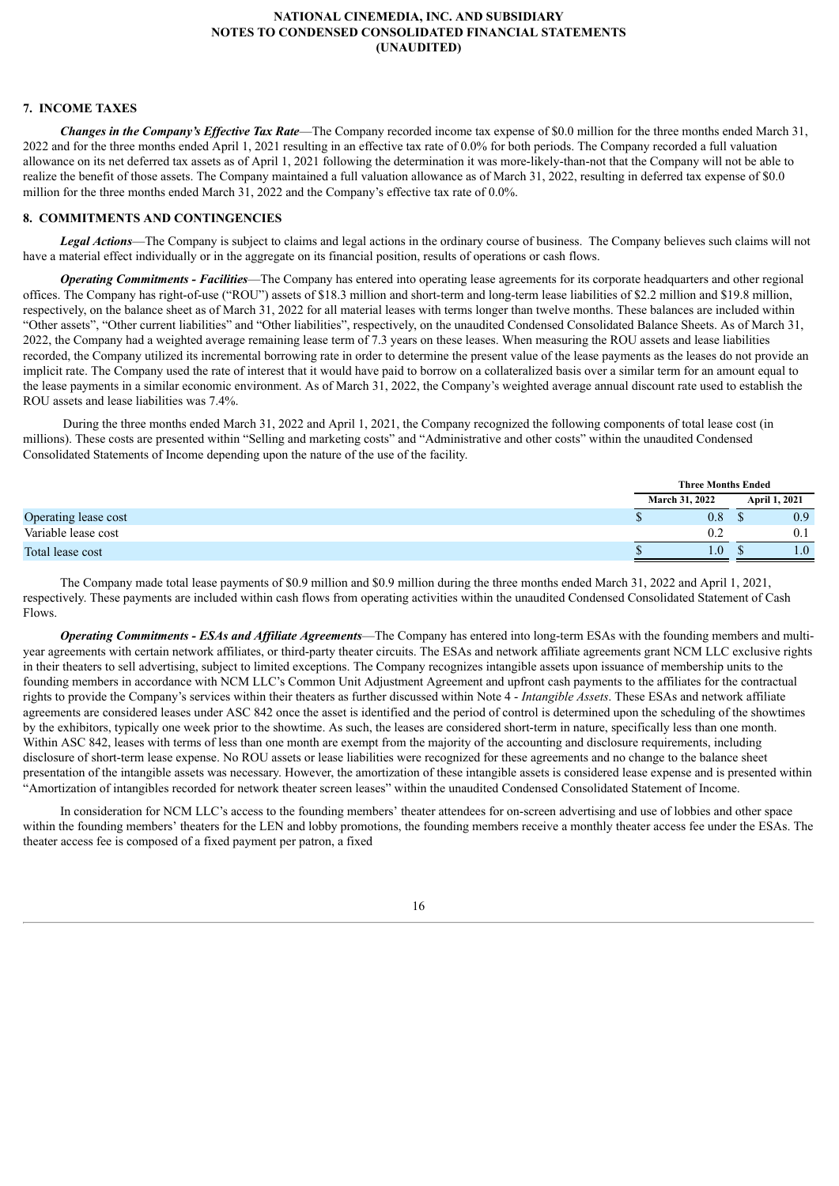#### **7. INCOME TAXES**

*Changes in the Company's Ef ective Tax Rate*—The Company recorded income tax expense of \$0.0 million for the three months ended March 31, 2022 and for the three months ended April 1, 2021 resulting in an effective tax rate of 0.0% for both periods. The Company recorded a full valuation allowance on its net deferred tax assets as of April 1, 2021 following the determination it was more-likely-than-not that the Company will not be able to realize the benefit of those assets. The Company maintained a full valuation allowance as of March 31, 2022, resulting in deferred tax expense of \$0.0 million for the three months ended March 31, 2022 and the Company's effective tax rate of 0.0%.

## **8. COMMITMENTS AND CONTINGENCIES**

*Legal Actions*—The Company is subject to claims and legal actions in the ordinary course of business. The Company believes such claims will not have a material effect individually or in the aggregate on its financial position, results of operations or cash flows.

*Operating Commitments - Facilities*—The Company has entered into operating lease agreements for its corporate headquarters and other regional offices. The Company has right-of-use ("ROU") assets of \$18.3 million and short-term and long-term lease liabilities of \$2.2 million and \$19.8 million, respectively, on the balance sheet as of March 31, 2022 for all material leases with terms longer than twelve months. These balances are included within "Other assets", "Other current liabilities" and "Other liabilities", respectively, on the unaudited Condensed Consolidated Balance Sheets. As of March 31, 2022, the Company had a weighted average remaining lease term of 7.3 years on these leases. When measuring the ROU assets and lease liabilities recorded, the Company utilized its incremental borrowing rate in order to determine the present value of the lease payments as the leases do not provide an implicit rate. The Company used the rate of interest that it would have paid to borrow on a collateralized basis over a similar term for an amount equal to the lease payments in a similar economic environment. As of March 31, 2022, the Company's weighted average annual discount rate used to establish the ROU assets and lease liabilities was 7.4%.

During the three months ended March 31, 2022 and April 1, 2021, the Company recognized the following components of total lease cost (in millions). These costs are presented within "Selling and marketing costs" and "Administrative and other costs" within the unaudited Condensed Consolidated Statements of Income depending upon the nature of the use of the facility.

|                      |                       | <b>Three Months Ended</b> |                  |  |  |
|----------------------|-----------------------|---------------------------|------------------|--|--|
|                      | <b>March 31, 2022</b> |                           | April 1, 2021    |  |  |
| Operating lease cost | 0.8                   | 0.9                       |                  |  |  |
| Variable lease cost  |                       |                           |                  |  |  |
| Total lease cost     | $\mathbf{0}$          |                           | 1.0 <sub>1</sub> |  |  |

The Company made total lease payments of \$0.9 million and \$0.9 million during the three months ended March 31, 2022 and April 1, 2021, respectively. These payments are included within cash flows from operating activities within the unaudited Condensed Consolidated Statement of Cash Flows.

*Operating Commitments - ESAs and Af iliate Agreements*—The Company has entered into long-term ESAs with the founding members and multiyear agreements with certain network affiliates, or third-party theater circuits. The ESAs and network affiliate agreements grant NCM LLC exclusive rights in their theaters to sell advertising, subject to limited exceptions. The Company recognizes intangible assets upon issuance of membership units to the founding members in accordance with NCM LLC's Common Unit Adjustment Agreement and upfront cash payments to the affiliates for the contractual rights to provide the Company's services within their theaters as further discussed within Note 4 - *Intangible Assets*. These ESAs and network affiliate agreements are considered leases under ASC 842 once the asset is identified and the period of control is determined upon the scheduling of the showtimes by the exhibitors, typically one week prior to the showtime. As such, the leases are considered short-term in nature, specifically less than one month. Within ASC 842, leases with terms of less than one month are exempt from the majority of the accounting and disclosure requirements, including disclosure of short-term lease expense. No ROU assets or lease liabilities were recognized for these agreements and no change to the balance sheet presentation of the intangible assets was necessary. However, the amortization of these intangible assets is considered lease expense and is presented within "Amortization of intangibles recorded for network theater screen leases" within the unaudited Condensed Consolidated Statement of Income.

In consideration for NCM LLC's access to the founding members' theater attendees for on-screen advertising and use of lobbies and other space within the founding members' theaters for the LEN and lobby promotions, the founding members receive a monthly theater access fee under the ESAs. The theater access fee is composed of a fixed payment per patron, a fixed

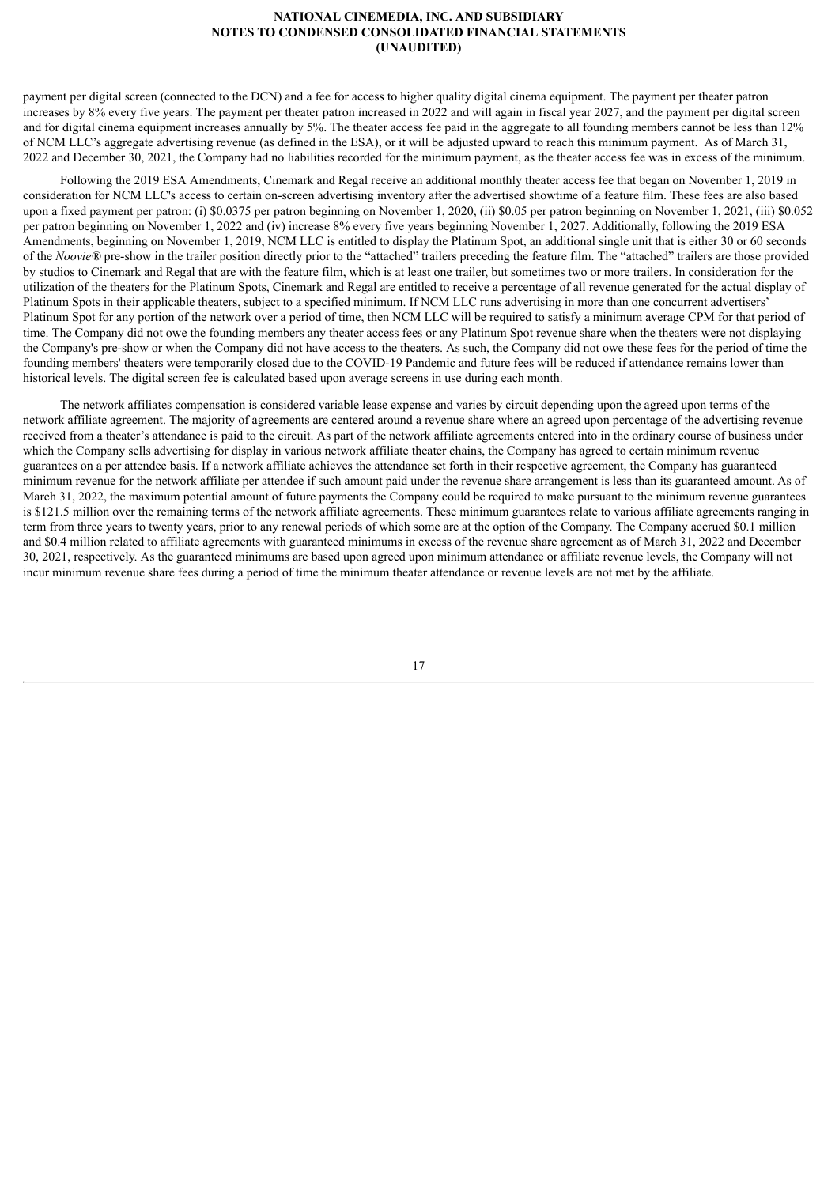payment per digital screen (connected to the DCN) and a fee for access to higher quality digital cinema equipment. The payment per theater patron increases by 8% every five years. The payment per theater patron increased in 2022 and will again in fiscal year 2027, and the payment per digital screen and for digital cinema equipment increases annually by 5%. The theater access fee paid in the aggregate to all founding members cannot be less than 12% of NCM LLC's aggregate advertising revenue (as defined in the ESA), or it will be adjusted upward to reach this minimum payment. As of March 31, 2022 and December 30, 2021, the Company had no liabilities recorded for the minimum payment, as the theater access fee was in excess of the minimum.

Following the 2019 ESA Amendments, Cinemark and Regal receive an additional monthly theater access fee that began on November 1, 2019 in consideration for NCM LLC's access to certain on-screen advertising inventory after the advertised showtime of a feature film. These fees are also based upon a fixed payment per patron: (i) \$0.0375 per patron beginning on November 1, 2020, (ii) \$0.05 per patron beginning on November 1, 2021, (iii) \$0.052 per patron beginning on November 1, 2022 and (iv) increase 8% every five years beginning November 1, 2027. Additionally, following the 2019 ESA Amendments, beginning on November 1, 2019, NCM LLC is entitled to display the Platinum Spot, an additional single unit that is either 30 or 60 seconds of the *Noovie®* pre-show in the trailer position directly prior to the "attached" trailers preceding the feature film. The "attached" trailers are those provided by studios to Cinemark and Regal that are with the feature film, which is at least one trailer, but sometimes two or more trailers. In consideration for the utilization of the theaters for the Platinum Spots, Cinemark and Regal are entitled to receive a percentage of all revenue generated for the actual display of Platinum Spots in their applicable theaters, subject to a specified minimum. If NCM LLC runs advertising in more than one concurrent advertisers' Platinum Spot for any portion of the network over a period of time, then NCM LLC will be required to satisfy a minimum average CPM for that period of time. The Company did not owe the founding members any theater access fees or any Platinum Spot revenue share when the theaters were not displaying the Company's pre-show or when the Company did not have access to the theaters. As such, the Company did not owe these fees for the period of time the founding members' theaters were temporarily closed due to the COVID-19 Pandemic and future fees will be reduced if attendance remains lower than historical levels. The digital screen fee is calculated based upon average screens in use during each month.

The network affiliates compensation is considered variable lease expense and varies by circuit depending upon the agreed upon terms of the network affiliate agreement. The majority of agreements are centered around a revenue share where an agreed upon percentage of the advertising revenue received from a theater's attendance is paid to the circuit. As part of the network affiliate agreements entered into in the ordinary course of business under which the Company sells advertising for display in various network affiliate theater chains, the Company has agreed to certain minimum revenue guarantees on a per attendee basis. If a network affiliate achieves the attendance set forth in their respective agreement, the Company has guaranteed minimum revenue for the network affiliate per attendee if such amount paid under the revenue share arrangement is less than its guaranteed amount. As of March 31, 2022, the maximum potential amount of future payments the Company could be required to make pursuant to the minimum revenue guarantees is \$121.5 million over the remaining terms of the network affiliate agreements. These minimum guarantees relate to various affiliate agreements ranging in term from three years to twenty years, prior to any renewal periods of which some are at the option of the Company. The Company accrued \$0.1 million and \$0.4 million related to affiliate agreements with guaranteed minimums in excess of the revenue share agreement as of March 31, 2022 and December 30, 2021, respectively. As the guaranteed minimums are based upon agreed upon minimum attendance or affiliate revenue levels, the Company will not incur minimum revenue share fees during a period of time the minimum theater attendance or revenue levels are not met by the affiliate.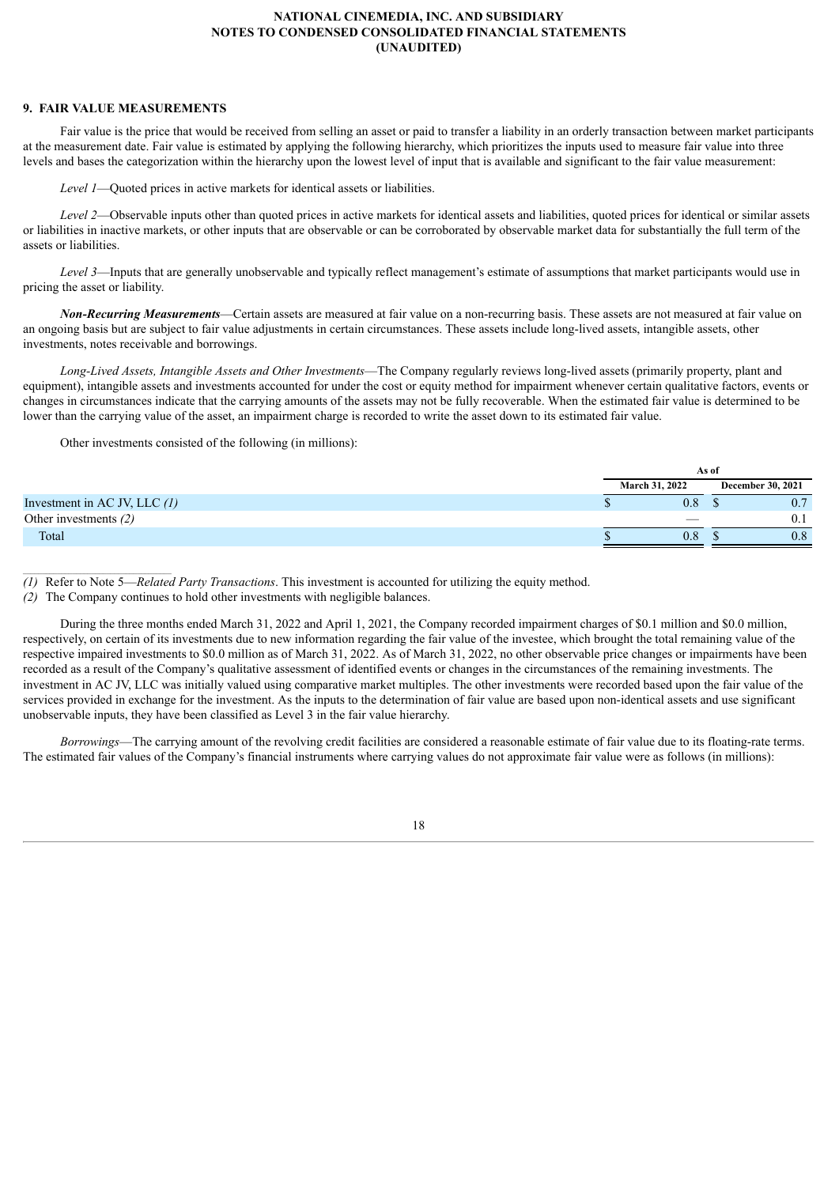# **9. FAIR VALUE MEASUREMENTS**

Fair value is the price that would be received from selling an asset or paid to transfer a liability in an orderly transaction between market participants at the measurement date. Fair value is estimated by applying the following hierarchy, which prioritizes the inputs used to measure fair value into three levels and bases the categorization within the hierarchy upon the lowest level of input that is available and significant to the fair value measurement:

*Level 1*—Quoted prices in active markets for identical assets or liabilities.

*Level 2*—Observable inputs other than quoted prices in active markets for identical assets and liabilities, quoted prices for identical or similar assets or liabilities in inactive markets, or other inputs that are observable or can be corroborated by observable market data for substantially the full term of the assets or liabilities.

*Level 3*—Inputs that are generally unobservable and typically reflect management's estimate of assumptions that market participants would use in pricing the asset or liability.

*Non-Recurring Measurements*—Certain assets are measured at fair value on a non-recurring basis. These assets are not measured at fair value on an ongoing basis but are subject to fair value adjustments in certain circumstances. These assets include long-lived assets, intangible assets, other investments, notes receivable and borrowings.

*Long-Lived Assets, Intangible Assets and Other Investments*—The Company regularly reviews long-lived assets (primarily property, plant and equipment), intangible assets and investments accounted for under the cost or equity method for impairment whenever certain qualitative factors, events or changes in circumstances indicate that the carrying amounts of the assets may not be fully recoverable. When the estimated fair value is determined to be lower than the carrying value of the asset, an impairment charge is recorded to write the asset down to its estimated fair value.

Other investments consisted of the following (in millions):

|                                | As of                 |                          |     |  |
|--------------------------------|-----------------------|--------------------------|-----|--|
|                                | <b>March 31, 2022</b> | <b>December 30, 2021</b> |     |  |
| Investment in AC JV, LLC $(1)$ | 0.8                   |                          |     |  |
| Other investments $(2)$        |                       |                          |     |  |
| Total                          | $\rm 0.8$             |                          | 0.8 |  |

\_\_\_\_\_\_\_\_\_\_\_\_\_\_\_\_\_\_\_\_\_\_\_\_\_\_\_\_\_\_\_\_\_\_\_\_\_\_\_ *(1)* Refer to Note 5—*Related Party Transactions*. This investment is accounted for utilizing the equity method.

*(2)* The Company continues to hold other investments with negligible balances.

During the three months ended March 31, 2022 and April 1, 2021, the Company recorded impairment charges of \$0.1 million and \$0.0 million, respectively, on certain of its investments due to new information regarding the fair value of the investee, which brought the total remaining value of the respective impaired investments to \$0.0 million as of March 31, 2022. As of March 31, 2022, no other observable price changes or impairments have been recorded as a result of the Company's qualitative assessment of identified events or changes in the circumstances of the remaining investments. The investment in AC JV, LLC was initially valued using comparative market multiples. The other investments were recorded based upon the fair value of the services provided in exchange for the investment. As the inputs to the determination of fair value are based upon non-identical assets and use significant unobservable inputs, they have been classified as Level 3 in the fair value hierarchy.

*Borrowings*—The carrying amount of the revolving credit facilities are considered a reasonable estimate of fair value due to its floating-rate terms. The estimated fair values of the Company's financial instruments where carrying values do not approximate fair value were as follows (in millions):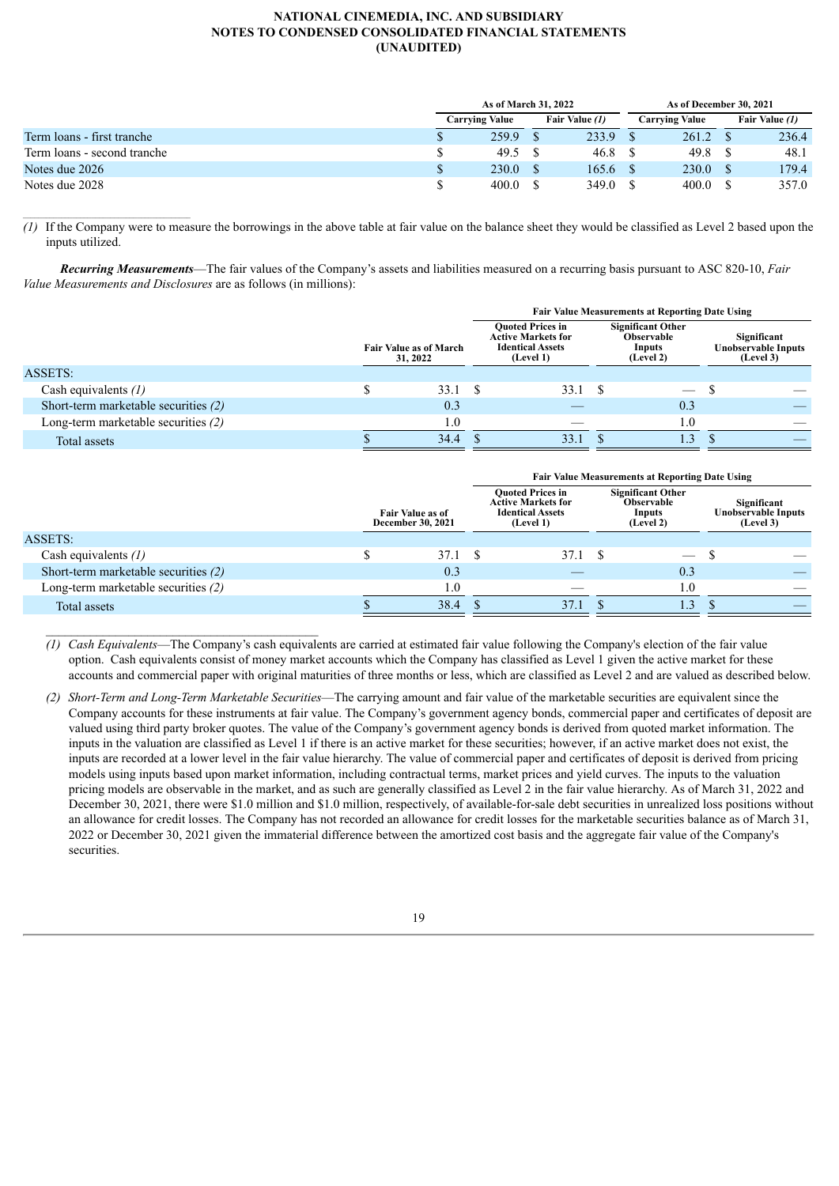|                             | As of March 31, 2022  |           |  |                | As of December 30, 2021 |                   |  |                |
|-----------------------------|-----------------------|-----------|--|----------------|-------------------------|-------------------|--|----------------|
|                             | <b>Carrying Value</b> |           |  | Fair Value (1) |                         | Carrving Value    |  | Fair Value (1) |
| Term loans - first tranche  |                       | 259.9     |  | 233.9          |                         | 261.2             |  | 236.4          |
| Term loans - second tranche |                       | $49.5$ \$ |  | $46.8$ \$      |                         | 49.8 <sup>°</sup> |  | 48.1           |
| Notes due 2026              |                       | 230.0     |  | 165.6          |                         | 230.0             |  | 179.4          |
| Notes due 2028              |                       | 400.0     |  | 349.0          |                         | 400.0             |  | 357.0          |

*(1)* If the Company were to measure the borrowings in the above table at fair value on the balance sheet they would be classified as Level 2 based upon the inputs utilized.

*Recurring Measurements*—The fair values of the Company's assets and liabilities measured on a recurring basis pursuant to ASC 820-10, *Fair Value Measurements and Disclosures* are as follows (in millions):

|                                        |                                           | <b>Fair Value Measurements at Reporting Date Using</b> |                                                                                              |  |                                                               |  |                                                 |
|----------------------------------------|-------------------------------------------|--------------------------------------------------------|----------------------------------------------------------------------------------------------|--|---------------------------------------------------------------|--|-------------------------------------------------|
|                                        | <b>Fair Value as of March</b><br>31, 2022 |                                                        | <b>Ouoted Prices in</b><br><b>Active Markets for</b><br><b>Identical Assets</b><br>(Level 1) |  | <b>Significant Other</b><br>Observable<br>Inputs<br>(Level 2) |  | Significant<br>Unobservable Inputs<br>(Level 3) |
| <b>ASSETS:</b>                         |                                           |                                                        |                                                                                              |  |                                                               |  |                                                 |
| Cash equivalents $(1)$                 | 33.1                                      |                                                        | 33.1                                                                                         |  | $\qquad \qquad$                                               |  |                                                 |
| Short-term marketable securities $(2)$ | 0.3                                       |                                                        |                                                                                              |  | 0.3                                                           |  |                                                 |
| Long-term marketable securities $(2)$  | 1.0                                       |                                                        |                                                                                              |  | $\cdot$ .0                                                    |  |                                                 |
| Total assets                           | 34.4                                      |                                                        | 33.1                                                                                         |  | 1.3                                                           |  |                                                 |

|                                      |                                                     |      | <b>Fair Value Measurements at Reporting Date Using</b>                                       |  |                                                               |                                                        |
|--------------------------------------|-----------------------------------------------------|------|----------------------------------------------------------------------------------------------|--|---------------------------------------------------------------|--------------------------------------------------------|
|                                      | <b>Fair Value as of</b><br><b>December 30, 2021</b> |      | <b>Ouoted Prices in</b><br><b>Active Markets for</b><br><b>Identical Assets</b><br>(Level 1) |  | <b>Significant Other</b><br>Observable<br>Inputs<br>(Level 2) | Significant<br><b>Unobservable Inputs</b><br>(Level 3) |
| <b>ASSETS:</b>                       |                                                     |      |                                                                                              |  |                                                               |                                                        |
| Cash equivalents $(1)$               |                                                     | 37.1 | $37.1 \quad$ \$                                                                              |  |                                                               |                                                        |
| Short-term marketable securities (2) |                                                     | 0.3  |                                                                                              |  | 0.3                                                           |                                                        |
| Long-term marketable securities (2)  |                                                     | 1.0  |                                                                                              |  | 1.0                                                           |                                                        |
| Total assets                         |                                                     | 38.4 | 37.1                                                                                         |  | 1.3                                                           |                                                        |

*(1) Cash Equivalents*—The Company's cash equivalents are carried at estimated fair value following the Company's election of the fair value option. Cash equivalents consist of money market accounts which the Company has classified as Level 1 given the active market for these accounts and commercial paper with original maturities of three months or less, which are classified as Level 2 and are valued as described below.

*(2) Short-Term and Long-Term Marketable Securities*—The carrying amount and fair value of the marketable securities are equivalent since the Company accounts for these instruments at fair value. The Company's government agency bonds, commercial paper and certificates of deposit are valued using third party broker quotes. The value of the Company's government agency bonds is derived from quoted market information. The inputs in the valuation are classified as Level 1 if there is an active market for these securities; however, if an active market does not exist, the inputs are recorded at a lower level in the fair value hierarchy. The value of commercial paper and certificates of deposit is derived from pricing models using inputs based upon market information, including contractual terms, market prices and yield curves. The inputs to the valuation pricing models are observable in the market, and as such are generally classified as Level 2 in the fair value hierarchy. As of March 31, 2022 and December 30, 2021, there were \$1.0 million and \$1.0 million, respectively, of available-for-sale debt securities in unrealized loss positions without an allowance for credit losses. The Company has not recorded an allowance for credit losses for the marketable securities balance as of March 31, 2022 or December 30, 2021 given the immaterial difference between the amortized cost basis and the aggregate fair value of the Company's securities.

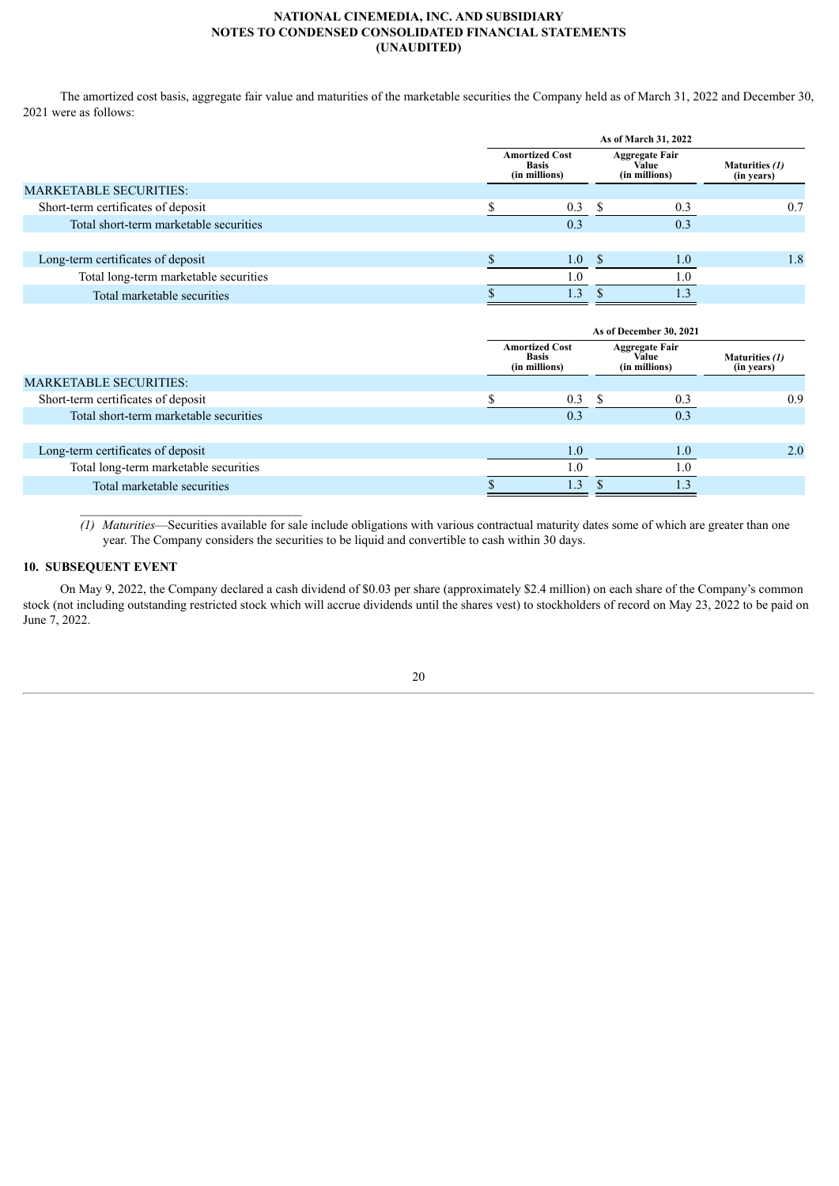The amortized cost basis, aggregate fair value and maturities of the marketable securities the Company held as of March 31, 2022 and December 30, 2021 were as follows:

|                                        | As of March 31, 2022                                   |  |                                          |                              |  |  |
|----------------------------------------|--------------------------------------------------------|--|------------------------------------------|------------------------------|--|--|
|                                        | <b>Amortized Cost</b><br><b>Basis</b><br>(in millions) |  | Aggregate Fair<br>Value<br>(in millions) | Maturities (1)<br>(in years) |  |  |
| <b>MARKETABLE SECURITIES:</b>          |                                                        |  |                                          |                              |  |  |
| Short-term certificates of deposit     | 0.3                                                    |  | 0.3                                      |                              |  |  |
| Total short-term marketable securities | 0.3                                                    |  | 0.3                                      |                              |  |  |
|                                        |                                                        |  |                                          |                              |  |  |
| Long-term certificates of deposit      | 1.0                                                    |  | $1.0\,$                                  | 1.8                          |  |  |
| Total long-term marketable securities  | 1.0                                                    |  | LO.                                      |                              |  |  |
| Total marketable securities            | 1.3                                                    |  |                                          |                              |  |  |

|                                        | As of December 30, 2021                                |                                                 |                              |  |  |  |  |
|----------------------------------------|--------------------------------------------------------|-------------------------------------------------|------------------------------|--|--|--|--|
|                                        | <b>Amortized Cost</b><br><b>Basis</b><br>(in millions) | <b>Aggregate Fair</b><br>Value<br>(in millions) | Maturities (1)<br>(in years) |  |  |  |  |
| <b>MARKETABLE SECURITIES:</b>          |                                                        |                                                 |                              |  |  |  |  |
| Short-term certificates of deposit     | 0.3                                                    | 0.3                                             | 0.9                          |  |  |  |  |
| Total short-term marketable securities | 0.3                                                    | 0.3                                             |                              |  |  |  |  |
|                                        |                                                        |                                                 |                              |  |  |  |  |
| Long-term certificates of deposit      | 1.0                                                    | 1.0 <sub>1</sub>                                | 2.0                          |  |  |  |  |
| Total long-term marketable securities  | 10                                                     | 1.O                                             |                              |  |  |  |  |
| Total marketable securities            | 1.3                                                    |                                                 |                              |  |  |  |  |

*(1) Maturities*—Securities available for sale include obligations with various contractual maturity dates some of which are greater than one year. The Company considers the securities to be liquid and convertible to cash within 30 days.

# **10. SUBSEQUENT EVENT**

<span id="page-22-0"></span>On May 9, 2022, the Company declared a cash dividend of \$0.03 per share (approximately \$2.4 million) on each share of the Company's common stock (not including outstanding restricted stock which will accrue dividends until the shares vest) to stockholders of record on May 23, 2022 to be paid on June 7, 2022.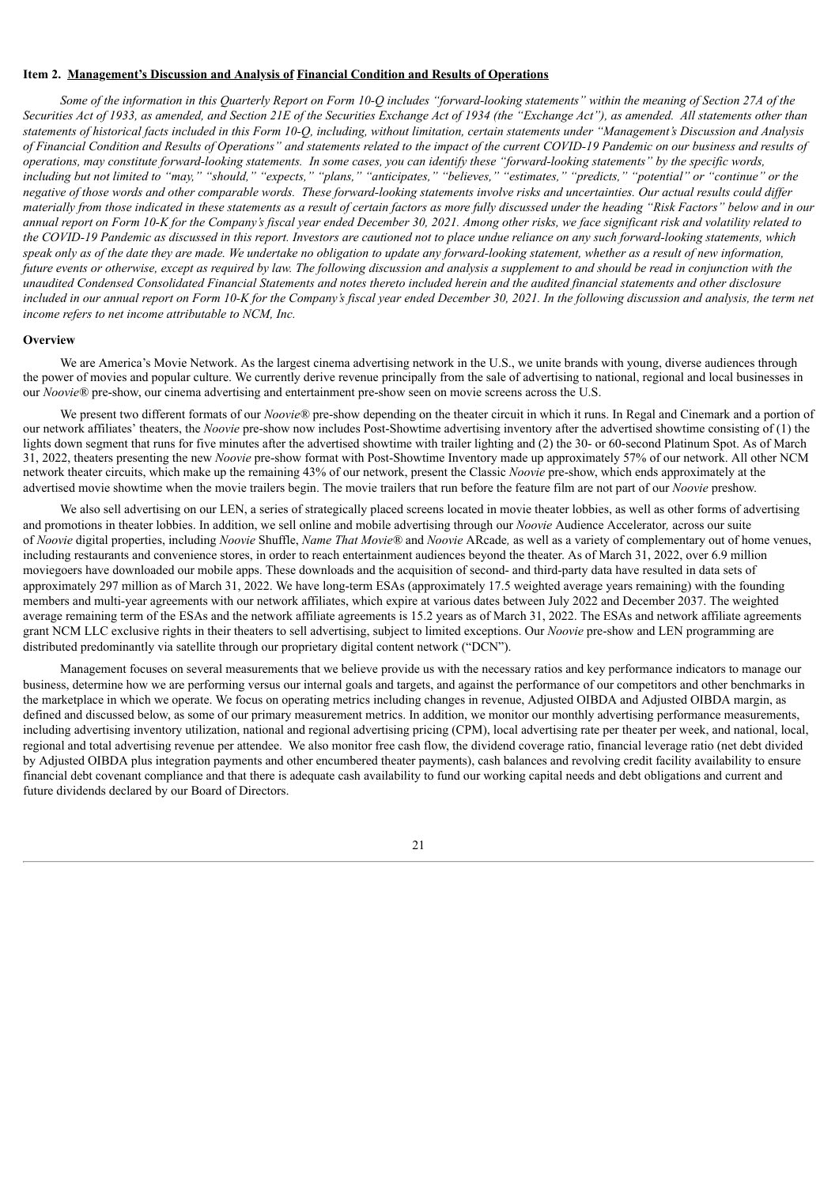## **Item 2. Management's Discussion and Analysis of Financial Condition and Results of Operations**

Some of the information in this Quarterly Report on Form 10-Q includes "forward-looking statements" within the meaning of Section 27A of the Securities Act of 1933, as amended, and Section 21E of the Securities Exchange Act of 1934 (the "Exchange Act"), as amended. All statements other than statements of historical facts included in this Form 10-Q, including, without limitation, certain statements under "Management's Discussion and Analysis of Financial Condition and Results of Operations" and statements related to the impact of the current COVID-19 Pandemic on our business and results of operations, may constitute forward-looking statements. In some cases, you can identify these "forward-looking statements" by the specific words, including but not limited to "may," "should," "expects," "plans," "anticipates," "believes," "estimates," "predicts," "potential" or "continue" or the negative of those words and other comparable words. These forward-looking statements involve risks and uncertainties. Our actual results could differ materially from those indicated in these statements as a result of certain factors as more fully discussed under the heading "Risk Factors" below and in our annual report on Form 10-K for the Company's fiscal year ended December 30, 2021. Among other risks, we face significant risk and volatility related to the COVID-19 Pandemic as discussed in this report. Investors are cautioned not to place undue reliance on any such forward-looking statements, which speak only as of the date they are made. We undertake no obligation to update any forward-looking statement, whether as a result of new information, future events or otherwise, except as required by law. The following discussion and analysis a supplement to and should be read in conjunction with the unaudited Condensed Consolidated Financial Statements and notes thereto included herein and the audited financial statements and other disclosure included in our annual report on Form 10-K for the Company's fiscal year ended December 30, 2021. In the following discussion and analysis, the term net *income refers to net income attributable to NCM, Inc.*

#### **Overview**

We are America's Movie Network. As the largest cinema advertising network in the U.S., we unite brands with young, diverse audiences through the power of movies and popular culture. We currently derive revenue principally from the sale of advertising to national, regional and local businesses in our *Noovie®* pre-show, our cinema advertising and entertainment pre-show seen on movie screens across the U.S.

We present two different formats of our *Noovie®* pre-show depending on the theater circuit in which it runs. In Regal and Cinemark and a portion of our network affiliates' theaters, the *Noovie* pre-show now includes Post-Showtime advertising inventory after the advertised showtime consisting of (1) the lights down segment that runs for five minutes after the advertised showtime with trailer lighting and (2) the 30- or 60-second Platinum Spot. As of March 31, 2022, theaters presenting the new *Noovie* pre-show format with Post-Showtime Inventory made up approximately 57% of our network. All other NCM network theater circuits, which make up the remaining 43% of our network, present the Classic *Noovie* pre-show, which ends approximately at the advertised movie showtime when the movie trailers begin. The movie trailers that run before the feature film are not part of our *Noovie* preshow.

We also sell advertising on our LEN, a series of strategically placed screens located in movie theater lobbies, as well as other forms of advertising and promotions in theater lobbies. In addition, we sell online and mobile advertising through our *Noovie* Audience Accelerator*,* across our suite of *Noovie* digital properties, including *Noovie* Shuffle, *Name That Movie®* and *Noovie* ARcade*,* as well as a variety of complementary out of home venues, including restaurants and convenience stores, in order to reach entertainment audiences beyond the theater. As of March 31, 2022, over 6.9 million moviegoers have downloaded our mobile apps. These downloads and the acquisition of second- and third-party data have resulted in data sets of approximately 297 million as of March 31, 2022. We have long-term ESAs (approximately 17.5 weighted average years remaining) with the founding members and multi-year agreements with our network affiliates, which expire at various dates between July 2022 and December 2037. The weighted average remaining term of the ESAs and the network affiliate agreements is 15.2 years as of March 31, 2022. The ESAs and network affiliate agreements grant NCM LLC exclusive rights in their theaters to sell advertising, subject to limited exceptions. Our *Noovie* pre-show and LEN programming are distributed predominantly via satellite through our proprietary digital content network ("DCN").

Management focuses on several measurements that we believe provide us with the necessary ratios and key performance indicators to manage our business, determine how we are performing versus our internal goals and targets, and against the performance of our competitors and other benchmarks in the marketplace in which we operate. We focus on operating metrics including changes in revenue, Adjusted OIBDA and Adjusted OIBDA margin, as defined and discussed below, as some of our primary measurement metrics. In addition, we monitor our monthly advertising performance measurements, including advertising inventory utilization, national and regional advertising pricing (CPM), local advertising rate per theater per week, and national, local, regional and total advertising revenue per attendee. We also monitor free cash flow, the dividend coverage ratio, financial leverage ratio (net debt divided by Adjusted OIBDA plus integration payments and other encumbered theater payments), cash balances and revolving credit facility availability to ensure financial debt covenant compliance and that there is adequate cash availability to fund our working capital needs and debt obligations and current and future dividends declared by our Board of Directors.

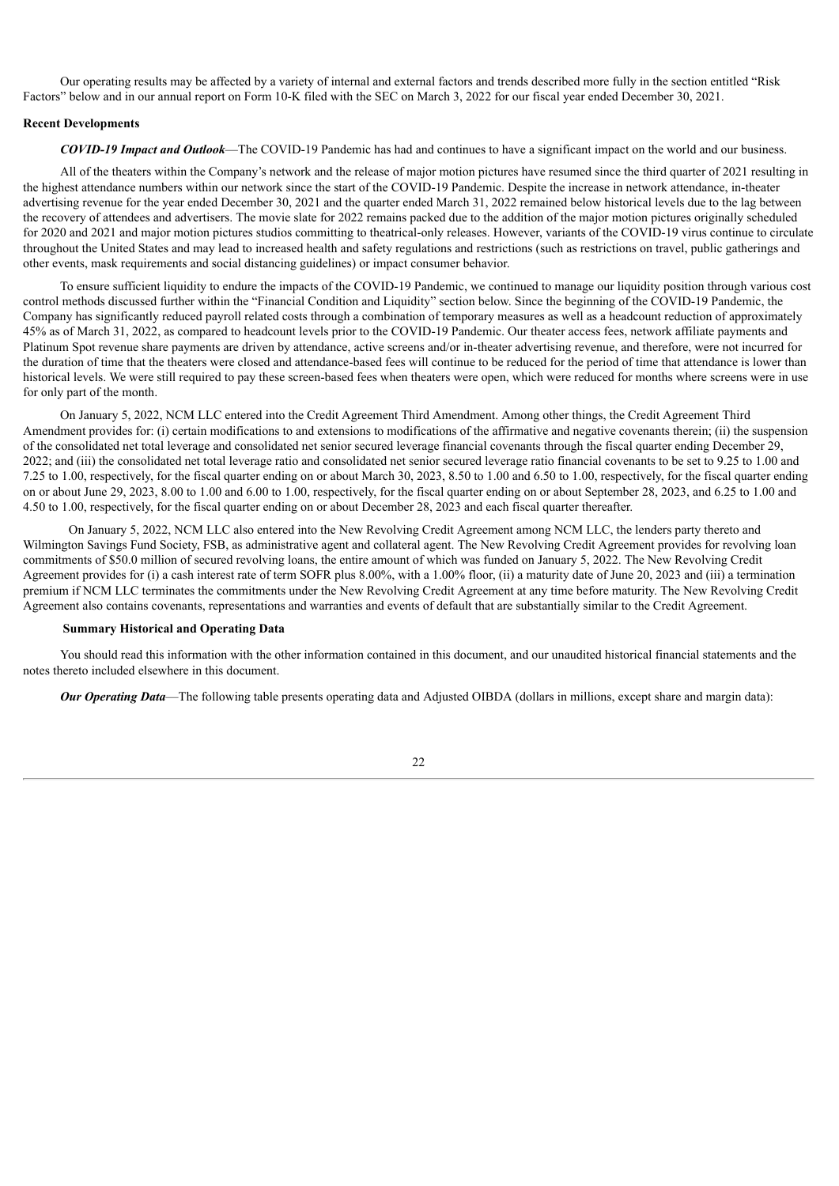Our operating results may be affected by a variety of internal and external factors and trends described more fully in the section entitled "Risk Factors" below and in our annual report on Form 10-K filed with the SEC on March 3, 2022 for our fiscal year ended December 30, 2021.

#### **Recent Developments**

*COVID-19 Impact and Outlook*—The COVID-19 Pandemic has had and continues to have a significant impact on the world and our business.

All of the theaters within the Company's network and the release of major motion pictures have resumed since the third quarter of 2021 resulting in the highest attendance numbers within our network since the start of the COVID-19 Pandemic. Despite the increase in network attendance, in-theater advertising revenue for the year ended December 30, 2021 and the quarter ended March 31, 2022 remained below historical levels due to the lag between the recovery of attendees and advertisers. The movie slate for 2022 remains packed due to the addition of the major motion pictures originally scheduled for 2020 and 2021 and major motion pictures studios committing to theatrical-only releases. However, variants of the COVID-19 virus continue to circulate throughout the United States and may lead to increased health and safety regulations and restrictions (such as restrictions on travel, public gatherings and other events, mask requirements and social distancing guidelines) or impact consumer behavior.

To ensure sufficient liquidity to endure the impacts of the COVID-19 Pandemic, we continued to manage our liquidity position through various cost control methods discussed further within the "Financial Condition and Liquidity" section below. Since the beginning of the COVID-19 Pandemic, the Company has significantly reduced payroll related costs through a combination of temporary measures as well as a headcount reduction of approximately 45% as of March 31, 2022, as compared to headcount levels prior to the COVID-19 Pandemic. Our theater access fees, network affiliate payments and Platinum Spot revenue share payments are driven by attendance, active screens and/or in-theater advertising revenue, and therefore, were not incurred for the duration of time that the theaters were closed and attendance-based fees will continue to be reduced for the period of time that attendance is lower than historical levels. We were still required to pay these screen-based fees when theaters were open, which were reduced for months where screens were in use for only part of the month.

On January 5, 2022, NCM LLC entered into the Credit Agreement Third Amendment. Among other things, the Credit Agreement Third Amendment provides for: (i) certain modifications to and extensions to modifications of the affirmative and negative covenants therein; (ii) the suspension of the consolidated net total leverage and consolidated net senior secured leverage financial covenants through the fiscal quarter ending December 29, 2022; and (iii) the consolidated net total leverage ratio and consolidated net senior secured leverage ratio financial covenants to be set to 9.25 to 1.00 and 7.25 to 1.00, respectively, for the fiscal quarter ending on or about March 30, 2023, 8.50 to 1.00 and 6.50 to 1.00, respectively, for the fiscal quarter ending on or about June 29, 2023, 8.00 to 1.00 and 6.00 to 1.00, respectively, for the fiscal quarter ending on or about September 28, 2023, and 6.25 to 1.00 and 4.50 to 1.00, respectively, for the fiscal quarter ending on or about December 28, 2023 and each fiscal quarter thereafter.

On January 5, 2022, NCM LLC also entered into the New Revolving Credit Agreement among NCM LLC, the lenders party thereto and Wilmington Savings Fund Society, FSB, as administrative agent and collateral agent. The New Revolving Credit Agreement provides for revolving loan commitments of \$50.0 million of secured revolving loans, the entire amount of which was funded on January 5, 2022. The New Revolving Credit Agreement provides for (i) a cash interest rate of term SOFR plus 8.00%, with a 1.00% floor, (ii) a maturity date of June 20, 2023 and (iii) a termination premium if NCM LLC terminates the commitments under the New Revolving Credit Agreement at any time before maturity. The New Revolving Credit Agreement also contains covenants, representations and warranties and events of default that are substantially similar to the Credit Agreement.

#### **Summary Historical and Operating Data**

You should read this information with the other information contained in this document, and our unaudited historical financial statements and the notes thereto included elsewhere in this document.

*Our Operating Data***—**The following table presents operating data and Adjusted OIBDA (dollars in millions, except share and margin data):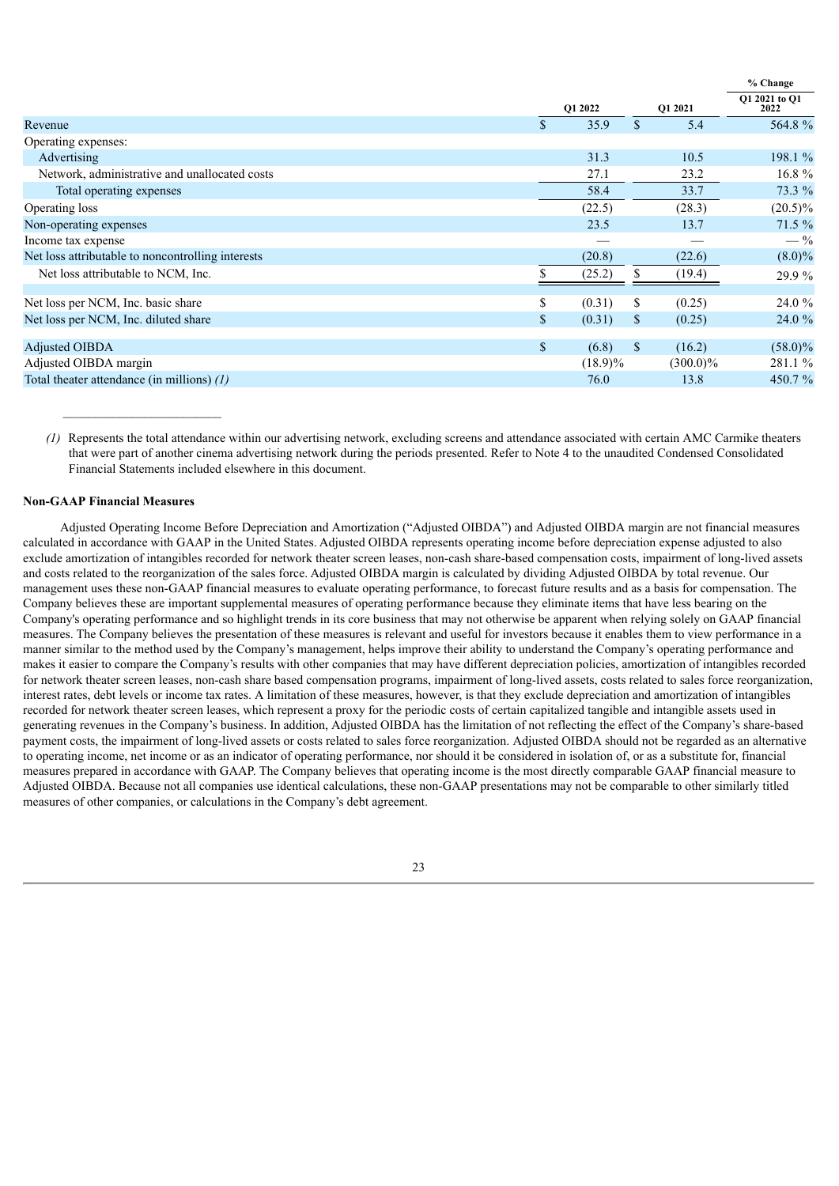|                                                   |              |            |              |             | % Change              |
|---------------------------------------------------|--------------|------------|--------------|-------------|-----------------------|
|                                                   |              | Q1 2022    |              | Q1 2021     | O1 2021 to O1<br>2022 |
| Revenue                                           | $\mathbb{S}$ | 35.9       | $\mathbf{s}$ | 5.4         | 564.8%                |
| Operating expenses:                               |              |            |              |             |                       |
| Advertising                                       |              | 31.3       |              | 10.5        | 198.1 %               |
| Network, administrative and unallocated costs     |              | 27.1       |              | 23.2        | 16.8%                 |
| Total operating expenses                          |              | 58.4       |              | 33.7        | 73.3 %                |
| Operating loss                                    |              | (22.5)     |              | (28.3)      | $(20.5)\%$            |
| Non-operating expenses                            |              | 23.5       |              | 13.7        | 71.5%                 |
| Income tax expense                                |              |            |              |             | $-$ %                 |
| Net loss attributable to noncontrolling interests |              | (20.8)     |              | (22.6)      | $(8.0)\%$             |
| Net loss attributable to NCM, Inc.                |              | (25.2)     | \$           | (19.4)      | 29.9 %                |
|                                                   |              |            |              |             |                       |
| Net loss per NCM, Inc. basic share                | \$           | (0.31)     | \$           | (0.25)      | 24.0 %                |
| Net loss per NCM, Inc. diluted share              | \$           | (0.31)     | $\mathbb{S}$ | (0.25)      | 24.0 %                |
| <b>Adjusted OIBDA</b>                             | $\mathbb{S}$ | (6.8)      | $\mathbb{S}$ | (16.2)      | $(58.0)\%$            |
| Adjusted OIBDA margin                             |              | $(18.9)\%$ |              | $(300.0)\%$ | 281.1 %               |
| Total theater attendance (in millions) $(1)$      |              | 76.0       |              | 13.8        | 450.7 %               |

*(1)* Represents the total attendance within our advertising network, excluding screens and attendance associated with certain AMC Carmike theaters that were part of another cinema advertising network during the periods presented. Refer to Note 4 to the unaudited Condensed Consolidated Financial Statements included elsewhere in this document.

# **Non-GAAP Financial Measures**

Adjusted Operating Income Before Depreciation and Amortization ("Adjusted OIBDA") and Adjusted OIBDA margin are not financial measures calculated in accordance with GAAP in the United States. Adjusted OIBDA represents operating income before depreciation expense adjusted to also exclude amortization of intangibles recorded for network theater screen leases, non-cash share-based compensation costs, impairment of long-lived assets and costs related to the reorganization of the sales force. Adjusted OIBDA margin is calculated by dividing Adjusted OIBDA by total revenue. Our management uses these non-GAAP financial measures to evaluate operating performance, to forecast future results and as a basis for compensation. The Company believes these are important supplemental measures of operating performance because they eliminate items that have less bearing on the Company's operating performance and so highlight trends in its core business that may not otherwise be apparent when relying solely on GAAP financial measures. The Company believes the presentation of these measures is relevant and useful for investors because it enables them to view performance in a manner similar to the method used by the Company's management, helps improve their ability to understand the Company's operating performance and makes it easier to compare the Company's results with other companies that may have different depreciation policies, amortization of intangibles recorded for network theater screen leases, non-cash share based compensation programs, impairment of long-lived assets, costs related to sales force reorganization, interest rates, debt levels or income tax rates. A limitation of these measures, however, is that they exclude depreciation and amortization of intangibles recorded for network theater screen leases, which represent a proxy for the periodic costs of certain capitalized tangible and intangible assets used in generating revenues in the Company's business. In addition, Adjusted OIBDA has the limitation of not reflecting the effect of the Company's share-based payment costs, the impairment of long-lived assets or costs related to sales force reorganization. Adjusted OIBDA should not be regarded as an alternative to operating income, net income or as an indicator of operating performance, nor should it be considered in isolation of, or as a substitute for, financial measures prepared in accordance with GAAP. The Company believes that operating income is the most directly comparable GAAP financial measure to Adjusted OIBDA. Because not all companies use identical calculations, these non-GAAP presentations may not be comparable to other similarly titled measures of other companies, or calculations in the Company's debt agreement.

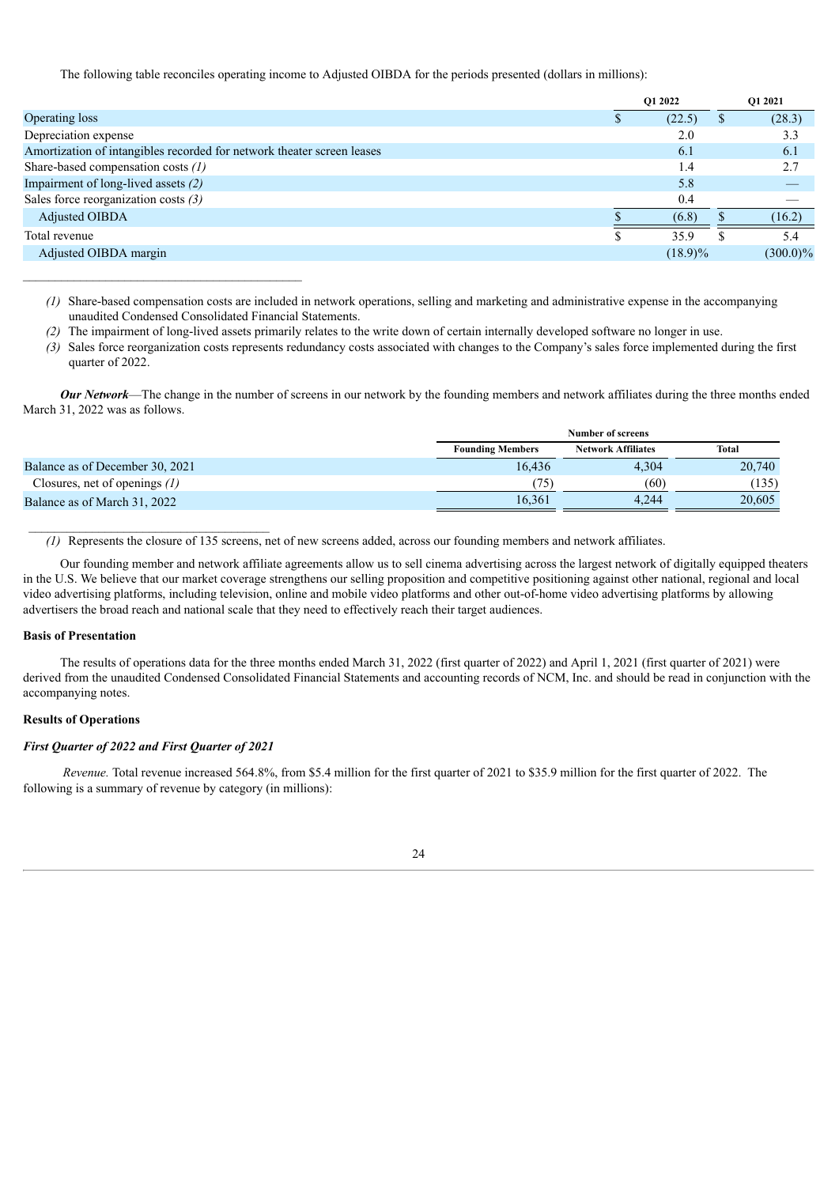The following table reconciles operating income to Adjusted OIBDA for the periods presented (dollars in millions):

|                                                                        | O1 2022    | O1 2021     |
|------------------------------------------------------------------------|------------|-------------|
| Operating loss                                                         | (22.5)     | (28.3)      |
| Depreciation expense                                                   | 2.0        | 3.3         |
| Amortization of intangibles recorded for network theater screen leases | 6.1        | 6.1         |
| Share-based compensation costs (1)                                     | 1.4        | 2.7         |
| Impairment of long-lived assets (2)                                    | 5.8        |             |
| Sales force reorganization costs $(3)$                                 | 0.4        |             |
| Adjusted OIBDA                                                         | (6.8)      | (16.2)      |
| Total revenue                                                          | 35.9       | 5.4         |
| Adjusted OIBDA margin                                                  | $(18.9)\%$ | $(300.0)\%$ |

*(1)* Share-based compensation costs are included in network operations, selling and marketing and administrative expense in the accompanying unaudited Condensed Consolidated Financial Statements.

*(2)* The impairment of long-lived assets primarily relates to the write down of certain internally developed software no longer in use.

*(3)* Sales force reorganization costs represents redundancy costs associated with changes to the Company's sales force implemented during the first quarter of 2022.

*Our Network*—The change in the number of screens in our network by the founding members and network affiliates during the three months ended March 31, 2022 was as follows.

|                                 | Number of screens       |                           |        |  |  |  |
|---------------------------------|-------------------------|---------------------------|--------|--|--|--|
|                                 | <b>Founding Members</b> | <b>Network Affiliates</b> | Total  |  |  |  |
| Balance as of December 30, 2021 | 16.436                  | 4.304                     | 20,740 |  |  |  |
| Closures, net of openings $(1)$ | (75)                    | (60)                      | (135)  |  |  |  |
| Balance as of March 31, 2022    | 16.361                  | 4.244                     | 20,605 |  |  |  |

*(1)* Represents the closure of 135 screens, net of new screens added, across our founding members and network affiliates.

Our founding member and network affiliate agreements allow us to sell cinema advertising across the largest network of digitally equipped theaters in the U.S. We believe that our market coverage strengthens our selling proposition and competitive positioning against other national, regional and local video advertising platforms, including television, online and mobile video platforms and other out-of-home video advertising platforms by allowing advertisers the broad reach and national scale that they need to effectively reach their target audiences.

# **Basis of Presentation**

The results of operations data for the three months ended March 31, 2022 (first quarter of 2022) and April 1, 2021 (first quarter of 2021) were derived from the unaudited Condensed Consolidated Financial Statements and accounting records of NCM, Inc. and should be read in conjunction with the accompanying notes.

# **Results of Operations**

#### *First Quarter of 2022 and First Quarter of 2021*

\_\_\_\_\_\_\_\_\_\_\_\_\_\_\_\_\_\_\_\_\_\_\_\_\_\_\_\_\_\_\_\_\_\_\_\_\_\_\_\_\_\_\_\_

*Revenue.* Total revenue increased 564.8%, from \$5.4 million for the first quarter of 2021 to \$35.9 million for the first quarter of 2022. The following is a summary of revenue by category (in millions):

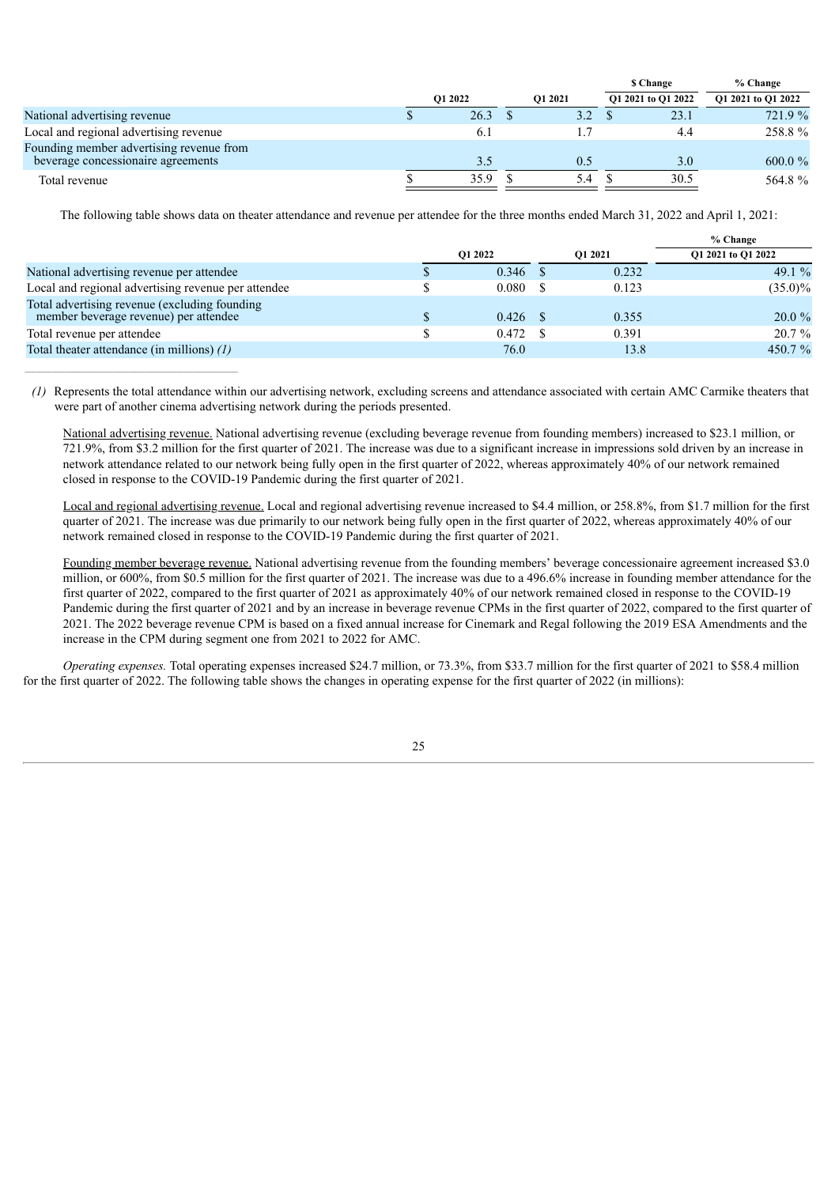|                                                                                |         |  |         | <b>S</b> Change    | % Change           |
|--------------------------------------------------------------------------------|---------|--|---------|--------------------|--------------------|
|                                                                                | O1 2022 |  | O1 2021 | O1 2021 to O1 2022 | O1 2021 to O1 2022 |
| National advertising revenue                                                   | 26.3    |  | 3.2     | 23.1               | 721.9 %            |
| Local and regional advertising revenue                                         | 6.      |  |         | 4.4                | 258.8%             |
| Founding member advertising revenue from<br>beverage concessionaire agreements | 3.5     |  | 0.5     | 3.0                | $600.0 \%$         |
| Total revenue                                                                  | 35.9    |  | 5.4     | 30.5               | 564.8%             |

The following table shows data on theater attendance and revenue per attendee for the three months ended March 31, 2022 and April 1, 2021:

|                                                                                        |  |         |         | % Change           |
|----------------------------------------------------------------------------------------|--|---------|---------|--------------------|
|                                                                                        |  | O1 2022 | O1 2021 | O1 2021 to O1 2022 |
| National advertising revenue per attendee                                              |  | 0.346   | 0.232   | 49.1 $%$           |
| Local and regional advertising revenue per attendee                                    |  | 0.080   | 0.123   | $(35.0)\%$         |
| Total advertising revenue (excluding founding<br>member beverage revenue) per attendee |  | 0.426   | 0.355   | $20.0 \%$          |
| Total revenue per attendee                                                             |  | 0.472   | 0.391   | $20.7\%$           |
| Total theater attendance (in millions) $(1)$                                           |  | 76.0    | 13.8    | 450.7 %            |

*(1)* Represents the total attendance within our advertising network, excluding screens and attendance associated with certain AMC Carmike theaters that were part of another cinema advertising network during the periods presented.

 $\mathcal{L}_\text{max}$  and the contract of the contract of the contract of the contract of the contract of the contract of the contract of the contract of the contract of the contract of the contract of the contract of the contrac

National advertising revenue. National advertising revenue (excluding beverage revenue from founding members) increased to \$23.1 million, or 721.9%, from \$3.2 million for the first quarter of 2021. The increase was due to a significant increase in impressions sold driven by an increase in network attendance related to our network being fully open in the first quarter of 2022, whereas approximately 40% of our network remained closed in response to the COVID-19 Pandemic during the first quarter of 2021.

Local and regional advertising revenue. Local and regional advertising revenue increased to \$4.4 million, or 258.8%, from \$1.7 million for the first quarter of 2021. The increase was due primarily to our network being fully open in the first quarter of 2022, whereas approximately 40% of our network remained closed in response to the COVID-19 Pandemic during the first quarter of 2021.

Founding member beverage revenue. National advertising revenue from the founding members' beverage concessionaire agreement increased \$3.0 million, or 600%, from \$0.5 million for the first quarter of 2021. The increase was due to a 496.6% increase in founding member attendance for the first quarter of 2022, compared to the first quarter of 2021 as approximately 40% of our network remained closed in response to the COVID-19 Pandemic during the first quarter of 2021 and by an increase in beverage revenue CPMs in the first quarter of 2022, compared to the first quarter of 2021. The 2022 beverage revenue CPM is based on a fixed annual increase for Cinemark and Regal following the 2019 ESA Amendments and the increase in the CPM during segment one from 2021 to 2022 for AMC.

*Operating expenses.* Total operating expenses increased \$24.7 million, or 73.3%, from \$33.7 million for the first quarter of 2021 to \$58.4 million for the first quarter of 2022. The following table shows the changes in operating expense for the first quarter of 2022 (in millions):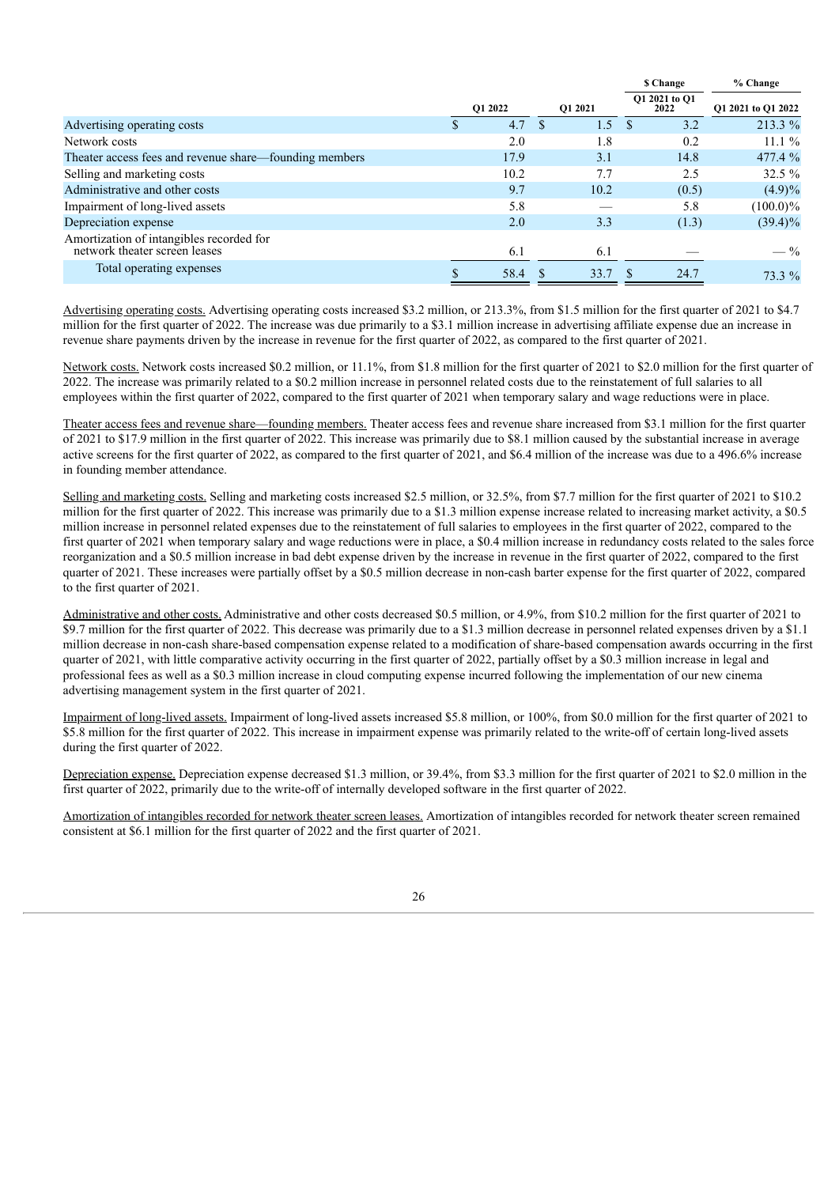|                                                                           |         |    |         |   | \$ Change             | % Change           |
|---------------------------------------------------------------------------|---------|----|---------|---|-----------------------|--------------------|
|                                                                           | O1 2022 |    | O1 2021 |   | O1 2021 to O1<br>2022 | O1 2021 to O1 2022 |
| Advertising operating costs                                               | 4.7     | -S | 1.5     | S | 3.2                   | 213.3 %            |
| Network costs                                                             | 2.0     |    | 1.8     |   | 0.2                   | 11.1%              |
| Theater access fees and revenue share—founding members                    | 17.9    |    | 3.1     |   | 14.8                  | 477.4%             |
| Selling and marketing costs                                               | 10.2    |    | 7.7     |   | 2.5                   | $32.5 \%$          |
| Administrative and other costs                                            | 9.7     |    | 10.2    |   | (0.5)                 | $(4.9)\%$          |
| Impairment of long-lived assets                                           | 5.8     |    |         |   | 5.8                   | $(100.0)\%$        |
| Depreciation expense                                                      | 2.0     |    | 3.3     |   | (1.3)                 | $(39.4)\%$         |
| Amortization of intangibles recorded for<br>network theater screen leases | 6.1     |    | 6.1     |   |                       | $-$ %              |
| Total operating expenses                                                  | 58.4    |    | 33.7    |   | 24.7                  | $73.3\%$           |

Advertising operating costs. Advertising operating costs increased \$3.2 million, or 213.3%, from \$1.5 million for the first quarter of 2021 to \$4.7 million for the first quarter of 2022. The increase was due primarily to a \$3.1 million increase in advertising affiliate expense due an increase in revenue share payments driven by the increase in revenue for the first quarter of 2022, as compared to the first quarter of 2021.

Network costs. Network costs increased \$0.2 million, or 11.1%, from \$1.8 million for the first quarter of 2021 to \$2.0 million for the first quarter of 2022. The increase was primarily related to a \$0.2 million increase in personnel related costs due to the reinstatement of full salaries to all employees within the first quarter of 2022, compared to the first quarter of 2021 when temporary salary and wage reductions were in place.

Theater access fees and revenue share—founding members. Theater access fees and revenue share increased from \$3.1 million for the first quarter of 2021 to \$17.9 million in the first quarter of 2022. This increase was primarily due to \$8.1 million caused by the substantial increase in average active screens for the first quarter of 2022, as compared to the first quarter of 2021, and \$6.4 million of the increase was due to a 496.6% increase in founding member attendance.

Selling and marketing costs. Selling and marketing costs increased \$2.5 million, or 32.5%, from \$7.7 million for the first quarter of 2021 to \$10.2 million for the first quarter of 2022. This increase was primarily due to a \$1.3 million expense increase related to increasing market activity, a \$0.5 million increase in personnel related expenses due to the reinstatement of full salaries to employees in the first quarter of 2022, compared to the first quarter of 2021 when temporary salary and wage reductions were in place, a \$0.4 million increase in redundancy costs related to the sales force reorganization and a \$0.5 million increase in bad debt expense driven by the increase in revenue in the first quarter of 2022, compared to the first quarter of 2021. These increases were partially offset by a \$0.5 million decrease in non-cash barter expense for the first quarter of 2022, compared to the first quarter of 2021.

Administrative and other costs. Administrative and other costs decreased \$0.5 million, or 4.9%, from \$10.2 million for the first quarter of 2021 to \$9.7 million for the first quarter of 2022. This decrease was primarily due to a \$1.3 million decrease in personnel related expenses driven by a \$1.1 million decrease in non-cash share-based compensation expense related to a modification of share-based compensation awards occurring in the first quarter of 2021, with little comparative activity occurring in the first quarter of 2022, partially offset by a \$0.3 million increase in legal and professional fees as well as a \$0.3 million increase in cloud computing expense incurred following the implementation of our new cinema advertising management system in the first quarter of 2021.

Impairment of long-lived assets. Impairment of long-lived assets increased \$5.8 million, or 100%, from \$0.0 million for the first quarter of 2021 to \$5.8 million for the first quarter of 2022. This increase in impairment expense was primarily related to the write-off of certain long-lived assets during the first quarter of 2022.

Depreciation expense. Depreciation expense decreased \$1.3 million, or 39.4%, from \$3.3 million for the first quarter of 2021 to \$2.0 million in the first quarter of 2022, primarily due to the write-off of internally developed software in the first quarter of 2022.

Amortization of intangibles recorded for network theater screen leases. Amortization of intangibles recorded for network theater screen remained consistent at \$6.1 million for the first quarter of 2022 and the first quarter of 2021.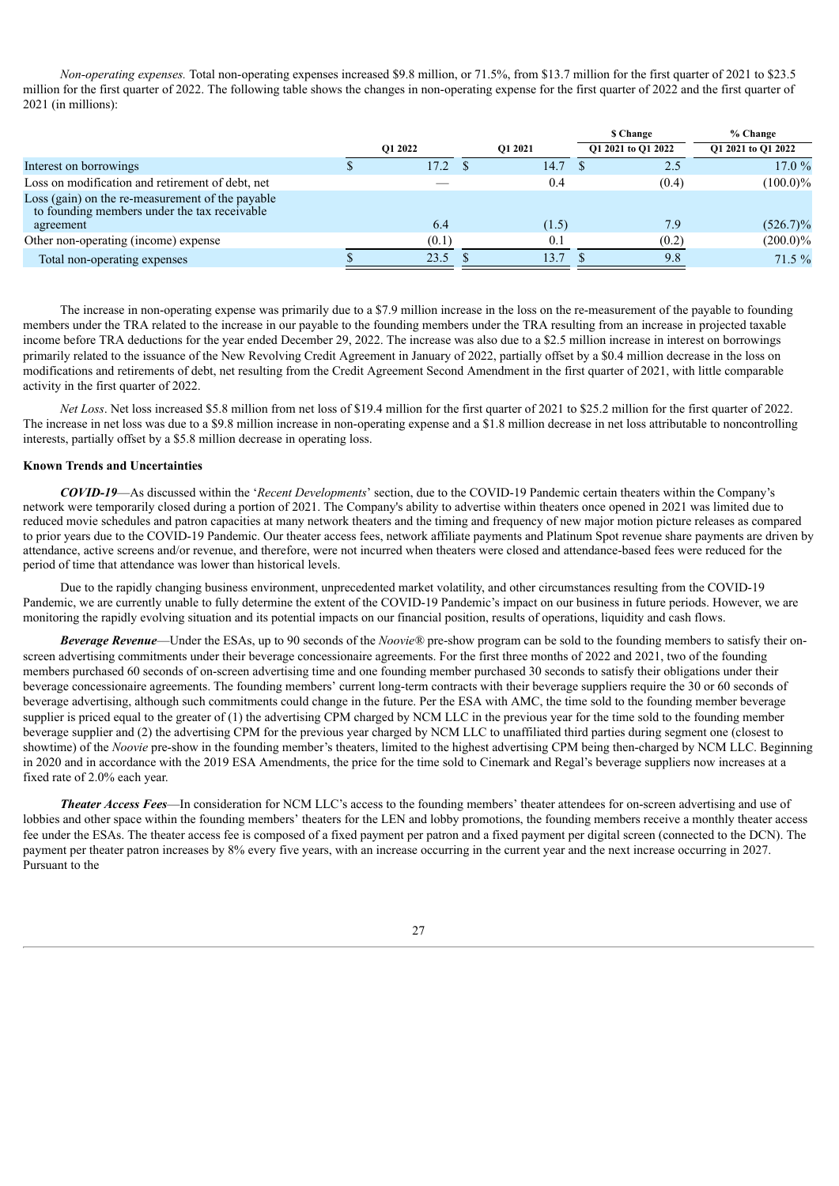*Non-operating expenses.* Total non-operating expenses increased \$9.8 million, or 71.5%, from \$13.7 million for the first quarter of 2021 to \$23.5 million for the first quarter of 2022. The following table shows the changes in non-operating expense for the first quarter of 2022 and the first quarter of 2021 (in millions):

|                                                                                                  |                 |         | \$ Change          | % Change           |
|--------------------------------------------------------------------------------------------------|-----------------|---------|--------------------|--------------------|
|                                                                                                  | O1 2022         | O1 2021 | O1 2021 to O1 2022 | O1 2021 to O1 2022 |
| Interest on borrowings                                                                           | $17.2 \quad$ \$ | 14.7    | 2.5                | $17.0\%$           |
| Loss on modification and retirement of debt, net                                                 |                 | 0.4     | (0.4)              | $(100.0)\%$        |
| Loss (gain) on the re-measurement of the payable<br>to founding members under the tax receivable |                 |         |                    |                    |
| agreement                                                                                        | 6.4             | (1.5)   | 7.9                | $(526.7)\%$        |
| Other non-operating (income) expense                                                             | (0.1)           | 0.1     | (0.2)              | $(200.0)\%$        |
| Total non-operating expenses                                                                     | 23.5            | 13.7    | 9.8                | $71.5 \%$          |

The increase in non-operating expense was primarily due to a \$7.9 million increase in the loss on the re-measurement of the payable to founding members under the TRA related to the increase in our payable to the founding members under the TRA resulting from an increase in projected taxable income before TRA deductions for the year ended December 29, 2022. The increase was also due to a \$2.5 million increase in interest on borrowings primarily related to the issuance of the New Revolving Credit Agreement in January of 2022, partially offset by a \$0.4 million decrease in the loss on modifications and retirements of debt, net resulting from the Credit Agreement Second Amendment in the first quarter of 2021, with little comparable activity in the first quarter of 2022.

*Net Loss*. Net loss increased \$5.8 million from net loss of \$19.4 million for the first quarter of 2021 to \$25.2 million for the first quarter of 2022. The increase in net loss was due to a \$9.8 million increase in non-operating expense and a \$1.8 million decrease in net loss attributable to noncontrolling interests, partially offset by a \$5.8 million decrease in operating loss.

#### **Known Trends and Uncertainties**

*COVID-19*—As discussed within the '*Recent Developments*' section, due to the COVID-19 Pandemic certain theaters within the Company's network were temporarily closed during a portion of 2021. The Company's ability to advertise within theaters once opened in 2021 was limited due to reduced movie schedules and patron capacities at many network theaters and the timing and frequency of new major motion picture releases as compared to prior years due to the COVID-19 Pandemic. Our theater access fees, network affiliate payments and Platinum Spot revenue share payments are driven by attendance, active screens and/or revenue, and therefore, were not incurred when theaters were closed and attendance-based fees were reduced for the period of time that attendance was lower than historical levels.

Due to the rapidly changing business environment, unprecedented market volatility, and other circumstances resulting from the COVID-19 Pandemic, we are currently unable to fully determine the extent of the COVID-19 Pandemic's impact on our business in future periods. However, we are monitoring the rapidly evolving situation and its potential impacts on our financial position, results of operations, liquidity and cash flows.

*Beverage Revenue*—Under the ESAs, up to 90 seconds of the *Noovie®* pre-show program can be sold to the founding members to satisfy their onscreen advertising commitments under their beverage concessionaire agreements. For the first three months of 2022 and 2021, two of the founding members purchased 60 seconds of on-screen advertising time and one founding member purchased 30 seconds to satisfy their obligations under their beverage concessionaire agreements. The founding members' current long-term contracts with their beverage suppliers require the 30 or 60 seconds of beverage advertising, although such commitments could change in the future. Per the ESA with AMC, the time sold to the founding member beverage supplier is priced equal to the greater of (1) the advertising CPM charged by NCM LLC in the previous year for the time sold to the founding member beverage supplier and (2) the advertising CPM for the previous year charged by NCM LLC to unaffiliated third parties during segment one (closest to showtime) of the *Noovie* pre-show in the founding member's theaters, limited to the highest advertising CPM being then-charged by NCM LLC. Beginning in 2020 and in accordance with the 2019 ESA Amendments, the price for the time sold to Cinemark and Regal's beverage suppliers now increases at a fixed rate of 2.0% each year.

*Theater Access Fees*—In consideration for NCM LLC's access to the founding members' theater attendees for on-screen advertising and use of lobbies and other space within the founding members' theaters for the LEN and lobby promotions, the founding members receive a monthly theater access fee under the ESAs. The theater access fee is composed of a fixed payment per patron and a fixed payment per digital screen (connected to the DCN). The payment per theater patron increases by 8% every five years, with an increase occurring in the current year and the next increase occurring in 2027. Pursuant to the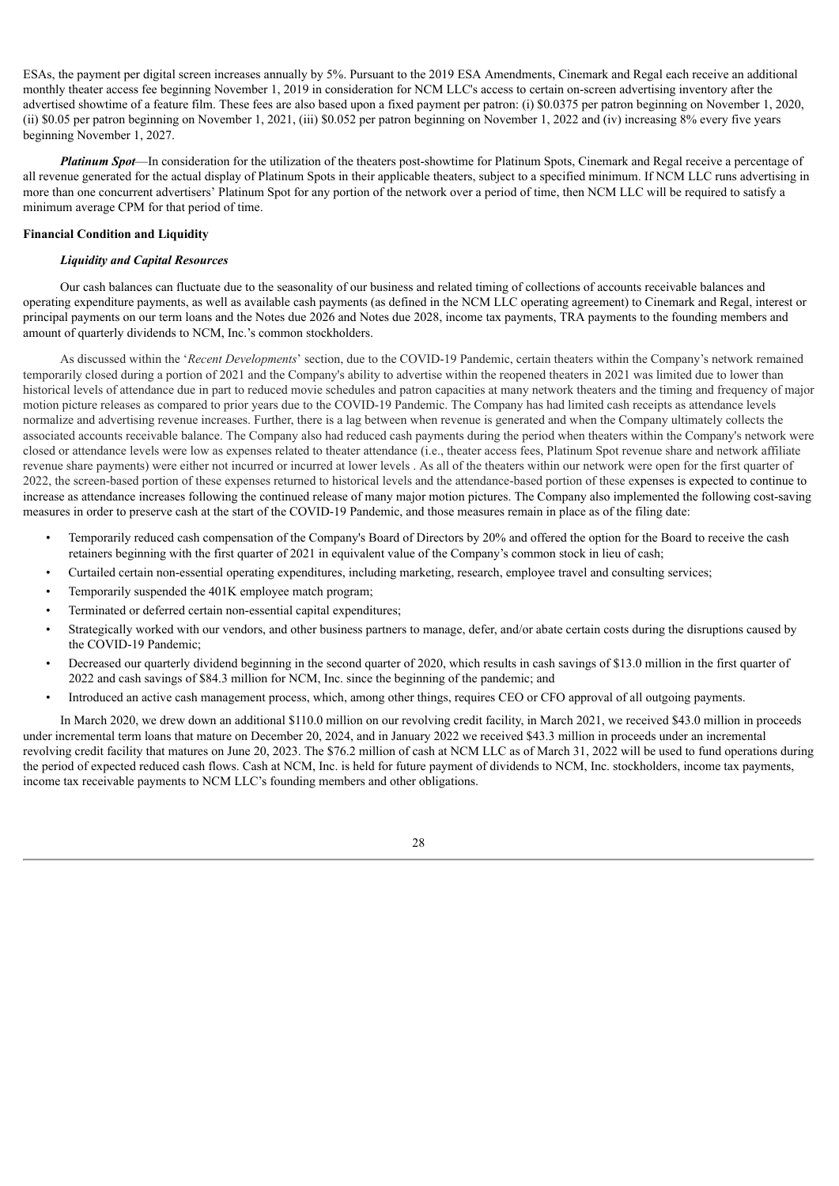ESAs, the payment per digital screen increases annually by 5%. Pursuant to the 2019 ESA Amendments, Cinemark and Regal each receive an additional monthly theater access fee beginning November 1, 2019 in consideration for NCM LLC's access to certain on-screen advertising inventory after the advertised showtime of a feature film. These fees are also based upon a fixed payment per patron: (i) \$0.0375 per patron beginning on November 1, 2020, (ii) \$0.05 per patron beginning on November 1, 2021, (iii) \$0.052 per patron beginning on November 1, 2022 and (iv) increasing 8% every five years beginning November 1, 2027.

*Platinum Spot*—In consideration for the utilization of the theaters post-showtime for Platinum Spots, Cinemark and Regal receive a percentage of all revenue generated for the actual display of Platinum Spots in their applicable theaters, subject to a specified minimum. If NCM LLC runs advertising in more than one concurrent advertisers' Platinum Spot for any portion of the network over a period of time, then NCM LLC will be required to satisfy a minimum average CPM for that period of time.

# **Financial Condition and Liquidity**

# *Liquidity and Capital Resources*

Our cash balances can fluctuate due to the seasonality of our business and related timing of collections of accounts receivable balances and operating expenditure payments, as well as available cash payments (as defined in the NCM LLC operating agreement) to Cinemark and Regal, interest or principal payments on our term loans and the Notes due 2026 and Notes due 2028, income tax payments, TRA payments to the founding members and amount of quarterly dividends to NCM, Inc.'s common stockholders.

As discussed within the '*Recent Developments*' section, due to the COVID-19 Pandemic, certain theaters within the Company's network remained temporarily closed during a portion of 2021 and the Company's ability to advertise within the reopened theaters in 2021 was limited due to lower than historical levels of attendance due in part to reduced movie schedules and patron capacities at many network theaters and the timing and frequency of major motion picture releases as compared to prior years due to the COVID-19 Pandemic. The Company has had limited cash receipts as attendance levels normalize and advertising revenue increases. Further, there is a lag between when revenue is generated and when the Company ultimately collects the associated accounts receivable balance. The Company also had reduced cash payments during the period when theaters within the Company's network were closed or attendance levels were low as expenses related to theater attendance (i.e., theater access fees, Platinum Spot revenue share and network affiliate revenue share payments) were either not incurred or incurred at lower levels . As all of the theaters within our network were open for the first quarter of 2022, the screen-based portion of these expenses returned to historical levels and the attendance-based portion of these expenses is expected to continue to increase as attendance increases following the continued release of many major motion pictures. The Company also implemented the following cost-saving measures in order to preserve cash at the start of the COVID-19 Pandemic, and those measures remain in place as of the filing date:

- Temporarily reduced cash compensation of the Company's Board of Directors by 20% and offered the option for the Board to receive the cash retainers beginning with the first quarter of 2021 in equivalent value of the Company's common stock in lieu of cash;
- Curtailed certain non-essential operating expenditures, including marketing, research, employee travel and consulting services;
- Temporarily suspended the 401K employee match program;
- Terminated or deferred certain non-essential capital expenditures;
- Strategically worked with our vendors, and other business partners to manage, defer, and/or abate certain costs during the disruptions caused by the COVID-19 Pandemic;
- Decreased our quarterly dividend beginning in the second quarter of 2020, which results in cash savings of \$13.0 million in the first quarter of 2022 and cash savings of \$84.3 million for NCM, Inc. since the beginning of the pandemic; and
- Introduced an active cash management process, which, among other things, requires CEO or CFO approval of all outgoing payments.

In March 2020, we drew down an additional \$110.0 million on our revolving credit facility, in March 2021, we received \$43.0 million in proceeds under incremental term loans that mature on December 20, 2024, and in January 2022 we received \$43.3 million in proceeds under an incremental revolving credit facility that matures on June 20, 2023. The \$76.2 million of cash at NCM LLC as of March 31, 2022 will be used to fund operations during the period of expected reduced cash flows. Cash at NCM, Inc. is held for future payment of dividends to NCM, Inc. stockholders, income tax payments, income tax receivable payments to NCM LLC's founding members and other obligations.

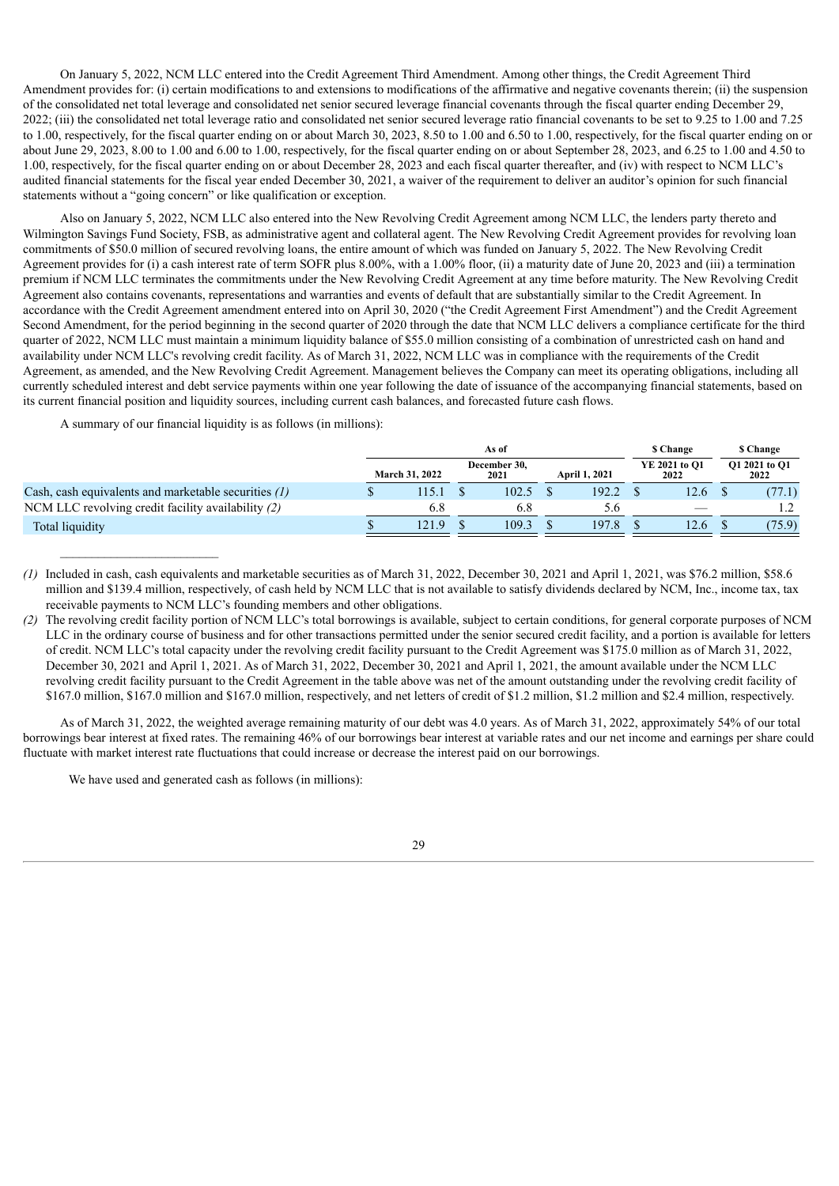On January 5, 2022, NCM LLC entered into the Credit Agreement Third Amendment. Among other things, the Credit Agreement Third Amendment provides for: (i) certain modifications to and extensions to modifications of the affirmative and negative covenants therein; (ii) the suspension of the consolidated net total leverage and consolidated net senior secured leverage financial covenants through the fiscal quarter ending December 29, 2022; (iii) the consolidated net total leverage ratio and consolidated net senior secured leverage ratio financial covenants to be set to 9.25 to 1.00 and 7.25 to 1.00, respectively, for the fiscal quarter ending on or about March 30, 2023, 8.50 to 1.00 and 6.50 to 1.00, respectively, for the fiscal quarter ending on or about June 29, 2023, 8.00 to 1.00 and 6.00 to 1.00, respectively, for the fiscal quarter ending on or about September 28, 2023, and 6.25 to 1.00 and 4.50 to 1.00, respectively, for the fiscal quarter ending on or about December 28, 2023 and each fiscal quarter thereafter, and (iv) with respect to NCM LLC's audited financial statements for the fiscal year ended December 30, 2021, a waiver of the requirement to deliver an auditor's opinion for such financial statements without a "going concern" or like qualification or exception.

Also on January 5, 2022, NCM LLC also entered into the New Revolving Credit Agreement among NCM LLC, the lenders party thereto and Wilmington Savings Fund Society, FSB, as administrative agent and collateral agent. The New Revolving Credit Agreement provides for revolving loan commitments of \$50.0 million of secured revolving loans, the entire amount of which was funded on January 5, 2022. The New Revolving Credit Agreement provides for (i) a cash interest rate of term SOFR plus 8.00%, with a 1.00% floor, (ii) a maturity date of June 20, 2023 and (iii) a termination premium if NCM LLC terminates the commitments under the New Revolving Credit Agreement at any time before maturity. The New Revolving Credit Agreement also contains covenants, representations and warranties and events of default that are substantially similar to the Credit Agreement. In accordance with the Credit Agreement amendment entered into on April 30, 2020 ("the Credit Agreement First Amendment") and the Credit Agreement Second Amendment, for the period beginning in the second quarter of 2020 through the date that NCM LLC delivers a compliance certificate for the third quarter of 2022, NCM LLC must maintain a minimum liquidity balance of \$55.0 million consisting of a combination of unrestricted cash on hand and availability under NCM LLC's revolving credit facility. As of March 31, 2022, NCM LLC was in compliance with the requirements of the Credit Agreement, as amended, and the New Revolving Credit Agreement. Management believes the Company can meet its operating obligations, including all currently scheduled interest and debt service payments within one year following the date of issuance of the accompanying financial statements, based on its current financial position and liquidity sources, including current cash balances, and forecasted future cash flows.

A summary of our financial liquidity is as follows (in millions):

\_\_\_\_\_\_\_\_\_\_\_\_\_\_\_\_\_\_\_\_\_\_\_\_\_

| As of                 |       |                      |       |                      |       |                       |      |                       | \$ Change |
|-----------------------|-------|----------------------|-------|----------------------|-------|-----------------------|------|-----------------------|-----------|
| <b>March 31, 2022</b> |       | December 30,<br>2021 |       | <b>April 1, 2021</b> |       | YE 2021 to O1<br>2022 |      | O1 2021 to O1<br>2022 |           |
|                       |       |                      | 102.5 |                      | 192.2 |                       | 12.6 |                       | (77.1)    |
|                       | 6.8   |                      | 6.8   |                      | 5.6   |                       |      |                       |           |
|                       | 121.9 |                      | 109.3 |                      | 197.8 |                       | 2.6  |                       | (75.9)    |
|                       |       |                      |       |                      |       |                       |      | \$ Change             |           |

*(1)* Included in cash, cash equivalents and marketable securities as of March 31, 2022, December 30, 2021 and April 1, 2021, was \$76.2 million, \$58.6 million and \$139.4 million, respectively, of cash held by NCM LLC that is not available to satisfy dividends declared by NCM, Inc., income tax, tax receivable payments to NCM LLC's founding members and other obligations.

*(2)* The revolving credit facility portion of NCM LLC's total borrowings is available, subject to certain conditions, for general corporate purposes of NCM LLC in the ordinary course of business and for other transactions permitted under the senior secured credit facility, and a portion is available for letters of credit. NCM LLC's total capacity under the revolving credit facility pursuant to the Credit Agreement was \$175.0 million as of March 31, 2022, December 30, 2021 and April 1, 2021. As of March 31, 2022, December 30, 2021 and April 1, 2021, the amount available under the NCM LLC revolving credit facility pursuant to the Credit Agreement in the table above was net of the amount outstanding under the revolving credit facility of \$167.0 million, \$167.0 million and \$167.0 million, respectively, and net letters of credit of \$1.2 million, \$1.2 million and \$2.4 million, respectively.

As of March 31, 2022, the weighted average remaining maturity of our debt was 4.0 years. As of March 31, 2022, approximately 54% of our total borrowings bear interest at fixed rates. The remaining 46% of our borrowings bear interest at variable rates and our net income and earnings per share could fluctuate with market interest rate fluctuations that could increase or decrease the interest paid on our borrowings.

We have used and generated cash as follows (in millions):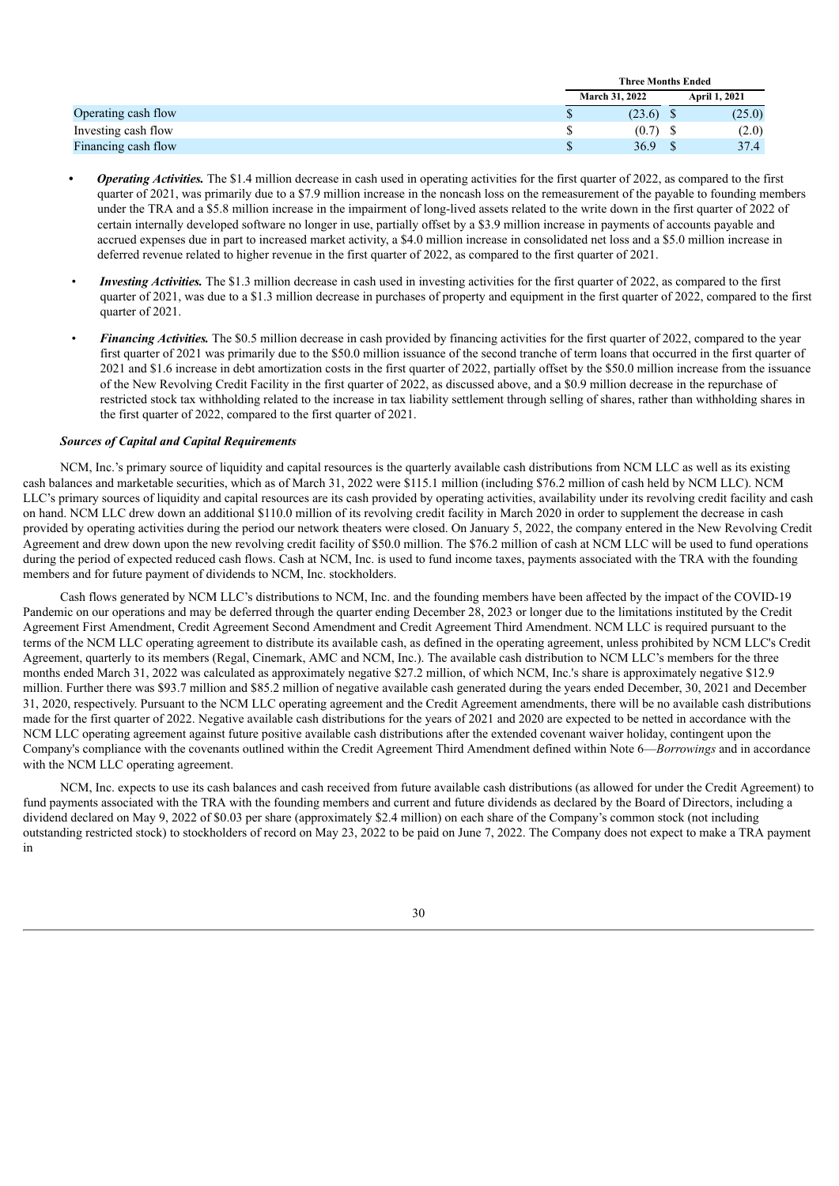|                     | Three Months Ended    |  |                      |  |
|---------------------|-----------------------|--|----------------------|--|
|                     | <b>March 31, 2022</b> |  | <b>April 1, 2021</b> |  |
| Operating cash flow | (23.6)                |  | (25.0)               |  |
| Investing cash flow | (0.7)                 |  | (2.0)                |  |
| Financing cash flow | 36.9                  |  | 37.4                 |  |

**Three Months Ended**

- *• Operating Activities.* The \$1.4 million decrease in cash used in operating activities for the first quarter of 2022, as compared to the first quarter of 2021, was primarily due to a \$7.9 million increase in the noncash loss on the remeasurement of the payable to founding members under the TRA and a \$5.8 million increase in the impairment of long-lived assets related to the write down in the first quarter of 2022 of certain internally developed software no longer in use, partially offset by a \$3.9 million increase in payments of accounts payable and accrued expenses due in part to increased market activity, a \$4.0 million increase in consolidated net loss and a \$5.0 million increase in deferred revenue related to higher revenue in the first quarter of 2022, as compared to the first quarter of 2021.
- *Investing Activities.* The \$1.3 million decrease in cash used in investing activities for the first quarter of 2022, as compared to the first quarter of 2021, was due to a \$1.3 million decrease in purchases of property and equipment in the first quarter of 2022, compared to the first quarter of 2021.
- *Financing Activities.* The \$0.5 million decrease in cash provided by financing activities for the first quarter of 2022, compared to the year first quarter of 2021 was primarily due to the \$50.0 million issuance of the second tranche of term loans that occurred in the first quarter of 2021 and \$1.6 increase in debt amortization costs in the first quarter of 2022, partially offset by the \$50.0 million increase from the issuance of the New Revolving Credit Facility in the first quarter of 2022, as discussed above, and a \$0.9 million decrease in the repurchase of restricted stock tax withholding related to the increase in tax liability settlement through selling of shares, rather than withholding shares in the first quarter of 2022, compared to the first quarter of 2021.

# *Sources of Capital and Capital Requirements*

NCM, Inc.'s primary source of liquidity and capital resources is the quarterly available cash distributions from NCM LLC as well as its existing cash balances and marketable securities, which as of March 31, 2022 were \$115.1 million (including \$76.2 million of cash held by NCM LLC). NCM LLC's primary sources of liquidity and capital resources are its cash provided by operating activities, availability under its revolving credit facility and cash on hand. NCM LLC drew down an additional \$110.0 million of its revolving credit facility in March 2020 in order to supplement the decrease in cash provided by operating activities during the period our network theaters were closed. On January 5, 2022, the company entered in the New Revolving Credit Agreement and drew down upon the new revolving credit facility of \$50.0 million. The \$76.2 million of cash at NCM LLC will be used to fund operations during the period of expected reduced cash flows. Cash at NCM, Inc. is used to fund income taxes, payments associated with the TRA with the founding members and for future payment of dividends to NCM, Inc. stockholders.

Cash flows generated by NCM LLC's distributions to NCM, Inc. and the founding members have been affected by the impact of the COVID-19 Pandemic on our operations and may be deferred through the quarter ending December 28, 2023 or longer due to the limitations instituted by the Credit Agreement First Amendment, Credit Agreement Second Amendment and Credit Agreement Third Amendment. NCM LLC is required pursuant to the terms of the NCM LLC operating agreement to distribute its available cash, as defined in the operating agreement, unless prohibited by NCM LLC's Credit Agreement, quarterly to its members (Regal, Cinemark, AMC and NCM, Inc.). The available cash distribution to NCM LLC's members for the three months ended March 31, 2022 was calculated as approximately negative \$27.2 million, of which NCM, Inc.'s share is approximately negative \$12.9 million. Further there was \$93.7 million and \$85.2 million of negative available cash generated during the years ended December, 30, 2021 and December 31, 2020, respectively. Pursuant to the NCM LLC operating agreement and the Credit Agreement amendments, there will be no available cash distributions made for the first quarter of 2022. Negative available cash distributions for the years of 2021 and 2020 are expected to be netted in accordance with the NCM LLC operating agreement against future positive available cash distributions after the extended covenant waiver holiday, contingent upon the Company's compliance with the covenants outlined within the Credit Agreement Third Amendment defined within Note 6—*Borrowings* and in accordance with the NCM LLC operating agreement.

NCM, Inc. expects to use its cash balances and cash received from future available cash distributions (as allowed for under the Credit Agreement) to fund payments associated with the TRA with the founding members and current and future dividends as declared by the Board of Directors, including a dividend declared on May 9, 2022 of \$0.03 per share (approximately \$2.4 million) on each share of the Company's common stock (not including outstanding restricted stock) to stockholders of record on May 23, 2022 to be paid on June 7, 2022. The Company does not expect to make a TRA payment in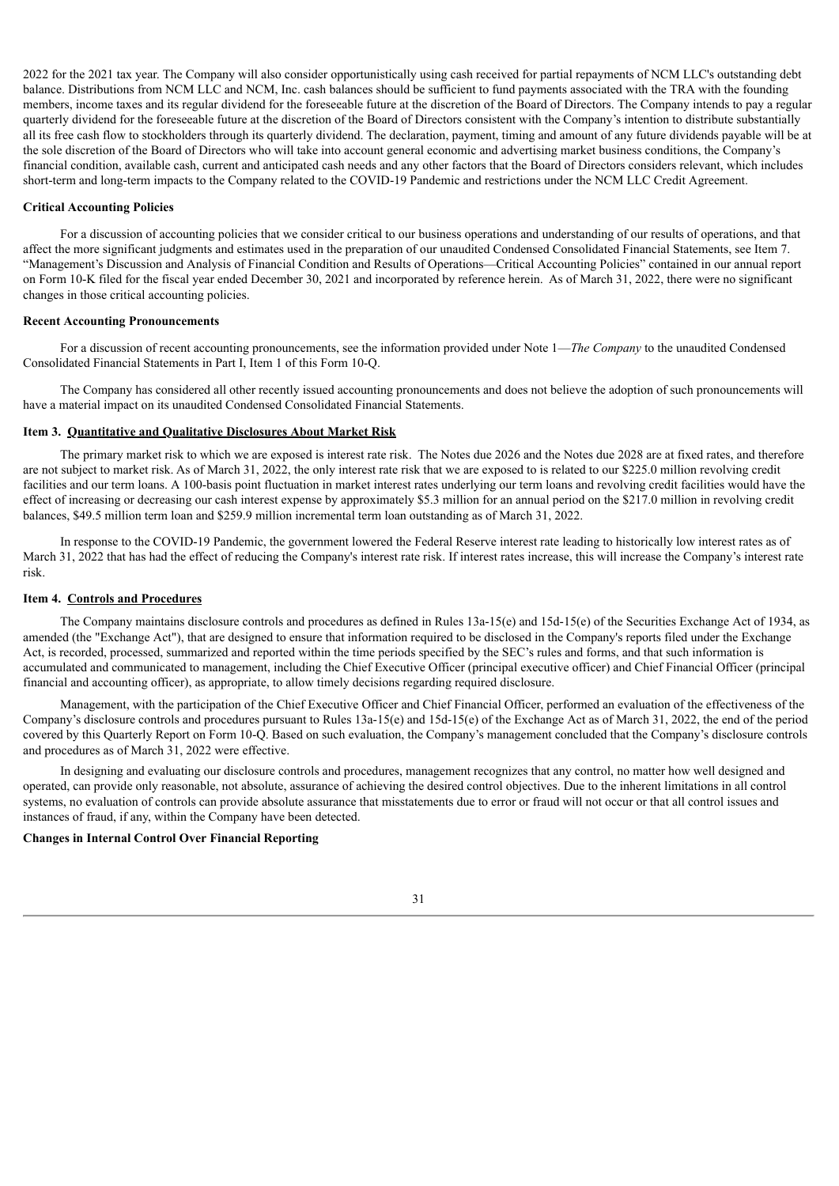2022 for the 2021 tax year. The Company will also consider opportunistically using cash received for partial repayments of NCM LLC's outstanding debt balance. Distributions from NCM LLC and NCM, Inc. cash balances should be sufficient to fund payments associated with the TRA with the founding members, income taxes and its regular dividend for the foreseeable future at the discretion of the Board of Directors. The Company intends to pay a regular quarterly dividend for the foreseeable future at the discretion of the Board of Directors consistent with the Company's intention to distribute substantially all its free cash flow to stockholders through its quarterly dividend. The declaration, payment, timing and amount of any future dividends payable will be at the sole discretion of the Board of Directors who will take into account general economic and advertising market business conditions, the Company's financial condition, available cash, current and anticipated cash needs and any other factors that the Board of Directors considers relevant, which includes short-term and long-term impacts to the Company related to the COVID-19 Pandemic and restrictions under the NCM LLC Credit Agreement.

# **Critical Accounting Policies**

For a discussion of accounting policies that we consider critical to our business operations and understanding of our results of operations, and that affect the more significant judgments and estimates used in the preparation of our unaudited Condensed Consolidated Financial Statements, see Item 7. "Management's Discussion and Analysis of Financial Condition and Results of Operations—Critical Accounting Policies" contained in our annual report on Form 10-K filed for the fiscal year ended December 30, 2021 and incorporated by reference herein. As of March 31, 2022, there were no significant changes in those critical accounting policies.

# **Recent Accounting Pronouncements**

For a discussion of recent accounting pronouncements, see the information provided under Note 1—*The Company* to the unaudited Condensed Consolidated Financial Statements in Part I, Item 1 of this Form 10-Q.

The Company has considered all other recently issued accounting pronouncements and does not believe the adoption of such pronouncements will have a material impact on its unaudited Condensed Consolidated Financial Statements.

# <span id="page-33-0"></span>**Item 3. Quantitative and Qualitative Disclosures About Market Risk**

The primary market risk to which we are exposed is interest rate risk. The Notes due 2026 and the Notes due 2028 are at fixed rates, and therefore are not subject to market risk. As of March 31, 2022, the only interest rate risk that we are exposed to is related to our \$225.0 million revolving credit facilities and our term loans. A 100-basis point fluctuation in market interest rates underlying our term loans and revolving credit facilities would have the effect of increasing or decreasing our cash interest expense by approximately \$5.3 million for an annual period on the \$217.0 million in revolving credit balances, \$49.5 million term loan and \$259.9 million incremental term loan outstanding as of March 31, 2022.

In response to the COVID-19 Pandemic, the government lowered the Federal Reserve interest rate leading to historically low interest rates as of March 31, 2022 that has had the effect of reducing the Company's interest rate risk. If interest rates increase, this will increase the Company's interest rate risk.

#### <span id="page-33-1"></span>**Item 4. Controls and Procedures**

The Company maintains disclosure controls and procedures as defined in Rules 13a-15(e) and 15d-15(e) of the Securities Exchange Act of 1934, as amended (the "Exchange Act"), that are designed to ensure that information required to be disclosed in the Company's reports filed under the Exchange Act, is recorded, processed, summarized and reported within the time periods specified by the SEC's rules and forms, and that such information is accumulated and communicated to management, including the Chief Executive Officer (principal executive officer) and Chief Financial Officer (principal financial and accounting officer), as appropriate, to allow timely decisions regarding required disclosure.

Management, with the participation of the Chief Executive Officer and Chief Financial Officer, performed an evaluation of the effectiveness of the Company's disclosure controls and procedures pursuant to Rules 13a-15(e) and 15d-15(e) of the Exchange Act as of March 31, 2022, the end of the period covered by this Quarterly Report on Form 10-Q. Based on such evaluation, the Company's management concluded that the Company's disclosure controls and procedures as of March 31, 2022 were effective.

In designing and evaluating our disclosure controls and procedures, management recognizes that any control, no matter how well designed and operated, can provide only reasonable, not absolute, assurance of achieving the desired control objectives. Due to the inherent limitations in all control systems, no evaluation of controls can provide absolute assurance that misstatements due to error or fraud will not occur or that all control issues and instances of fraud, if any, within the Company have been detected.

# **Changes in Internal Control Over Financial Reporting**

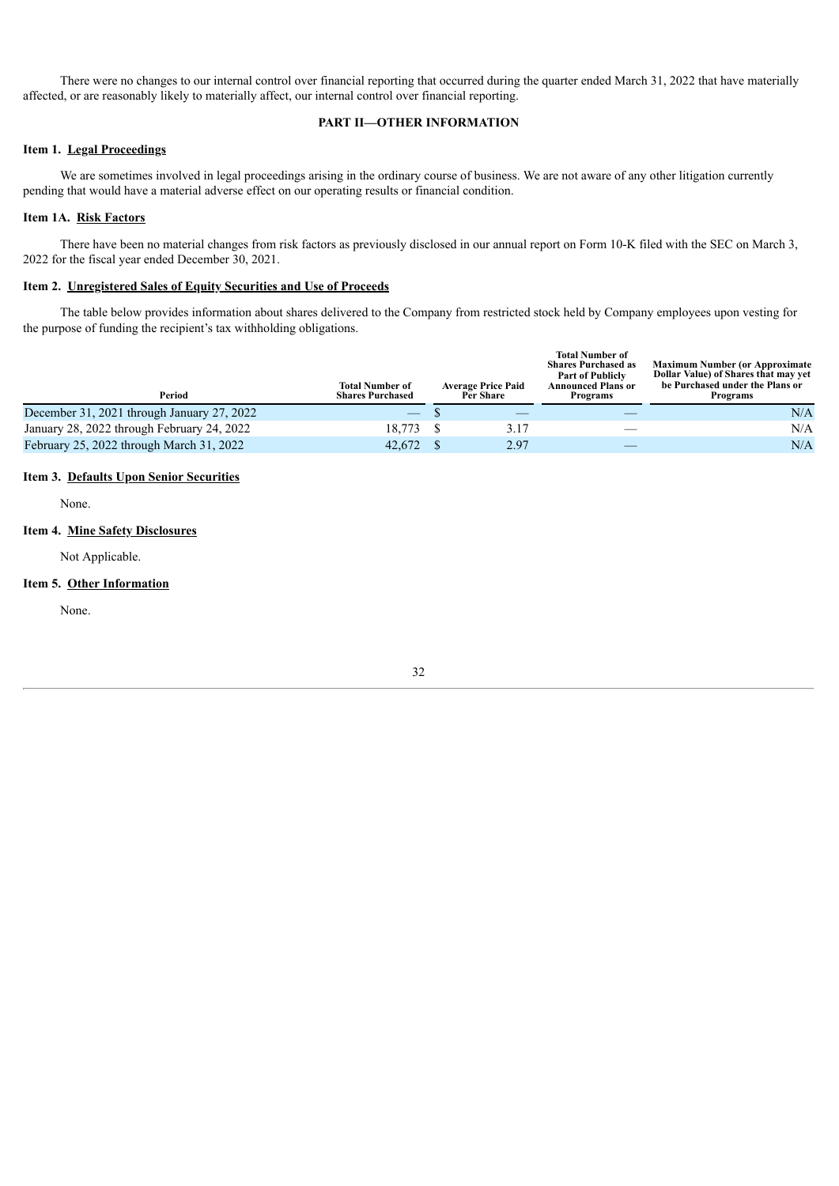There were no changes to our internal control over financial reporting that occurred during the quarter ended March 31, 2022 that have materially affected, or are reasonably likely to materially affect, our internal control over financial reporting.

# **PART II—OTHER INFORMATION**

# <span id="page-34-1"></span><span id="page-34-0"></span>**Item 1. Legal Proceedings**

We are sometimes involved in legal proceedings arising in the ordinary course of business. We are not aware of any other litigation currently pending that would have a material adverse effect on our operating results or financial condition.

# <span id="page-34-2"></span>**Item 1A. Risk Factors**

There have been no material changes from risk factors as previously disclosed in our annual report on Form 10-K filed with the SEC on March 3, 2022 for the fiscal year ended December 30, 2021.

# <span id="page-34-3"></span>**Item 2. Unregistered Sales of Equity Securities and Use of Proceeds**

The table below provides information about shares delivered to the Company from restricted stock held by Company employees upon vesting for the purpose of funding the recipient's tax withholding obligations.

| Period                                     | <b>Total Number of</b><br><b>Average Price Paid</b><br><b>Shares Purchased</b><br>Per Share |  |      | <b>Total Number of</b><br><b>Shares Purchased as</b><br><b>Part of Publicly</b><br><b>Announced Plans or</b><br>Programs | <b>Maximum Number (or Approximate)</b><br><b>Dollar Value) of Shares that may vet</b><br>be Purchased under the Plans or<br>Programs |
|--------------------------------------------|---------------------------------------------------------------------------------------------|--|------|--------------------------------------------------------------------------------------------------------------------------|--------------------------------------------------------------------------------------------------------------------------------------|
| December 31, 2021 through January 27, 2022 |                                                                                             |  |      |                                                                                                                          | N/A                                                                                                                                  |
| January 28, 2022 through February 24, 2022 | 18.773 \$                                                                                   |  | 3.17 |                                                                                                                          | N/A                                                                                                                                  |
| February 25, 2022 through March 31, 2022   | 42.672                                                                                      |  | 2.97 |                                                                                                                          | N/A                                                                                                                                  |

# <span id="page-34-4"></span>**Item 3. Defaults Upon Senior Securities**

None.

# <span id="page-34-5"></span>**Item 4. Mine Safety Disclosures**

Not Applicable.

## <span id="page-34-6"></span>**Item 5. Other Information**

<span id="page-34-7"></span>None.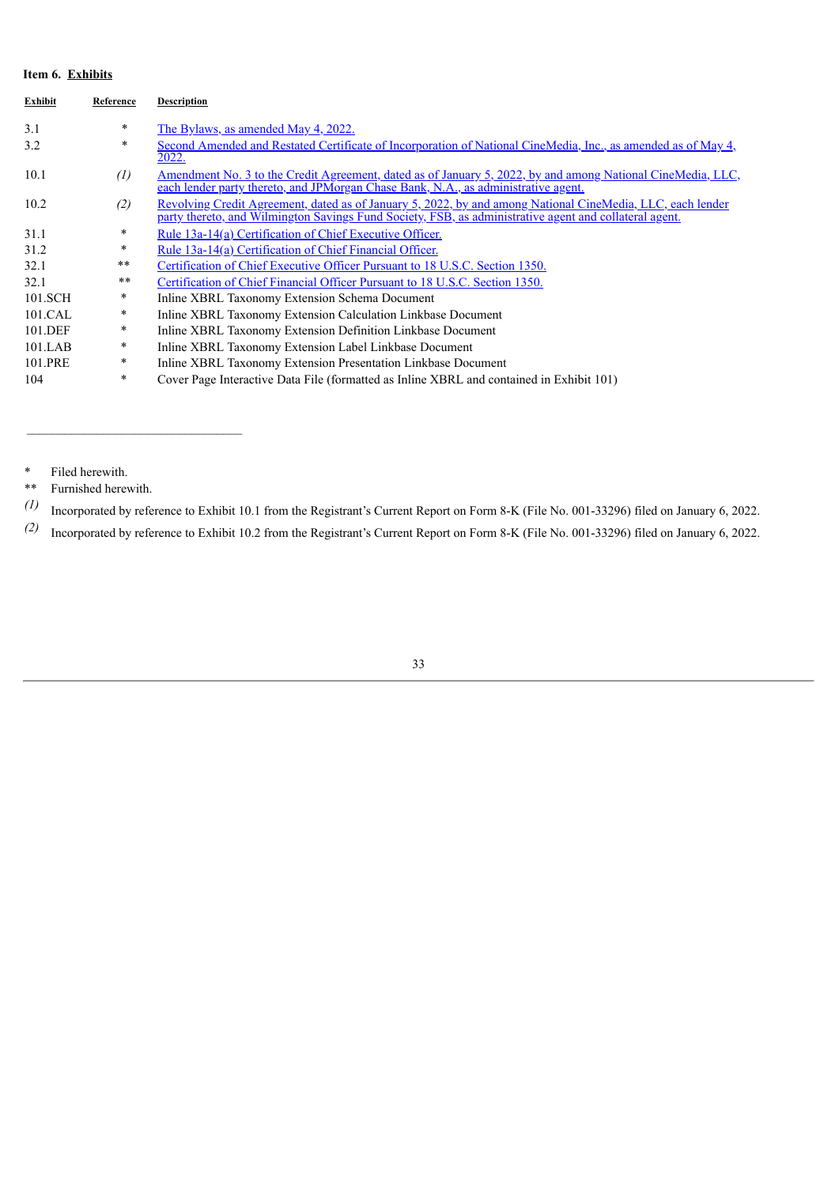# **Item 6. Exhibits**

| <b>Exhibit</b> | Reference         | <b>Description</b>                                                                                                                                                                                                   |
|----------------|-------------------|----------------------------------------------------------------------------------------------------------------------------------------------------------------------------------------------------------------------|
| 3.1            | *                 | The Bylaws, as amended May 4, 2022.                                                                                                                                                                                  |
| 3.2            | *                 | Second Amended and Restated Certificate of Incorporation of National CineMedia, Inc., as amended as of May 4,<br>2022.                                                                                               |
| 10.1           | $\left( l\right)$ | Amendment No. 3 to the Credit Agreement, dated as of January 5, 2022, by and among National CineMedia, LLC,<br>each lender party thereto, and JPMorgan Chase Bank, N.A., as administrative agent.                    |
| 10.2           | (2)               | Revolving Credit Agreement, dated as of January 5, 2022, by and among National CineMedia, LLC, each lender<br>party thereto, and Wilmington Savings Fund Society, FSB, as administrative agent and collateral agent. |
| 31.1           | $\ast$            | Rule 13a-14(a) Certification of Chief Executive Officer.                                                                                                                                                             |
| 31.2           | $\ast$            | Rule 13a-14(a) Certification of Chief Financial Officer.                                                                                                                                                             |
| 32.1           | $* *$             | Certification of Chief Executive Officer Pursuant to 18 U.S.C. Section 1350.                                                                                                                                         |
| 32.1           | **                | Certification of Chief Financial Officer Pursuant to 18 U.S.C. Section 1350.                                                                                                                                         |
| 101.SCH        | $\ast$            | Inline XBRL Taxonomy Extension Schema Document                                                                                                                                                                       |
| 101.CAL        | $\ast$            | Inline XBRL Taxonomy Extension Calculation Linkbase Document                                                                                                                                                         |
| 101.DEF        | $\ast$            | Inline XBRL Taxonomy Extension Definition Linkbase Document                                                                                                                                                          |
| 101.LAB        | $\ast$            | Inline XBRL Taxonomy Extension Label Linkbase Document                                                                                                                                                               |
| 101.PRE        | $\ast$            | Inline XBRL Taxonomy Extension Presentation Linkbase Document                                                                                                                                                        |
| 104            | $\ast$            | Cover Page Interactive Data File (formatted as Inline XBRL and contained in Exhibit 101)                                                                                                                             |

\_\_\_\_\_\_\_\_\_\_\_\_\_\_\_\_\_\_\_\_\_\_\_\_\_\_\_\_\_\_\_\_\_\_

<span id="page-35-0"></span>*(2)* Incorporated by reference to Exhibit 10.2 from the Registrant's Current Report on Form 8-K (File No. 001-33296) filed on January 6, 2022.

<sup>\*</sup> Filed herewith.<br>\*\* Furnished herewith.

Furnished herewith.

*<sup>(1)</sup>* Incorporated by reference to Exhibit 10.1 from the Registrant's Current Report on Form 8-K (File No. 001-33296) filed on January 6, 2022.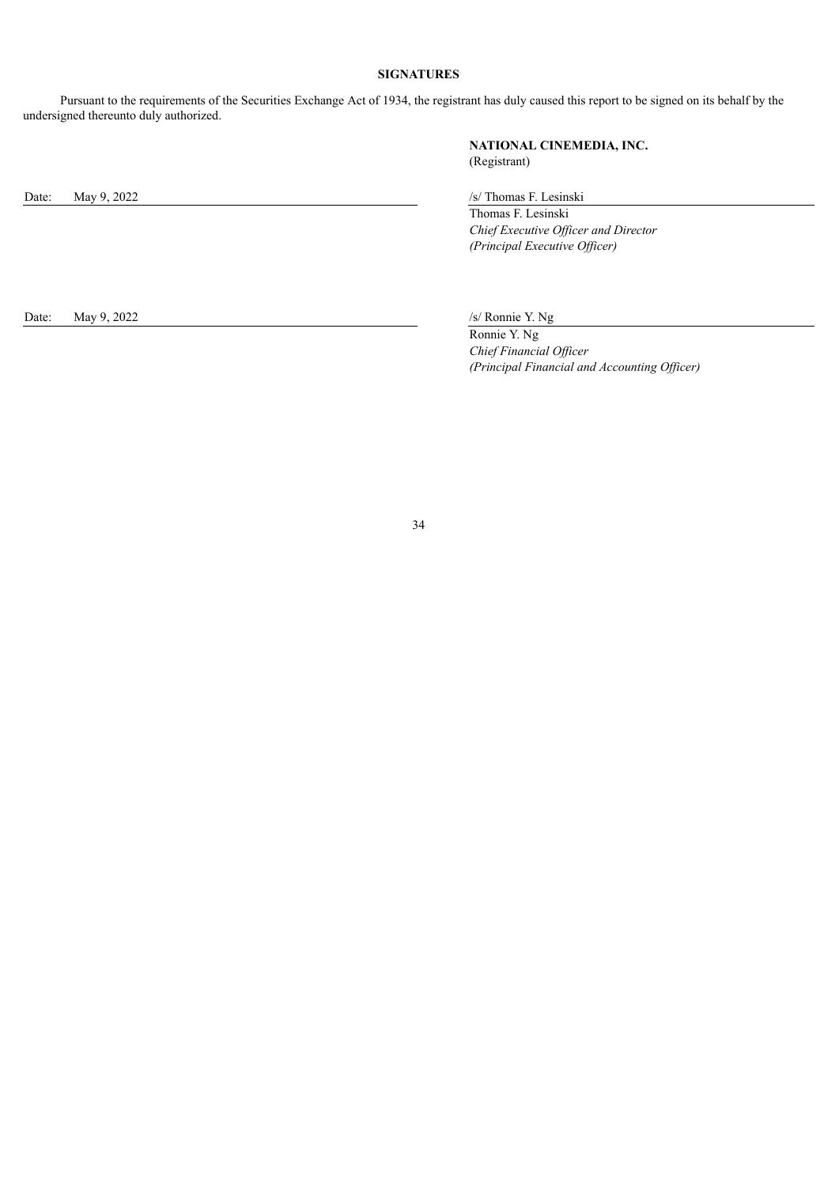# **SIGNATURES**

Pursuant to the requirements of the Securities Exchange Act of 1934, the registrant has duly caused this report to be signed on its behalf by the undersigned thereunto duly authorized.

Date: May 9, 2022 /s/ Thomas F. Lesinski

# **NATIONAL CINEMEDIA, INC.** (Registrant)

Thomas F. Lesinski *Chief Executive Of icer and Director (Principal Executive Of icer)*

Date: May 9, 2022 /s/ Ronnie Y. Ng

Ronnie Y. Ng *Chief Financial Of icer (Principal Financial and Accounting Of icer)*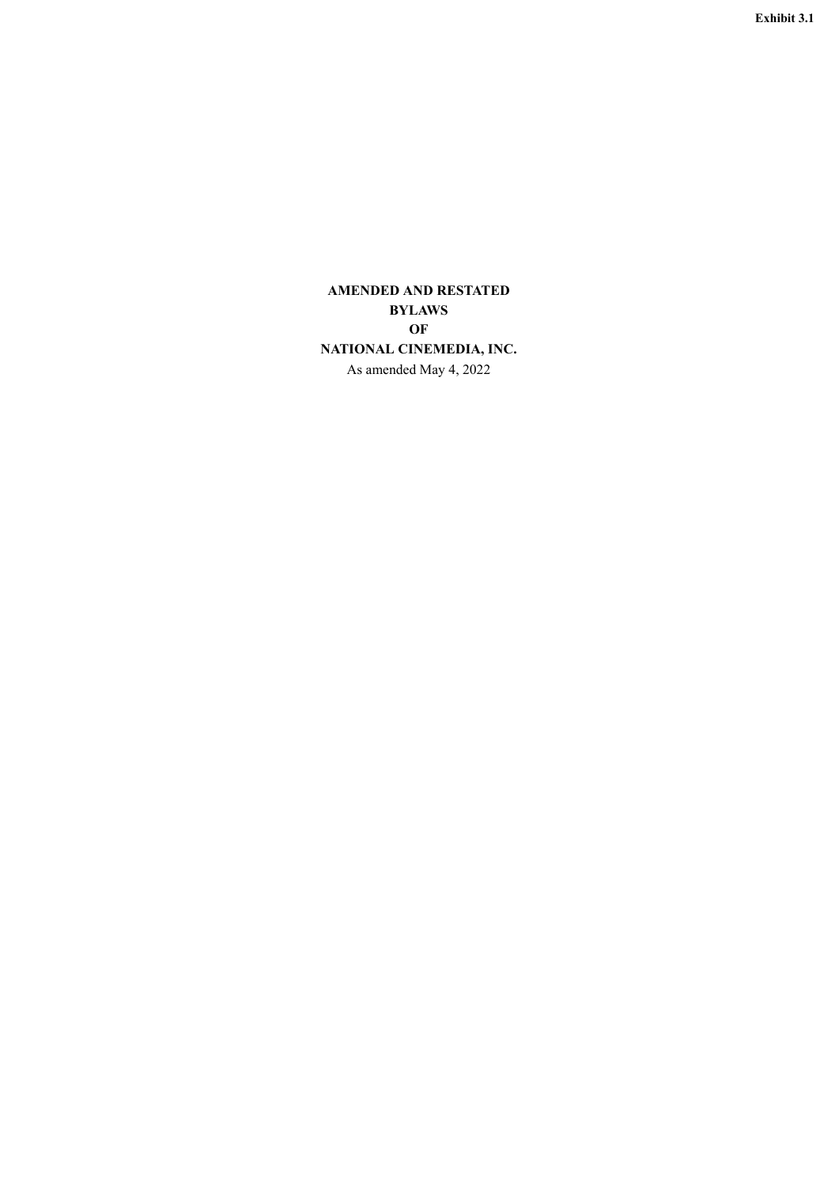<span id="page-37-0"></span>**AMENDED AND RESTATED BYLAWS OF NATIONAL CINEMEDIA, INC.** As amended May 4, 2022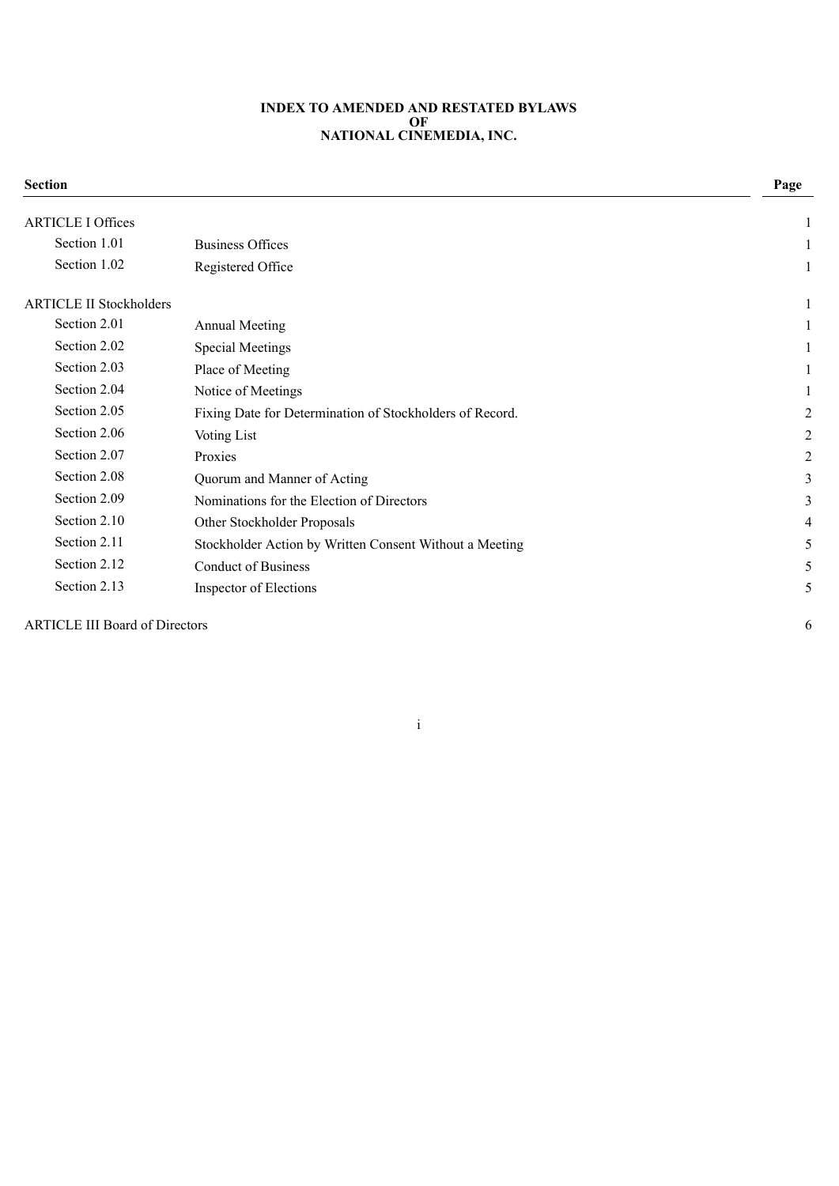# **INDEX TO AMENDED AND RESTATED BYLAWS OF NATIONAL CINEMEDIA, INC.**

| <b>Section</b>                        |                                                          | Page           |
|---------------------------------------|----------------------------------------------------------|----------------|
| <b>ARTICLE I Offices</b>              |                                                          |                |
| Section 1.01                          | <b>Business Offices</b>                                  |                |
| Section 1.02                          | Registered Office                                        |                |
| <b>ARTICLE II Stockholders</b>        |                                                          |                |
| Section 2.01                          | <b>Annual Meeting</b>                                    |                |
| Section 2.02                          | <b>Special Meetings</b>                                  |                |
| Section 2.03                          | Place of Meeting                                         |                |
| Section 2.04                          | Notice of Meetings                                       |                |
| Section 2.05                          | Fixing Date for Determination of Stockholders of Record. | 2              |
| Section 2.06                          | Voting List                                              | $\overline{2}$ |
| Section 2.07                          | Proxies                                                  | $\overline{2}$ |
| Section 2.08                          | Quorum and Manner of Acting                              | 3              |
| Section 2.09                          | Nominations for the Election of Directors                | 3              |
| Section 2.10                          | Other Stockholder Proposals                              | 4              |
| Section 2.11                          | Stockholder Action by Written Consent Without a Meeting  | 5              |
| Section 2.12                          | <b>Conduct of Business</b>                               | 5              |
| Section 2.13                          | Inspector of Elections                                   | 5              |
| <b>ARTICLE III Board of Directors</b> |                                                          | 6              |

i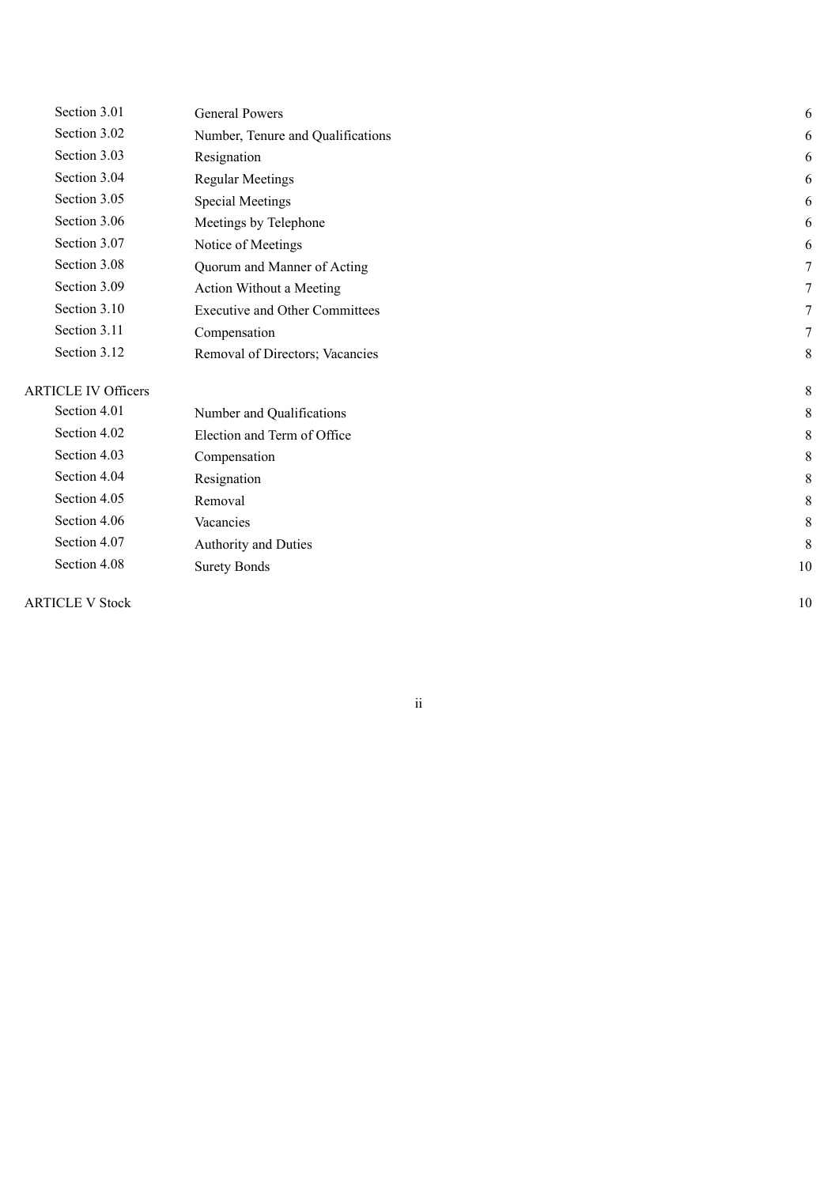| Section 3.01               | <b>General Powers</b>                 | 6           |
|----------------------------|---------------------------------------|-------------|
| Section 3.02               | Number, Tenure and Qualifications     | 6           |
| Section 3.03               | Resignation                           | 6           |
| Section 3.04               | <b>Regular Meetings</b>               | 6           |
| Section 3.05               | <b>Special Meetings</b>               | 6           |
| Section 3.06               | Meetings by Telephone                 | 6           |
| Section 3.07               | Notice of Meetings                    | 6           |
| Section 3.08               | Quorum and Manner of Acting           | 7           |
| Section 3.09               | Action Without a Meeting              | 7           |
| Section 3.10               | <b>Executive and Other Committees</b> | $\tau$      |
| Section 3.11               | Compensation                          | $\tau$      |
| Section 3.12               | Removal of Directors; Vacancies       | 8           |
| <b>ARTICLE IV Officers</b> |                                       | 8           |
| Section 4.01               | Number and Qualifications             | $8\,$       |
| Section 4.02               | Election and Term of Office           | 8           |
| Section 4.03               | Compensation                          | 8           |
| Section 4.04               | Resignation                           | $\,$ 8 $\,$ |
| Section 4.05               | Removal                               | $\,$ 8 $\,$ |
| Section 4.06               | Vacancies                             | $\,$ 8 $\,$ |
| Section 4.07               | Authority and Duties                  | 8           |
| Section 4.08               | <b>Surety Bonds</b>                   | 10          |
| <b>ARTICLE V Stock</b>     |                                       | 10          |

i i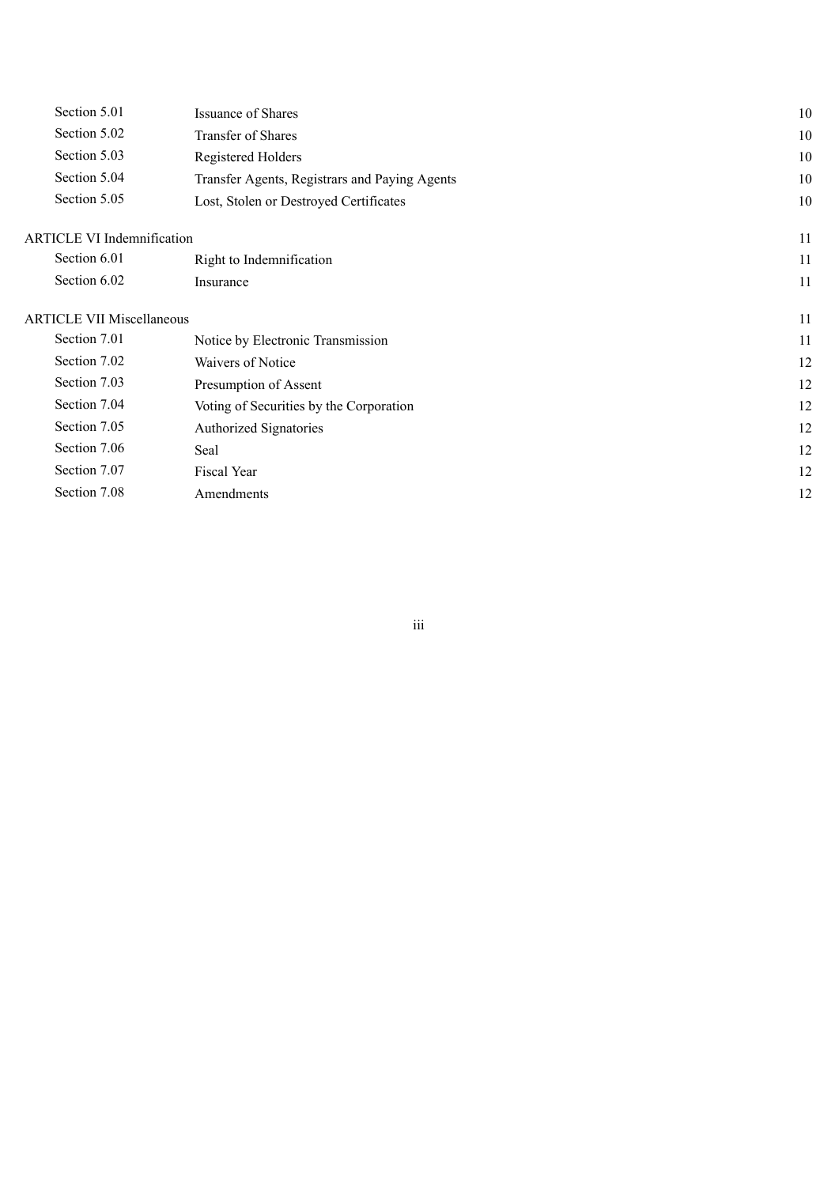| Section 5.01                      | <b>Issuance of Shares</b>                     | 10  |
|-----------------------------------|-----------------------------------------------|-----|
| Section 5.02                      | <b>Transfer of Shares</b>                     | 10  |
| Section 5.03                      | Registered Holders                            | 10  |
| Section 5.04                      | Transfer Agents, Registrars and Paying Agents | 10  |
| Section 5.05                      | Lost, Stolen or Destroyed Certificates        | 10  |
| <b>ARTICLE VI Indemnification</b> |                                               | 11  |
| Section 6.01                      | Right to Indemnification                      | 11  |
| Section 6.02                      | Insurance                                     | 11  |
| <b>ARTICLE VII Miscellaneous</b>  |                                               | 11  |
| Section 7.01                      | Notice by Electronic Transmission             | -11 |
| Section 7.02                      | Waivers of Notice                             | 12  |
| Section 7.03                      | Presumption of Assent                         | 12  |
| Section 7.04                      | Voting of Securities by the Corporation       | 12  |
| Section 7.05                      | <b>Authorized Signatories</b>                 | 12  |
| Section 7.06                      | Seal                                          | 12  |
| Section 7.07                      | Fiscal Year                                   | 12  |
| Section 7.08                      | Amendments                                    | 12  |

# iii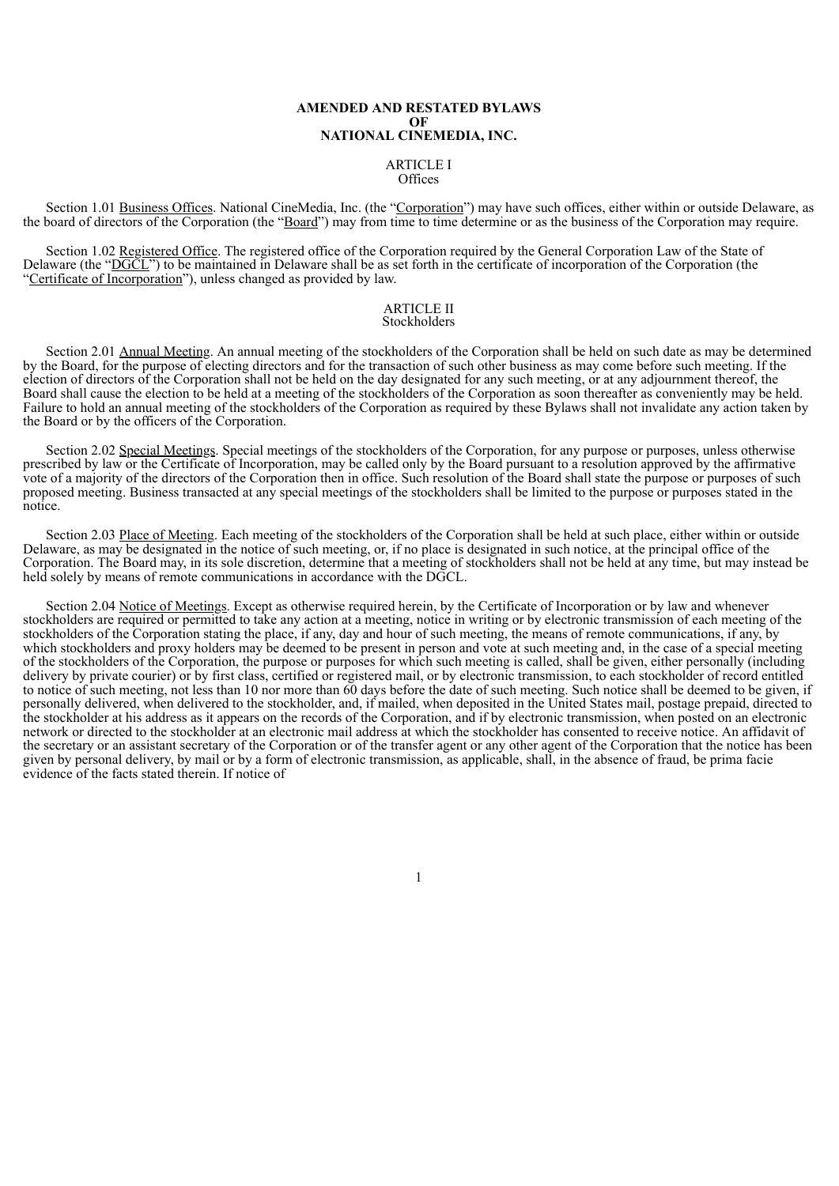# **AMENDED AND RESTATED BYLAWS OF NATIONAL CINEMEDIA, INC.**

#### ARTICLE I **Offices**

Section 1.01 Business Offices. National CineMedia, Inc. (the "Corporation") may have such offices, either within or outside Delaware, as the board of directors of the Corporation (the "Board") may from time to time determine or as the business of the Corporation may require.

Section 1.02 Registered Office. The registered office of the Corporation required by the General Corporation Law of the State of Delaware (the " $\overrightarrow{DGCL}$ ") to be maintained in Delaware shall be as set forth in the certificate of incorporation of the Corporation (the "Certificate of Incorporation"), unless changed as provided by law.

#### ARTICLE II **Stockholders**

Section 2.01 Annual Meeting. An annual meeting of the stockholders of the Corporation shall be held on such date as may be determined by the Board, for the purpose of electing directors and for the transaction of such other business as may come before such meeting. If the election of directors of the Corporation shall not be held on the day designated for any such meeting, or at any adjournment thereof, the Board shall cause the election to be held at a meeting of the stockholders of the Corporation as soon thereafter as conveniently may be held. Failure to hold an annual meeting of the stockholders of the Corporation as required by these Bylaws shall not invalidate any action taken by the Board or by the officers of the Corporation.

Section 2.02 Special Meetings. Special meetings of the stockholders of the Corporation, for any purpose or purposes, unless otherwise prescribed by law or the Certificate of Incorporation, may be called only by the Board pursuant to a resolution approved by the affirmative vote of a majority of the directors of the Corporation then in office. Such resolution of the Board shall state the purpose or purposes of such proposed meeting. Business transacted at any special meetings of the stockholders shall be limited to the purpose or purposes stated in the notice.

Section 2.03 Place of Meeting. Each meeting of the stockholders of the Corporation shall be held at such place, either within or outside Delaware, as may be designated in the notice of such meeting, or, if no place is designated in such notice, at the principal office of the Corporation. The Board may, in its sole discretion, determine that a meeting of stockholders shall not be held at any time, but may instead be held solely by means of remote communications in accordance with the DGCL.

Section 2.04 Notice of Meetings. Except as otherwise required herein, by the Certificate of Incorporation or by law and whenever stockholders are required or permitted to take any action at a meeting, notice in writing or by electronic transmission of each meeting of the stockholders of the Corporation stating the place, if any, day and hour of such meeting, the means of remote communications, if any, by which stockholders and proxy holders may be deemed to be present in person and vote at such meeting and, in the case of a special meeting of the stockholders of the Corporation, the purpose or purposes for which such meeting is called, shall be given, either personally (including delivery by private courier) or by first class, certified or registered mail, or by electronic transmission, to each stockholder of record entitled to notice of such meeting, not less than 10 nor more than 60 days before the date of such meeting. Such notice shall be deemed to be given, if personally delivered, when delivered to the stockholder, and, if mailed, when deposited in the United States mail, postage prepaid, directed to the stockholder at his address as it appears on the records of the Corporation, and if by electronic transmission, when posted on an electronic network or directed to the stockholder at an electronic mail address at which the stockholder has consented to receive notice. An affidavit of the secretary or an assistant secretary of the Corporation or of the transfer agent or any other agent of the Corporation that the notice has been given by personal delivery, by mail or by a form of electronic transmission, as applicable, shall, in the absence of fraud, be prima facie evidence of the facts stated therein. If notice of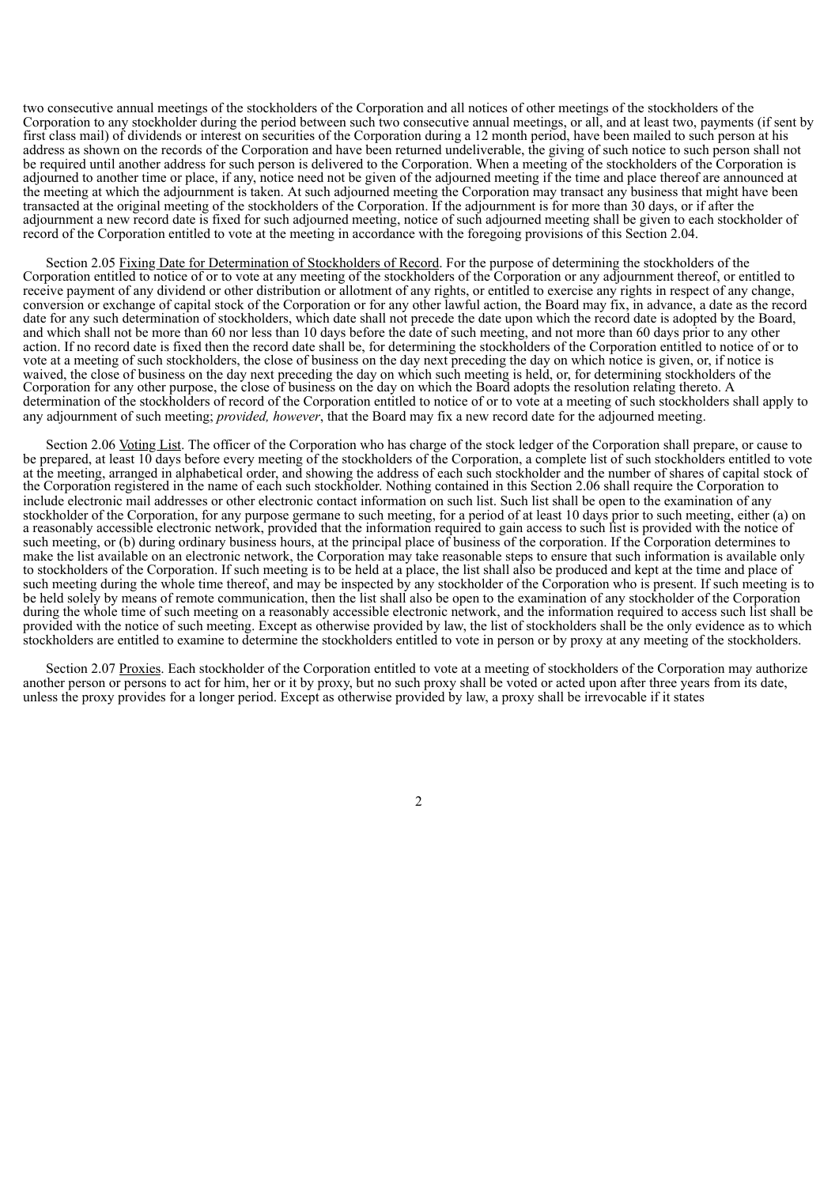two consecutive annual meetings of the stockholders of the Corporation and all notices of other meetings of the stockholders of the Corporation to any stockholder during the period between such two consecutive annual meetings, or all, and at least two, payments (if sent by first class mail) of dividends or interest on securities of the Corporation during a 12 month period, have been mailed to such person at his address as shown on the records of the Corporation and have been returned undeliverable, the giving of such notice to such person shall not be required until another address for such person is delivered to the Corporation. When a meeting of the stockholders of the Corporation is adjourned to another time or place, if any, notice need not be given of the adjourned meeting if the time and place thereof are announced at the meeting at which the adjournment is taken. At such adjourned meeting the Corporation may transact any business that might have been transacted at the original meeting of the stockholders of the Corporation. If the adjournment is for more than 30 days, or if after the adjournment a new record date is fixed for such adjourned meeting, notice of such adjourned meeting shall be given to each stockholder of record of the Corporation entitled to vote at the meeting in accordance with the foregoing provisions of this Section 2.04.

Section 2.05 Fixing Date for Determination of Stockholders of Record. For the purpose of determining the stockholders of the Corporation entitled to notice of or to vote at any meeting of the stockholders of the Corporation or any adjournment thereof, or entitled to receive payment of any dividend or other distribution or allotment of any rights, or entitled to exercise any rights in respect of any change, conversion or exchange of capital stock of the Corporation or for any other lawful action, the Board may fix, in advance, a date as the record date for any such determination of stockholders, which date shall not precede the date upon which the record date is adopted by the Board, and which shall not be more than 60 nor less than 10 days before the date of such meeting, and not more than 60 days prior to any other action. If no record date is fixed then the record date shall be, for determining the stockholders of the Corporation entitled to notice of or to vote at a meeting of such stockholders, the close of business on the day next preceding the day on which notice is given, or, if notice is waived, the close of business on the day next preceding the day on which such meeting is held, or, for determining stockholders of the Corporation for any other purpose, the close of business on the day on which the Board adopts the resolution relating thereto. A determination of the stockholders of record of the Corporation entitled to notice of or to vote at a meeting of such stockholders shall apply to any adjournment of such meeting; *provided, however*, that the Board may fix a new record date for the adjourned meeting.

Section 2.06 Voting List. The officer of the Corporation who has charge of the stock ledger of the Corporation shall prepare, or cause to be prepared, at least 10 days before every meeting of the stockholders of the Corporation, a complete list of such stockholders entitled to vote at the meeting, arranged in alphabetical order, and showing the address of each such stockholder and the number of shares of capital stock of the Corporation registered in the name of each such stockholder. Nothing contained in this Section 2.06 shall require the Corporation to include electronic mail addresses or other electronic contact information on such list. Such list shall be open to the examination of any stockholder of the Corporation, for any purpose germane to such meeting, for a period of at least 10 days prior to such meeting, either (a) on a reasonably accessible electronic network, provided that the information required to gain access to such list is provided with the notice of such meeting, or (b) during ordinary business hours, at the principal place of business of the corporation. If the Corporation determines to make the list available on an electronic network, the Corporation may take reasonable steps to ensure that such information is available only to stockholders of the Corporation. If such meeting is to be held at a place, the list shall also be produced and kept at the time and place of such meeting during the whole time thereof, and may be inspected by any stockholder of the Corporation who is present. If such meeting is to be held solely by means of remote communication, then the list shall also be open to the examination of any stockholder of the Corporation during the whole time of such meeting on a reasonably accessible electronic network, and the information required to access such list shall be provided with the notice of such meeting. Except as otherwise provided by law, the list of stockholders shall be the only evidence as to which stockholders are entitled to examine to determine the stockholders entitled to vote in person or by proxy at any meeting of the stockholders.

Section 2.07 Proxies. Each stockholder of the Corporation entitled to vote at a meeting of stockholders of the Corporation may authorize another person or persons to act for him, her or it by proxy, but no such proxy shall be voted or acted upon after three years from its date, unless the proxy provides for a longer period. Except as otherwise provided by law, a proxy shall be irrevocable if it states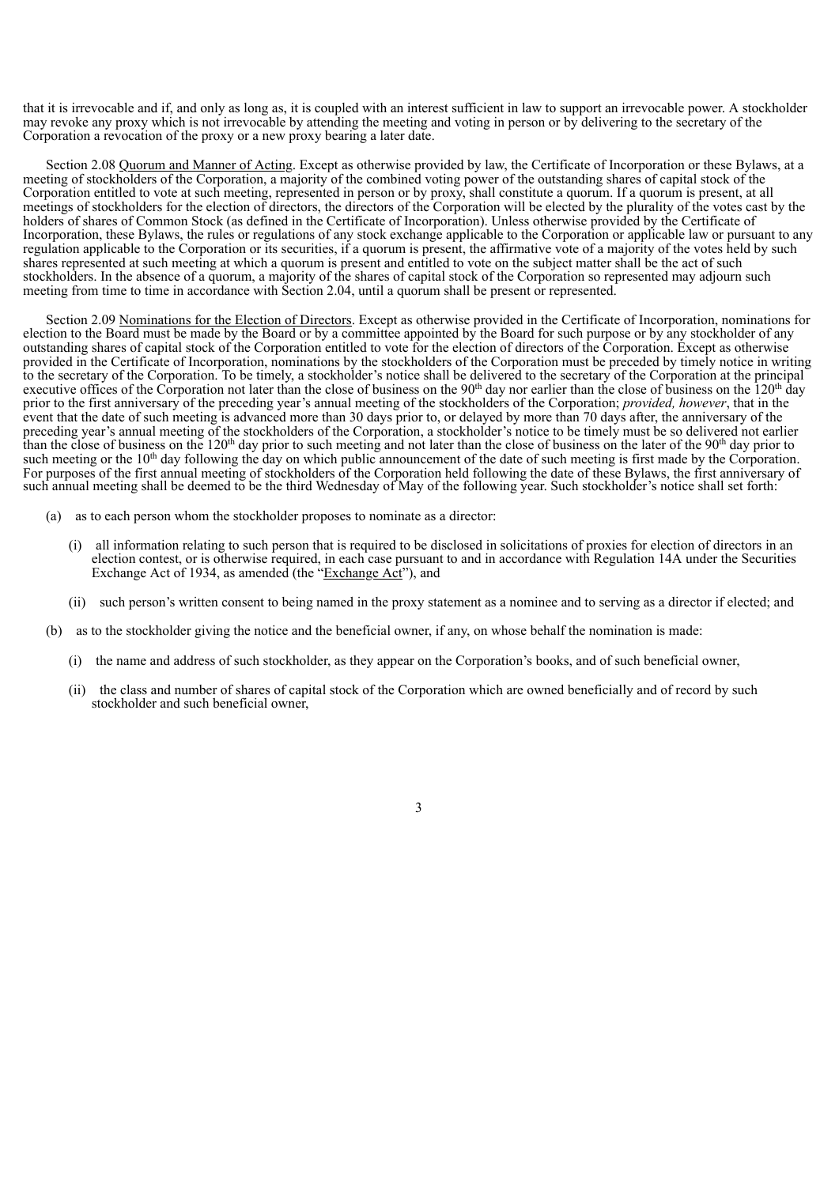that it is irrevocable and if, and only as long as, it is coupled with an interest sufficient in law to support an irrevocable power. A stockholder may revoke any proxy which is not irrevocable by attending the meeting and voting in person or by delivering to the secretary of the Corporation a revocation of the proxy or a new proxy bearing a later date.

Section 2.08 Quorum and Manner of Acting. Except as otherwise provided by law, the Certificate of Incorporation or these Bylaws, at a meeting of stockholders of the Corporation, a majority of the combined voting power of the outstanding shares of capital stock of the Corporation entitled to vote at such meeting, represented in person or by proxy, shall constitute a quorum. If a quorum is present, at all meetings of stockholders for the election of directors, the directors of the Corporation will be elected by the plurality of the votes cast by the holders of shares of Common Stock (as defined in the Certificate of Incorporation). Unless otherwise provided by the Certificate of Incorporation, these Bylaws, the rules or regulations of any stock exchange applicable to the Corporation or applicable law or pursuant to any regulation applicable to the Corporation or its securities, if a quorum is present, the affirmative vote of a majority of the votes held by such shares represented at such meeting at which a quorum is present and entitled to vote on the subject matter shall be the act of such stockholders. In the absence of a quorum, a majority of the shares of capital stock of the Corporation so represented may adjourn such meeting from time to time in accordance with Section 2.04, until a quorum shall be present or represented.

Section 2.09 Nominations for the Election of Directors. Except as otherwise provided in the Certificate of Incorporation, nominations for election to the Board must be made by the Board or by a committee appointed by the Board for such purpose or by any stockholder of any outstanding shares of capital stock of the Corporation entitled to vote for the election of directors of the Corporation. Except as otherwise provided in the Certificate of Incorporation, nominations by the stockholders of the Corporation must be preceded by timely notice in writing to the secretary of the Corporation. To be timely, a stockholder's notice shall be delivered to the secretary of the Corporation at the principal executive offices of the Corporation not later than the close of business on the 90<sup>th</sup> day nor earlier than the close of business on the  $120<sup>th</sup>$  day prior to the first anniversary of the preceding year's annual meeting of the stockholders of the Corporation; *provided, however*, that in the event that the date of such meeting is advanced more than 30 days prior to, or delayed by more than 70 days after, the anniversary of the preceding year's annual meeting of the stockholders of the Corporation, a stockholder's notice to be timely must be so delivered not earlier than the close of business on the 120<sup>th</sup> day prior to such meeting and not later than the close of business on the later of the 90<sup>th</sup> day prior to such meeting or the  $10<sup>th</sup>$  day following the day on which public announcement of the date of such meeting is first made by the Corporation. For purposes of the first annual meeting of stockholders of the Corporation held following the date of these Bylaws, the first anniversary of such annual meeting shall be deemed to be the third Wednesday of May of the following year. Such stockholder's notice shall set forth:

- (a) as to each person whom the stockholder proposes to nominate as a director:
	- (i) all information relating to such person that is required to be disclosed in solicitations of proxies for election of directors in an election contest, or is otherwise required, in each case pursuant to and in accordance with Regulation 14A under the Securities Exchange Act of 1934, as amended (the "Exchange Act"), and
	- (ii) such person's written consent to being named in the proxy statement as a nominee and to serving as a director if elected; and
- (b) as to the stockholder giving the notice and the beneficial owner, if any, on whose behalf the nomination is made:
	- (i) the name and address of such stockholder, as they appear on the Corporation's books, and of such beneficial owner,
	- (ii) the class and number of shares of capital stock of the Corporation which are owned beneficially and of record by such stockholder and such beneficial owner,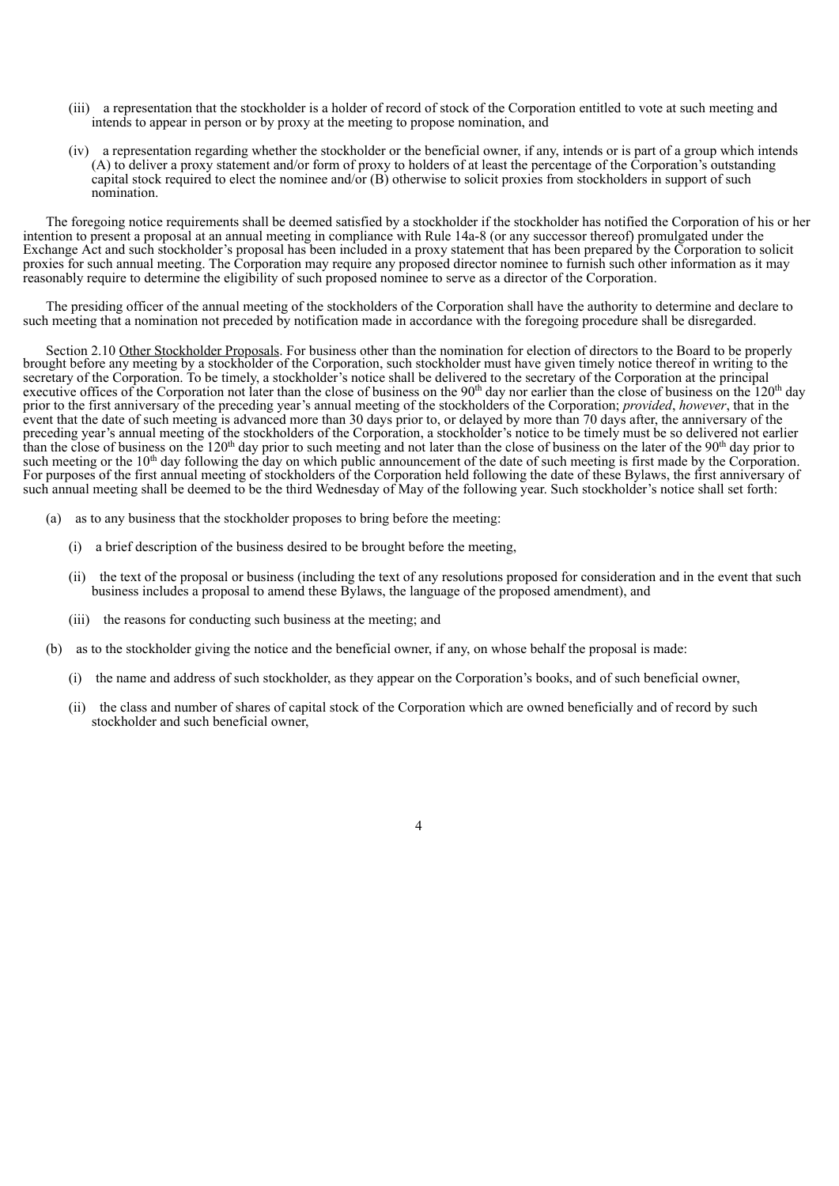- (iii) a representation that the stockholder is a holder of record of stock of the Corporation entitled to vote at such meeting and intends to appear in person or by proxy at the meeting to propose nomination, and
- (iv) a representation regarding whether the stockholder or the beneficial owner, if any, intends or is part of a group which intends (A) to deliver a proxy statement and/or form of proxy to holders of at least the percentage of the Corporation's outstanding capital stock required to elect the nominee and/or (B) otherwise to solicit proxies from stockholders in support of such nomination.

The foregoing notice requirements shall be deemed satisfied by a stockholder if the stockholder has notified the Corporation of his or her intention to present a proposal at an annual meeting in compliance with Rule 14a-8 (or any successor thereof) promulgated under the Exchange Act and such stockholder's proposal has been included in a proxy statement that has been prepared by the Corporation to solicit proxies for such annual meeting. The Corporation may require any proposed director nominee to furnish such other information as it may reasonably require to determine the eligibility of such proposed nominee to serve as a director of the Corporation.

The presiding officer of the annual meeting of the stockholders of the Corporation shall have the authority to determine and declare to such meeting that a nomination not preceded by notification made in accordance with the foregoing procedure shall be disregarded.

Section 2.10 Other Stockholder Proposals. For business other than the nomination for election of directors to the Board to be properly brought before any meeting by a stockholder of the Corporation, such stockholder must have given timely notice thereof in writing to the secretary of the Corporation. To be timely, a stockholder's notice shall be delivered to the secretary of the Corporation at the principal executive offices of the Corporation not later than the close of business on the 90<sup>th</sup> day nor earlier than the close of business on the  $120<sup>th</sup>$  day prior to the first anniversary of the preceding year's annual meeting of the stockholders of the Corporation; *provided*, *however*, that in the event that the date of such meeting is advanced more than 30 days prior to, or delayed by more than 70 days after, the anniversary of the preceding year's annual meeting of the stockholders of the Corporation, a stockholder's notice to be timely must be so delivered not earlier than the close of business on the 120<sup>th</sup> day prior to such meeting and not later than the close of business on the later of the 90<sup>th</sup> day prior to such meeting or the  $10<sup>th</sup>$  day following the day on which public announcement of the date of such meeting is first made by the Corporation. For purposes of the first annual meeting of stockholders of the Corporation held following the date of these Bylaws, the first anniversary of such annual meeting shall be deemed to be the third Wednesday of May of the following year. Such stockholder's notice shall set forth:  $^{\text{th}}$  day not earlier than the close of business on the 120<sup>th</sup>

- (a) as to any business that the stockholder proposes to bring before the meeting:
	- (i) a brief description of the business desired to be brought before the meeting,
	- (ii) the text of the proposal or business (including the text of any resolutions proposed for consideration and in the event that such business includes a proposal to amend these Bylaws, the language of the proposed amendment), and
	- (iii) the reasons for conducting such business at the meeting; and
- (b) as to the stockholder giving the notice and the beneficial owner, if any, on whose behalf the proposal is made:
	- (i) the name and address of such stockholder, as they appear on the Corporation's books, and of such beneficial owner,
	- (ii) the class and number of shares of capital stock of the Corporation which are owned beneficially and of record by such stockholder and such beneficial owner,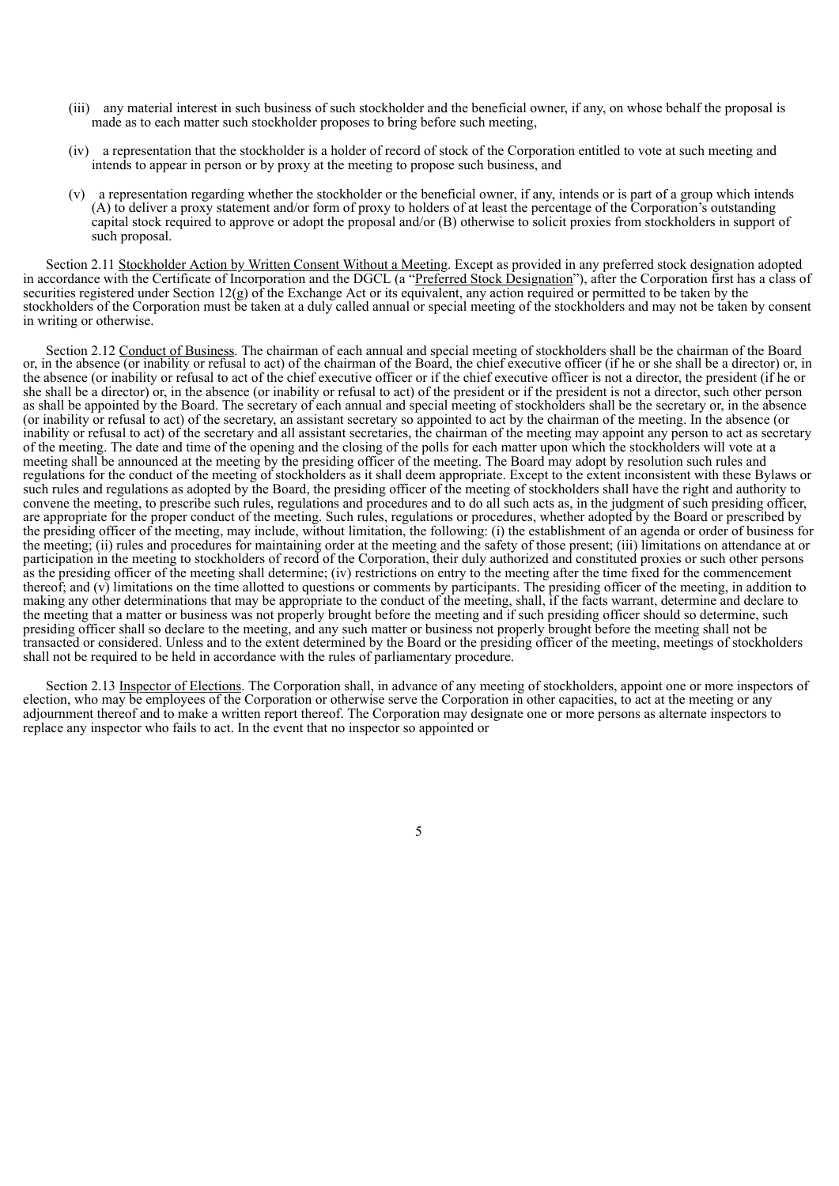- (iii) any material interest in such business of such stockholder and the beneficial owner, if any, on whose behalf the proposal is made as to each matter such stockholder proposes to bring before such meeting,
- (iv) a representation that the stockholder is a holder of record of stock of the Corporation entitled to vote at such meeting and intends to appear in person or by proxy at the meeting to propose such business, and
- (v) a representation regarding whether the stockholder or the beneficial owner, if any, intends or is part of a group which intends (A) to deliver a proxy statement and/or form of proxy to holders of at least the percentage of the Corporation's outstanding capital stock required to approve or adopt the proposal and/or (B) otherwise to solicit proxies from stockholders in support of such proposal.

Section 2.11 Stockholder Action by Written Consent Without a Meeting. Except as provided in any preferred stock designation adopted in accordance with the Certificate of Incorporation and the DGCL (a "Preferred Stock Designation"), after the Corporation first has a class of securities registered under Section 12(g) of the Exchange Act or its equivalent, any action required or permitted to be taken by the stockholders of the Corporation must be taken at a duly called annual or special meeting of the stockholders and may not be taken by consent in writing or otherwise.

Section 2.12 Conduct of Business. The chairman of each annual and special meeting of stockholders shall be the chairman of the Board or, in the absence (or inability or refusal to act) of the chairman of the Board, the chief executive officer (if he or she shall be a director) or, in the absence (or inability or refusal to act of the chief executive officer or if the chief executive officer is not a director, the president (if he or she shall be a director) or, in the absence (or inability or refusal to act) of the president or if the president is not a director, such other person as shall be appointed by the Board. The secretary of each annual and special meeting of stockholders shall be the secretary or, in the absence (or inability or refusal to act) of the secretary, an assistant secretary so appointed to act by the chairman of the meeting. In the absence (or inability or refusal to act) of the secretary and all assistant secretaries, the chairman of the meeting may appoint any person to act as secretary of the meeting. The date and time of the opening and the closing of the polls for each matter upon which the stockholders will vote at a meeting shall be announced at the meeting by the presiding officer of the meeting. The Board may adopt by resolution such rules and regulations for the conduct of the meeting of stockholders as it shall deem appropriate. Except to the extent inconsistent with these Bylaws or such rules and regulations as adopted by the Board, the presiding officer of the meeting of stockholders shall have the right and authority to convene the meeting, to prescribe such rules, regulations and procedures and to do all such acts as, in the judgment of such presiding officer, are appropriate for the proper conduct of the meeting. Such rules, regulations or procedures, whether adopted by the Board or prescribed by the presiding officer of the meeting, may include, without limitation, the following: (i) the establishment of an agenda or order of business for the meeting; (ii) rules and procedures for maintaining order at the meeting and the safety of those present; (iii) limitations on attendance at or participation in the meeting to stockholders of record of the Corporation, their duly authorized and constituted proxies or such other persons as the presiding officer of the meeting shall determine; (iv) restrictions on entry to the meeting after the time fixed for the commencement thereof; and (v) limitations on the time allotted to questions or comments by participants. The presiding officer of the meeting, in addition to making any other determinations that may be appropriate to the conduct of the meeting, shall, if the facts warrant, determine and declare to the meeting that a matter or business was not properly brought before the meeting and if such presiding officer should so determine, such presiding officer shall so declare to the meeting, and any such matter or business not properly brought before the meeting shall not be transacted or considered. Unless and to the extent determined by the Board or the presiding officer of the meeting, meetings of stockholders shall not be required to be held in accordance with the rules of parliamentary procedure.

Section 2.13 Inspector of Elections. The Corporation shall, in advance of any meeting of stockholders, appoint one or more inspectors of election, who may be employees of the Corporation or otherwise serve the Corporation in other capacities, to act at the meeting or any adjournment thereof and to make a written report thereof. The Corporation may designate one or more persons as alternate inspectors to replace any inspector who fails to act. In the event that no inspector so appointed or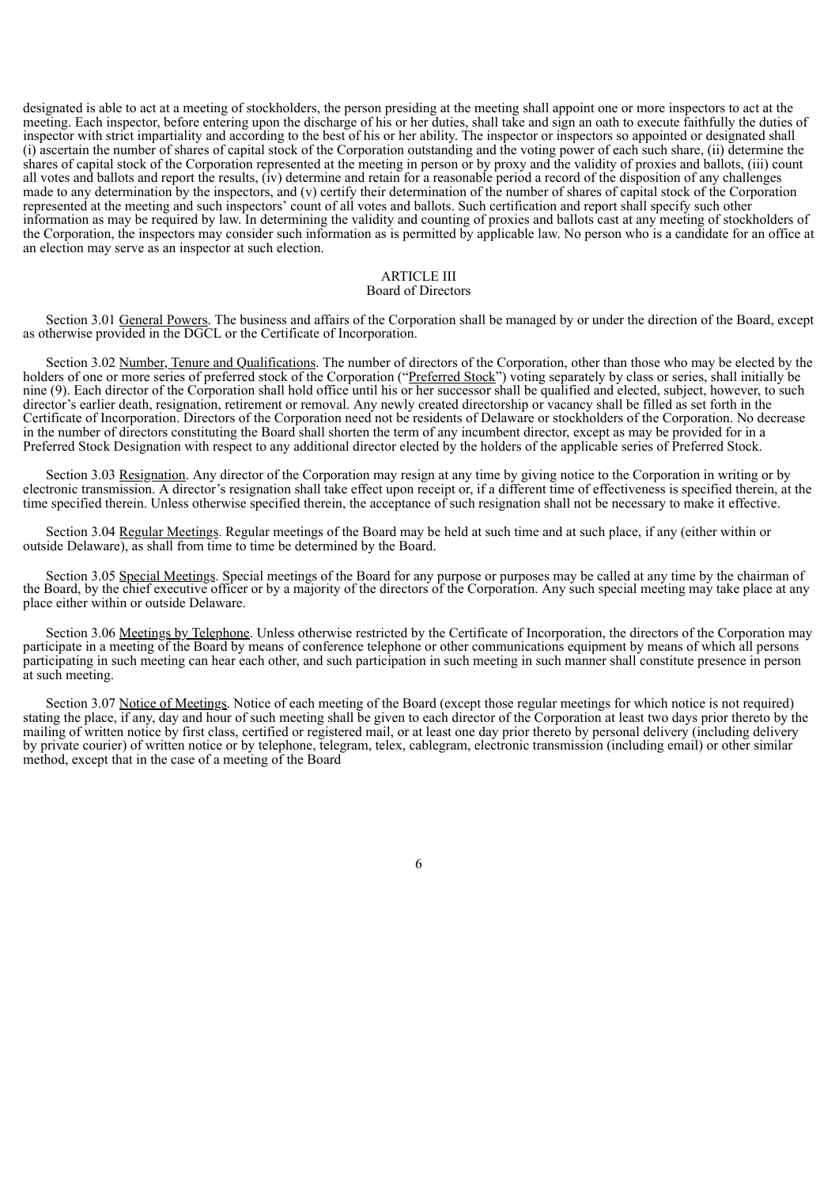designated is able to act at a meeting of stockholders, the person presiding at the meeting shall appoint one or more inspectors to act at the meeting. Each inspector, before entering upon the discharge of his or her duties, shall take and sign an oath to execute faithfully the duties of inspector with strict impartiality and according to the best of his or her ability. The inspector or inspectors so appointed or designated shall (i) ascertain the number of shares of capital stock of the Corporation outstanding and the voting power of each such share, (ii) determine the shares of capital stock of the Corporation represented at the meeting in person or by proxy and the validity of proxies and ballots, (iii) count all votes and ballots and report the results, (iv) determine and retain for a reasonable period a record of the disposition of any challenges made to any determination by the inspectors, and (v) certify their determination of the number of shares of capital stock of the Corporation represented at the meeting and such inspectors' count of all votes and ballots. Such certification and report shall specify such other information as may be required by law. In determining the validity and counting of proxies and ballots cast at any meeting of stockholders of the Corporation, the inspectors may consider such information as is permitted by applicable law. No person who is a candidate for an office at an election may serve as an inspector at such election.

#### ARTICLE III Board of Directors

Section 3.01 General Powers. The business and affairs of the Corporation shall be managed by or under the direction of the Board, except as otherwise provided in the DGCL or the Certificate of Incorporation.

Section 3.02 Number, Tenure and Qualifications. The number of directors of the Corporation, other than those who may be elected by the holders of one or more series of preferred stock of the Corporation ("Preferred Stock") voting separately by class or series, shall initially be nine (9). Each director of the Corporation shall hold office until his or her successor shall be qualified and elected, subject, however, to such director's earlier death, resignation, retirement or removal. Any newly created directorship or vacancy shall be filled as set forth in the Certificate of Incorporation. Directors of the Corporation need not be residents of Delaware or stockholders of the Corporation. No decrease in the number of directors constituting the Board shall shorten the term of any incumbent director, except as may be provided for in a Preferred Stock Designation with respect to any additional director elected by the holders of the applicable series of Preferred Stock.

Section 3.03 Resignation. Any director of the Corporation may resign at any time by giving notice to the Corporation in writing or by electronic transmission. A director's resignation shall take effect upon receipt or, if a different time of effectiveness is specified therein, at the time specified therein. Unless otherwise specified therein, the acceptance of such resignation shall not be necessary to make it effective.

Section 3.04 Regular Meetings. Regular meetings of the Board may be held at such time and at such place, if any (either within or outside Delaware), as shall from time to time be determined by the Board.

Section 3.05 Special Meetings. Special meetings of the Board for any purpose or purposes may be called at any time by the chairman of the Board, by the chief executive officer or by a majority of the directors of the Corporation. Any such special meeting may take place at any place either within or outside Delaware.

Section 3.06 Meetings by Telephone. Unless otherwise restricted by the Certificate of Incorporation, the directors of the Corporation may participate in a meeting of the Board by means of conference telephone or other communications equipment by means of which all persons participating in such meeting can hear each other, and such participation in such meeting in such manner shall constitute presence in person at such meeting.

Section 3.07 Notice of Meetings. Notice of each meeting of the Board (except those regular meetings for which notice is not required) stating the place, if any, day and hour of such meeting shall be given to each director of the Corporation at least two days prior thereto by the mailing of written notice by first class, certified or registered mail, or at least one day prior thereto by personal delivery (including delivery by private courier) of written notice or by telephone, telegram, telex, cablegram, electronic transmission (including email) or other similar method, except that in the case of a meeting of the Board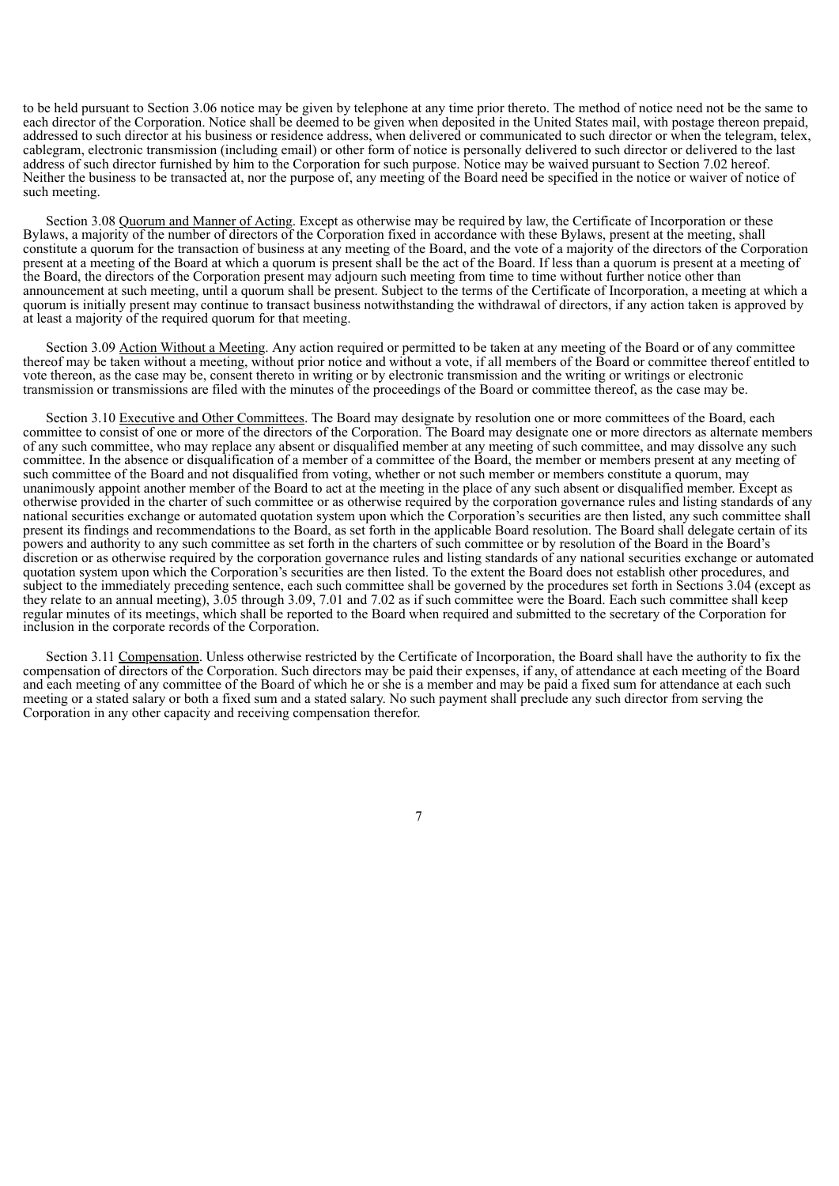to be held pursuant to Section 3.06 notice may be given by telephone at any time prior thereto. The method of notice need not be the same to each director of the Corporation. Notice shall be deemed to be given when deposited in the United States mail, with postage thereon prepaid, addressed to such director at his business or residence address, when delivered or communicated to such director or when the telegram, telex, cablegram, electronic transmission (including email) or other form of notice is personally delivered to such director or delivered to the last address of such director furnished by him to the Corporation for such purpose. Notice may be waived pursuant to Section 7.02 hereof. Neither the business to be transacted at, nor the purpose of, any meeting of the Board need be specified in the notice or waiver of notice of such meeting.

Section 3.08 Quorum and Manner of Acting. Except as otherwise may be required by law, the Certificate of Incorporation or these Bylaws, a majority of the number of directors of the Corporation fixed in accordance with these Bylaws, present at the meeting, shall constitute a quorum for the transaction of business at any meeting of the Board, and the vote of a majority of the directors of the Corporation present at a meeting of the Board at which a quorum is present shall be the act of the Board. If less than a quorum is present at a meeting of the Board, the directors of the Corporation present may adjourn such meeting from time to time without further notice other than announcement at such meeting, until a quorum shall be present. Subject to the terms of the Certificate of Incorporation, a meeting at which a quorum is initially present may continue to transact business notwithstanding the withdrawal of directors, if any action taken is approved by at least a majority of the required quorum for that meeting.

Section 3.09 Action Without a Meeting. Any action required or permitted to be taken at any meeting of the Board or of any committee thereof may be taken without a meeting, without prior notice and without a vote, if all members of the Board or committee thereof entitled to vote thereon, as the case may be, consent thereto in writing or by electronic transmission and the writing or writings or electronic transmission or transmissions are filed with the minutes of the proceedings of the Board or committee thereof, as the case may be.

Section 3.10 Executive and Other Committees. The Board may designate by resolution one or more committees of the Board, each committee to consist of one or more of the directors of the Corporation. The Board may designate one or more directors as alternate members of any such committee, who may replace any absent or disqualified member at any meeting of such committee, and may dissolve any such committee. In the absence or disqualification of a member of a committee of the Board, the member or members present at any meeting of such committee of the Board and not disqualified from voting, whether or not such member or members constitute a quorum, may unanimously appoint another member of the Board to act at the meeting in the place of any such absent or disqualified member. Except as otherwise provided in the charter of such committee or as otherwise required by the corporation governance rules and listing standards of any national securities exchange or automated quotation system upon which the Corporation's securities are then listed, any such committee shall present its findings and recommendations to the Board, as set forth in the applicable Board resolution. The Board shall delegate certain of its powers and authority to any such committee as set forth in the charters of such committee or by resolution of the Board in the Board's discretion or as otherwise required by the corporation governance rules and listing standards of any national securities exchange or automated quotation system upon which the Corporation's securities are then listed. To the extent the Board does not establish other procedures, and subject to the immediately preceding sentence, each such committee shall be governed by the procedures set forth in Sections 3.04 (except as they relate to an annual meeting), 3.05 through 3.09, 7.01 and 7.02 as if such committee were the Board. Each such committee shall keep regular minutes of its meetings, which shall be reported to the Board when required and submitted to the secretary of the Corporation for inclusion in the corporate records of the Corporation.

Section 3.11 Compensation. Unless otherwise restricted by the Certificate of Incorporation, the Board shall have the authority to fix the compensation of directors of the Corporation. Such directors may be paid their expenses, if any, of attendance at each meeting of the Board and each meeting of any committee of the Board of which he or she is a member and may be paid a fixed sum for attendance at each such meeting or a stated salary or both a fixed sum and a stated salary. No such payment shall preclude any such director from serving the Corporation in any other capacity and receiving compensation therefor.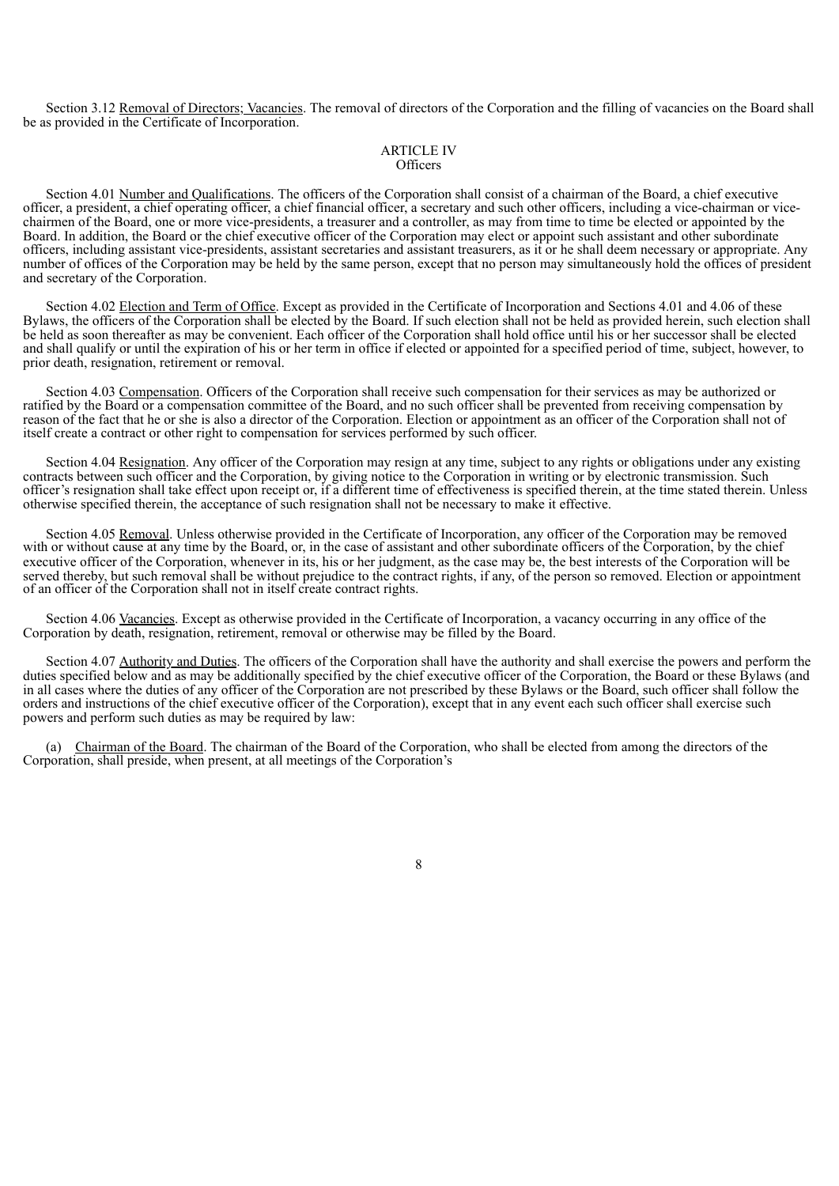Section 3.12 Removal of Directors; Vacancies. The removal of directors of the Corporation and the filling of vacancies on the Board shall be as provided in the Certificate of Incorporation.

## ARTICLE IV **Officers**

Section 4.01 Number and Qualifications. The officers of the Corporation shall consist of a chairman of the Board, a chief executive officer, a president, a chief operating officer, a chief financial officer, a secretary and such other officers, including a vice-chairman or vicechairmen of the Board, one or more vice-presidents, a treasurer and a controller, as may from time to time be elected or appointed by the Board. In addition, the Board or the chief executive officer of the Corporation may elect or appoint such assistant and other subordinate officers, including assistant vice-presidents, assistant secretaries and assistant treasurers, as it or he shall deem necessary or appropriate. Any number of offices of the Corporation may be held by the same person, except that no person may simultaneously hold the offices of president and secretary of the Corporation.

Section 4.02 Election and Term of Office. Except as provided in the Certificate of Incorporation and Sections 4.01 and 4.06 of these Bylaws, the officers of the Corporation shall be elected by the Board. If such election shall not be held as provided herein, such election shall be held as soon thereafter as may be convenient. Each officer of the Corporation shall hold office until his or her successor shall be elected and shall qualify or until the expiration of his or her term in office if elected or appointed for a specified period of time, subject, however, to prior death, resignation, retirement or removal.

Section 4.03 Compensation. Officers of the Corporation shall receive such compensation for their services as may be authorized or ratified by the Board or a compensation committee of the Board, and no such officer shall be prevented from receiving compensation by reason of the fact that he or she is also a director of the Corporation. Election or appointment as an officer of the Corporation shall not of itself create a contract or other right to compensation for services performed by such officer.

Section 4.04 Resignation. Any officer of the Corporation may resign at any time, subject to any rights or obligations under any existing contracts between such officer and the Corporation, by giving notice to the Corporation in writing or by electronic transmission. Such officer's resignation shall take effect upon receipt or, if a different time of effectiveness is specified therein, at the time stated therein. Unless otherwise specified therein, the acceptance of such resignation shall not be necessary to make it effective.

Section 4.05 Removal. Unless otherwise provided in the Certificate of Incorporation, any officer of the Corporation may be removed with or without cause at any time by the Board, or, in the case of assistant and other subordinate officers of the Corporation, by the chief executive officer of the Corporation, whenever in its, his or her judgment, as the case may be, the best interests of the Corporation will be served thereby, but such removal shall be without prejudice to the contract rights, if any, of the person so removed. Election or appointment of an officer of the Corporation shall not in itself create contract rights.

Section 4.06 Vacancies. Except as otherwise provided in the Certificate of Incorporation, a vacancy occurring in any office of the Corporation by death, resignation, retirement, removal or otherwise may be filled by the Board.

Section 4.07 Authority and Duties. The officers of the Corporation shall have the authority and shall exercise the powers and perform the duties specified below and as may be additionally specified by the chief executive officer of the Corporation, the Board or these Bylaws (and in all cases where the duties of any officer of the Corporation are not prescribed by these Bylaws or the Board, such officer shall follow the orders and instructions of the chief executive officer of the Corporation), except that in any event each such officer shall exercise such powers and perform such duties as may be required by law:

(a) Chairman of the Board. The chairman of the Board of the Corporation, who shall be elected from among the directors of the Corporation, shall preside, when present, at all meetings of the Corporation's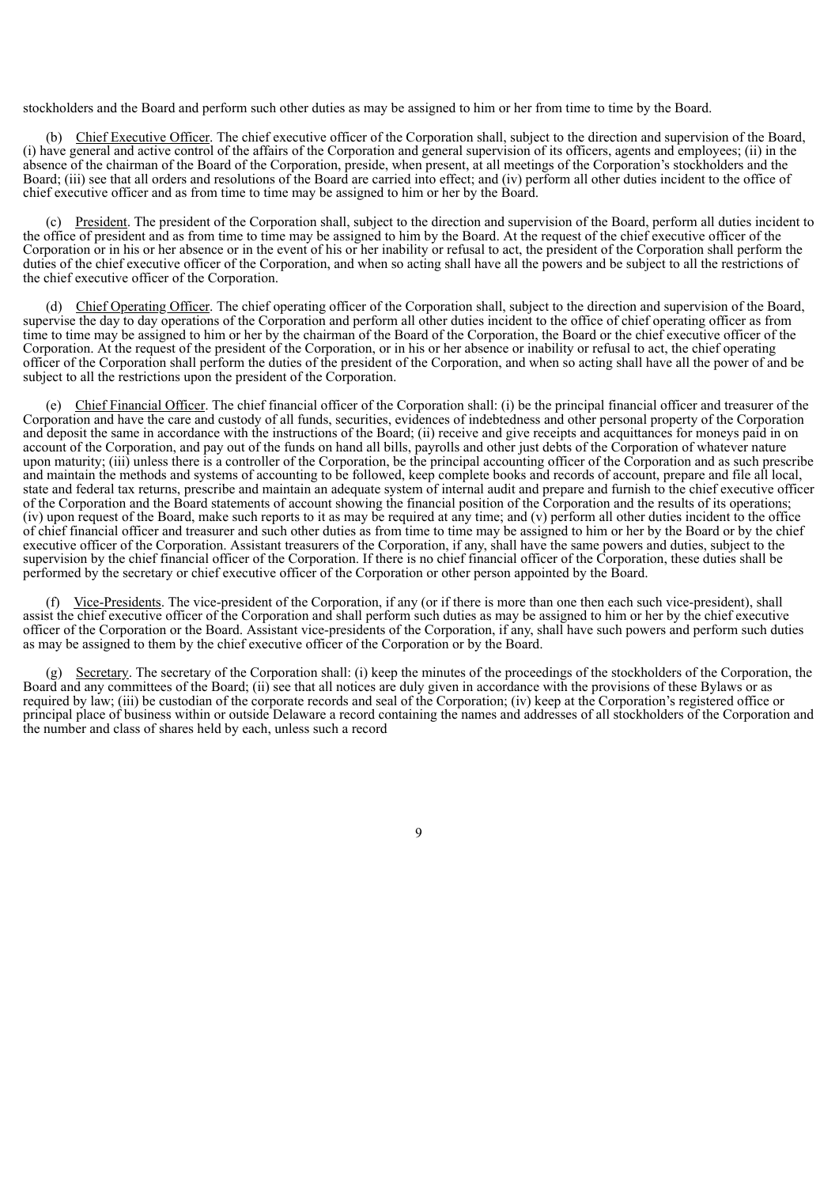stockholders and the Board and perform such other duties as may be assigned to him or her from time to time by the Board.

(b) Chief Executive Officer. The chief executive officer of the Corporation shall, subject to the direction and supervision of the Board, (i) have general and active control of the affairs of the Corporation and general supervision of its officers, agents and employees; (ii) in the absence of the chairman of the Board of the Corporation, preside, when present, at all meetings of the Corporation's stockholders and the Board; (iii) see that all orders and resolutions of the Board are carried into effect; and (iv) perform all other duties incident to the office of chief executive officer and as from time to time may be assigned to him or her by the Board.

(c) President. The president of the Corporation shall, subject to the direction and supervision of the Board, perform all duties incident to the office of president and as from time to time may be assigned to him by the Board. At the request of the chief executive officer of the Corporation or in his or her absence or in the event of his or her inability or refusal to act, the president of the Corporation shall perform the duties of the chief executive officer of the Corporation, and when so acting shall have all the powers and be subject to all the restrictions of the chief executive officer of the Corporation.

(d) Chief Operating Officer. The chief operating officer of the Corporation shall, subject to the direction and supervision of the Board, supervise the day to day operations of the Corporation and perform all other duties incident to the office of chief operating officer as from time to time may be assigned to him or her by the chairman of the Board of the Corporation, the Board or the chief executive officer of the Corporation. At the request of the president of the Corporation, or in his or her absence or inability or refusal to act, the chief operating officer of the Corporation shall perform the duties of the president of the Corporation, and when so acting shall have all the power of and be subject to all the restrictions upon the president of the Corporation.

(e) Chief Financial Officer. The chief financial officer of the Corporation shall: (i) be the principal financial officer and treasurer of the Corporation and have the care and custody of all funds, securities, evidences of indebtedness and other personal property of the Corporation and deposit the same in accordance with the instructions of the Board; (ii) receive and give receipts and acquittances for moneys paid in on account of the Corporation, and pay out of the funds on hand all bills, payrolls and other just debts of the Corporation of whatever nature upon maturity; (iii) unless there is a controller of the Corporation, be the principal accounting officer of the Corporation and as such prescribe and maintain the methods and systems of accounting to be followed, keep complete books and records of account, prepare and file all local, state and federal tax returns, prescribe and maintain an adequate system of internal audit and prepare and furnish to the chief executive officer of the Corporation and the Board statements of account showing the financial position of the Corporation and the results of its operations; (iv) upon request of the Board, make such reports to it as may be required at any time; and (v) perform all other duties incident to the office of chief financial officer and treasurer and such other duties as from time to time may be assigned to him or her by the Board or by the chief executive officer of the Corporation. Assistant treasurers of the Corporation, if any, shall have the same powers and duties, subject to the supervision by the chief financial officer of the Corporation. If there is no chief financial officer of the Corporation, these duties shall be performed by the secretary or chief executive officer of the Corporation or other person appointed by the Board.

(f) Vice-Presidents. The vice-president of the Corporation, if any (or if there is more than one then each such vice-president), shall assist the chief executive officer of the Corporation and shall perform such duties as may be assigned to him or her by the chief executive officer of the Corporation or the Board. Assistant vice-presidents of the Corporation, if any, shall have such powers and perform such duties as may be assigned to them by the chief executive officer of the Corporation or by the Board.

(g) Secretary. The secretary of the Corporation shall: (i) keep the minutes of the proceedings of the stockholders of the Corporation, the Board and any committees of the Board; (ii) see that all notices are duly given in accordance with the provisions of these Bylaws or as required by law; (iii) be custodian of the corporate records and seal of the Corporation; (iv) keep at the Corporation's registered office or principal place of business within or outside Delaware a record containing the names and addresses of all stockholders of the Corporation and the number and class of shares held by each, unless such a record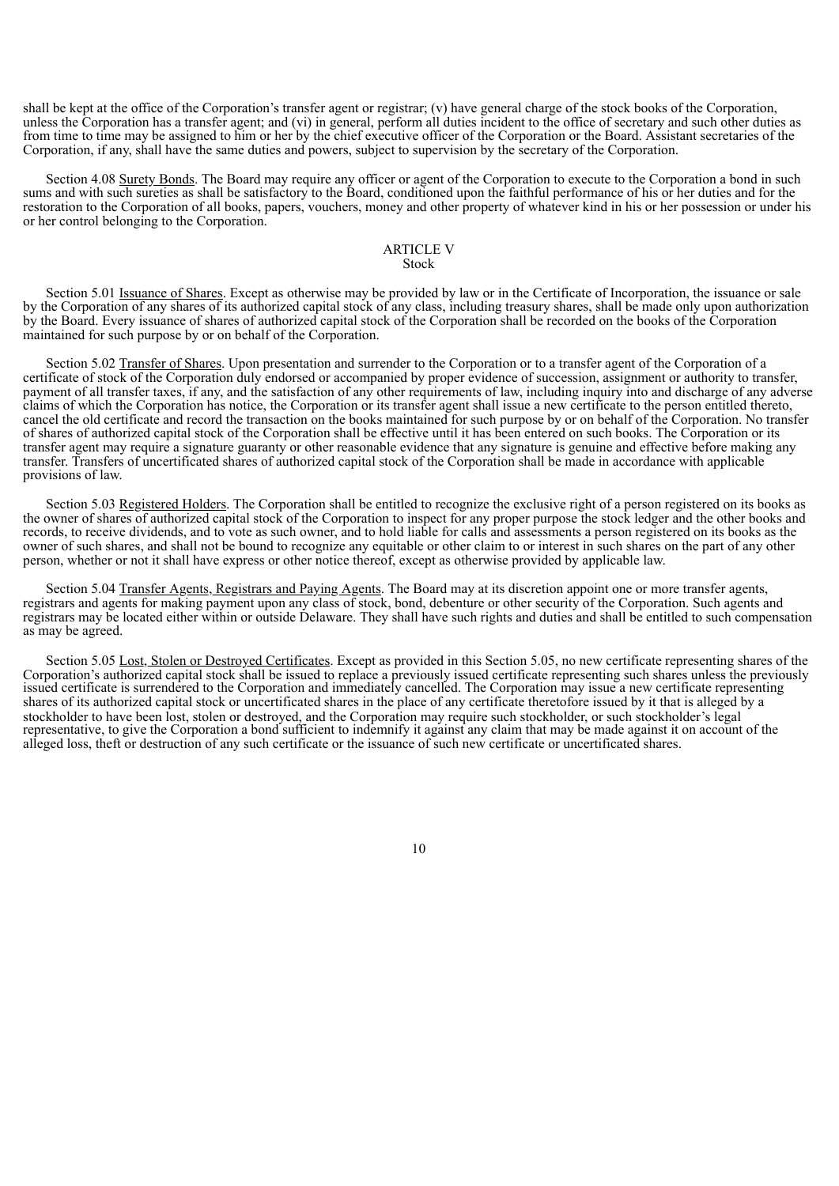shall be kept at the office of the Corporation's transfer agent or registrar; (v) have general charge of the stock books of the Corporation, unless the Corporation has a transfer agent; and (vi) in general, perform all duties incident to the office of secretary and such other duties as from time to time may be assigned to him or her by the chief executive officer of the Corporation or the Board. Assistant secretaries of the Corporation, if any, shall have the same duties and powers, subject to supervision by the secretary of the Corporation.

Section 4.08 Surety Bonds. The Board may require any officer or agent of the Corporation to execute to the Corporation a bond in such sums and with such sureties as shall be satisfactory to the Board, conditioned upon the faithful performance of his or her duties and for the restoration to the Corporation of all books, papers, vouchers, money and other property of whatever kind in his or her possession or under his or her control belonging to the Corporation.

#### ARTICLE V Stock

Section 5.01 Issuance of Shares. Except as otherwise may be provided by law or in the Certificate of Incorporation, the issuance or sale by the Corporation of any shares of its authorized capital stock of any class, including treasury shares, shall be made only upon authorization by the Board. Every issuance of shares of authorized capital stock of the Corporation shall be recorded on the books of the Corporation maintained for such purpose by or on behalf of the Corporation.

Section 5.02 Transfer of Shares. Upon presentation and surrender to the Corporation or to a transfer agent of the Corporation of a certificate of stock of the Corporation duly endorsed or accompanied by proper evidence of succession, assignment or authority to transfer, payment of all transfer taxes, if any, and the satisfaction of any other requirements of law, including inquiry into and discharge of any adverse claims of which the Corporation has notice, the Corporation or its transfer agent shall issue a new certificate to the person entitled thereto, cancel the old certificate and record the transaction on the books maintained for such purpose by or on behalf of the Corporation. No transfer of shares of authorized capital stock of the Corporation shall be effective until it has been entered on such books. The Corporation or its transfer agent may require a signature guaranty or other reasonable evidence that any signature is genuine and effective before making any transfer. Transfers of uncertificated shares of authorized capital stock of the Corporation shall be made in accordance with applicable provisions of law.

Section 5.03 Registered Holders. The Corporation shall be entitled to recognize the exclusive right of a person registered on its books as the owner of shares of authorized capital stock of the Corporation to inspect for any proper purpose the stock ledger and the other books and records, to receive dividends, and to vote as such owner, and to hold liable for calls and assessments a person registered on its books as the owner of such shares, and shall not be bound to recognize any equitable or other claim to or interest in such shares on the part of any other person, whether or not it shall have express or other notice thereof, except as otherwise provided by applicable law.

Section 5.04 Transfer Agents, Registrars and Paying Agents. The Board may at its discretion appoint one or more transfer agents, registrars and agents for making payment upon any class of stock, bond, debenture or other security of the Corporation. Such agents and registrars may be located either within or outside Delaware. They shall have such rights and duties and shall be entitled to such compensation as may be agreed.

Section 5.05 Lost, Stolen or Destroyed Certificates. Except as provided in this Section 5.05, no new certificate representing shares of the Corporation's authorized capital stock shall be issued to replace a previously issued certificate representing such shares unless the previously issued certificate is surrendered to the Corporation and immediately cancelled. The Corporation may issue a new certificate representing shares of its authorized capital stock or uncertificated shares in the place of any certificate theretofore issued by it that is alleged by a stockholder to have been lost, stolen or destroyed, and the Corporation may require such stockholder, or such stockholder's legal representative, to give the Corporation a bond sufficient to indemnify it against any claim that may be made against it on account of the alleged loss, theft or destruction of any such certificate or the issuance of such new certificate or uncertificated shares.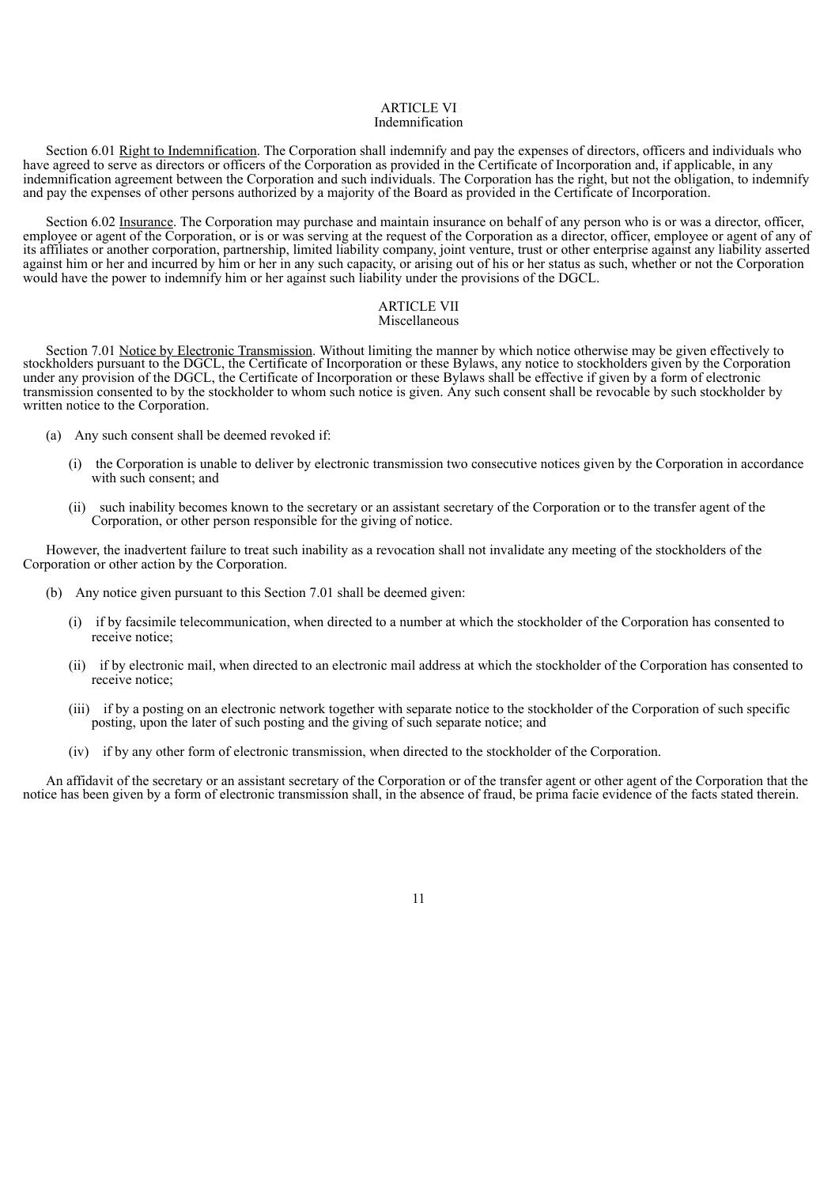#### ARTICLE VI Indemnification

Section 6.01 Right to Indemnification. The Corporation shall indemnify and pay the expenses of directors, officers and individuals who have agreed to serve as directors or officers of the Corporation as provided in the Certificate of Incorporation and, if applicable, in any indemnification agreement between the Corporation and such individuals. The Corporation has the right, but not the obligation, to indemnify and pay the expenses of other persons authorized by a majority of the Board as provided in the Certificate of Incorporation.

Section 6.02 Insurance. The Corporation may purchase and maintain insurance on behalf of any person who is or was a director, officer, employee or agent of the Corporation, or is or was serving at the request of the Corporation as a director, officer, employee or agent of any of its affiliates or another corporation, partnership, limited liability company, joint venture, trust or other enterprise against any liability asserted against him or her and incurred by him or her in any such capacity, or arising out of his or her status as such, whether or not the Corporation would have the power to indemnify him or her against such liability under the provisions of the DGCL.

#### ARTICLE VII Miscellaneous

Section 7.01 Notice by Electronic Transmission. Without limiting the manner by which notice otherwise may be given effectively to stockholders pursuant to the DGCL, the Certificate of Incorporation or these Bylaws, any notice to stockholders given by the Corporation under any provision of the DGCL, the Certificate of Incorporation or these Bylaws shall be effective if given by a form of electronic transmission consented to by the stockholder to whom such notice is given. Any such consent shall be revocable by such stockholder by written notice to the Corporation.

- (a) Any such consent shall be deemed revoked if:
	- (i) the Corporation is unable to deliver by electronic transmission two consecutive notices given by the Corporation in accordance with such consent; and
	- (ii) such inability becomes known to the secretary or an assistant secretary of the Corporation or to the transfer agent of the Corporation, or other person responsible for the giving of notice.

However, the inadvertent failure to treat such inability as a revocation shall not invalidate any meeting of the stockholders of the Corporation or other action by the Corporation.

- (b) Any notice given pursuant to this Section 7.01 shall be deemed given:
	- (i) if by facsimile telecommunication, when directed to a number at which the stockholder of the Corporation has consented to receive notice;
	- (ii) if by electronic mail, when directed to an electronic mail address at which the stockholder of the Corporation has consented to receive notice;
	- (iii) if by a posting on an electronic network together with separate notice to the stockholder of the Corporation of such specific posting, upon the later of such posting and the giving of such separate notice; and
	- (iv) if by any other form of electronic transmission, when directed to the stockholder of the Corporation.

An affidavit of the secretary or an assistant secretary of the Corporation or of the transfer agent or other agent of the Corporation that the notice has been given by a form of electronic transmission shall, in the absence of fraud, be prima facie evidence of the facts stated therein.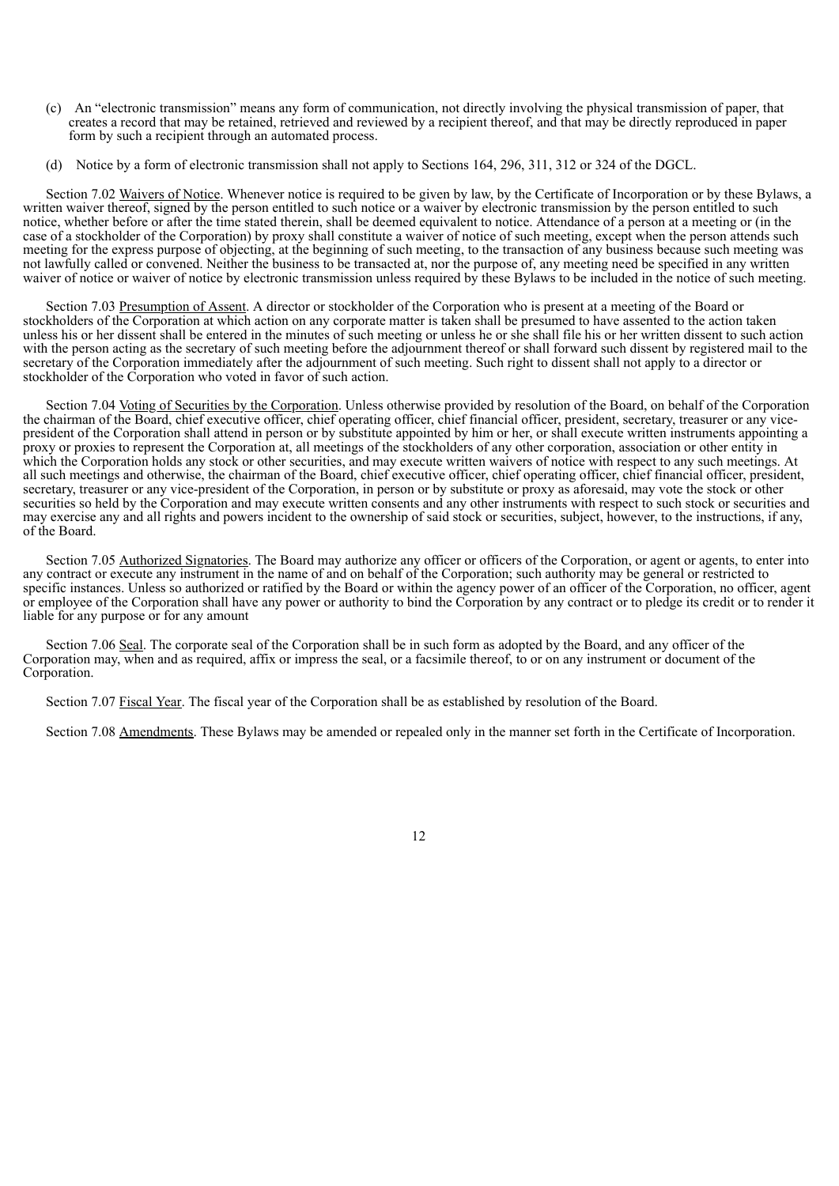- (c) An "electronic transmission" means any form of communication, not directly involving the physical transmission of paper, that creates a record that may be retained, retrieved and reviewed by a recipient thereof, and that may be directly reproduced in paper form by such a recipient through an automated process.
- (d) Notice by a form of electronic transmission shall not apply to Sections 164, 296, 311, 312 or 324 of the DGCL.

Section 7.02 Waivers of Notice. Whenever notice is required to be given by law, by the Certificate of Incorporation or by these Bylaws, a written waiver thereof, signed by the person entitled to such notice or a waiver by electronic transmission by the person entitled to such notice, whether before or after the time stated therein, shall be deemed equivalent to notice. Attendance of a person at a meeting or (in the case of a stockholder of the Corporation) by proxy shall constitute a waiver of notice of such meeting, except when the person attends such meeting for the express purpose of objecting, at the beginning of such meeting, to the transaction of any business because such meeting was not lawfully called or convened. Neither the business to be transacted at, nor the purpose of, any meeting need be specified in any written waiver of notice or waiver of notice by electronic transmission unless required by these Bylaws to be included in the notice of such meeting.

Section 7.03 Presumption of Assent. A director or stockholder of the Corporation who is present at a meeting of the Board or stockholders of the Corporation at which action on any corporate matter is taken shall be presumed to have assented to the action taken unless his or her dissent shall be entered in the minutes of such meeting or unless he or she shall file his or her written dissent to such action with the person acting as the secretary of such meeting before the adjournment thereof or shall forward such dissent by registered mail to the secretary of the Corporation immediately after the adjournment of such meeting. Such right to dissent shall not apply to a director or stockholder of the Corporation who voted in favor of such action.

Section 7.04 Voting of Securities by the Corporation. Unless otherwise provided by resolution of the Board, on behalf of the Corporation the chairman of the Board, chief executive officer, chief operating officer, chief financial officer, president, secretary, treasurer or any vicepresident of the Corporation shall attend in person or by substitute appointed by him or her, or shall execute written instruments appointing a proxy or proxies to represent the Corporation at, all meetings of the stockholders of any other corporation, association or other entity in which the Corporation holds any stock or other securities, and may execute written waivers of notice with respect to any such meetings. At all such meetings and otherwise, the chairman of the Board, chief executive officer, chief operating officer, chief financial officer, president, secretary, treasurer or any vice-president of the Corporation, in person or by substitute or proxy as aforesaid, may vote the stock or other securities so held by the Corporation and may execute written consents and any other instruments with respect to such stock or securities and may exercise any and all rights and powers incident to the ownership of said stock or securities, subject, however, to the instructions, if any, of the Board.

Section 7.05 Authorized Signatories. The Board may authorize any officer or officers of the Corporation, or agent or agents, to enter into any contract or execute any instrument in the name of and on behalf of the Corporation; such authority may be general or restricted to specific instances. Unless so authorized or ratified by the Board or within the agency power of an officer of the Corporation, no officer, agent or employee of the Corporation shall have any power or authority to bind the Corporation by any contract or to pledge its credit or to render it liable for any purpose or for any amount

Section 7.06 Seal. The corporate seal of the Corporation shall be in such form as adopted by the Board, and any officer of the Corporation may, when and as required, affix or impress the seal, or a facsimile thereof, to or on any instrument or document of the Corporation.

Section 7.07 Fiscal Year. The fiscal year of the Corporation shall be as established by resolution of the Board.

Section 7.08 Amendments. These Bylaws may be amended or repealed only in the manner set forth in the Certificate of Incorporation.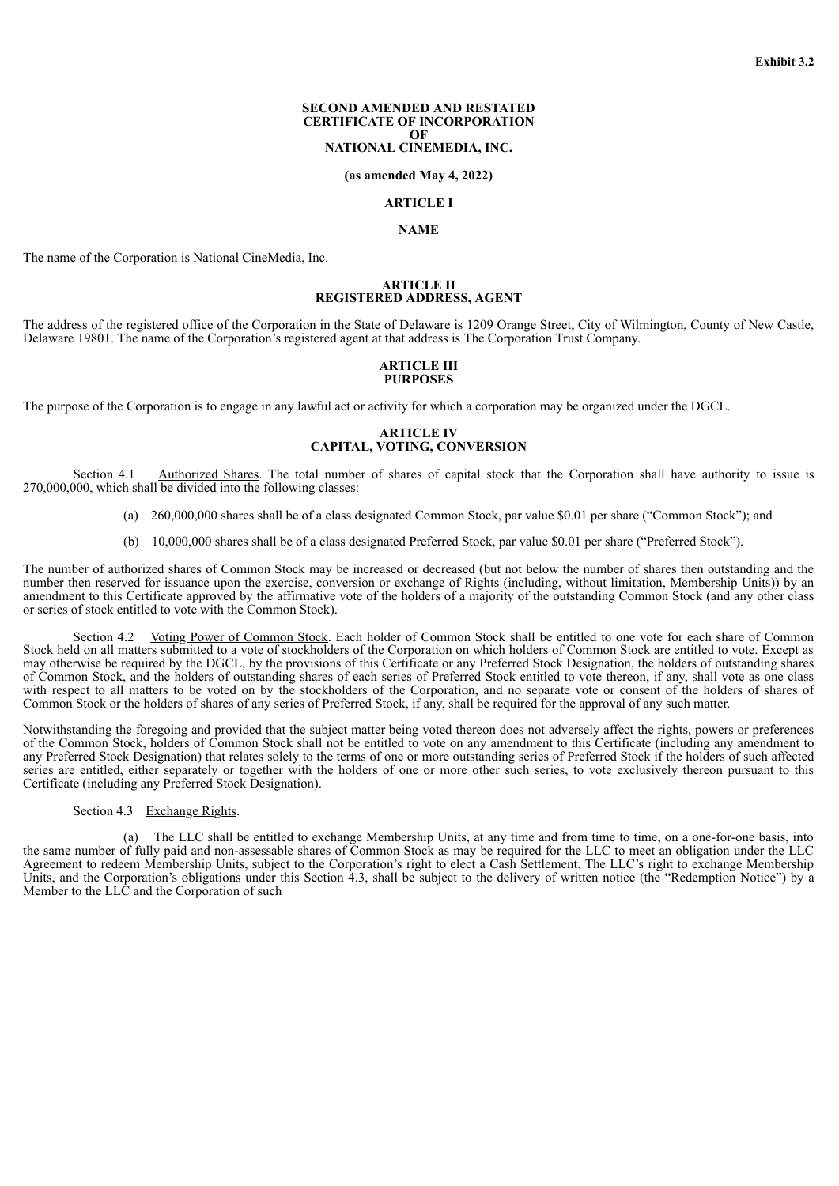#### **SECOND AMENDED AND RESTATED CERTIFICATE OF INCORPORATION OF NATIONAL CINEMEDIA, INC.**

#### **(as amended May 4, 2022)**

#### **ARTICLE I**

# **NAME**

<span id="page-53-0"></span>The name of the Corporation is National CineMedia, Inc.

# **ARTICLE II REGISTERED ADDRESS, AGENT**

The address of the registered office of the Corporation in the State of Delaware is 1209 Orange Street, City of Wilmington, County of New Castle, Delaware 19801. The name of the Corporation's registered agent at that address is The Corporation Trust Company.

#### **ARTICLE III PURPOSES**

The purpose of the Corporation is to engage in any lawful act or activity for which a corporation may be organized under the DGCL.

#### **ARTICLE IV CAPITAL, VOTING, CONVERSION**

Section 4.1 Authorized Shares. The total number of shares of capital stock that the Corporation shall have authority to issue is 270,000,000, which shall be divided into the following classes:

- (a) 260,000,000 shares shall be of a class designated Common Stock, par value \$0.01 per share ("Common Stock"); and
- (b) 10,000,000 shares shall be of a class designated Preferred Stock, par value \$0.01 per share ("Preferred Stock").

The number of authorized shares of Common Stock may be increased or decreased (but not below the number of shares then outstanding and the number then reserved for issuance upon the exercise, conversion or exchange of Rights (including, without limitation, Membership Units)) by an amendment to this Certificate approved by the affirmative vote of the holders of a majority of the outstanding Common Stock (and any other class or series of stock entitled to vote with the Common Stock).

Section 4.2 Voting Power of Common Stock. Each holder of Common Stock shall be entitled to one vote for each share of Common Stock held on all matters submitted to a vote of stockholders of the Corporation on which holders of Common Stock are entitled to vote. Except as may otherwise be required by the DGCL, by the provisions of this Certificate or any Preferred Stock Designation, the holders of outstanding shares of Common Stock, and the holders of outstanding shares of each series of Preferred Stock entitled to vote thereon, if any, shall vote as one class with respect to all matters to be voted on by the stockholders of the Corporation, and no separate vote or consent of the holders of shares of Common Stock or the holders of shares of any series of Preferred Stock, if any, shall be required for the approval of any such matter.

Notwithstanding the foregoing and provided that the subject matter being voted thereon does not adversely affect the rights, powers or preferences of the Common Stock, holders of Common Stock shall not be entitled to vote on any amendment to this Certificate (including any amendment to any Preferred Stock Designation) that relates solely to the terms of one or more outstanding series of Preferred Stock if the holders of such affected series are entitled, either separately or together with the holders of one or more other such series, to vote exclusively thereon pursuant to this Certificate (including any Preferred Stock Designation).

# Section 4.3 Exchange Rights.

(a) The LLC shall be entitled to exchange Membership Units, at any time and from time to time, on a one-for-one basis, into the same number of fully paid and non-assessable shares of Common Stock as may be required for the LLC to meet an obligation under the LLC Agreement to redeem Membership Units, subject to the Corporation's right to elect a Cash Settlement. The LLC's right to exchange Membership Units, and the Corporation's obligations under this Section 4.3, shall be subject to the delivery of written notice (the "Redemption Notice") by a Member to the LLC and the Corporation of such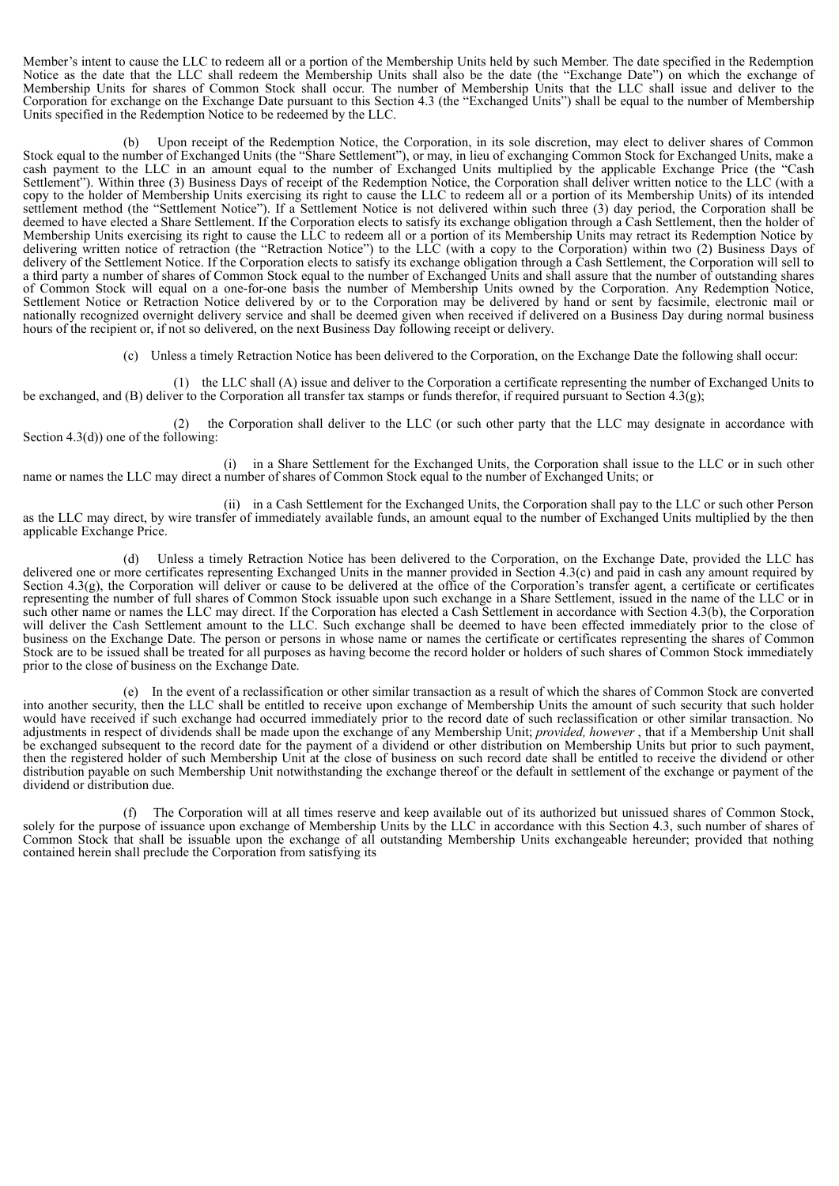Member's intent to cause the LLC to redeem all or a portion of the Membership Units held by such Member. The date specified in the Redemption Notice as the date that the LLC shall redeem the Membership Units shall also be the date (the "Exchange Date") on which the exchange of Membership Units for shares of Common Stock shall occur. The number of Membership Units that the LLC shall issue and deliver to the Corporation for exchange on the Exchange Date pursuant to this Section 4.3 (the "Exchanged Units") shall be equal to the number of Membership Units specified in the Redemption Notice to be redeemed by the LLC.

(b) Upon receipt of the Redemption Notice, the Corporation, in its sole discretion, may elect to deliver shares of Common Stock equal to the number of Exchanged Units (the "Share Settlement"), or may, in lieu of exchanging Common Stock for Exchanged Units, make a cash payment to the LLC in an amount equal to the number of Exchanged Units multiplied by the applicable Exchange Price (the "Cash Settlement"). Within three (3) Business Days of receipt of the Redemption Notice, the Corporation shall deliver written notice to the LLC (with a copy to the holder of Membership Units exercising its right to cause the LLC to redeem all or a portion of its Membership Units) of its intended settlement method (the "Settlement Notice"). If a Settlement Notice is not delivered within such three (3) day period, the Corporation shall be deemed to have elected a Share Settlement. If the Corporation elects to satisfy its exchange obligation through a Cash Settlement, then the holder of Membership Units exercising its right to cause the LLC to redeem all or a portion of its Membership Units may retract its Redemption Notice by delivering written notice of retraction (the "Retraction Notice") to the LLC (with a copy to the Corporation) within two (2) Business Days of delivery of the Settlement Notice. If the Corporation elects to satisfy its exchange obligation through a Cash Settlement, the Corporation will sell to a third party a number of shares of Common Stock equal to the number of Exchanged Units and shall assure that the number of outstanding shares of Common Stock will equal on a one-for-one basis the number of Membership Units owned by the Corporation. Any Redemption Notice, Settlement Notice or Retraction Notice delivered by or to the Corporation may be delivered by hand or sent by facsimile, electronic mail or nationally recognized overnight delivery service and shall be deemed given when received if delivered on a Business Day during normal business hours of the recipient or, if not so delivered, on the next Business Day following receipt or delivery.

(c) Unless a timely Retraction Notice has been delivered to the Corporation, on the Exchange Date the following shall occur:

(1) the LLC shall (A) issue and deliver to the Corporation a certificate representing the number of Exchanged Units to be exchanged, and (B) deliver to the Corporation all transfer tax stamps or funds therefor, if required pursuant to Section 4.3(g);

(2) the Corporation shall deliver to the LLC (or such other party that the LLC may designate in accordance with Section  $4.3(d)$ ) one of the following:

(i) in a Share Settlement for the Exchanged Units, the Corporation shall issue to the LLC or in such other name or names the LLC may direct a number of shares of Common Stock equal to the number of Exchanged Units; or

(ii) in a Cash Settlement for the Exchanged Units, the Corporation shall pay to the LLC or such other Person as the LLC may direct, by wire transfer of immediately available funds, an amount equal to the number of Exchanged Units multiplied by the then applicable Exchange Price.

(d) Unless a timely Retraction Notice has been delivered to the Corporation, on the Exchange Date, provided the LLC has delivered one or more certificates representing Exchanged Units in the manner provided in Section 4.3(c) and paid in cash any amount required by Section 4.3(g), the Corporation will deliver or cause to be delivered at the office of the Corporation's transfer agent, a certificate or certificates representing the number of full shares of Common Stock issuable upon such exchange in a Share Settlement, issued in the name of the LLC or in such other name or names the LLC may direct. If the Corporation has elected a Cash Settlement in accordance with Section 4.3(b), the Corporation will deliver the Cash Settlement amount to the LLC. Such exchange shall be deemed to have been effected immediately prior to the close of business on the Exchange Date. The person or persons in whose name or names the certificate or certificates representing the shares of Common Stock are to be issued shall be treated for all purposes as having become the record holder or holders of such shares of Common Stock immediately prior to the close of business on the Exchange Date.

(e) In the event of a reclassification or other similar transaction as a result of which the shares of Common Stock are converted into another security, then the LLC shall be entitled to receive upon exchange of Membership Units the amount of such security that such holder would have received if such exchange had occurred immediately prior to the record date of such reclassification or other similar transaction. No adjustments in respect of dividends shall be made upon the exchange of any Membership Unit; *provided, however* , that if a Membership Unit shall be exchanged subsequent to the record date for the payment of a dividend or other distribution on Membership Units but prior to such payment, then the registered holder of such Membership Unit at the close of business on such record date shall be entitled to receive the dividend or other distribution payable on such Membership Unit notwithstanding the exchange thereof or the default in settlement of the exchange or payment of the dividend or distribution due.

(f) The Corporation will at all times reserve and keep available out of its authorized but unissued shares of Common Stock, solely for the purpose of issuance upon exchange of Membership Units by the LLC in accordance with this Section 4.3, such number of shares of Common Stock that shall be issuable upon the exchange of all outstanding Membership Units exchangeable hereunder; provided that nothing contained herein shall preclude the Corporation from satisfying its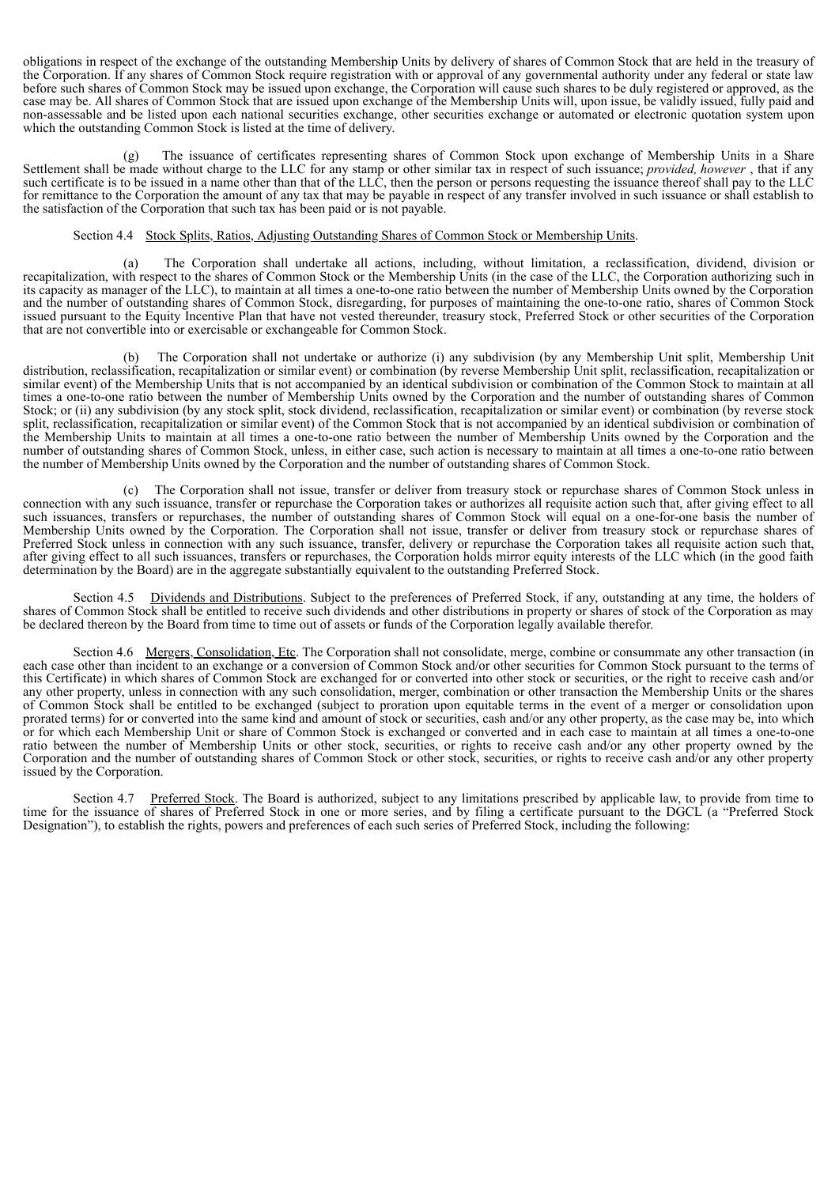obligations in respect of the exchange of the outstanding Membership Units by delivery of shares of Common Stock that are held in the treasury of the Corporation. If any shares of Common Stock require registration with or approval of any governmental authority under any federal or state law before such shares of Common Stock may be issued upon exchange, the Corporation will cause such shares to be duly registered or approved, as the case may be. All shares of Common Stock that are issued upon exchange of the Membership Units will, upon issue, be validly issued, fully paid and non-assessable and be listed upon each national securities exchange, other securities exchange or automated or electronic quotation system upon which the outstanding Common Stock is listed at the time of delivery.

(g) The issuance of certificates representing shares of Common Stock upon exchange of Membership Units in a Share Settlement shall be made without charge to the LLC for any stamp or other similar tax in respect of such issuance; *provided, however* , that if any such certificate is to be issued in a name other than that of the LLC, then the person or persons requesting the issuance thereof shall pay to the LLC for remittance to the Corporation the amount of any tax that may be payable in respect of any transfer involved in such issuance or shall establish to the satisfaction of the Corporation that such tax has been paid or is not payable.

#### Section 4.4 Stock Splits, Ratios, Adjusting Outstanding Shares of Common Stock or Membership Units.

(a) The Corporation shall undertake all actions, including, without limitation, a reclassification, dividend, division or recapitalization, with respect to the shares of Common Stock or the Membership Units (in the case of the LLC, the Corporation authorizing such in its capacity as manager of the LLC), to maintain at all times a one-to-one ratio between the number of Membership Units owned by the Corporation and the number of outstanding shares of Common Stock, disregarding, for purposes of maintaining the one-to-one ratio, shares of Common Stock issued pursuant to the Equity Incentive Plan that have not vested thereunder, treasury stock, Preferred Stock or other securities of the Corporation that are not convertible into or exercisable or exchangeable for Common Stock.

(b) The Corporation shall not undertake or authorize (i) any subdivision (by any Membership Unit split, Membership Unit distribution, reclassification, recapitalization or similar event) or combination (by reverse Membership Unit split, reclassification, recapitalization or similar event) of the Membership Units that is not accompanied by an identical subdivision or combination of the Common Stock to maintain at all times a one-to-one ratio between the number of Membership Units owned by the Corporation and the number of outstanding shares of Common Stock; or (ii) any subdivision (by any stock split, stock dividend, reclassification, recapitalization or similar event) or combination (by reverse stock split, reclassification, recapitalization or similar event) of the Common Stock that is not accompanied by an identical subdivision or combination of the Membership Units to maintain at all times a one-to-one ratio between the number of Membership Units owned by the Corporation and the number of outstanding shares of Common Stock, unless, in either case, such action is necessary to maintain at all times a one-to-one ratio between the number of Membership Units owned by the Corporation and the number of outstanding shares of Common Stock.

(c) The Corporation shall not issue, transfer or deliver from treasury stock or repurchase shares of Common Stock unless in connection with any such issuance, transfer or repurchase the Corporation takes or authorizes all requisite action such that, after giving effect to all such issuances, transfers or repurchases, the number of outstanding shares of Common Stock will equal on a one-for-one basis the number of Membership Units owned by the Corporation. The Corporation shall not issue, transfer or deliver from treasury stock or repurchase shares of Preferred Stock unless in connection with any such issuance, transfer, delivery or repurchase the Corporation takes all requisite action such that, after giving effect to all such issuances, transfers or repurchases, the Corporation holds mirror equity interests of the LLC which (in the good faith determination by the Board) are in the aggregate substantially equivalent to the outstanding Preferred Stock.

Section 4.5 Dividends and Distributions. Subject to the preferences of Preferred Stock, if any, outstanding at any time, the holders of shares of Common Stock shall be entitled to receive such dividends and other distributions in property or shares of stock of the Corporation as may be declared thereon by the Board from time to time out of assets or funds of the Corporation legally available therefor.

Section 4.6 Mergers, Consolidation, Etc. The Corporation shall not consolidate, merge, combine or consummate any other transaction (in each case other than incident to an exchange or a conversion of Common Stock and/or other securities for Common Stock pursuant to the terms of this Certificate) in which shares of Common Stock are exchanged for or converted into other stock or securities, or the right to receive cash and/or any other property, unless in connection with any such consolidation, merger, combination or other transaction the Membership Units or the shares of Common Stock shall be entitled to be exchanged (subject to proration upon equitable terms in the event of a merger or consolidation upon prorated terms) for or converted into the same kind and amount of stock or securities, cash and/or any other property, as the case may be, into which or for which each Membership Unit or share of Common Stock is exchanged or converted and in each case to maintain at all times a one-to-one ratio between the number of Membership Units or other stock, securities, or rights to receive cash and/or any other property owned by the Corporation and the number of outstanding shares of Common Stock or other stock, securities, or rights to receive cash and/or any other property issued by the Corporation.

Section 4.7 Preferred Stock. The Board is authorized, subject to any limitations prescribed by applicable law, to provide from time to time for the issuance of shares of Preferred Stock in one or more series, and by filing a certificate pursuant to the DGCL (a "Preferred Stock Designation"), to establish the rights, powers and preferences of each such series of Preferred Stock, including the following: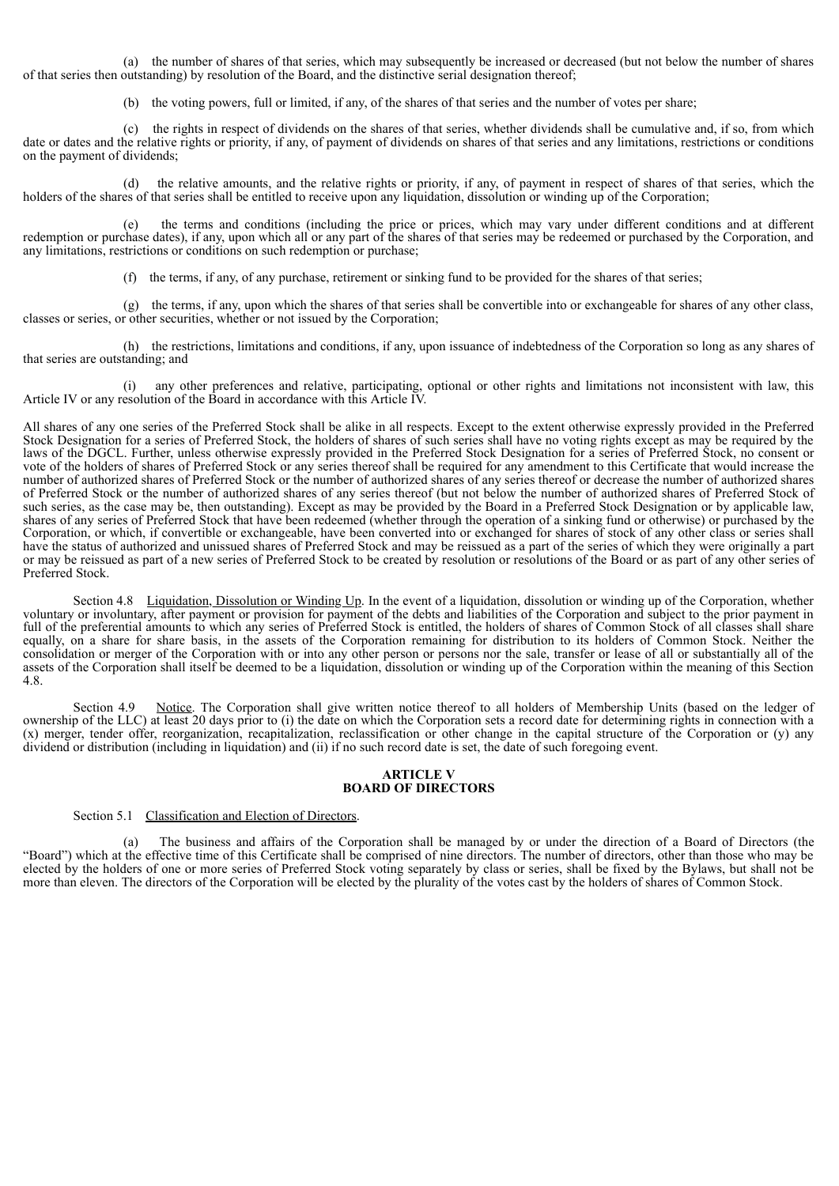(a) the number of shares of that series, which may subsequently be increased or decreased (but not below the number of shares of that series then outstanding) by resolution of the Board, and the distinctive serial designation thereof;

(b) the voting powers, full or limited, if any, of the shares of that series and the number of votes per share;

(c) the rights in respect of dividends on the shares of that series, whether dividends shall be cumulative and, if so, from which date or dates and the relative rights or priority, if any, of payment of dividends on shares of that series and any limitations, restrictions or conditions on the payment of dividends;

(d) the relative amounts, and the relative rights or priority, if any, of payment in respect of shares of that series, which the holders of the shares of that series shall be entitled to receive upon any liquidation, dissolution or winding up of the Corporation;

(e) the terms and conditions (including the price or prices, which may vary under different conditions and at different redemption or purchase dates), if any, upon which all or any part of the shares of that series may be redeemed or purchased by the Corporation, and any limitations, restrictions or conditions on such redemption or purchase;

(f) the terms, if any, of any purchase, retirement or sinking fund to be provided for the shares of that series;

(g) the terms, if any, upon which the shares of that series shall be convertible into or exchangeable for shares of any other class, classes or series, or other securities, whether or not issued by the Corporation;

(h) the restrictions, limitations and conditions, if any, upon issuance of indebtedness of the Corporation so long as any shares of that series are outstanding; and

(i) any other preferences and relative, participating, optional or other rights and limitations not inconsistent with law, this Article IV or any resolution of the Board in accordance with this Article IV.

All shares of any one series of the Preferred Stock shall be alike in all respects. Except to the extent otherwise expressly provided in the Preferred Stock Designation for a series of Preferred Stock, the holders of shares of such series shall have no voting rights except as may be required by the laws of the DGCL. Further, unless otherwise expressly provided in the Preferred Stock Designation for a series of Preferred Stock, no consent or vote of the holders of shares of Preferred Stock or any series thereof shall be required for any amendment to this Certificate that would increase the number of authorized shares of Preferred Stock or the number of authorized shares of any series thereof or decrease the number of authorized shares of Preferred Stock or the number of authorized shares of any series thereof (but not below the number of authorized shares of Preferred Stock of such series, as the case may be, then outstanding). Except as may be provided by the Board in a Preferred Stock Designation or by applicable law, shares of any series of Preferred Stock that have been redeemed (whether through the operation of a sinking fund or otherwise) or purchased by the Corporation, or which, if convertible or exchangeable, have been converted into or exchanged for shares of stock of any other class or series shall have the status of authorized and unissued shares of Preferred Stock and may be reissued as a part of the series of which they were originally a part or may be reissued as part of a new series of Preferred Stock to be created by resolution or resolutions of the Board or as part of any other series of Preferred Stock.

Section 4.8 Liquidation, Dissolution or Winding Up. In the event of a liquidation, dissolution or winding up of the Corporation, whether voluntary or involuntary, after payment or provision for payment of the debts and liabilities of the Corporation and subject to the prior payment in full of the preferential amounts to which any series of Preferred Stock is entitled, the holders of shares of Common Stock of all classes shall share equally, on a share for share basis, in the assets of the Corporation remaining for distribution to its holders of Common Stock. Neither the consolidation or merger of the Corporation with or into any other person or persons nor the sale, transfer or lease of all or substantially all of the assets of the Corporation shall itself be deemed to be a liquidation, dissolution or winding up of the Corporation within the meaning of this Section 4.8.

Section 4.9 Notice. The Corporation shall give written notice thereof to all holders of Membership Units (based on the ledger of ownership of the LLC) at least 20 days prior to (i) the date on which the Corporation sets a record date for determining rights in connection with a (x) merger, tender offer, reorganization, recapitalization, reclassification or other change in the capital structure of the Corporation or (y) any dividend or distribution (including in liquidation) and (ii) if no such record date is set, the date of such foregoing event.

#### **ARTICLE V BOARD OF DIRECTORS**

# Section 5.1 Classification and Election of Directors.

(a) The business and affairs of the Corporation shall be managed by or under the direction of a Board of Directors (the "Board") which at the effective time of this Certificate shall be comprised of nine directors. The number of directors, other than those who may be elected by the holders of one or more series of Preferred Stock voting separately by class or series, shall be fixed by the Bylaws, but shall not be more than eleven. The directors of the Corporation will be elected by the plurality of the votes cast by the holders of shares of Common Stock.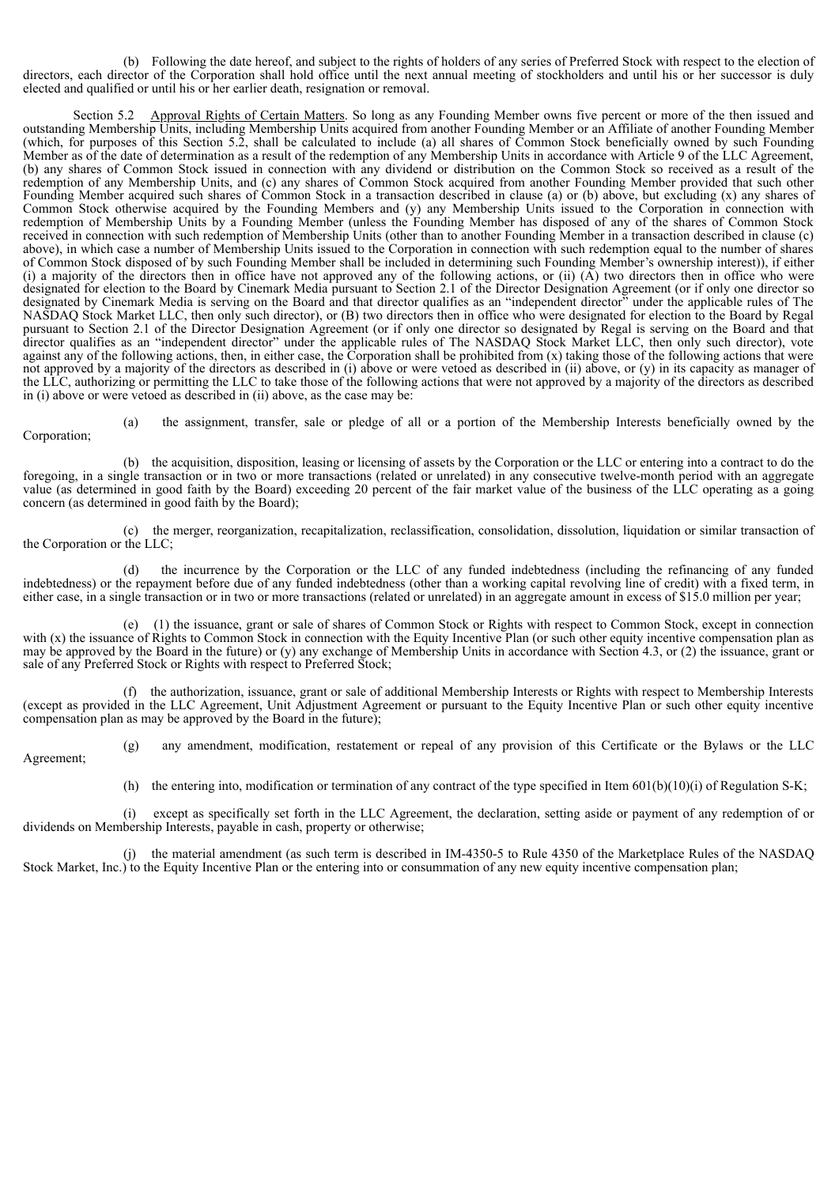(b) Following the date hereof, and subject to the rights of holders of any series of Preferred Stock with respect to the election of directors, each director of the Corporation shall hold office until the next annual meeting of stockholders and until his or her successor is duly elected and qualified or until his or her earlier death, resignation or removal.

Section 5.2 Approval Rights of Certain Matters. So long as any Founding Member owns five percent or more of the then issued and outstanding Membership Units, including Membership Units acquired from another Founding Member or an Affiliate of another Founding Member (which, for purposes of this Section 5.2, shall be calculated to include (a) all shares of Common Stock beneficially owned by such Founding Member as of the date of determination as a result of the redemption of any Membership Units in accordance with Article 9 of the LLC Agreement, (b) any shares of Common Stock issued in connection with any dividend or distribution on the Common Stock so received as a result of the redemption of any Membership Units, and (c) any shares of Common Stock acquired from another Founding Member provided that such other Founding Member acquired such shares of Common Stock in a transaction described in clause (a) or (b) above, but excluding (x) any shares of Common Stock otherwise acquired by the Founding Members and (y) any Membership Units issued to the Corporation in connection with redemption of Membership Units by a Founding Member (unless the Founding Member has disposed of any of the shares of Common Stock received in connection with such redemption of Membership Units (other than to another Founding Member in a transaction described in clause (c) above), in which case a number of Membership Units issued to the Corporation in connection with such redemption equal to the number of shares of Common Stock disposed of by such Founding Member shall be included in determining such Founding Member's ownership interest)), if either (i) a majority of the directors then in office have not approved any of the following actions, or (ii)  $(A)$  two directors then in office who were designated for election to the Board by Cinemark Media pursuant to Section 2.1 of the Director Designation Agreement (or if only one director so designated by Cinemark Media is serving on the Board and that director qualifies as an "independent director" under the applicable rules of The NASDAQ Stock Market LLC, then only such director), or (B) two directors then in office who were designated for election to the Board by Regal pursuant to Section 2.1 of the Director Designation Agreement (or if only one director so designated by Regal is serving on the Board and that director qualifies as an "independent director" under the applicable rules of The NASDAQ Stock Market LLC, then only such director), vote against any of the following actions, then, in either case, the Corporation shall be prohibited from (x) taking those of the following actions that were not approved by a majority of the directors as described in (i) above or were vetoed as described in (ii) above, or (y) in its capacity as manager of the LLC, authorizing or permitting the LLC to take those of the following actions that were not approved by a majority of the directors as described in (i) above or were vetoed as described in (ii) above, as the case may be:

(a) the assignment, transfer, sale or pledge of all or a portion of the Membership Interests beneficially owned by the Corporation;

(b) the acquisition, disposition, leasing or licensing of assets by the Corporation or the LLC or entering into a contract to do the foregoing, in a single transaction or in two or more transactions (related or unrelated) in any consecutive twelve-month period with an aggregate value (as determined in good faith by the Board) exceeding 20 percent of the fair market value of the business of the LLC operating as a going concern (as determined in good faith by the Board);

(c) the merger, reorganization, recapitalization, reclassification, consolidation, dissolution, liquidation or similar transaction of the Corporation or the LLC;

(d) the incurrence by the Corporation or the LLC of any funded indebtedness (including the refinancing of any funded indebtedness) or the repayment before due of any funded indebtedness (other than a working capital revolving line of credit) with a fixed term, in either case, in a single transaction or in two or more transactions (related or unrelated) in an aggregate amount in excess of \$15.0 million per year;

(e) (1) the issuance, grant or sale of shares of Common Stock or Rights with respect to Common Stock, except in connection with (x) the issuance of Rights to Common Stock in connection with the Equity Incentive Plan (or such other equity incentive compensation plan as may be approved by the Board in the future) or (y) any exchange of Membership Units in accordance with Section 4.3, or (2) the issuance, grant or sale of any Preferred Stock or Rights with respect to Preferred Stock;

(f) the authorization, issuance, grant or sale of additional Membership Interests or Rights with respect to Membership Interests (except as provided in the LLC Agreement, Unit Adjustment Agreement or pursuant to the Equity Incentive Plan or such other equity incentive compensation plan as may be approved by the Board in the future);

(g) any amendment, modification, restatement or repeal of any provision of this Certificate or the Bylaws or the LLC Agreement;

(h) the entering into, modification or termination of any contract of the type specified in Item  $601(b)(10)(i)$  of Regulation S-K;

(i) except as specifically set forth in the LLC Agreement, the declaration, setting aside or payment of any redemption of or dividends on Membership Interests, payable in cash, property or otherwise;

(j) the material amendment (as such term is described in IM-4350-5 to Rule 4350 of the Marketplace Rules of the NASDAQ Stock Market, Inc.) to the Equity Incentive Plan or the entering into or consummation of any new equity incentive compensation plan;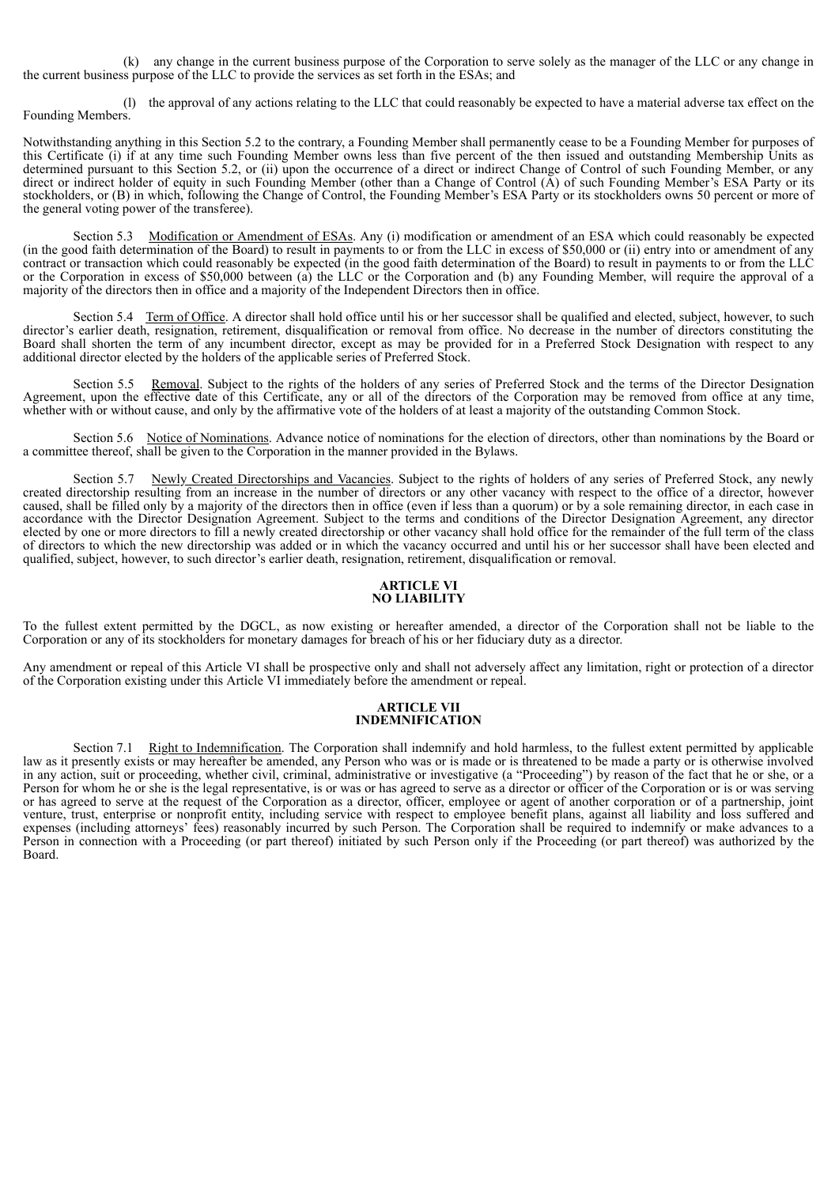(k) any change in the current business purpose of the Corporation to serve solely as the manager of the LLC or any change in the current business purpose of the LLC to provide the services as set forth in the ESAs; and

(l) the approval of any actions relating to the LLC that could reasonably be expected to have a material adverse tax effect on the Founding Members.

Notwithstanding anything in this Section 5.2 to the contrary, a Founding Member shall permanently cease to be a Founding Member for purposes of this Certificate (i) if at any time such Founding Member owns less than five percent of the then issued and outstanding Membership Units as determined pursuant to this Section 5.2, or (ii) upon the occurrence of a direct or indirect Change of Control of such Founding Member, or any direct or indirect holder of equity in such Founding Member (other than a Change of Control (A) of such Founding Member's ESA Party or its stockholders, or (B) in which, following the Change of Control, the Founding Member's ESA Party or its stockholders owns 50 percent or more of the general voting power of the transferee).

Section 5.3 Modification or Amendment of ESAs. Any (i) modification or amendment of an ESA which could reasonably be expected (in the good faith determination of the Board) to result in payments to or from the LLC in excess of \$50,000 or (ii) entry into or amendment of any contract or transaction which could reasonably be expected (in the good faith determination of the Board) to result in payments to or from the LLC or the Corporation in excess of \$50,000 between (a) the LLC or the Corporation and (b) any Founding Member, will require the approval of a majority of the directors then in office and a majority of the Independent Directors then in office.

Section 5.4 Term of Office. A director shall hold office until his or her successor shall be qualified and elected, subject, however, to such director's earlier death, resignation, retirement, disqualification or removal from office. No decrease in the number of directors constituting the Board shall shorten the term of any incumbent director, except as may be provided for in a Preferred Stock Designation with respect to any additional director elected by the holders of the applicable series of Preferred Stock.

Section 5.5 Removal. Subject to the rights of the holders of any series of Preferred Stock and the terms of the Director Designation Agreement, upon the effective date of this Certificate, any or all of the directors of the Corporation may be removed from office at any time, whether with or without cause, and only by the affirmative vote of the holders of at least a majority of the outstanding Common Stock.

Section 5.6 Notice of Nominations. Advance notice of nominations for the election of directors, other than nominations by the Board or a committee thereof, shall be given to the Corporation in the manner provided in the Bylaws.

Section 5.7 Newly Created Directorships and Vacancies. Subject to the rights of holders of any series of Preferred Stock, any newly created directorship resulting from an increase in the number of directors or any other vacancy with respect to the office of a director, however caused, shall be filled only by a majority of the directors then in office (even if less than a quorum) or by a sole remaining director, in each case in accordance with the Director Designation Agreement. Subject to the terms and conditions of the Director Designation Agreement, any director elected by one or more directors to fill a newly created directorship or other vacancy shall hold office for the remainder of the full term of the class of directors to which the new directorship was added or in which the vacancy occurred and until his or her successor shall have been elected and qualified, subject, however, to such director's earlier death, resignation, retirement, disqualification or removal.

# **ARTICLE VI NO LIABILITY**

To the fullest extent permitted by the DGCL, as now existing or hereafter amended, a director of the Corporation shall not be liable to the Corporation or any of its stockholders for monetary damages for breach of his or her fiduciary duty as a director.

Any amendment or repeal of this Article VI shall be prospective only and shall not adversely affect any limitation, right or protection of a director of the Corporation existing under this Article VI immediately before the amendment or repeal.

## **ARTICLE VII INDEMNIFICATION**

Section 7.1 Right to Indemnification. The Corporation shall indemnify and hold harmless, to the fullest extent permitted by applicable law as it presently exists or may hereafter be amended, any Person who was or is made or is threatened to be made a party or is otherwise involved in any action, suit or proceeding, whether civil, criminal, administrative or investigative (a "Proceeding") by reason of the fact that he or she, or a Person for whom he or she is the legal representative, is or was or has agreed to serve as a director or officer of the Corporation or is or was serving or has agreed to serve at the request of the Corporation as a director, officer, employee or agent of another corporation or of a partnership, joint venture, trust, enterprise or nonprofit entity, including service with respect to employee benefit plans, against all liability and loss suffered and expenses (including attorneys' fees) reasonably incurred by such Person. The Corporation shall be required to indemnify or make advances to a Person in connection with a Proceeding (or part thereof) initiated by such Person only if the Proceeding (or part thereof) was authorized by the Board.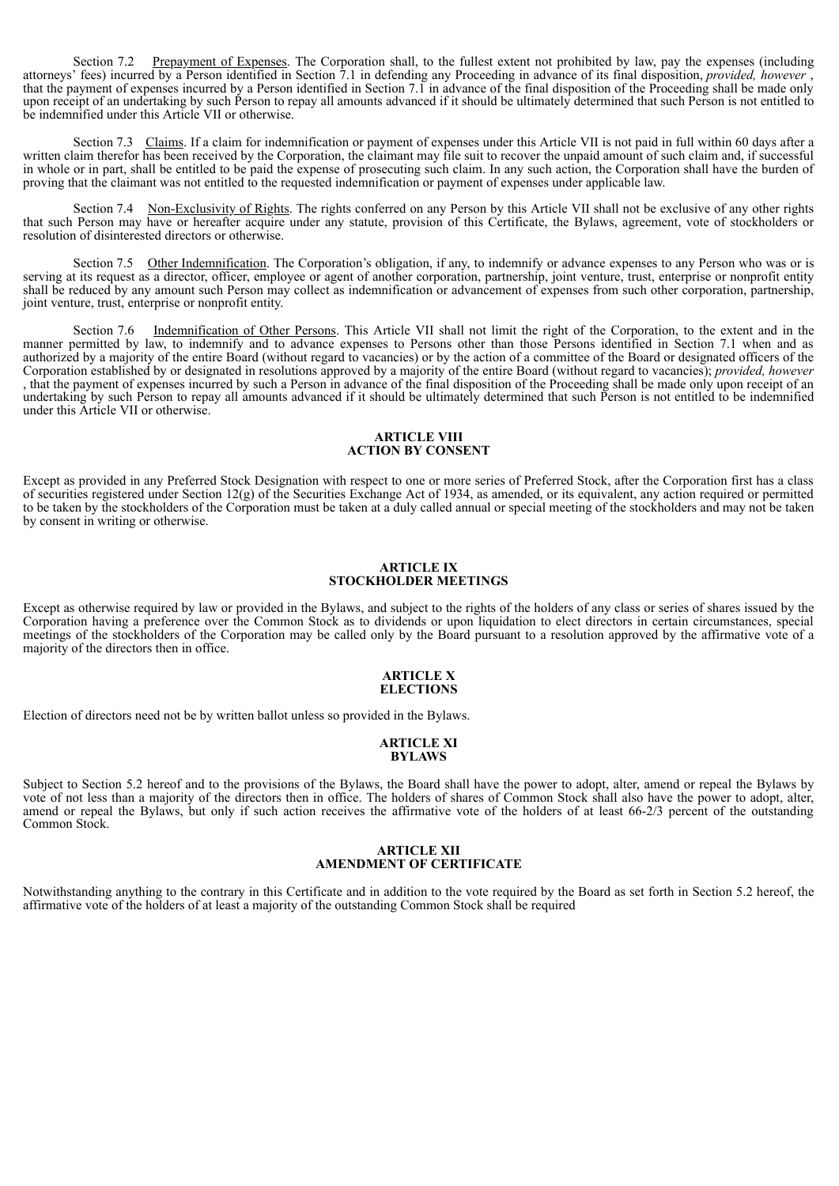Section 7.2 Prepayment of Expenses. The Corporation shall, to the fullest extent not prohibited by law, pay the expenses (including attorneys' fees) incurred by a Person identified in Section 7.1 in defending any Proceeding in advance of its final disposition, *provided, however* , that the payment of expenses incurred by a Person identified in Section 7.1 in advance of the final disposition of the Proceeding shall be made only upon receipt of an undertaking by such Person to repay all amounts advanced if it should be ultimately determined that such Person is not entitled to be indemnified under this Article VII or otherwise.

Section 7.3 Claims. If a claim for indemnification or payment of expenses under this Article VII is not paid in full within 60 days after a written claim therefor has been received by the Corporation, the claimant may file suit to recover the unpaid amount of such claim and, if successful in whole or in part, shall be entitled to be paid the expense of prosecuting such claim. In any such action, the Corporation shall have the burden of proving that the claimant was not entitled to the requested indemnification or payment of expenses under applicable law.

Section 7.4 Non-Exclusivity of Rights. The rights conferred on any Person by this Article VII shall not be exclusive of any other rights that such Person may have or hereafter acquire under any statute, provision of this Certificate, the Bylaws, agreement, vote of stockholders or resolution of disinterested directors or otherwise.

Section 7.5 Other Indemnification. The Corporation's obligation, if any, to indemnify or advance expenses to any Person who was or is serving at its request as a director, officer, employee or agent of another corporation, partnership, joint venture, trust, enterprise or nonprofit entity shall be reduced by any amount such Person may collect as indemnification or advancement of expenses from such other corporation, partnership, joint venture, trust, enterprise or nonprofit entity.

Section 7.6 Indemnification of Other Persons. This Article VII shall not limit the right of the Corporation, to the extent and in the manner permitted by law, to indemnify and to advance expenses to Persons other than those Persons identified in Section 7.1 when and as authorized by a majority of the entire Board (without regard to vacancies) or by the action of a committee of the Board or designated officers of the Corporation established by or designated in resolutions approved by a majority of the entire Board (without regard to vacancies); *provided, however* , that the payment of expenses incurred by such a Person in advance of the final disposition of the Proceeding shall be made only upon receipt of an undertaking by such Person to repay all amounts advanced if it should be ultimately determined that such Person is not entitled to be indemnified under this Article VII or otherwise.

# **ARTICLE VIII ACTION BY CONSENT**

Except as provided in any Preferred Stock Designation with respect to one or more series of Preferred Stock, after the Corporation first has a class of securities registered under Section 12(g) of the Securities Exchange Act of 1934, as amended, or its equivalent, any action required or permitted to be taken by the stockholders of the Corporation must be taken at a duly called annual or special meeting of the stockholders and may not be taken by consent in writing or otherwise.

#### **ARTICLE IX STOCKHOLDER MEETINGS**

Except as otherwise required by law or provided in the Bylaws, and subject to the rights of the holders of any class or series of shares issued by the Corporation having a preference over the Common Stock as to dividends or upon liquidation to elect directors in certain circumstances, special meetings of the stockholders of the Corporation may be called only by the Board pursuant to a resolution approved by the affirmative vote of a majority of the directors then in office.

## **ARTICLE X ELECTIONS**

Election of directors need not be by written ballot unless so provided in the Bylaws.

## **ARTICLE XI BYLAWS**

Subject to Section 5.2 hereof and to the provisions of the Bylaws, the Board shall have the power to adopt, alter, amend or repeal the Bylaws by vote of not less than a majority of the directors then in office. The holders of shares of Common Stock shall also have the power to adopt, alter, amend or repeal the Bylaws, but only if such action receives the affirmative vote of the holders of at least 66-2/3 percent of the outstanding Common Stock.

#### **ARTICLE XII AMENDMENT OF CERTIFICATE**

Notwithstanding anything to the contrary in this Certificate and in addition to the vote required by the Board as set forth in Section 5.2 hereof, the affirmative vote of the holders of at least a majority of the outstanding Common Stock shall be required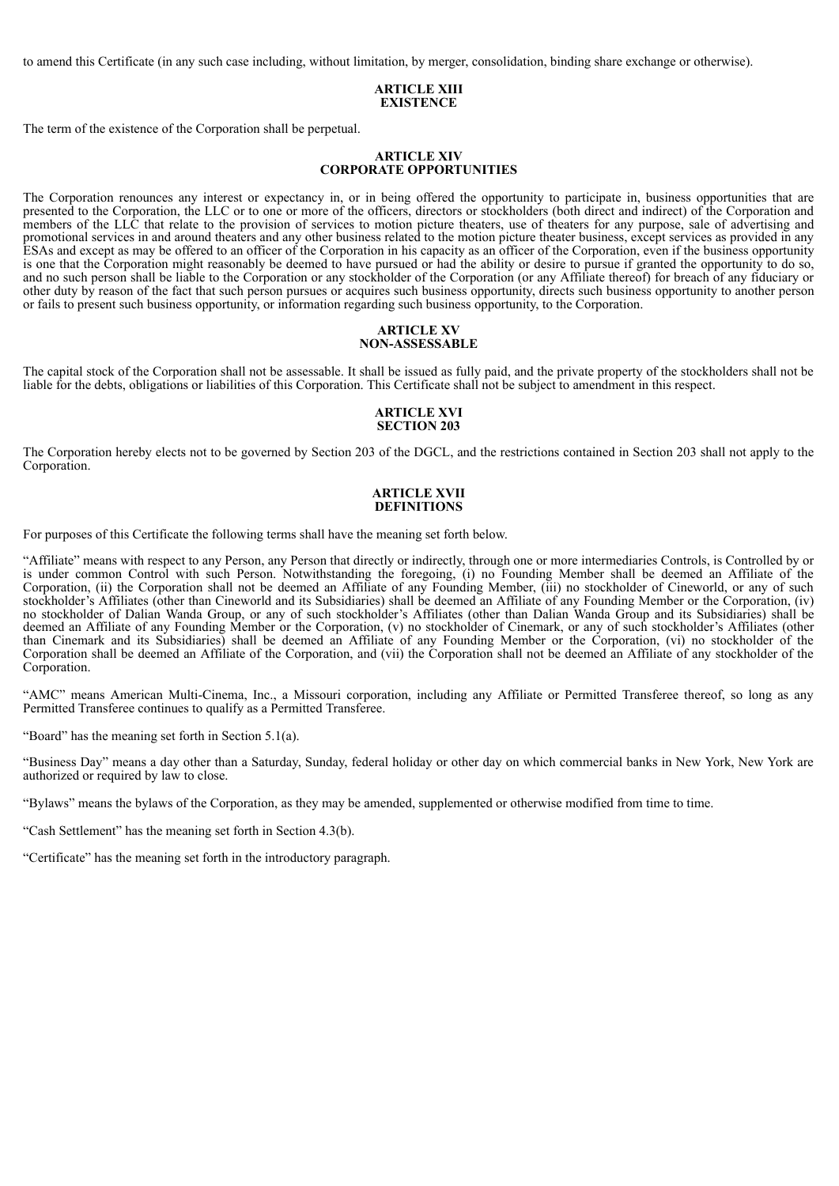to amend this Certificate (in any such case including, without limitation, by merger, consolidation, binding share exchange or otherwise).

#### **ARTICLE XIII EXISTENCE**

The term of the existence of the Corporation shall be perpetual.

## **ARTICLE XIV CORPORATE OPPORTUNITIES**

The Corporation renounces any interest or expectancy in, or in being offered the opportunity to participate in, business opportunities that are presented to the Corporation, the LLC or to one or more of the officers, directors or stockholders (both direct and indirect) of the Corporation and members of the LLC that relate to the provision of services to motion picture theaters, use of theaters for any purpose, sale of advertising and promotional services in and around theaters and any other business related to the motion picture theater business, except services as provided in any ESAs and except as may be offered to an officer of the Corporation in his capacity as an officer of the Corporation, even if the business opportunity is one that the Corporation might reasonably be deemed to have pursued or had the ability or desire to pursue if granted the opportunity to do so, and no such person shall be liable to the Corporation or any stockholder of the Corporation (or any Affiliate thereof) for breach of any fiduciary or other duty by reason of the fact that such person pursues or acquires such business opportunity, directs such business opportunity to another person or fails to present such business opportunity, or information regarding such business opportunity, to the Corporation.

# **ARTICLE XV NON-ASSESSABLE**

The capital stock of the Corporation shall not be assessable. It shall be issued as fully paid, and the private property of the stockholders shall not be liable for the debts, obligations or liabilities of this Corporation. This Certificate shall not be subject to amendment in this respect.

#### **ARTICLE XVI SECTION 203**

The Corporation hereby elects not to be governed by Section 203 of the DGCL, and the restrictions contained in Section 203 shall not apply to the Corporation.

# **ARTICLE XVII DEFINITIONS**

For purposes of this Certificate the following terms shall have the meaning set forth below.

"Affiliate" means with respect to any Person, any Person that directly or indirectly, through one or more intermediaries Controls, is Controlled by or is under common Control with such Person. Notwithstanding the foregoing, (i) no Founding Member shall be deemed an Affiliate of the Corporation, (ii) the Corporation shall not be deemed an Affiliate of any Founding Member, (iii) no stockholder of Cineworld, or any of such stockholder's Affiliates (other than Cineworld and its Subsidiaries) shall be deemed an Affiliate of any Founding Member or the Corporation, (iv) no stockholder of Dalian Wanda Group, or any of such stockholder's Affiliates (other than Dalian Wanda Group and its Subsidiaries) shall be deemed an Affiliate of any Founding Member or the Corporation, (v) no stockholder of Cinemark, or any of such stockholder's Affiliates (other than Cinemark and its Subsidiaries) shall be deemed an Affiliate of any Founding Member or the Corporation, (vi) no stockholder of the Corporation shall be deemed an Affiliate of the Corporation, and (vii) the Corporation shall not be deemed an Affiliate of any stockholder of the Corporation.

"AMC" means American Multi-Cinema, Inc., a Missouri corporation, including any Affiliate or Permitted Transferee thereof, so long as any Permitted Transferee continues to qualify as a Permitted Transferee.

"Board" has the meaning set forth in Section 5.1(a).

"Business Day" means a day other than a Saturday, Sunday, federal holiday or other day on which commercial banks in New York, New York are authorized or required by law to close.

"Bylaws" means the bylaws of the Corporation, as they may be amended, supplemented or otherwise modified from time to time.

"Cash Settlement" has the meaning set forth in Section 4.3(b).

"Certificate" has the meaning set forth in the introductory paragraph.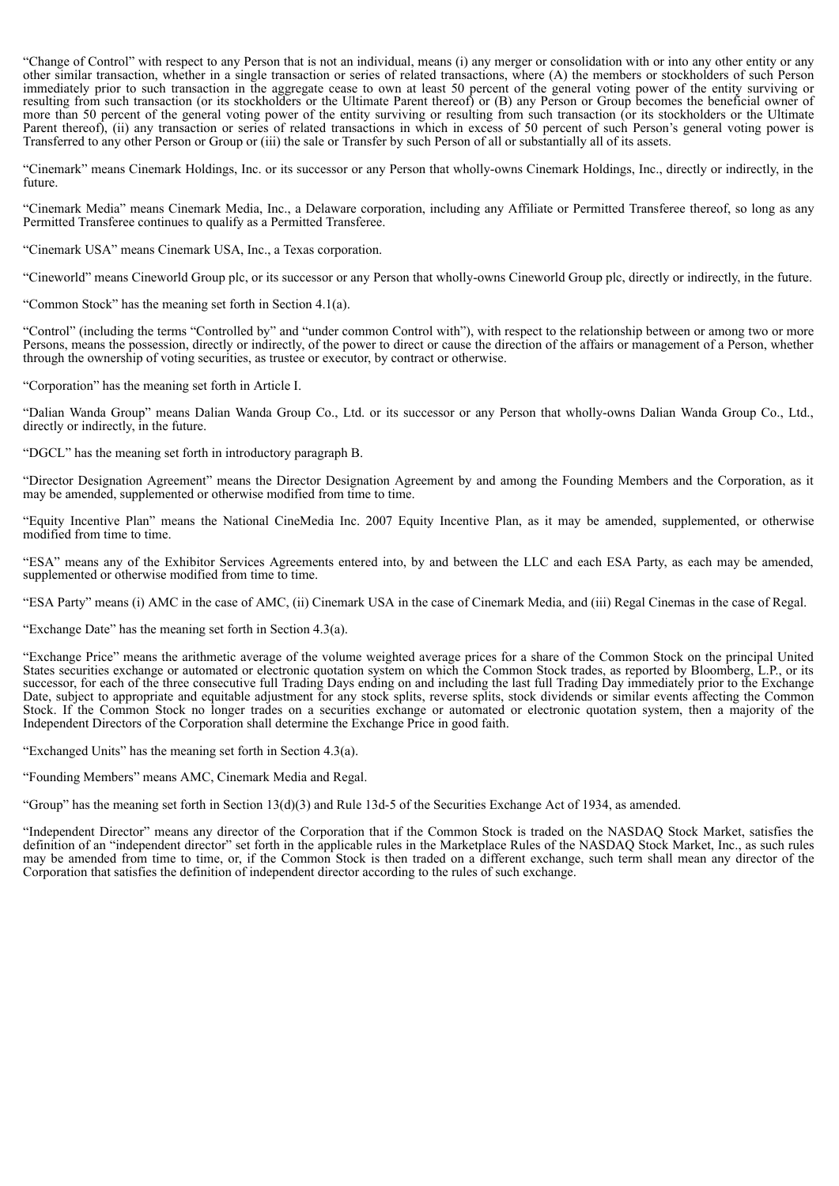"Change of Control" with respect to any Person that is not an individual, means (i) any merger or consolidation with or into any other entity or any other similar transaction, whether in a single transaction or series of related transactions, where (A) the members or stockholders of such Person immediately prior to such transaction in the aggregate cease to own at least 50 percent of the general voting power of the entity surviving or resulting from such transaction (or its stockholders or the Ultimate Parent thereof) or (B) any Person or Group becomes the beneficial owner of more than 50 percent of the general voting power of the entity surviving or resulting from such transaction (or its stockholders or the Ultimate Parent thereof), (ii) any transaction or series of related transactions in which in excess of 50 percent of such Person's general voting power is Transferred to any other Person or Group or (iii) the sale or Transfer by such Person of all or substantially all of its assets.

"Cinemark" means Cinemark Holdings, Inc. or its successor or any Person that wholly-owns Cinemark Holdings, Inc., directly or indirectly, in the future.

"Cinemark Media" means Cinemark Media, Inc., a Delaware corporation, including any Affiliate or Permitted Transferee thereof, so long as any Permitted Transferee continues to qualify as a Permitted Transferee.

"Cinemark USA" means Cinemark USA, Inc., a Texas corporation.

"Cineworld" means Cineworld Group plc, or its successor or any Person that wholly-owns Cineworld Group plc, directly or indirectly, in the future.

"Common Stock" has the meaning set forth in Section 4.1(a).

"Control" (including the terms "Controlled by" and "under common Control with"), with respect to the relationship between or among two or more Persons, means the possession, directly or indirectly, of the power to direct or cause the direction of the affairs or management of a Person, whether through the ownership of voting securities, as trustee or executor, by contract or otherwise.

"Corporation" has the meaning set forth in Article I.

"Dalian Wanda Group" means Dalian Wanda Group Co., Ltd. or its successor or any Person that wholly-owns Dalian Wanda Group Co., Ltd., directly or indirectly, in the future.

"DGCL" has the meaning set forth in introductory paragraph B.

"Director Designation Agreement" means the Director Designation Agreement by and among the Founding Members and the Corporation, as it may be amended, supplemented or otherwise modified from time to time.

"Equity Incentive Plan" means the National CineMedia Inc. 2007 Equity Incentive Plan, as it may be amended, supplemented, or otherwise modified from time to time.

"ESA" means any of the Exhibitor Services Agreements entered into, by and between the LLC and each ESA Party, as each may be amended, supplemented or otherwise modified from time to time.

"ESA Party" means (i) AMC in the case of AMC, (ii) Cinemark USA in the case of Cinemark Media, and (iii) Regal Cinemas in the case of Regal.

"Exchange Date" has the meaning set forth in Section 4.3(a).

"Exchange Price" means the arithmetic average of the volume weighted average prices for a share of the Common Stock on the principal United States securities exchange or automated or electronic quotation system on which the Common Stock trades, as reported by Bloomberg, L.P., or its successor, for each of the three consecutive full Trading Days ending on and including the last full Trading Day immediately prior to the Exchange Date, subject to appropriate and equitable adjustment for any stock splits, reverse splits, stock dividends or similar events affecting the Common Stock. If the Common Stock no longer trades on a securities exchange or automated or electronic quotation system, then a majority of the Independent Directors of the Corporation shall determine the Exchange Price in good faith.

"Exchanged Units" has the meaning set forth in Section 4.3(a).

"Founding Members" means AMC, Cinemark Media and Regal.

"Group" has the meaning set forth in Section 13(d)(3) and Rule 13d-5 of the Securities Exchange Act of 1934, as amended.

"Independent Director" means any director of the Corporation that if the Common Stock is traded on the NASDAQ Stock Market, satisfies the definition of an "independent director" set forth in the applicable rules in the Marketplace Rules of the NASDAQ Stock Market, Inc., as such rules may be amended from time to time, or, if the Common Stock is then traded on a different exchange, such term shall mean any director of the Corporation that satisfies the definition of independent director according to the rules of such exchange.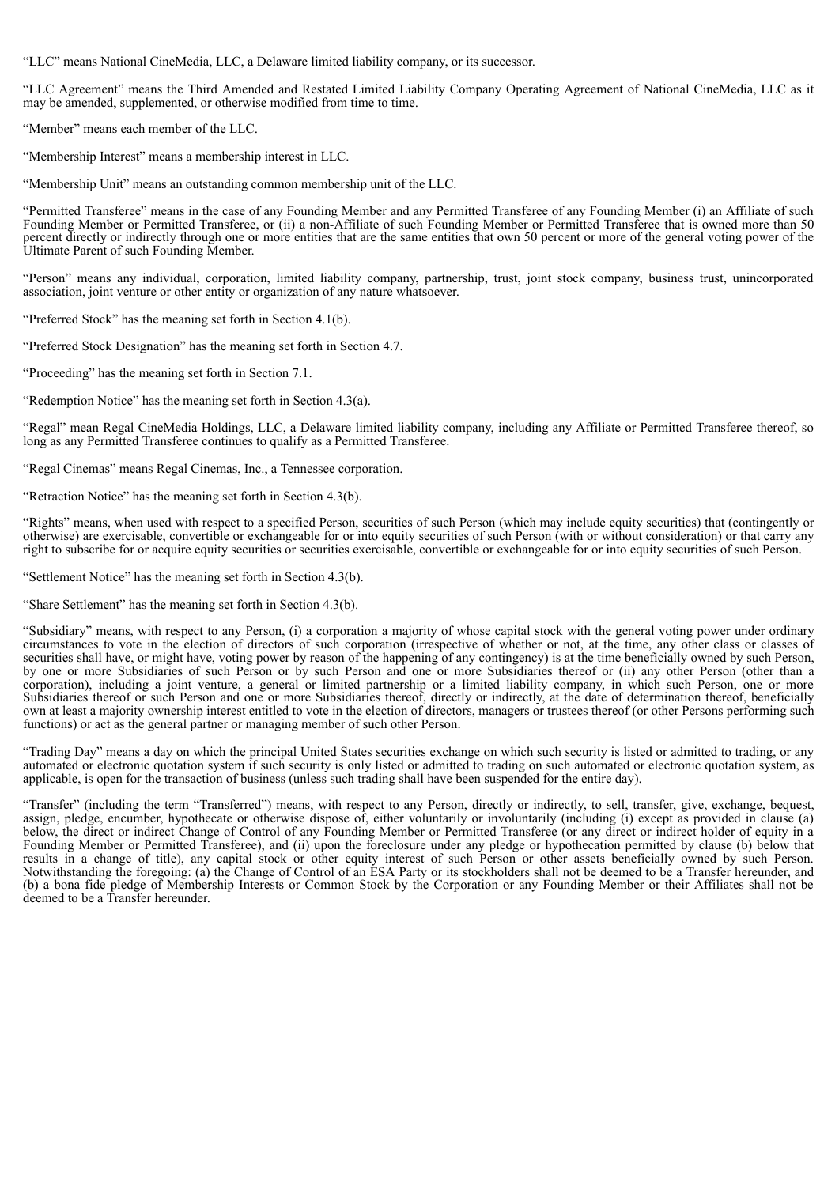"LLC" means National CineMedia, LLC, a Delaware limited liability company, or its successor.

"LLC Agreement" means the Third Amended and Restated Limited Liability Company Operating Agreement of National CineMedia, LLC as it may be amended, supplemented, or otherwise modified from time to time.

"Member" means each member of the LLC.

"Membership Interest" means a membership interest in LLC.

"Membership Unit" means an outstanding common membership unit of the LLC.

"Permitted Transferee" means in the case of any Founding Member and any Permitted Transferee of any Founding Member (i) an Affiliate of such Founding Member or Permitted Transferee, or (ii) a non-Affiliate of such Founding Member or Permitted Transferee that is owned more than 50 percent directly or indirectly through one or more entities that are the same entities that own 50 percent or more of the general voting power of the Ultimate Parent of such Founding Member.

"Person" means any individual, corporation, limited liability company, partnership, trust, joint stock company, business trust, unincorporated association, joint venture or other entity or organization of any nature whatsoever.

"Preferred Stock" has the meaning set forth in Section 4.1(b).

"Preferred Stock Designation" has the meaning set forth in Section 4.7.

"Proceeding" has the meaning set forth in Section 7.1.

"Redemption Notice" has the meaning set forth in Section 4.3(a).

"Regal" mean Regal CineMedia Holdings, LLC, a Delaware limited liability company, including any Affiliate or Permitted Transferee thereof, so long as any Permitted Transferee continues to qualify as a Permitted Transferee.

"Regal Cinemas" means Regal Cinemas, Inc., a Tennessee corporation.

"Retraction Notice" has the meaning set forth in Section 4.3(b).

"Rights" means, when used with respect to a specified Person, securities of such Person (which may include equity securities) that (contingently or otherwise) are exercisable, convertible or exchangeable for or into equity securities of such Person (with or without consideration) or that carry any right to subscribe for or acquire equity securities or securities exercisable, convertible or exchangeable for or into equity securities of such Person.

"Settlement Notice" has the meaning set forth in Section 4.3(b).

"Share Settlement" has the meaning set forth in Section 4.3(b).

"Subsidiary" means, with respect to any Person, (i) a corporation a majority of whose capital stock with the general voting power under ordinary circumstances to vote in the election of directors of such corporation (irrespective of whether or not, at the time, any other class or classes of securities shall have, or might have, voting power by reason of the happening of any contingency) is at the time beneficially owned by such Person, by one or more Subsidiaries of such Person or by such Person and one or more Subsidiaries thereof or (ii) any other Person (other than a corporation), including a joint venture, a general or limited partnership or a limited liability company, in which such Person, one or more Subsidiaries thereof or such Person and one or more Subsidiaries thereof, directly or indirectly, at the date of determination thereof, beneficially own at least a majority ownership interest entitled to vote in the election of directors, managers or trustees thereof (or other Persons performing such functions) or act as the general partner or managing member of such other Person.

"Trading Day" means a day on which the principal United States securities exchange on which such security is listed or admitted to trading, or any automated or electronic quotation system if such security is only listed or admitted to trading on such automated or electronic quotation system, as applicable, is open for the transaction of business (unless such trading shall have been suspended for the entire day).

"Transfer" (including the term "Transferred") means, with respect to any Person, directly or indirectly, to sell, transfer, give, exchange, bequest, assign, pledge, encumber, hypothecate or otherwise dispose of, either voluntarily or involuntarily (including (i) except as provided in clause (a) below, the direct or indirect Change of Control of any Founding Member or Permitted Transferee (or any direct or indirect holder of equity in a Founding Member or Permitted Transferee), and (ii) upon the foreclosure under any pledge or hypothecation permitted by clause (b) below that results in a change of title), any capital stock or other equity interest of such Person or other assets beneficially owned by such Person. Notwithstanding the foregoing: (a) the Change of Control of an ESA Party or its stockholders shall not be deemed to be a Transfer hereunder, and (b) a bona fide pledge of Membership Interests or Common Stock by the Corporation or any Founding Member or their Affiliates shall not be deemed to be a Transfer hereunder.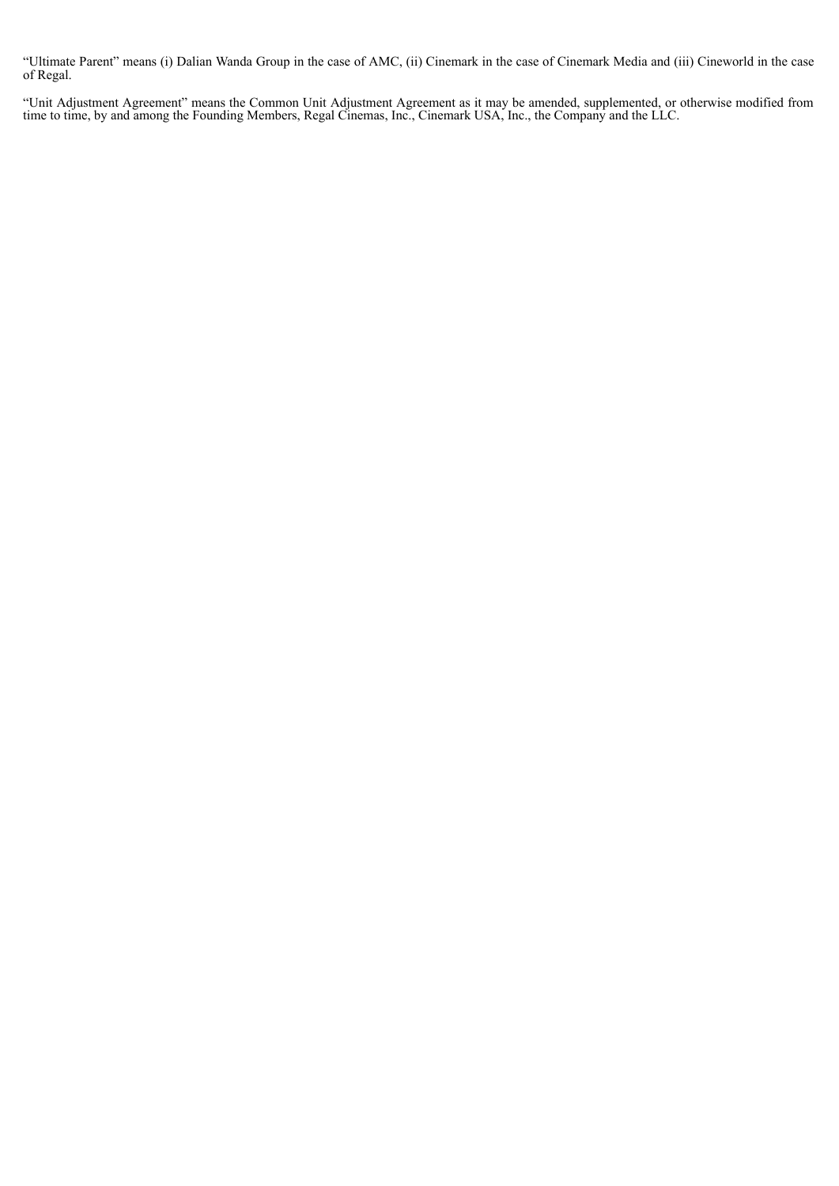"Ultimate Parent" means (i) Dalian Wanda Group in the case of AMC, (ii) Cinemark in the case of Cinemark Media and (iii) Cineworld in the case of Regal.

"Unit Adjustment Agreement" means the Common Unit Adjustment Agreement as it may be amended, supplemented, or otherwise modified from time to time, by and among the Founding Members, Regal Cinemas, Inc., Cinemark USA, Inc., the Company and the LLC.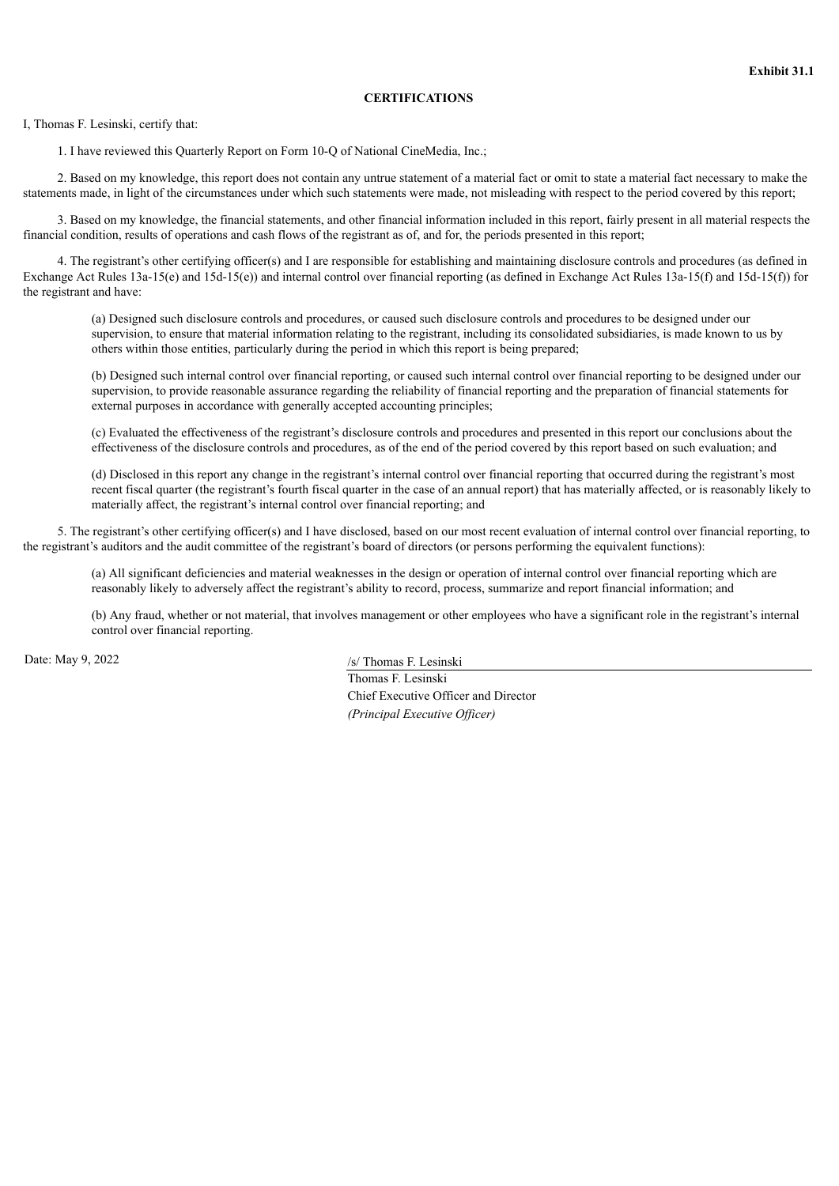#### **CERTIFICATIONS**

<span id="page-64-0"></span>I, Thomas F. Lesinski, certify that:

1. I have reviewed this Quarterly Report on Form 10-Q of National CineMedia, Inc.;

2. Based on my knowledge, this report does not contain any untrue statement of a material fact or omit to state a material fact necessary to make the statements made, in light of the circumstances under which such statements were made, not misleading with respect to the period covered by this report;

3. Based on my knowledge, the financial statements, and other financial information included in this report, fairly present in all material respects the financial condition, results of operations and cash flows of the registrant as of, and for, the periods presented in this report;

4. The registrant's other certifying officer(s) and I are responsible for establishing and maintaining disclosure controls and procedures (as defined in Exchange Act Rules 13a-15(e) and 15d-15(e)) and internal control over financial reporting (as defined in Exchange Act Rules 13a-15(f) and 15d-15(f)) for the registrant and have:

(a) Designed such disclosure controls and procedures, or caused such disclosure controls and procedures to be designed under our supervision, to ensure that material information relating to the registrant, including its consolidated subsidiaries, is made known to us by others within those entities, particularly during the period in which this report is being prepared;

(b) Designed such internal control over financial reporting, or caused such internal control over financial reporting to be designed under our supervision, to provide reasonable assurance regarding the reliability of financial reporting and the preparation of financial statements for external purposes in accordance with generally accepted accounting principles;

(c) Evaluated the effectiveness of the registrant's disclosure controls and procedures and presented in this report our conclusions about the effectiveness of the disclosure controls and procedures, as of the end of the period covered by this report based on such evaluation; and

(d) Disclosed in this report any change in the registrant's internal control over financial reporting that occurred during the registrant's most recent fiscal quarter (the registrant's fourth fiscal quarter in the case of an annual report) that has materially affected, or is reasonably likely to materially affect, the registrant's internal control over financial reporting; and

5. The registrant's other certifying officer(s) and I have disclosed, based on our most recent evaluation of internal control over financial reporting, to the registrant's auditors and the audit committee of the registrant's board of directors (or persons performing the equivalent functions):

(a) All significant deficiencies and material weaknesses in the design or operation of internal control over financial reporting which are reasonably likely to adversely affect the registrant's ability to record, process, summarize and report financial information; and

(b) Any fraud, whether or not material, that involves management or other employees who have a significant role in the registrant's internal control over financial reporting.

Date: May 9, 2022 /s/ Thomas F. Lesinski Thomas F. Lesinski Chief Executive Officer and Director *(Principal Executive Of icer)*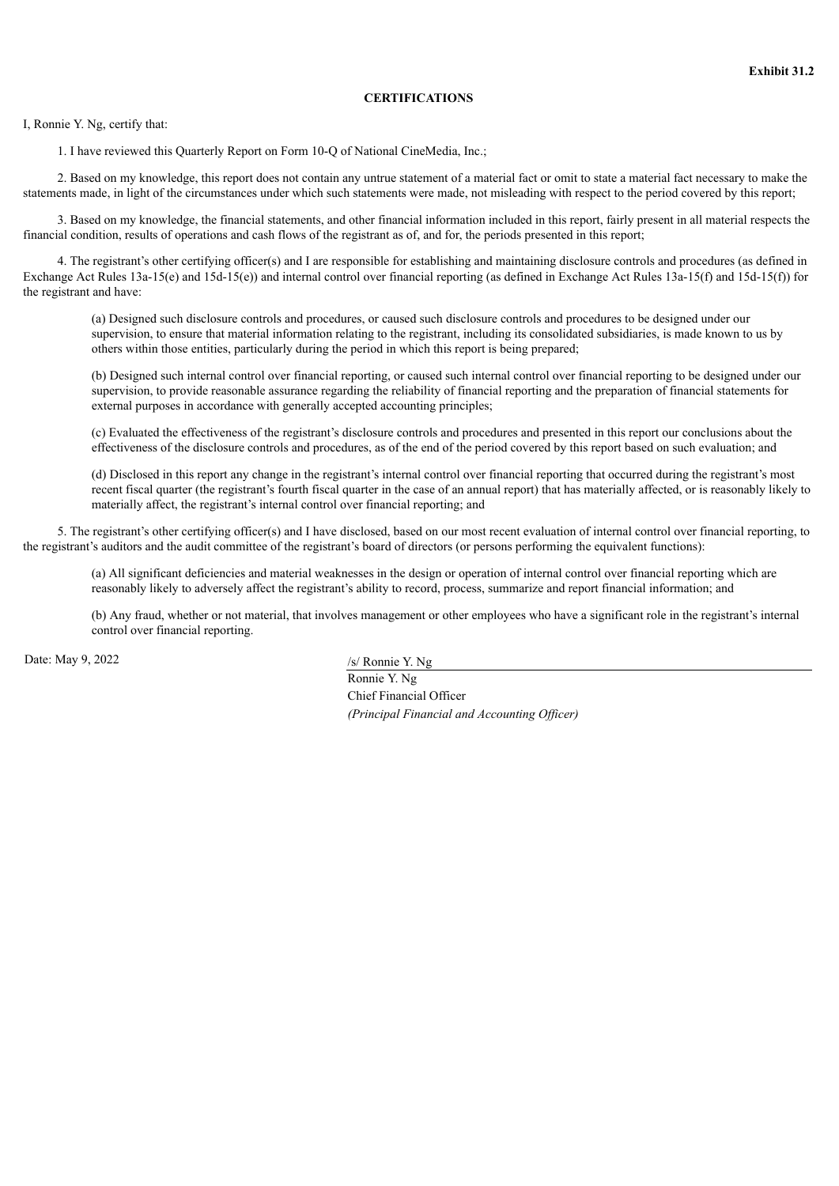#### **CERTIFICATIONS**

<span id="page-65-0"></span>I, Ronnie Y. Ng, certify that:

1. I have reviewed this Quarterly Report on Form 10-Q of National CineMedia, Inc.;

2. Based on my knowledge, this report does not contain any untrue statement of a material fact or omit to state a material fact necessary to make the statements made, in light of the circumstances under which such statements were made, not misleading with respect to the period covered by this report;

3. Based on my knowledge, the financial statements, and other financial information included in this report, fairly present in all material respects the financial condition, results of operations and cash flows of the registrant as of, and for, the periods presented in this report;

4. The registrant's other certifying officer(s) and I are responsible for establishing and maintaining disclosure controls and procedures (as defined in Exchange Act Rules 13a-15(e) and 15d-15(e)) and internal control over financial reporting (as defined in Exchange Act Rules 13a-15(f) and 15d-15(f)) for the registrant and have:

(a) Designed such disclosure controls and procedures, or caused such disclosure controls and procedures to be designed under our supervision, to ensure that material information relating to the registrant, including its consolidated subsidiaries, is made known to us by others within those entities, particularly during the period in which this report is being prepared;

(b) Designed such internal control over financial reporting, or caused such internal control over financial reporting to be designed under our supervision, to provide reasonable assurance regarding the reliability of financial reporting and the preparation of financial statements for external purposes in accordance with generally accepted accounting principles;

(c) Evaluated the effectiveness of the registrant's disclosure controls and procedures and presented in this report our conclusions about the effectiveness of the disclosure controls and procedures, as of the end of the period covered by this report based on such evaluation; and

(d) Disclosed in this report any change in the registrant's internal control over financial reporting that occurred during the registrant's most recent fiscal quarter (the registrant's fourth fiscal quarter in the case of an annual report) that has materially affected, or is reasonably likely to materially affect, the registrant's internal control over financial reporting; and

5. The registrant's other certifying officer(s) and I have disclosed, based on our most recent evaluation of internal control over financial reporting, to the registrant's auditors and the audit committee of the registrant's board of directors (or persons performing the equivalent functions):

(a) All significant deficiencies and material weaknesses in the design or operation of internal control over financial reporting which are reasonably likely to adversely affect the registrant's ability to record, process, summarize and report financial information; and

(b) Any fraud, whether or not material, that involves management or other employees who have a significant role in the registrant's internal control over financial reporting.

Date: May 9, 2022 /s/ Ronnie Y. Ng

Ronnie Y. Ng Chief Financial Officer *(Principal Financial and Accounting Of icer)*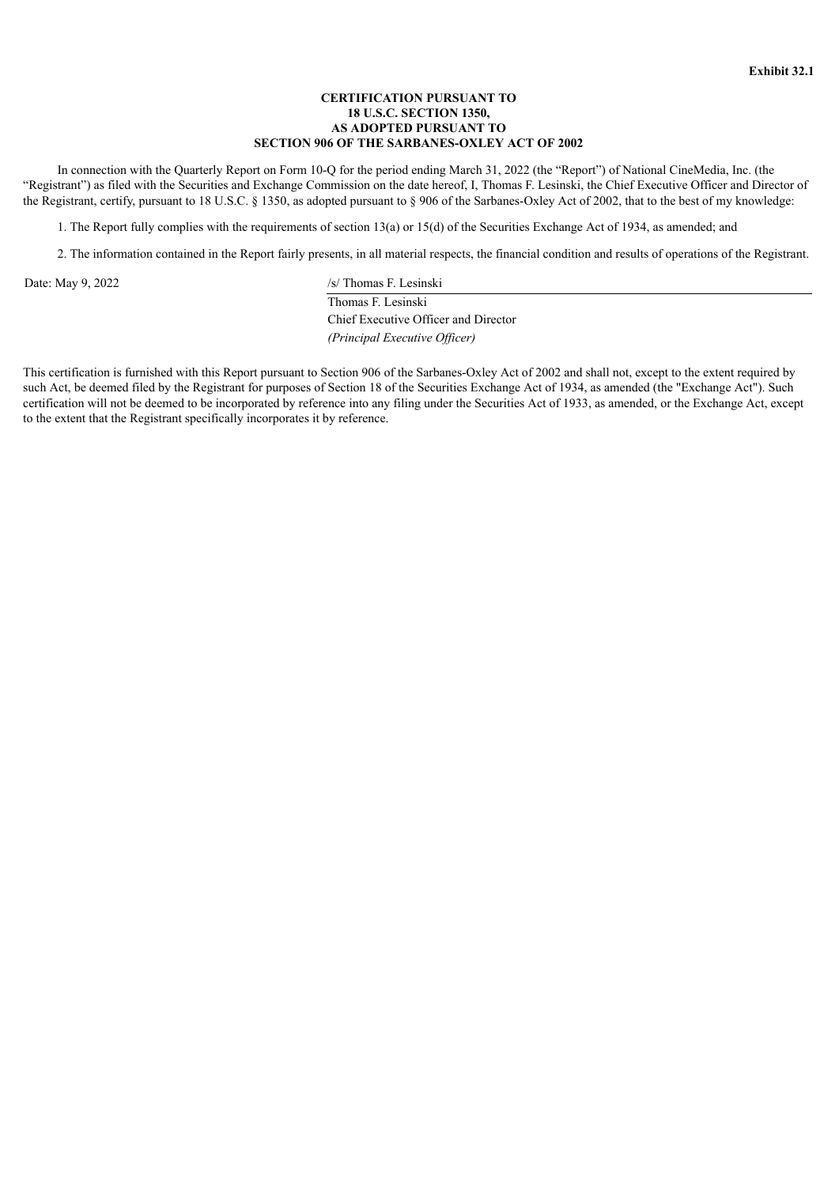# **CERTIFICATION PURSUANT TO 18 U.S.C. SECTION 1350, AS ADOPTED PURSUANT TO SECTION 906 OF THE SARBANES-OXLEY ACT OF 2002**

<span id="page-66-0"></span>In connection with the Quarterly Report on Form 10-Q for the period ending March 31, 2022 (the "Report") of National CineMedia, Inc. (the "Registrant") as filed with the Securities and Exchange Commission on the date hereof, I, Thomas F. Lesinski, the Chief Executive Officer and Director of the Registrant, certify, pursuant to 18 U.S.C. § 1350, as adopted pursuant to § 906 of the Sarbanes-Oxley Act of 2002, that to the best of my knowledge:

1. The Report fully complies with the requirements of section 13(a) or 15(d) of the Securities Exchange Act of 1934, as amended; and

2. The information contained in the Report fairly presents, in all material respects, the financial condition and results of operations of the Registrant.

Date: May 9, 2022 /s/ Thomas F. Lesinski

Thomas F. Lesinski Chief Executive Officer and Director *(Principal Executive Of icer)*

This certification is furnished with this Report pursuant to Section 906 of the Sarbanes-Oxley Act of 2002 and shall not, except to the extent required by such Act, be deemed filed by the Registrant for purposes of Section 18 of the Securities Exchange Act of 1934, as amended (the "Exchange Act"). Such certification will not be deemed to be incorporated by reference into any filing under the Securities Act of 1933, as amended, or the Exchange Act, except to the extent that the Registrant specifically incorporates it by reference.